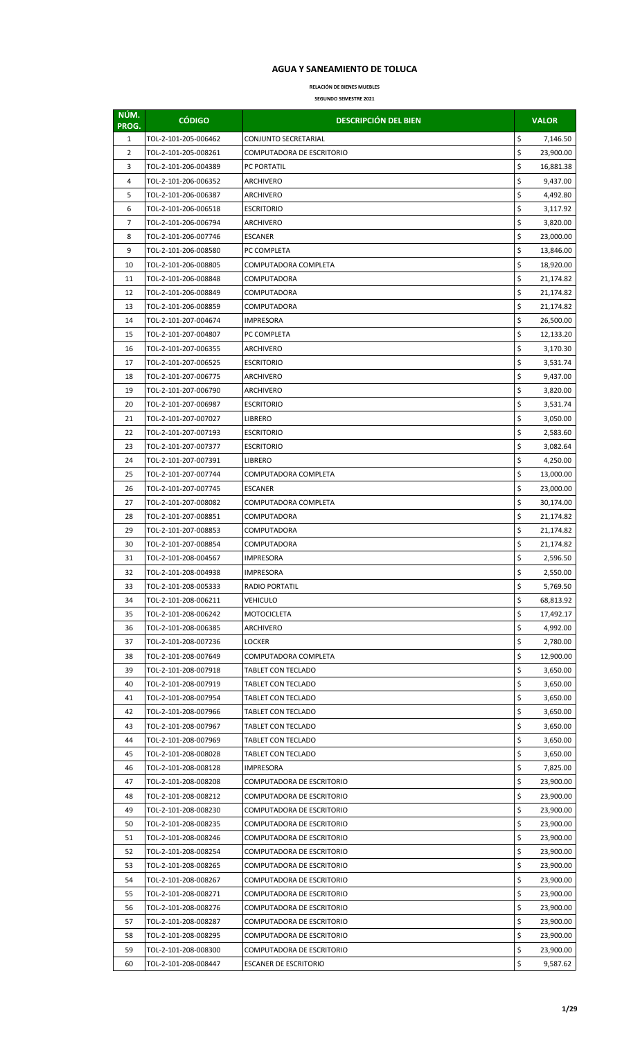## **AGUA Y SANEAMIENTO DE TOLUCA**

**RELACIÓN DE BIENES MUEBLES SEGUNDO SEMESTRE 2021**

| NÚM.<br>PROG.  | <b>CÓDIGO</b>                                | <b>DESCRIPCIÓN DEL BIEN</b>              |          | <b>VALOR</b>         |
|----------------|----------------------------------------------|------------------------------------------|----------|----------------------|
| $\mathbf{1}$   | TOL-2-101-205-006462                         | CONJUNTO SECRETARIAL                     | \$       | 7,146.50             |
| $\overline{2}$ | TOL-2-101-205-008261                         | COMPUTADORA DE ESCRITORIO                | \$       | 23,900.00            |
| 3              | TOL-2-101-206-004389                         | PC PORTATIL                              | \$       | 16,881.38            |
| 4              | TOL-2-101-206-006352                         | ARCHIVERO                                | \$       | 9,437.00             |
| 5              | TOL-2-101-206-006387                         | ARCHIVERO                                | \$       | 4,492.80             |
| 6              | TOL-2-101-206-006518                         | <b>ESCRITORIO</b>                        | \$       | 3,117.92             |
| 7              | TOL-2-101-206-006794                         | ARCHIVERO                                | \$       | 3,820.00             |
| 8              | TOL-2-101-206-007746                         | <b>ESCANER</b>                           | \$       | 23,000.00            |
| 9              | TOL-2-101-206-008580                         | PC COMPLETA                              | \$       | 13,846.00            |
| 10             | TOL-2-101-206-008805                         | COMPUTADORA COMPLETA                     | \$       | 18,920.00            |
| 11             | TOL-2-101-206-008848                         | <b>COMPUTADORA</b>                       | \$       | 21,174.82            |
| 12             | TOL-2-101-206-008849                         | COMPUTADORA                              | \$       | 21,174.82            |
| 13             | TOL-2-101-206-008859                         | COMPUTADORA                              | \$       | 21,174.82            |
| 14             | TOL-2-101-207-004674                         | IMPRESORA                                | \$       | 26,500.00            |
| 15             | TOL-2-101-207-004807                         | PC COMPLETA                              | \$       | 12,133.20            |
| 16             | TOL-2-101-207-006355                         | ARCHIVERO                                | \$       | 3,170.30             |
| 17             | TOL-2-101-207-006525                         | <b>ESCRITORIO</b>                        | \$       | 3,531.74             |
| 18             | TOL-2-101-207-006775                         | ARCHIVERO                                | \$       | 9,437.00             |
| 19             | TOL-2-101-207-006790                         | ARCHIVERO                                | \$       | 3,820.00             |
| 20             | TOL-2-101-207-006987                         | <b>ESCRITORIO</b>                        | \$       | 3,531.74             |
| 21             | TOL-2-101-207-007027                         | LIBRERO                                  | \$       | 3,050.00             |
| 22             | TOL-2-101-207-007193                         | <b>ESCRITORIO</b>                        | \$       | 2,583.60             |
| 23             | TOL-2-101-207-007377                         | <b>ESCRITORIO</b>                        | \$       | 3,082.64             |
| 24             | TOL-2-101-207-007391                         | <b>LIBRERO</b>                           | \$       | 4,250.00             |
| 25             | TOL-2-101-207-007744                         | COMPUTADORA COMPLETA                     | \$       | 13,000.00            |
| 26             | TOL-2-101-207-007745                         | <b>ESCANER</b>                           | \$       | 23,000.00            |
| 27             | TOL-2-101-207-008082                         | COMPUTADORA COMPLETA                     | \$       | 30,174.00            |
| 28             | TOL-2-101-207-008851                         | COMPUTADORA                              | \$       | 21,174.82            |
| 29             | TOL-2-101-207-008853                         | COMPUTADORA                              | \$       | 21,174.82            |
| 30             | TOL-2-101-207-008854                         | COMPUTADORA                              | \$       | 21,174.82            |
| 31             | TOL-2-101-208-004567                         | IMPRESORA                                | \$       | 2,596.50             |
| 32             | TOL-2-101-208-004938                         | IMPRESORA                                | Ş        | 2,550.00             |
| 33             | TOL-2-101-208-005333                         | RADIO PORTATIL                           | \$       | 5,769.50             |
| 34             | TOL-2-101-208-006211                         | VEHICULO                                 | \$       | 68,813.92            |
| 35             | TOL-2-101-208-006242                         | <b>MOTOCICLETA</b>                       | \$       | 17,492.17            |
| 36             | TOL-2-101-208-006385                         | ARCHIVERO                                | \$       | 4,992.00             |
| 37             | TOL-2-101-208-007236                         | LOCKER                                   | \$       | 2,780.00             |
| 38             | TOL-2-101-208-007649                         | COMPUTADORA COMPLETA                     | \$       | 12,900.00            |
| 39             | TOL-2-101-208-007918                         | TABLET CON TECLADO                       | \$<br>\$ | 3,650.00             |
| 40<br>41       | TOL-2-101-208-007919<br>TOL-2-101-208-007954 | TABLET CON TECLADO<br>TABLET CON TECLADO | \$       | 3,650.00<br>3,650.00 |
| 42             | TOL-2-101-208-007966                         | TABLET CON TECLADO                       | \$       | 3,650.00             |
| 43             | TOL-2-101-208-007967                         | TABLET CON TECLADO                       | \$       | 3,650.00             |
| 44             | TOL-2-101-208-007969                         | TABLET CON TECLADO                       | \$       | 3,650.00             |
| 45             | TOL-2-101-208-008028                         | TABLET CON TECLADO                       | \$       | 3,650.00             |
| 46             | TOL-2-101-208-008128                         | IMPRESORA                                | \$       | 7,825.00             |
| 47             | TOL-2-101-208-008208                         | COMPUTADORA DE ESCRITORIO                | \$       | 23,900.00            |
| 48             | TOL-2-101-208-008212                         | COMPUTADORA DE ESCRITORIO                | \$       | 23,900.00            |
| 49             | TOL-2-101-208-008230                         | COMPUTADORA DE ESCRITORIO                | \$       | 23,900.00            |
| 50             | TOL-2-101-208-008235                         | COMPUTADORA DE ESCRITORIO                | \$       | 23,900.00            |
| 51             | TOL-2-101-208-008246                         | COMPUTADORA DE ESCRITORIO                | \$       | 23,900.00            |
| 52             | TOL-2-101-208-008254                         | COMPUTADORA DE ESCRITORIO                | \$       | 23,900.00            |
| 53             | TOL-2-101-208-008265                         | COMPUTADORA DE ESCRITORIO                | \$       | 23,900.00            |
| 54             | TOL-2-101-208-008267                         | COMPUTADORA DE ESCRITORIO                | \$       | 23,900.00            |
| 55             | TOL-2-101-208-008271                         | COMPUTADORA DE ESCRITORIO                | \$       | 23,900.00            |
| 56             | TOL-2-101-208-008276                         | COMPUTADORA DE ESCRITORIO                | \$       | 23,900.00            |
| 57             | TOL-2-101-208-008287                         | COMPUTADORA DE ESCRITORIO                | \$       | 23,900.00            |
| 58             | TOL-2-101-208-008295                         | COMPUTADORA DE ESCRITORIO                | \$       | 23,900.00            |
| 59             | TOL-2-101-208-008300                         | COMPUTADORA DE ESCRITORIO                | \$       | 23,900.00            |
| 60             | TOL-2-101-208-008447                         | <b>ESCANER DE ESCRITORIO</b>             | \$       | 9,587.62             |
|                |                                              |                                          |          |                      |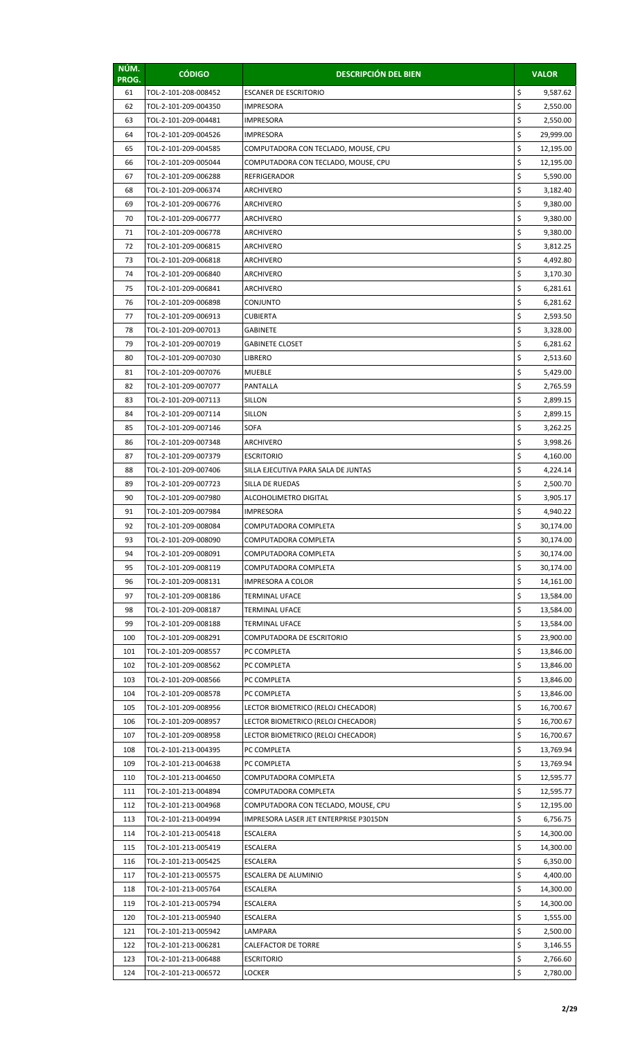| NÚM.<br>PROG. | <b>CÓDIGO</b>                                | <b>DESCRIPCIÓN DEL BIEN</b>                |          | <b>VALOR</b>           |
|---------------|----------------------------------------------|--------------------------------------------|----------|------------------------|
| 61            | TOL-2-101-208-008452                         | <b>ESCANER DE ESCRITORIO</b>               | \$       | 9,587.62               |
| 62            | TOL-2-101-209-004350                         | <b>IMPRESORA</b>                           | \$       | 2,550.00               |
| 63            | TOL-2-101-209-004481                         | <b>IMPRESORA</b>                           | \$       | 2,550.00               |
| 64            | TOL-2-101-209-004526                         | <b>IMPRESORA</b>                           | \$       | 29,999.00              |
| 65            | TOL-2-101-209-004585                         | COMPUTADORA CON TECLADO, MOUSE, CPU        | \$       | 12,195.00              |
| 66            | TOL-2-101-209-005044                         | COMPUTADORA CON TECLADO, MOUSE, CPU        | \$       | 12,195.00              |
| 67            | TOL-2-101-209-006288                         | <b>REFRIGERADOR</b>                        | \$       | 5,590.00               |
| 68            | TOL-2-101-209-006374                         | ARCHIVERO                                  | \$       | 3,182.40               |
| 69            | TOL-2-101-209-006776                         | ARCHIVERO                                  | \$       | 9,380.00               |
| 70            | TOL-2-101-209-006777                         | ARCHIVERO                                  | \$       | 9,380.00               |
| 71            | TOL-2-101-209-006778                         | ARCHIVERO                                  | \$       | 9,380.00               |
| 72            | TOL-2-101-209-006815                         | ARCHIVERO                                  | \$       | 3,812.25               |
| 73            | TOL-2-101-209-006818                         | ARCHIVERO                                  | \$       | 4,492.80               |
| 74            | TOL-2-101-209-006840                         | <b>ARCHIVERO</b>                           | \$       | 3,170.30               |
| 75            | TOL-2-101-209-006841                         | ARCHIVERO                                  | \$       | 6,281.61               |
| 76            | TOL-2-101-209-006898                         | CONJUNTO                                   | \$       | 6,281.62               |
| 77            | TOL-2-101-209-006913                         | CUBIERTA                                   | \$       | 2,593.50               |
| 78            | TOL-2-101-209-007013                         | <b>GABINETE</b>                            | \$       | 3,328.00               |
| 79            | TOL-2-101-209-007019                         | <b>GABINETE CLOSET</b>                     | \$       | 6,281.62               |
| 80            | TOL-2-101-209-007030                         | <b>LIBRERO</b>                             | \$       | 2,513.60               |
| 81            | TOL-2-101-209-007076                         | <b>MUEBLE</b>                              | \$       | 5,429.00               |
| 82            | TOL-2-101-209-007077                         | <b>PANTALLA</b>                            | \$       | 2,765.59               |
| 83            | TOL-2-101-209-007113                         | <b>SILLON</b>                              | \$       | 2,899.15               |
| 84            | TOL-2-101-209-007114                         | <b>SILLON</b>                              | \$       | 2,899.15               |
| 85            | TOL-2-101-209-007146                         | SOFA                                       | \$       | 3,262.25               |
| 86            | TOL-2-101-209-007348                         | ARCHIVERO                                  | \$       | 3,998.26               |
| 87            | TOL-2-101-209-007379                         | <b>ESCRITORIO</b>                          | \$       | 4,160.00               |
| 88            | TOL-2-101-209-007406                         | SILLA EJECUTIVA PARA SALA DE JUNTAS        | \$       | 4,224.14               |
| 89            | TOL-2-101-209-007723                         | SILLA DE RUEDAS                            | \$       | 2,500.70               |
| 90            | TOL-2-101-209-007980                         | ALCOHOLIMETRO DIGITAL                      | \$       | 3,905.17               |
| 91            | TOL-2-101-209-007984                         | <b>IMPRESORA</b>                           | \$       | 4,940.22               |
| 92            | TOL-2-101-209-008084                         | COMPUTADORA COMPLETA                       | Ş        | 30,174.00              |
| 93            | TOL-2-101-209-008090                         | COMPUTADORA COMPLETA                       | \$       | 30,174.00              |
| 94            | TOL-2-101-209-008091                         | COMPUTADORA COMPLETA                       | \$       | 30,174.00              |
| 95<br>96      | TOL-2-101-209-008119<br>TOL-2-101-209-008131 | COMPUTADORA COMPLETA                       | \$<br>\$ | 30,174.00              |
| 97            | TOL-2-101-209-008186                         | <b>IMPRESORA A COLOR</b><br>TERMINAL UFACE | \$       | 14,161.00              |
| 98            | TOL-2-101-209-008187                         | <b>TERMINAL UFACE</b>                      | \$       | 13,584.00<br>13,584.00 |
| 99            | TOL-2-101-209-008188                         | TERMINAL UFACE                             | \$       | 13,584.00              |
| 100           | TOL-2-101-209-008291                         | COMPUTADORA DE ESCRITORIO                  | \$       | 23,900.00              |
| 101           | TOL-2-101-209-008557                         | PC COMPLETA                                | \$       | 13,846.00              |
| 102           | TOL-2-101-209-008562                         | PC COMPLETA                                | \$       | 13,846.00              |
| 103           | TOL-2-101-209-008566                         | PC COMPLETA                                | \$       | 13,846.00              |
| 104           | TOL-2-101-209-008578                         | PC COMPLETA                                | \$       | 13,846.00              |
| 105           | TOL-2-101-209-008956                         | LECTOR BIOMETRICO (RELOJ CHECADOR)         | \$       | 16,700.67              |
| 106           | TOL-2-101-209-008957                         | LECTOR BIOMETRICO (RELOJ CHECADOR)         | \$       | 16,700.67              |
| 107           | TOL-2-101-209-008958                         | LECTOR BIOMETRICO (RELOJ CHECADOR)         | \$       | 16,700.67              |
| 108           | TOL-2-101-213-004395                         | PC COMPLETA                                | \$       | 13,769.94              |
| 109           | TOL-2-101-213-004638                         | PC COMPLETA                                | \$       | 13,769.94              |
| 110           | TOL-2-101-213-004650                         | COMPUTADORA COMPLETA                       | \$       | 12,595.77              |
| 111           | TOL-2-101-213-004894                         | COMPUTADORA COMPLETA                       | \$       | 12,595.77              |
| 112           | TOL-2-101-213-004968                         | COMPUTADORA CON TECLADO, MOUSE, CPU        | \$       | 12,195.00              |
| 113           | TOL-2-101-213-004994                         | IMPRESORA LASER JET ENTERPRISE P3015DN     | \$       | 6,756.75               |
| 114           | TOL-2-101-213-005418                         | <b>ESCALERA</b>                            | \$       | 14,300.00              |
| 115           | TOL-2-101-213-005419                         | <b>ESCALERA</b>                            | \$       | 14,300.00              |
| 116           | TOL-2-101-213-005425                         | <b>ESCALERA</b>                            | \$       | 6,350.00               |
| 117           | TOL-2-101-213-005575                         | ESCALERA DE ALUMINIO                       | \$       | 4,400.00               |
| 118           | TOL-2-101-213-005764                         | <b>ESCALERA</b>                            | \$       | 14,300.00              |
| 119           | TOL-2-101-213-005794                         | <b>ESCALERA</b>                            | \$       | 14,300.00              |
| 120           | TOL-2-101-213-005940                         | <b>ESCALERA</b>                            | \$       | 1,555.00               |
| 121           | TOL-2-101-213-005942                         | LAMPARA                                    | \$       | 2,500.00               |
| 122           | TOL-2-101-213-006281                         | <b>CALEFACTOR DE TORRE</b>                 | \$       | 3,146.55               |
| 123           | TOL-2-101-213-006488                         | <b>ESCRITORIO</b>                          | \$       | 2,766.60               |
| 124           | TOL-2-101-213-006572                         | LOCKER                                     | \$       | 2,780.00               |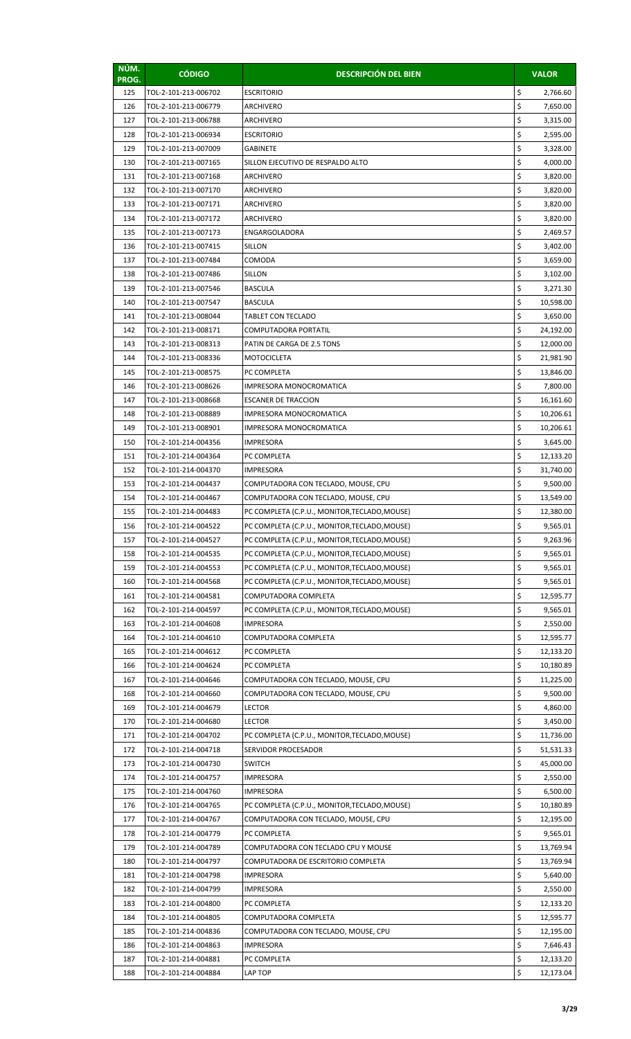| NÚM.<br>PROG. | <b>CÓDIGO</b>        | <b>DESCRIPCIÓN DEL BIEN</b>                   |    | <b>VALOR</b> |
|---------------|----------------------|-----------------------------------------------|----|--------------|
| 125           | TOL-2-101-213-006702 | <b>ESCRITORIO</b>                             | \$ | 2,766.60     |
| 126           | TOL-2-101-213-006779 | ARCHIVERO                                     | \$ | 7,650.00     |
| 127           | TOL-2-101-213-006788 | ARCHIVERO                                     | \$ | 3,315.00     |
| 128           | TOL-2-101-213-006934 | <b>ESCRITORIO</b>                             | \$ | 2,595.00     |
| 129           | TOL-2-101-213-007009 | GABINETE                                      | \$ | 3,328.00     |
| 130           | TOL-2-101-213-007165 | SILLON EJECUTIVO DE RESPALDO ALTO             | \$ | 4,000.00     |
| 131           | TOL-2-101-213-007168 | ARCHIVERO                                     | \$ | 3,820.00     |
| 132           | TOL-2-101-213-007170 | ARCHIVERO                                     | \$ | 3,820.00     |
| 133           | TOL-2-101-213-007171 | ARCHIVERO                                     | \$ | 3,820.00     |
| 134           | TOL-2-101-213-007172 | ARCHIVERO                                     | \$ | 3,820.00     |
| 135           | TOL-2-101-213-007173 | ENGARGOLADORA                                 | \$ | 2,469.57     |
| 136           | TOL-2-101-213-007415 | SILLON                                        | \$ | 3,402.00     |
| 137           | TOL-2-101-213-007484 | COMODA                                        | \$ | 3,659.00     |
| 138           | TOL-2-101-213-007486 | <b>SILLON</b>                                 | \$ | 3,102.00     |
| 139           | TOL-2-101-213-007546 | <b>BASCULA</b>                                | \$ | 3,271.30     |
| 140           | TOL-2-101-213-007547 | <b>BASCULA</b>                                | \$ | 10,598.00    |
| 141           | TOL-2-101-213-008044 | <b>TABLET CON TECLADO</b>                     | \$ | 3,650.00     |
| 142           | TOL-2-101-213-008171 | COMPUTADORA PORTATIL                          | \$ | 24,192.00    |
| 143           | TOL-2-101-213-008313 | PATIN DE CARGA DE 2.5 TONS                    | \$ | 12,000.00    |
| 144           | TOL-2-101-213-008336 | MOTOCICLETA                                   | \$ | 21,981.90    |
| 145           | TOL-2-101-213-008575 | PC COMPLETA                                   | \$ | 13,846.00    |
| 146           | TOL-2-101-213-008626 | IMPRESORA MONOCROMATICA                       | \$ | 7,800.00     |
| 147           | TOL-2-101-213-008668 | <b>ESCANER DE TRACCION</b>                    | \$ | 16,161.60    |
| 148           | TOL-2-101-213-008889 | IMPRESORA MONOCROMATICA                       | \$ | 10,206.61    |
| 149           | TOL-2-101-213-008901 | IMPRESORA MONOCROMATICA                       | \$ | 10,206.61    |
| 150           | TOL-2-101-214-004356 | IMPRESORA                                     | \$ | 3,645.00     |
| 151           | TOL-2-101-214-004364 | PC COMPLETA                                   | \$ | 12,133.20    |
| 152           | TOL-2-101-214-004370 | IMPRESORA                                     | \$ | 31,740.00    |
| 153           | TOL-2-101-214-004437 | COMPUTADORA CON TECLADO, MOUSE, CPU           | \$ | 9,500.00     |
| 154           | TOL-2-101-214-004467 | COMPUTADORA CON TECLADO, MOUSE, CPU           | \$ | 13,549.00    |
| 155           | TOL-2-101-214-004483 | PC COMPLETA (C.P.U., MONITOR, TECLADO, MOUSE) | \$ | 12,380.00    |
| 156           | TOL-2-101-214-004522 | PC COMPLETA (C.P.U., MONITOR, TECLADO, MOUSE) | Ş  | 9,565.01     |
| 157           | TOL-2-101-214-004527 | PC COMPLETA (C.P.U., MONITOR, TECLADO, MOUSE) | \$ | 9,263.96     |
| 158           | TOL-2-101-214-004535 | PC COMPLETA (C.P.U., MONITOR, TECLADO, MOUSE) | \$ | 9,565.01     |
| 159           | TOL-2-101-214-004553 | PC COMPLETA (C.P.U., MONITOR, TECLADO, MOUSE) | \$ | 9,565.01     |
| 160           | TOL-2-101-214-004568 | PC COMPLETA (C.P.U., MONITOR, TECLADO, MOUSE) | \$ | 9,565.01     |
| 161           | TOL-2-101-214-004581 | COMPUTADORA COMPLETA                          | \$ | 12,595.77    |
| 162           | TOL-2-101-214-004597 | PC COMPLETA (C.P.U., MONITOR, TECLADO, MOUSE) | \$ | 9,565.01     |
| 163           | TOL-2-101-214-004608 | IMPRESORA                                     | \$ | 2,550.00     |
| 164           | TOL-2-101-214-004610 | COMPUTADORA COMPLETA                          | \$ | 12,595.77    |
| 165           | TOL-2-101-214-004612 | PC COMPLETA                                   | \$ | 12,133.20    |
| 166           | TOL-2-101-214-004624 | PC COMPLETA                                   | \$ | 10,180.89    |
| 167           | TOL-2-101-214-004646 | COMPUTADORA CON TECLADO, MOUSE, CPU           | \$ | 11,225.00    |
| 168           | TOL-2-101-214-004660 | COMPUTADORA CON TECLADO, MOUSE, CPU           | \$ | 9,500.00     |
| 169           | TOL-2-101-214-004679 | LECTOR                                        | \$ | 4,860.00     |
| 170           | TOL-2-101-214-004680 | <b>LECTOR</b>                                 | \$ | 3,450.00     |
| 171           | TOL-2-101-214-004702 | PC COMPLETA (C.P.U., MONITOR, TECLADO, MOUSE) | \$ | 11,736.00    |
| 172           | TOL-2-101-214-004718 | SERVIDOR PROCESADOR                           | \$ | 51,531.33    |
| 173           | TOL-2-101-214-004730 | <b>SWITCH</b>                                 | \$ | 45,000.00    |
| 174           | TOL-2-101-214-004757 | IMPRESORA                                     | \$ | 2,550.00     |
| 175           | TOL-2-101-214-004760 | IMPRESORA                                     | \$ | 6,500.00     |
| 176           | TOL-2-101-214-004765 | PC COMPLETA (C.P.U., MONITOR,TECLADO,MOUSE)   | \$ | 10,180.89    |
| 177           | TOL-2-101-214-004767 | COMPUTADORA CON TECLADO, MOUSE, CPU           | \$ | 12,195.00    |
| 178           | TOL-2-101-214-004779 | PC COMPLETA                                   | \$ | 9,565.01     |
| 179           | TOL-2-101-214-004789 | COMPUTADORA CON TECLADO CPU Y MOUSE           | \$ | 13,769.94    |
| 180           | TOL-2-101-214-004797 | COMPUTADORA DE ESCRITORIO COMPLETA            | \$ | 13,769.94    |
| 181           | TOL-2-101-214-004798 | <b>IMPRESORA</b>                              | \$ | 5,640.00     |
| 182           | TOL-2-101-214-004799 | <b>IMPRESORA</b>                              | \$ | 2,550.00     |
| 183           | TOL-2-101-214-004800 | PC COMPLETA                                   | \$ | 12,133.20    |
| 184           | TOL-2-101-214-004805 | COMPUTADORA COMPLETA                          | \$ | 12,595.77    |
| 185           | TOL-2-101-214-004836 | COMPUTADORA CON TECLADO, MOUSE, CPU           | \$ | 12,195.00    |
| 186           | TOL-2-101-214-004863 | <b>IMPRESORA</b>                              | \$ | 7,646.43     |
| 187           | TOL-2-101-214-004881 | PC COMPLETA                                   | \$ | 12,133.20    |
| 188           | TOL-2-101-214-004884 | LAP TOP                                       | \$ | 12,173.04    |
|               |                      |                                               |    |              |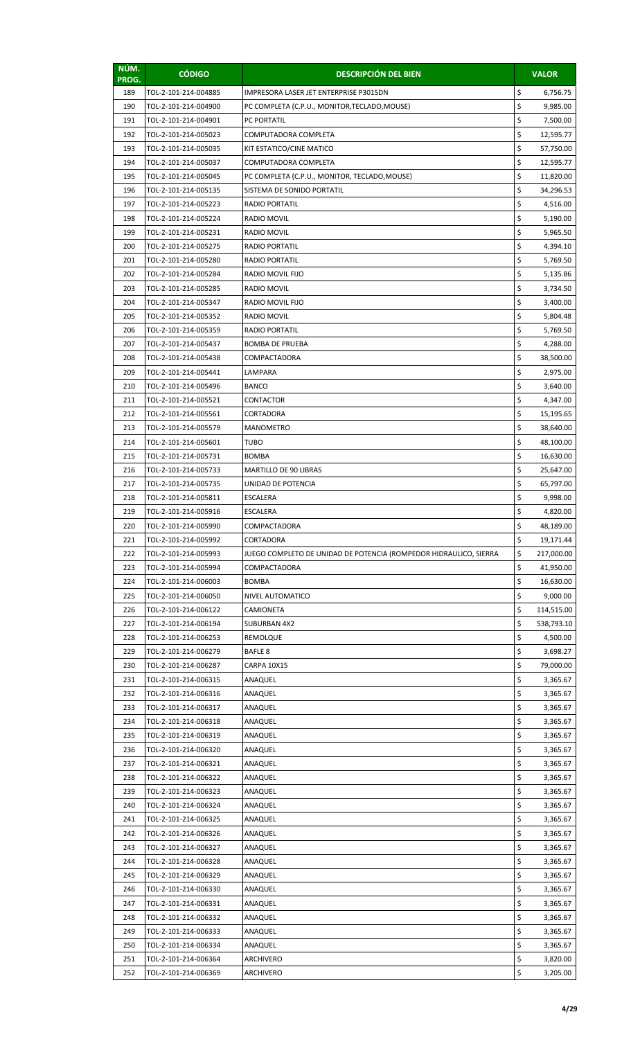| NÚM.<br>PROG. | <b>CÓDIGO</b>                                | <b>DESCRIPCIÓN DEL BIEN</b>                                                       |         | <b>VALOR</b>            |
|---------------|----------------------------------------------|-----------------------------------------------------------------------------------|---------|-------------------------|
| 189           | TOL-2-101-214-004885                         | IMPRESORA LASER JET ENTERPRISE P3015DN                                            | \$      | 6,756.75                |
| 190           | TOL-2-101-214-004900                         | PC COMPLETA (C.P.U., MONITOR, TECLADO, MOUSE)                                     | \$      | 9,985.00                |
| 191           | TOL-2-101-214-004901                         | PC PORTATIL                                                                       | \$      | 7,500.00                |
| 192           | TOL-2-101-214-005023                         | COMPUTADORA COMPLETA                                                              | \$      | 12,595.77               |
| 193           | TOL-2-101-214-005035                         | KIT ESTATICO/CINE MATICO                                                          | \$      | 57,750.00               |
| 194           | TOL-2-101-214-005037                         | COMPUTADORA COMPLETA                                                              | \$      | 12,595.77               |
| 195           | TOL-2-101-214-005045                         | PC COMPLETA (C.P.U., MONITOR, TECLADO, MOUSE)                                     | \$      | 11,820.00               |
| 196           | TOL-2-101-214-005135                         | SISTEMA DE SONIDO PORTATIL                                                        | \$      | 34,296.53               |
| 197           | TOL-2-101-214-005223                         | <b>RADIO PORTATIL</b>                                                             | \$      | 4,516.00                |
| 198           | TOL-2-101-214-005224                         | <b>RADIO MOVIL</b>                                                                | \$      | 5,190.00                |
| 199           | TOL-2-101-214-005231                         | RADIO MOVIL                                                                       | \$      | 5,965.50                |
| 200           | TOL-2-101-214-005275                         | <b>RADIO PORTATIL</b>                                                             | \$      | 4,394.10                |
| 201           | TOL-2-101-214-005280                         | <b>RADIO PORTATIL</b>                                                             | \$      | 5,769.50                |
| 202           | TOL-2-101-214-005284                         | <b>RADIO MOVIL FIJO</b>                                                           | \$      | 5,135.86                |
| 203           | TOL-2-101-214-005285                         | <b>RADIO MOVIL</b>                                                                | \$      | 3,734.50                |
| 204           | TOL-2-101-214-005347                         | RADIO MOVIL FIJO                                                                  | \$      | 3,400.00                |
| 205           | TOL-2-101-214-005352                         | RADIO MOVIL                                                                       | \$      | 5,804.48                |
| 206           | TOL-2-101-214-005359                         | <b>RADIO PORTATIL</b>                                                             | \$      | 5,769.50                |
| 207           | TOL-2-101-214-005437                         | <b>BOMBA DE PRUEBA</b>                                                            | \$      | 4,288.00                |
| 208           | TOL-2-101-214-005438                         | COMPACTADORA                                                                      | \$      | 38,500.00               |
| 209           | TOL-2-101-214-005441                         | LAMPARA                                                                           | \$      | 2,975.00                |
| 210           | TOL-2-101-214-005496                         | <b>BANCO</b>                                                                      | \$      | 3,640.00                |
| 211           | TOL-2-101-214-005521                         | CONTACTOR                                                                         | \$      | 4,347.00                |
| 212           | TOL-2-101-214-005561                         | CORTADORA                                                                         | \$      | 15,195.65               |
| 213           | TOL-2-101-214-005579                         | <b>MANOMETRO</b>                                                                  | \$      | 38,640.00               |
| 214           | TOL-2-101-214-005601                         | <b>TUBO</b>                                                                       | \$      | 48,100.00               |
| 215           | TOL-2-101-214-005731                         | <b>BOMBA</b>                                                                      | \$      | 16,630.00               |
| 216           | TOL-2-101-214-005733                         | MARTILLO DE 90 LIBRAS                                                             | \$      | 25,647.00               |
| 217           | TOL-2-101-214-005735                         | UNIDAD DE POTENCIA                                                                | \$      | 65,797.00               |
| 218           | TOL-2-101-214-005811                         | <b>ESCALERA</b>                                                                   | \$      | 9,998.00                |
| 219           | TOL-2-101-214-005916                         | <b>ESCALERA</b>                                                                   | \$      | 4,820.00                |
| 220           | TOL-2-101-214-005990                         | COMPACTADORA                                                                      | Ş<br>\$ | 48,189.00               |
| 221           | TOL-2-101-214-005992                         | CORTADORA                                                                         | \$      | 19,171.44<br>217,000.00 |
| 222<br>223    | TOL-2-101-214-005993<br>TOL-2-101-214-005994 | JUEGO COMPLETO DE UNIDAD DE POTENCIA (ROMPEDOR HIDRAULICO, SIERRA<br>COMPACTADORA | \$      | 41,950.00               |
| 224           | TOL-2-101-214-006003                         | <b>BOMBA</b>                                                                      | \$      | 16,630.00               |
| 225           | TOL-2-101-214-006050                         | NIVEL AUTOMATICO                                                                  | \$      | 9,000.00                |
| 226           | TOL-2-101-214-006122                         | CAMIONETA                                                                         | \$      | 114,515.00              |
| 227           | TOL-2-101-214-006194                         | <b>SUBURBAN 4X2</b>                                                               | \$      | 538,793.10              |
| 228           | TOL-2-101-214-006253                         | REMOLQUE                                                                          | \$      | 4,500.00                |
| 229           | TOL-2-101-214-006279                         | <b>BAFLE 8</b>                                                                    | \$      | 3,698.27                |
| 230           | TOL-2-101-214-006287                         | <b>CARPA 10X15</b>                                                                | \$      | 79,000.00               |
| 231           | TOL-2-101-214-006315                         | ANAQUEL                                                                           | \$      | 3,365.67                |
| 232           | TOL-2-101-214-006316                         | ANAQUEL                                                                           | \$      | 3,365.67                |
| 233           | TOL-2-101-214-006317                         | ANAQUEL                                                                           | \$      | 3,365.67                |
| 234           | TOL-2-101-214-006318                         | ANAQUEL                                                                           | \$      | 3,365.67                |
| 235           | TOL-2-101-214-006319                         | ANAQUEL                                                                           | \$      | 3,365.67                |
| 236           | TOL-2-101-214-006320                         | ANAQUEL                                                                           | \$      | 3,365.67                |
| 237           | TOL-2-101-214-006321                         | ANAQUEL                                                                           | \$      | 3,365.67                |
| 238           | TOL-2-101-214-006322                         | ANAQUEL                                                                           | \$      | 3,365.67                |
| 239           | TOL-2-101-214-006323                         | ANAQUEL                                                                           | \$      | 3,365.67                |
| 240           | TOL-2-101-214-006324                         | ANAQUEL                                                                           | \$      | 3,365.67                |
| 241           | TOL-2-101-214-006325                         | ANAQUEL                                                                           | \$      | 3,365.67                |
| 242           | TOL-2-101-214-006326                         | ANAQUEL                                                                           | \$      | 3,365.67                |
| 243           | TOL-2-101-214-006327                         | ANAQUEL                                                                           | \$      | 3,365.67                |
| 244           | TOL-2-101-214-006328                         | ANAQUEL                                                                           | \$      | 3,365.67                |
| 245           | TOL-2-101-214-006329                         | ANAQUEL                                                                           | \$      | 3,365.67                |
| 246           | TOL-2-101-214-006330                         | ANAQUEL                                                                           | \$      | 3,365.67                |
| 247           | TOL-2-101-214-006331                         | ANAQUEL                                                                           | \$      | 3,365.67                |
| 248           | TOL-2-101-214-006332                         | ANAQUEL                                                                           | \$      | 3,365.67                |
| 249           | TOL-2-101-214-006333                         | ANAQUEL                                                                           | \$      | 3,365.67                |
| 250           | TOL-2-101-214-006334                         | ANAQUEL                                                                           | \$      | 3,365.67                |
| 251           | TOL-2-101-214-006364                         | ARCHIVERO                                                                         | \$      | 3,820.00                |
| 252           | TOL-2-101-214-006369                         | ARCHIVERO                                                                         | \$      | 3,205.00                |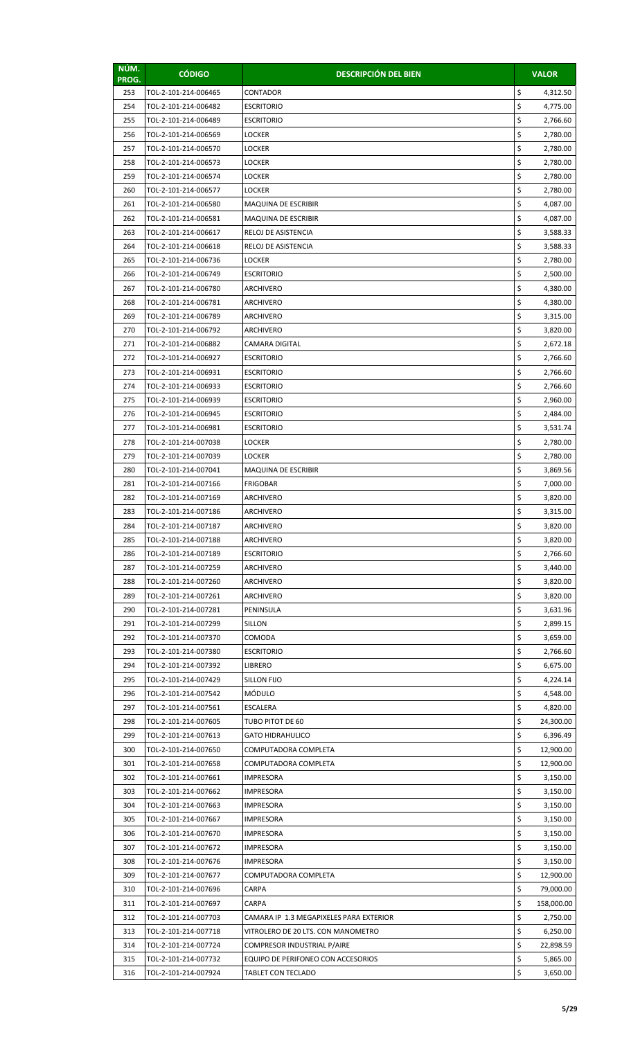| NÚM.<br>PROG. | <b>CÓDIGO</b>                                | <b>DESCRIPCIÓN DEL BIEN</b>             |          | <b>VALOR</b>         |
|---------------|----------------------------------------------|-----------------------------------------|----------|----------------------|
| 253           | TOL-2-101-214-006465                         | CONTADOR                                | \$       | 4,312.50             |
| 254           | TOL-2-101-214-006482                         | <b>ESCRITORIO</b>                       | \$       | 4,775.00             |
| 255           | TOL-2-101-214-006489                         | <b>ESCRITORIO</b>                       | \$       | 2,766.60             |
| 256           | TOL-2-101-214-006569                         | <b>LOCKER</b>                           | \$       | 2,780.00             |
| 257           | TOL-2-101-214-006570                         | LOCKER                                  | \$       | 2,780.00             |
| 258           | TOL-2-101-214-006573                         | LOCKER                                  | \$       | 2,780.00             |
| 259           | TOL-2-101-214-006574                         | LOCKER                                  | \$       | 2,780.00             |
| 260           | TOL-2-101-214-006577                         | <b>LOCKER</b>                           | \$       | 2,780.00             |
| 261           | TOL-2-101-214-006580                         | MAQUINA DE ESCRIBIR                     | \$       | 4,087.00             |
| 262           | TOL-2-101-214-006581                         | MAQUINA DE ESCRIBIR                     | \$       | 4,087.00             |
| 263           | TOL-2-101-214-006617                         | RELOJ DE ASISTENCIA                     | \$       | 3,588.33             |
| 264           | TOL-2-101-214-006618                         | RELOJ DE ASISTENCIA                     | \$       | 3,588.33             |
| 265           | TOL-2-101-214-006736                         | LOCKER                                  | \$       | 2,780.00             |
| 266           | TOL-2-101-214-006749                         | <b>ESCRITORIO</b>                       | \$       | 2,500.00             |
| 267           | TOL-2-101-214-006780                         | ARCHIVERO                               | \$       | 4,380.00             |
| 268           | TOL-2-101-214-006781                         | ARCHIVERO                               | \$       | 4,380.00             |
| 269           | TOL-2-101-214-006789                         | ARCHIVERO                               | \$       | 3,315.00             |
| 270           | TOL-2-101-214-006792                         | ARCHIVERO                               | \$       | 3,820.00             |
| 271           | TOL-2-101-214-006882                         | CAMARA DIGITAL                          | \$       | 2,672.18             |
| 272           | TOL-2-101-214-006927                         | <b>ESCRITORIO</b>                       | \$       | 2,766.60             |
| 273           | TOL-2-101-214-006931                         | <b>ESCRITORIO</b>                       | \$       | 2,766.60             |
| 274           | TOL-2-101-214-006933                         | <b>ESCRITORIO</b>                       | \$       | 2,766.60             |
| 275           | TOL-2-101-214-006939                         | <b>ESCRITORIO</b>                       | \$       | 2,960.00             |
| 276           | TOL-2-101-214-006945                         | <b>ESCRITORIO</b>                       | \$       | 2,484.00             |
| 277           | TOL-2-101-214-006981                         | <b>ESCRITORIO</b>                       | \$       | 3,531.74             |
| 278           | TOL-2-101-214-007038                         | <b>LOCKER</b>                           | \$       | 2,780.00             |
| 279           | TOL-2-101-214-007039                         | <b>LOCKER</b>                           | \$       | 2,780.00             |
| 280           | TOL-2-101-214-007041                         | MAQUINA DE ESCRIBIR                     | \$       | 3,869.56             |
| 281           | TOL-2-101-214-007166                         | <b>FRIGOBAR</b>                         | \$       | 7,000.00             |
| 282           | TOL-2-101-214-007169                         | ARCHIVERO                               | \$       | 3,820.00             |
| 283           | TOL-2-101-214-007186                         | ARCHIVERO                               | \$       | 3,315.00             |
| 284           | TOL-2-101-214-007187                         | ARCHIVERO                               | \$       | 3,820.00             |
| 285           | TOL-2-101-214-007188                         | ARCHIVERO                               | \$       | 3,820.00             |
| 286           | TOL-2-101-214-007189                         | <b>ESCRITORIO</b>                       | \$       | 2,766.60             |
| 287           | TOL-2-101-214-007259                         | ARCHIVERO                               | \$       | 3,440.00             |
| 288           | TOL-2-101-214-007260                         | ARCHIVERO                               | \$       | 3,820.00             |
| 289<br>290    | TOL-2-101-214-007261                         | ARCHIVERO                               | \$<br>\$ | 3,820.00             |
| 291           | TOL-2-101-214-007281<br>TOL-2-101-214-007299 | PENINSULA<br>SILLON                     | \$       | 3,631.96<br>2,899.15 |
| 292           | TOL-2-101-214-007370                         | COMODA                                  | \$       | 3,659.00             |
| 293           | TOL-2-101-214-007380                         | <b>ESCRITORIO</b>                       | \$       | 2,766.60             |
| 294           | TOL-2-101-214-007392                         | <b>LIBRERO</b>                          | \$       | 6,675.00             |
| 295           | TOL-2-101-214-007429                         | SILLON FIJO                             | \$       | 4,224.14             |
| 296           | TOL-2-101-214-007542                         | <b>MÓDULO</b>                           | \$       | 4,548.00             |
| 297           | TOL-2-101-214-007561                         | <b>ESCALERA</b>                         | \$       | 4,820.00             |
| 298           | TOL-2-101-214-007605                         | TUBO PITOT DE 60                        | \$       | 24,300.00            |
| 299           | TOL-2-101-214-007613                         | <b>GATO HIDRAHULICO</b>                 | \$       | 6,396.49             |
| 300           | TOL-2-101-214-007650                         | COMPUTADORA COMPLETA                    | \$       | 12,900.00            |
| 301           | TOL-2-101-214-007658                         | COMPUTADORA COMPLETA                    | \$       | 12,900.00            |
| 302           | TOL-2-101-214-007661                         | <b>IMPRESORA</b>                        | \$       | 3,150.00             |
| 303           | TOL-2-101-214-007662                         | IMPRESORA                               | \$       | 3,150.00             |
| 304           | TOL-2-101-214-007663                         | IMPRESORA                               | \$       | 3,150.00             |
| 305           | TOL-2-101-214-007667                         | <b>IMPRESORA</b>                        | \$       | 3,150.00             |
| 306           | TOL-2-101-214-007670                         | <b>IMPRESORA</b>                        | \$       | 3,150.00             |
| 307           | TOL-2-101-214-007672                         | IMPRESORA                               | \$       | 3,150.00             |
| 308           | TOL-2-101-214-007676                         | <b>IMPRESORA</b>                        | \$       | 3,150.00             |
| 309           | TOL-2-101-214-007677                         | COMPUTADORA COMPLETA                    | \$       | 12,900.00            |
| 310           | TOL-2-101-214-007696                         | <b>CARPA</b>                            | \$       | 79,000.00            |
| 311           | TOL-2-101-214-007697                         | CARPA                                   | \$       | 158,000.00           |
| 312           | TOL-2-101-214-007703                         | CAMARA IP 1.3 MEGAPIXELES PARA EXTERIOR | \$       | 2,750.00             |
| 313           | TOL-2-101-214-007718                         | VITROLERO DE 20 LTS. CON MANOMETRO      | \$       | 6,250.00             |
| 314           | TOL-2-101-214-007724                         | COMPRESOR INDUSTRIAL P/AIRE             | \$       | 22,898.59            |
| 315           | TOL-2-101-214-007732                         | EQUIPO DE PERIFONEO CON ACCESORIOS      | \$       | 5,865.00             |
| 316           | TOL-2-101-214-007924                         | TABLET CON TECLADO                      | \$       | 3,650.00             |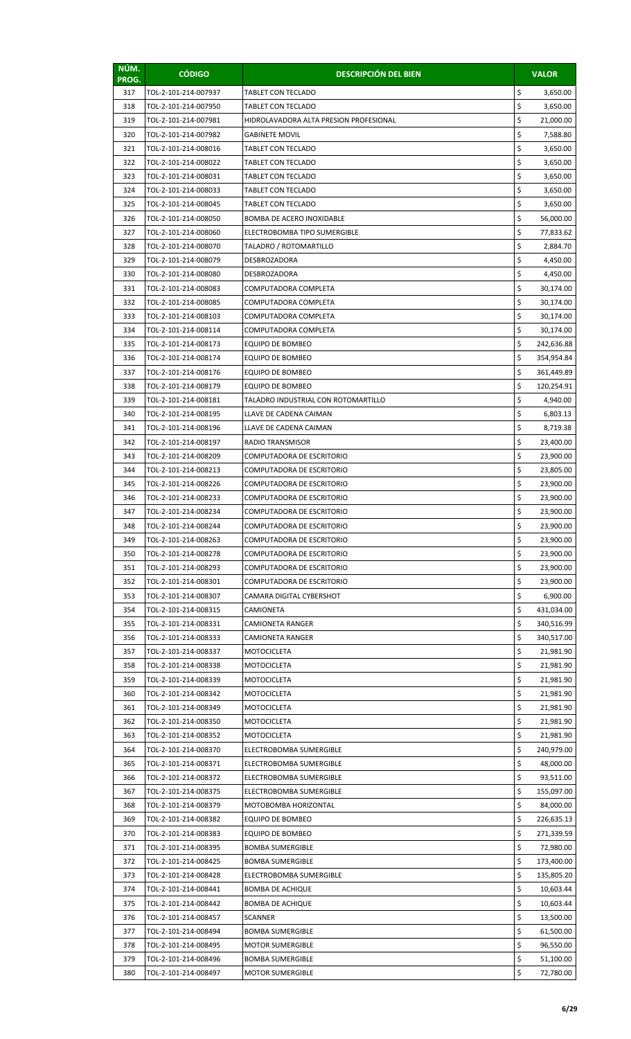| NÚM.<br>PROG. | <b>CÓDIGO</b>                                | <b>DESCRIPCIÓN DEL BIEN</b>                             |          | <b>VALOR</b>             |
|---------------|----------------------------------------------|---------------------------------------------------------|----------|--------------------------|
| 317           | TOL-2-101-214-007937                         | TABLET CON TECLADO                                      | \$       | 3,650.00                 |
| 318           | TOL-2-101-214-007950                         | <b>TABLET CON TECLADO</b>                               | \$       | 3,650.00                 |
| 319           | TOL-2-101-214-007981                         | HIDROLAVADORA ALTA PRESION PROFESIONAL                  | \$       | 21,000.00                |
| 320           | TOL-2-101-214-007982                         | <b>GABINETE MOVIL</b>                                   | \$       | 7,588.80                 |
| 321           | TOL-2-101-214-008016                         | TABLET CON TECLADO                                      | \$       | 3,650.00                 |
| 322           | TOL-2-101-214-008022                         | TABLET CON TECLADO                                      | \$       | 3,650.00                 |
| 323           | TOL-2-101-214-008031                         | <b>TABLET CON TECLADO</b>                               | \$       | 3,650.00                 |
| 324           | TOL-2-101-214-008033                         | <b>TABLET CON TECLADO</b>                               | \$       | 3,650.00                 |
| 325           | TOL-2-101-214-008045                         | TABLET CON TECLADO                                      | \$       | 3,650.00                 |
| 326           | TOL-2-101-214-008050                         | BOMBA DE ACERO INOXIDABLE                               | \$       | 56,000.00                |
| 327           | TOL-2-101-214-008060                         | ELECTROBOMBA TIPO SUMERGIBLE                            | \$       | 77,833.62                |
| 328           | TOL-2-101-214-008070                         | TALADRO / ROTOMARTILLO                                  | \$       | 2,884.70                 |
| 329           | TOL-2-101-214-008079                         | DESBROZADORA                                            | \$       | 4,450.00                 |
| 330           | TOL-2-101-214-008080                         | <b>DESBROZADORA</b>                                     | \$       | 4,450.00                 |
| 331           | TOL-2-101-214-008083                         | COMPUTADORA COMPLETA                                    | \$       | 30,174.00                |
| 332           | TOL-2-101-214-008085                         | COMPUTADORA COMPLETA                                    | \$       | 30,174.00                |
| 333           | TOL-2-101-214-008103                         | COMPUTADORA COMPLETA                                    | \$       | 30,174.00                |
| 334           | TOL-2-101-214-008114                         | COMPUTADORA COMPLETA                                    | \$       | 30,174.00                |
| 335           | TOL-2-101-214-008173                         | EQUIPO DE BOMBEO                                        | \$       | 242,636.88               |
| 336           | TOL-2-101-214-008174                         | EQUIPO DE BOMBEO                                        | \$       | 354,954.84               |
| 337           | TOL-2-101-214-008176                         | EQUIPO DE BOMBEO                                        | \$<br>\$ | 361,449.89               |
| 338<br>339    | TOL-2-101-214-008179<br>TOL-2-101-214-008181 | EQUIPO DE BOMBEO<br>TALADRO INDUSTRIAL CON ROTOMARTILLO | \$       | 120,254.91               |
| 340           | TOL-2-101-214-008195                         | LLAVE DE CADENA CAIMAN                                  | \$       | 4,940.00<br>6,803.13     |
| 341           | TOL-2-101-214-008196                         | LLAVE DE CADENA CAIMAN                                  | \$       | 8,719.38                 |
| 342           | TOL-2-101-214-008197                         | RADIO TRANSMISOR                                        | \$       | 23,400.00                |
| 343           | TOL-2-101-214-008209                         | COMPUTADORA DE ESCRITORIO                               | \$       | 23,900.00                |
| 344           | TOL-2-101-214-008213                         | COMPUTADORA DE ESCRITORIO                               | \$       | 23,805.00                |
| 345           | TOL-2-101-214-008226                         | COMPUTADORA DE ESCRITORIO                               | \$       | 23,900.00                |
| 346           | TOL-2-101-214-008233                         | COMPUTADORA DE ESCRITORIO                               | \$       | 23,900.00                |
| 347           | TOL-2-101-214-008234                         | COMPUTADORA DE ESCRITORIO                               | \$       | 23,900.00                |
| 348           | TOL-2-101-214-008244                         | COMPUTADORA DE ESCRITORIO                               | \$       | 23,900.00                |
| 349           | TOL-2-101-214-008263                         | COMPUTADORA DE ESCRITORIO                               | \$       | 23,900.00                |
| 350           | TOL-2-101-214-008278                         | COMPUTADORA DE ESCRITORIO                               | \$       | 23,900.00                |
| 351           | TOL-2-101-214-008293                         | COMPUTADORA DE ESCRITORIO                               | \$       | 23,900.00                |
| 352           | TOL-2-101-214-008301                         | COMPUTADORA DE ESCRITORIO                               | \$       | 23,900.00                |
| 353           | TOL-2-101-214-008307                         | CAMARA DIGITAL CYBERSHOT                                | \$       | 6,900.00                 |
| 354           | TOL-2-101-214-008315                         | CAMIONETA                                               | \$       | 431,034.00               |
| 355           | TOL-2-101-214-008331                         | CAMIONETA RANGER                                        | \$       | 340,516.99               |
| 356           | TOL-2-101-214-008333                         | CAMIONETA RANGER                                        | \$       | 340,517.00               |
| 357           | TOL-2-101-214-008337                         | MOTOCICLETA                                             | \$       | 21,981.90                |
| 358           | TOL-2-101-214-008338                         | MOTOCICLETA                                             | \$       | 21,981.90                |
| 359           | TOL-2-101-214-008339                         | <b>MOTOCICLETA</b>                                      | \$       | 21,981.90                |
| 360           | TOL-2-101-214-008342                         | MOTOCICLETA                                             | \$       | 21,981.90                |
| 361           | TOL-2-101-214-008349                         | MOTOCICLETA                                             | \$       | 21,981.90                |
| 362           | TOL-2-101-214-008350                         | MOTOCICLETA                                             | \$       | 21,981.90                |
| 363           | TOL-2-101-214-008352                         | MOTOCICLETA                                             | \$       | 21,981.90                |
| 364           | TOL-2-101-214-008370                         | ELECTROBOMBA SUMERGIBLE                                 | \$       | 240,979.00               |
| 365           | TOL-2-101-214-008371                         | ELECTROBOMBA SUMERGIBLE                                 | \$       | 48,000.00                |
| 366           | TOL-2-101-214-008372                         | ELECTROBOMBA SUMERGIBLE                                 | \$       | 93,511.00                |
| 367           | TOL-2-101-214-008375                         | ELECTROBOMBA SUMERGIBLE                                 | \$       | 155,097.00               |
| 368           | TOL-2-101-214-008379                         | MOTOBOMBA HORIZONTAL                                    | \$<br>\$ | 84,000.00                |
| 369<br>370    | TOL-2-101-214-008382<br>TOL-2-101-214-008383 | EQUIPO DE BOMBEO<br>EQUIPO DE BOMBEO                    | \$       | 226,635.13<br>271,339.59 |
| 371           | TOL-2-101-214-008395                         | <b>BOMBA SUMERGIBLE</b>                                 | \$       |                          |
| 372           | TOL-2-101-214-008425                         | <b>BOMBA SUMERGIBLE</b>                                 | \$       | 72,980.00<br>173,400.00  |
| 373           | TOL-2-101-214-008428                         | ELECTROBOMBA SUMERGIBLE                                 | \$       | 135,805.20               |
| 374           | TOL-2-101-214-008441                         | <b>BOMBA DE ACHIQUE</b>                                 | \$       | 10,603.44                |
| 375           | TOL-2-101-214-008442                         | <b>BOMBA DE ACHIQUE</b>                                 | \$       | 10,603.44                |
| 376           | TOL-2-101-214-008457                         | <b>SCANNER</b>                                          | \$       | 13,500.00                |
| 377           | TOL-2-101-214-008494                         | <b>BOMBA SUMERGIBLE</b>                                 | \$       | 61,500.00                |
| 378           | TOL-2-101-214-008495                         | <b>MOTOR SUMERGIBLE</b>                                 | \$       | 96,550.00                |
| 379           | TOL-2-101-214-008496                         | <b>BOMBA SUMERGIBLE</b>                                 | \$       | 51,100.00                |
| 380           | TOL-2-101-214-008497                         | MOTOR SUMERGIBLE                                        | \$       | 72,780.00                |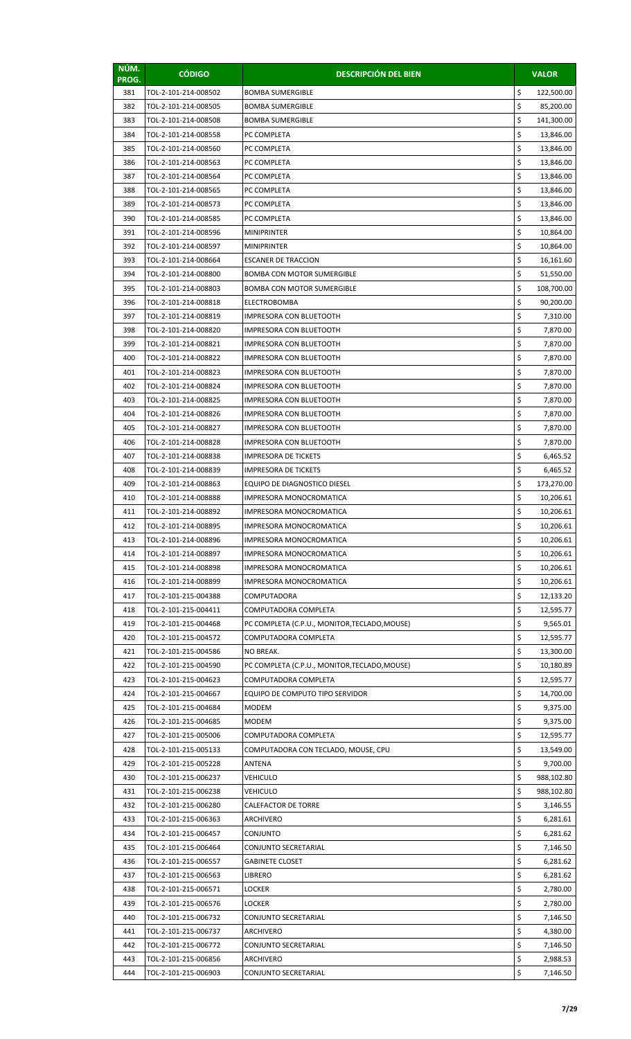| NÚM.<br>PROG. | <b>CÓDIGO</b>        | <b>DESCRIPCIÓN DEL BIEN</b>                   |    | <b>VALOR</b> |
|---------------|----------------------|-----------------------------------------------|----|--------------|
| 381           | TOL-2-101-214-008502 | <b>BOMBA SUMERGIBLE</b>                       | \$ | 122,500.00   |
| 382           | TOL-2-101-214-008505 | <b>BOMBA SUMERGIBLE</b>                       | \$ | 85,200.00    |
| 383           | TOL-2-101-214-008508 | <b>BOMBA SUMERGIBLE</b>                       | \$ | 141,300.00   |
| 384           | TOL-2-101-214-008558 | PC COMPLETA                                   | \$ | 13,846.00    |
| 385           | TOL-2-101-214-008560 | PC COMPLETA                                   | \$ | 13,846.00    |
| 386           | TOL-2-101-214-008563 | PC COMPLETA                                   | \$ | 13,846.00    |
| 387           | TOL-2-101-214-008564 | PC COMPLETA                                   | \$ | 13,846.00    |
| 388           | TOL-2-101-214-008565 | PC COMPLETA                                   | \$ | 13,846.00    |
| 389           | TOL-2-101-214-008573 | PC COMPLETA                                   | \$ | 13,846.00    |
| 390           | TOL-2-101-214-008585 | PC COMPLETA                                   | \$ | 13,846.00    |
| 391           | TOL-2-101-214-008596 | <b>MINIPRINTER</b>                            | \$ | 10,864.00    |
| 392           | TOL-2-101-214-008597 | <b>MINIPRINTER</b>                            | \$ | 10,864.00    |
| 393           | TOL-2-101-214-008664 | <b>ESCANER DE TRACCION</b>                    | \$ | 16,161.60    |
| 394           | TOL-2-101-214-008800 | <b>BOMBA CON MOTOR SUMERGIBLE</b>             | \$ | 51,550.00    |
| 395           | TOL-2-101-214-008803 | <b>BOMBA CON MOTOR SUMERGIBLE</b>             | \$ | 108,700.00   |
| 396           | TOL-2-101-214-008818 | <b>ELECTROBOMBA</b>                           | \$ | 90,200.00    |
| 397           | TOL-2-101-214-008819 | <b>IMPRESORA CON BLUETOOTH</b>                | \$ | 7,310.00     |
| 398           | TOL-2-101-214-008820 | IMPRESORA CON BLUETOOTH                       | \$ | 7,870.00     |
| 399           | TOL-2-101-214-008821 | IMPRESORA CON BLUETOOTH                       | \$ | 7,870.00     |
| 400           | TOL-2-101-214-008822 | IMPRESORA CON BLUETOOTH                       | \$ | 7,870.00     |
| 401           | TOL-2-101-214-008823 | IMPRESORA CON BLUETOOTH                       | \$ | 7,870.00     |
| 402           | TOL-2-101-214-008824 | IMPRESORA CON BLUETOOTH                       | \$ | 7,870.00     |
| 403           | TOL-2-101-214-008825 | IMPRESORA CON BLUETOOTH                       | \$ | 7,870.00     |
| 404           | TOL-2-101-214-008826 | IMPRESORA CON BLUETOOTH                       | \$ | 7,870.00     |
| 405           | TOL-2-101-214-008827 | IMPRESORA CON BLUETOOTH                       | \$ | 7,870.00     |
| 406           | TOL-2-101-214-008828 | IMPRESORA CON BLUETOOTH                       | \$ | 7,870.00     |
| 407           | TOL-2-101-214-008838 | <b>IMPRESORA DE TICKETS</b>                   | \$ | 6,465.52     |
| 408           | TOL-2-101-214-008839 | <b>IMPRESORA DE TICKETS</b>                   | \$ | 6,465.52     |
| 409           | TOL-2-101-214-008863 | EQUIPO DE DIAGNOSTICO DIESEL                  | \$ | 173,270.00   |
| 410           | TOL-2-101-214-008888 | IMPRESORA MONOCROMATICA                       | \$ | 10,206.61    |
| 411           | TOL-2-101-214-008892 | IMPRESORA MONOCROMATICA                       | \$ | 10,206.61    |
| 412           | TOL-2-101-214-008895 | IMPRESORA MONOCROMATICA                       | Ş  | 10,206.61    |
| 413           | TOL-2-101-214-008896 | <b>IMPRESORA MONOCROMATICA</b>                | \$ | 10,206.61    |
| 414           | TOL-2-101-214-008897 | IMPRESORA MONOCROMATICA                       | \$ | 10,206.61    |
| 415           | TOL-2-101-214-008898 | IMPRESORA MONOCROMATICA                       | \$ | 10,206.61    |
| 416           | TOL-2-101-214-008899 | IMPRESORA MONOCROMATICA                       | \$ | 10,206.61    |
| 417           | TOL-2-101-215-004388 | COMPUTADORA                                   | \$ | 12,133.20    |
| 418           | TOL-2-101-215-004411 | COMPUTADORA COMPLETA                          | \$ | 12,595.77    |
| 419           | TOL-2-101-215-004468 | PC COMPLETA (C.P.U., MONITOR, TECLADO, MOUSE) | \$ | 9,565.01     |
| 420           | TOL-2-101-215-004572 | COMPUTADORA COMPLETA                          | \$ | 12,595.77    |
| 421           | TOL-2-101-215-004586 | NO BREAK.                                     | \$ | 13,300.00    |
| 422           | TOL-2-101-215-004590 | PC COMPLETA (C.P.U., MONITOR, TECLADO, MOUSE) | \$ | 10,180.89    |
| 423           | TOL-2-101-215-004623 | COMPUTADORA COMPLETA                          | \$ | 12,595.77    |
| 424           | TOL-2-101-215-004667 | EQUIPO DE COMPUTO TIPO SERVIDOR               | \$ | 14,700.00    |
| 425           | TOL-2-101-215-004684 | <b>MODEM</b>                                  | \$ | 9,375.00     |
| 426           | TOL-2-101-215-004685 | <b>MODEM</b>                                  | \$ | 9,375.00     |
| 427           | TOL-2-101-215-005006 | COMPUTADORA COMPLETA                          | \$ | 12,595.77    |
| 428           | TOL-2-101-215-005133 | COMPUTADORA CON TECLADO, MOUSE, CPU           | \$ | 13,549.00    |
| 429           | TOL-2-101-215-005228 | ANTENA                                        | \$ | 9,700.00     |
| 430           | TOL-2-101-215-006237 | VEHICULO                                      | \$ | 988,102.80   |
| 431           | TOL-2-101-215-006238 | VEHICULO                                      | \$ | 988,102.80   |
| 432           | TOL-2-101-215-006280 | CALEFACTOR DE TORRE                           | \$ | 3,146.55     |
| 433           | TOL-2-101-215-006363 | ARCHIVERO                                     | \$ | 6,281.61     |
| 434           | TOL-2-101-215-006457 | CONJUNTO                                      | \$ | 6,281.62     |
| 435           | TOL-2-101-215-006464 | CONJUNTO SECRETARIAL                          | \$ | 7,146.50     |
| 436           | TOL-2-101-215-006557 | GABINETE CLOSET                               | \$ | 6,281.62     |
| 437           | TOL-2-101-215-006563 | LIBRERO                                       | \$ | 6,281.62     |
| 438           | TOL-2-101-215-006571 | LOCKER                                        | \$ | 2,780.00     |
| 439           | TOL-2-101-215-006576 | LOCKER                                        | \$ | 2,780.00     |
| 440           | TOL-2-101-215-006732 | CONJUNTO SECRETARIAL                          | \$ | 7,146.50     |
| 441           | TOL-2-101-215-006737 | ARCHIVERO                                     | \$ | 4,380.00     |
| 442           | TOL-2-101-215-006772 | CONJUNTO SECRETARIAL                          | \$ | 7,146.50     |
| 443           | TOL-2-101-215-006856 | ARCHIVERO                                     | \$ | 2,988.53     |
| 444           | TOL-2-101-215-006903 | CONJUNTO SECRETARIAL                          | \$ | 7,146.50     |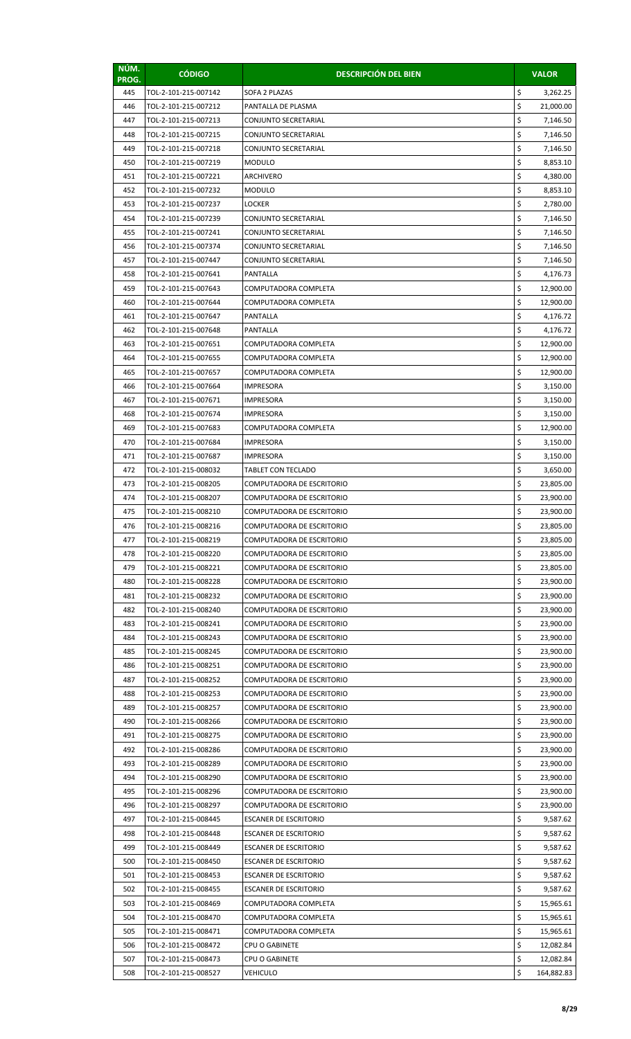| NÚM.<br>PROG. | <b>CÓDIGO</b>        | <b>DESCRIPCIÓN DEL BIEN</b>      |    | <b>VALOR</b> |
|---------------|----------------------|----------------------------------|----|--------------|
| 445           | TOL-2-101-215-007142 | SOFA 2 PLAZAS                    | \$ | 3,262.25     |
| 446           | TOL-2-101-215-007212 | PANTALLA DE PLASMA               | \$ | 21,000.00    |
| 447           | TOL-2-101-215-007213 | CONJUNTO SECRETARIAL             | \$ | 7,146.50     |
| 448           | TOL-2-101-215-007215 | CONJUNTO SECRETARIAL             | \$ | 7,146.50     |
| 449           | TOL-2-101-215-007218 | CONJUNTO SECRETARIAL             | \$ | 7,146.50     |
| 450           | TOL-2-101-215-007219 | <b>MODULO</b>                    | \$ | 8,853.10     |
| 451           | TOL-2-101-215-007221 | ARCHIVERO                        | \$ | 4,380.00     |
| 452           | TOL-2-101-215-007232 | <b>MODULO</b>                    | \$ | 8,853.10     |
| 453           | TOL-2-101-215-007237 | LOCKER                           | \$ | 2,780.00     |
| 454           | TOL-2-101-215-007239 | CONJUNTO SECRETARIAL             | \$ | 7,146.50     |
| 455           | TOL-2-101-215-007241 | CONJUNTO SECRETARIAL             | \$ | 7,146.50     |
| 456           | TOL-2-101-215-007374 | CONJUNTO SECRETARIAL             | \$ | 7,146.50     |
| 457           | TOL-2-101-215-007447 | CONJUNTO SECRETARIAL             | \$ | 7,146.50     |
| 458           | TOL-2-101-215-007641 | <b>PANTALLA</b>                  | \$ | 4,176.73     |
| 459           | TOL-2-101-215-007643 | COMPUTADORA COMPLETA             | \$ | 12,900.00    |
| 460           | TOL-2-101-215-007644 | COMPUTADORA COMPLETA             | \$ | 12,900.00    |
| 461           | TOL-2-101-215-007647 | PANTALLA                         | \$ | 4,176.72     |
| 462           | TOL-2-101-215-007648 | PANTALLA                         | \$ | 4,176.72     |
| 463           | TOL-2-101-215-007651 | COMPUTADORA COMPLETA             | \$ | 12,900.00    |
| 464           | TOL-2-101-215-007655 | COMPUTADORA COMPLETA             | \$ | 12,900.00    |
| 465           | TOL-2-101-215-007657 | COMPUTADORA COMPLETA             | \$ | 12,900.00    |
| 466           | TOL-2-101-215-007664 | <b>IMPRESORA</b>                 | \$ | 3,150.00     |
| 467           | TOL-2-101-215-007671 | <b>IMPRESORA</b>                 | \$ | 3,150.00     |
| 468           | TOL-2-101-215-007674 | IMPRESORA                        | \$ | 3,150.00     |
| 469           | TOL-2-101-215-007683 | COMPUTADORA COMPLETA             | \$ | 12,900.00    |
| 470           | TOL-2-101-215-007684 | <b>IMPRESORA</b>                 | \$ | 3,150.00     |
| 471           | TOL-2-101-215-007687 | <b>IMPRESORA</b>                 | \$ | 3,150.00     |
| 472           | TOL-2-101-215-008032 | TABLET CON TECLADO               | \$ | 3,650.00     |
| 473           | TOL-2-101-215-008205 | COMPUTADORA DE ESCRITORIO        | \$ | 23,805.00    |
| 474           | TOL-2-101-215-008207 | COMPUTADORA DE ESCRITORIO        | \$ | 23,900.00    |
| 475           | TOL-2-101-215-008210 | COMPUTADORA DE ESCRITORIO        | \$ | 23,900.00    |
| 476           | TOL-2-101-215-008216 | COMPUTADORA DE ESCRITORIO        | Ş  | 23,805.00    |
| 477           | TOL-2-101-215-008219 | <b>COMPUTADORA DE ESCRITORIO</b> | \$ | 23,805.00    |
| 478           | TOL-2-101-215-008220 | COMPUTADORA DE ESCRITORIO        | \$ | 23,805.00    |
| 479           | TOL-2-101-215-008221 | COMPUTADORA DE ESCRITORIO        | \$ | 23,805.00    |
| 480           | TOL-2-101-215-008228 | COMPUTADORA DE ESCRITORIO        | \$ | 23,900.00    |
| 481           | TOL-2-101-215-008232 | COMPUTADORA DE ESCRITORIO        | \$ | 23,900.00    |
| 482           | TOL-2-101-215-008240 | COMPUTADORA DE ESCRITORIO        | \$ | 23,900.00    |
| 483           | TOL-2-101-215-008241 | COMPUTADORA DE ESCRITORIO        | \$ | 23,900.00    |
| 484           | TOL-2-101-215-008243 | COMPUTADORA DE ESCRITORIO        | \$ | 23,900.00    |
| 485           | TOL-2-101-215-008245 | COMPUTADORA DE ESCRITORIO        | \$ | 23,900.00    |
| 486           | TOL-2-101-215-008251 | COMPUTADORA DE ESCRITORIO        | \$ | 23,900.00    |
| 487           | TOL-2-101-215-008252 | COMPUTADORA DE ESCRITORIO        | \$ | 23,900.00    |
| 488           | TOL-2-101-215-008253 | COMPUTADORA DE ESCRITORIO        | \$ | 23,900.00    |
| 489           | TOL-2-101-215-008257 | COMPUTADORA DE ESCRITORIO        | \$ | 23,900.00    |
| 490           | TOL-2-101-215-008266 | COMPUTADORA DE ESCRITORIO        | \$ | 23,900.00    |
| 491           | TOL-2-101-215-008275 | COMPUTADORA DE ESCRITORIO        | \$ | 23,900.00    |
| 492           | TOL-2-101-215-008286 | COMPUTADORA DE ESCRITORIO        | \$ | 23,900.00    |
| 493           | TOL-2-101-215-008289 | COMPUTADORA DE ESCRITORIO        | \$ | 23,900.00    |
| 494           | TOL-2-101-215-008290 | COMPUTADORA DE ESCRITORIO        | \$ | 23,900.00    |
| 495           | TOL-2-101-215-008296 | COMPUTADORA DE ESCRITORIO        | \$ | 23,900.00    |
| 496           | TOL-2-101-215-008297 | COMPUTADORA DE ESCRITORIO        | \$ | 23,900.00    |
| 497           | TOL-2-101-215-008445 | <b>ESCANER DE ESCRITORIO</b>     | \$ | 9,587.62     |
| 498           | TOL-2-101-215-008448 | <b>ESCANER DE ESCRITORIO</b>     | \$ | 9,587.62     |
| 499           | TOL-2-101-215-008449 | ESCANER DE ESCRITORIO            | \$ | 9,587.62     |
| 500           | TOL-2-101-215-008450 | <b>ESCANER DE ESCRITORIO</b>     | \$ | 9,587.62     |
| 501           | TOL-2-101-215-008453 | <b>ESCANER DE ESCRITORIO</b>     | \$ | 9,587.62     |
| 502           | TOL-2-101-215-008455 | <b>ESCANER DE ESCRITORIO</b>     | \$ | 9,587.62     |
| 503           | TOL-2-101-215-008469 | COMPUTADORA COMPLETA             | \$ | 15,965.61    |
| 504           | TOL-2-101-215-008470 | COMPUTADORA COMPLETA             | \$ | 15,965.61    |
| 505           | TOL-2-101-215-008471 | COMPUTADORA COMPLETA             | \$ | 15,965.61    |
| 506           | TOL-2-101-215-008472 | CPU O GABINETE                   | \$ | 12,082.84    |
| 507           | TOL-2-101-215-008473 | <b>CPU O GABINETE</b>            | \$ | 12,082.84    |
| 508           | TOL-2-101-215-008527 | VEHICULO                         | \$ | 164,882.83   |
|               |                      |                                  |    |              |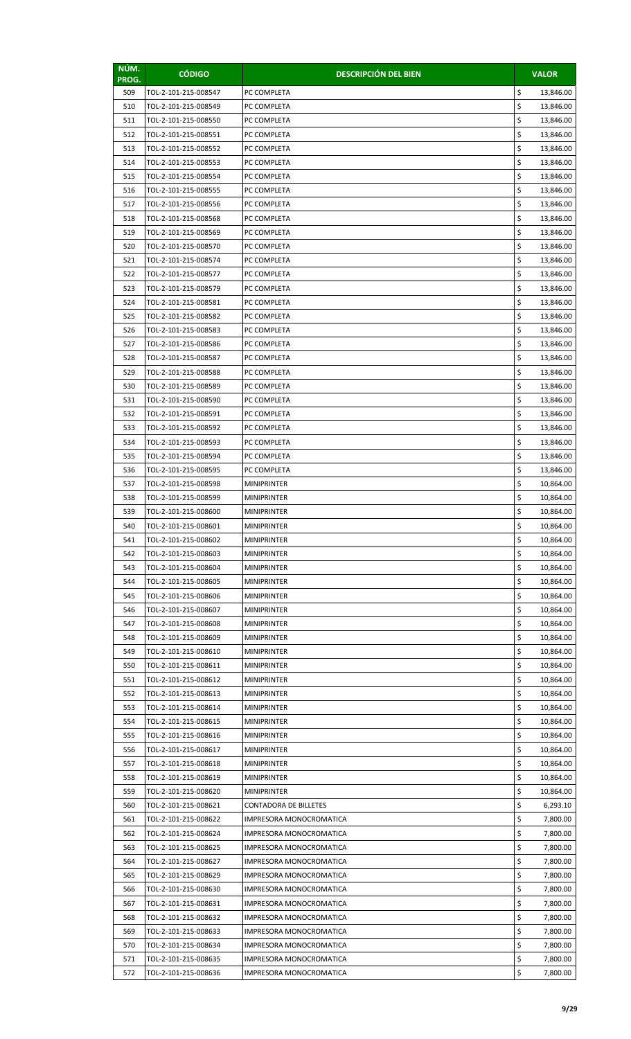| NÚM.<br>PROG. | <b>CÓDIGO</b>                                | <b>DESCRIPCIÓN DEL BIEN</b>                        | <b>VALOR</b>               |
|---------------|----------------------------------------------|----------------------------------------------------|----------------------------|
| 509           | TOL-2-101-215-008547                         | PC COMPLETA                                        | \$<br>13,846.00            |
| 510           | TOL-2-101-215-008549                         | PC COMPLETA                                        | \$<br>13,846.00            |
| 511           | TOL-2-101-215-008550                         | PC COMPLETA                                        | \$<br>13,846.00            |
| 512           | TOL-2-101-215-008551                         | PC COMPLETA                                        | \$<br>13,846.00            |
| 513           | TOL-2-101-215-008552                         | PC COMPLETA                                        | \$<br>13,846.00            |
| 514           | TOL-2-101-215-008553                         | PC COMPLETA                                        | \$<br>13,846.00            |
| 515           | TOL-2-101-215-008554                         | PC COMPLETA                                        | \$<br>13,846.00            |
| 516           | TOL-2-101-215-008555                         | PC COMPLETA                                        | \$<br>13,846.00            |
| 517           | TOL-2-101-215-008556                         | PC COMPLETA                                        | \$<br>13,846.00            |
| 518           | TOL-2-101-215-008568                         | PC COMPLETA                                        | \$<br>13,846.00            |
| 519           | TOL-2-101-215-008569                         | PC COMPLETA                                        | \$<br>13,846.00            |
| 520           | TOL-2-101-215-008570                         | PC COMPLETA                                        | \$<br>13,846.00            |
| 521           | TOL-2-101-215-008574                         | PC COMPLETA                                        | \$<br>13,846.00            |
| 522           | TOL-2-101-215-008577                         | PC COMPLETA                                        | \$<br>13,846.00            |
| 523           | TOL-2-101-215-008579                         | PC COMPLETA                                        | \$<br>13,846.00            |
| 524           | TOL-2-101-215-008581                         | PC COMPLETA                                        | \$<br>13,846.00            |
| 525           | TOL-2-101-215-008582                         | PC COMPLETA                                        | \$<br>13,846.00            |
| 526           | TOL-2-101-215-008583                         | PC COMPLETA                                        | \$<br>13,846.00            |
| 527           | TOL-2-101-215-008586                         | PC COMPLETA                                        | \$<br>13,846.00            |
| 528           | TOL-2-101-215-008587                         | PC COMPLETA                                        | \$<br>13,846.00            |
| 529           | TOL-2-101-215-008588                         | PC COMPLETA                                        | \$<br>13,846.00            |
| 530           | TOL-2-101-215-008589                         | PC COMPLETA                                        | \$<br>13,846.00            |
| 531           | TOL-2-101-215-008590                         | PC COMPLETA                                        | \$<br>13,846.00            |
| 532           | TOL-2-101-215-008591                         | PC COMPLETA                                        | \$<br>13,846.00            |
| 533           | TOL-2-101-215-008592                         | PC COMPLETA                                        | \$<br>13,846.00            |
| 534           | TOL-2-101-215-008593                         | PC COMPLETA                                        | \$<br>13,846.00            |
| 535           | TOL-2-101-215-008594                         | PC COMPLETA                                        | \$<br>13,846.00            |
| 536           | TOL-2-101-215-008595                         | PC COMPLETA                                        | \$<br>13,846.00            |
| 537           | TOL-2-101-215-008598                         | <b>MINIPRINTER</b>                                 | \$<br>10,864.00            |
| 538           | TOL-2-101-215-008599                         | <b>MINIPRINTER</b>                                 | \$<br>10,864.00            |
| 539           | TOL-2-101-215-008600                         | <b>MINIPRINTER</b>                                 | \$<br>10,864.00            |
| 540           | TOL-2-101-215-008601                         | <b>MINIPRINTER</b>                                 | Ş<br>10,864.00             |
| 541           | TOL-2-101-215-008602                         | <b>MINIPRINTER</b>                                 | \$<br>10,864.00            |
| 542           | TOL-2-101-215-008603                         | <b>MINIPRINTER</b>                                 | \$<br>10,864.00            |
| 543           | TOL-2-101-215-008604                         | <b>MINIPRINTER</b>                                 | \$<br>10,864.00            |
| 544           | TOL-2-101-215-008605                         | <b>MINIPRINTER</b>                                 | \$<br>10,864.00            |
| 545           | TOL-2-101-215-008606                         | <b>MINIPRINTER</b>                                 | \$<br>10,864.00            |
| 546           | TOL-2-101-215-008607                         | <b>MINIPRINTER</b>                                 | \$<br>10,864.00            |
| 547           | TOL-2-101-215-008608                         | <b>MINIPRINTER</b>                                 | \$<br>10,864.00            |
| 548           | TOL-2-101-215-008609                         | <b>MINIPRINTER</b>                                 | \$<br>10,864.00            |
| 549           | TOL-2-101-215-008610                         | <b>MINIPRINTER</b>                                 | \$<br>10,864.00            |
| 550           | TOL-2-101-215-008611                         | <b>MINIPRINTER</b>                                 | \$<br>10,864.00            |
| 551           | TOL-2-101-215-008612                         | <b>MINIPRINTER</b>                                 | \$<br>10,864.00            |
| 552           | TOL-2-101-215-008613                         | <b>MINIPRINTER</b>                                 | \$<br>10,864.00            |
| 553           | TOL-2-101-215-008614                         | <b>MINIPRINTER</b>                                 | \$<br>10,864.00            |
| 554           | TOL-2-101-215-008615                         | <b>MINIPRINTER</b>                                 | \$<br>10,864.00            |
| 555           | TOL-2-101-215-008616                         | <b>MINIPRINTER</b>                                 | \$<br>10,864.00            |
| 556           | TOL-2-101-215-008617                         | <b>MINIPRINTER</b>                                 | \$<br>10,864.00            |
| 557           | TOL-2-101-215-008618                         | <b>MINIPRINTER</b>                                 | \$<br>10,864.00            |
| 558           | TOL-2-101-215-008619                         | <b>MINIPRINTER</b>                                 | \$<br>10,864.00            |
| 559           | TOL-2-101-215-008620                         | <b>MINIPRINTER</b>                                 | \$<br>10,864.00            |
| 560           | TOL-2-101-215-008621                         | CONTADORA DE BILLETES                              | \$<br>6,293.10             |
| 561           | TOL-2-101-215-008622                         | IMPRESORA MONOCROMATICA                            | \$<br>7,800.00             |
| 562           | TOL-2-101-215-008624                         | IMPRESORA MONOCROMATICA                            | \$<br>7,800.00             |
| 563           | TOL-2-101-215-008625                         | IMPRESORA MONOCROMATICA                            | \$<br>7,800.00             |
| 564           | TOL-2-101-215-008627                         | IMPRESORA MONOCROMATICA                            | \$<br>7,800.00             |
| 565           | TOL-2-101-215-008629                         | <b>IMPRESORA MONOCROMATICA</b>                     | \$<br>7,800.00             |
| 566           | TOL-2-101-215-008630                         | IMPRESORA MONOCROMATICA                            | \$<br>7,800.00<br>\$       |
| 567           | TOL-2-101-215-008631                         | IMPRESORA MONOCROMATICA                            | 7,800.00<br>\$             |
| 568           | TOL-2-101-215-008632                         | IMPRESORA MONOCROMATICA                            | 7,800.00<br>\$             |
| 569<br>570    | TOL-2-101-215-008633<br>TOL-2-101-215-008634 | IMPRESORA MONOCROMATICA<br>IMPRESORA MONOCROMATICA | 7,800.00<br>\$<br>7,800.00 |
| 571           | TOL-2-101-215-008635                         | IMPRESORA MONOCROMATICA                            | \$<br>7,800.00             |
|               |                                              |                                                    | \$                         |
| 572           | TOL-2-101-215-008636                         | IMPRESORA MONOCROMATICA                            | 7,800.00                   |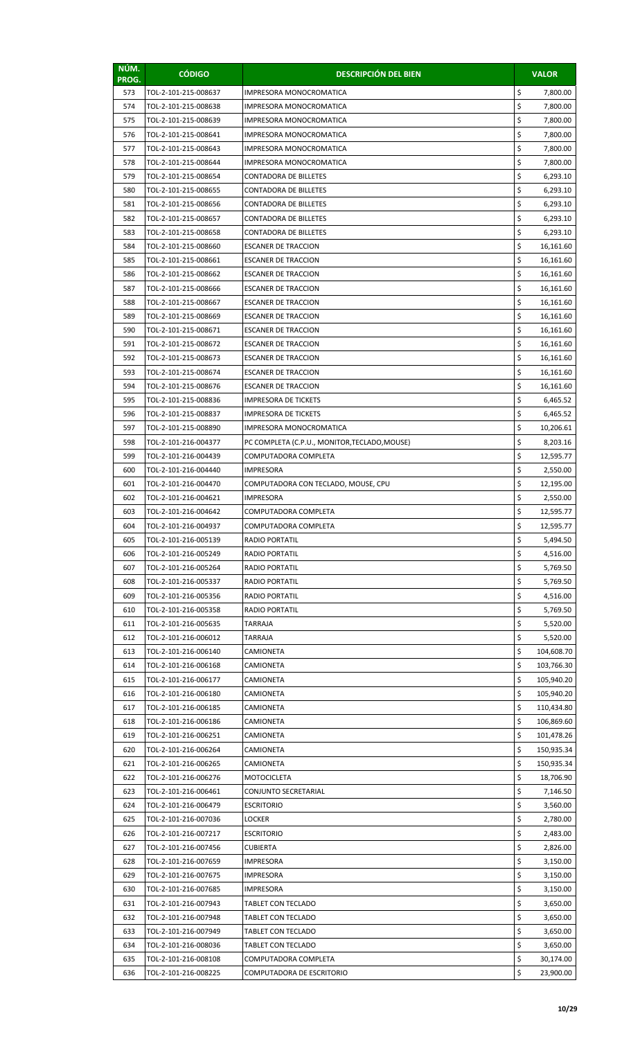| NÚM.<br>PROG. | <b>CÓDIGO</b>                                | <b>DESCRIPCIÓN DEL BIEN</b>                              |          | <b>VALOR</b>           |
|---------------|----------------------------------------------|----------------------------------------------------------|----------|------------------------|
| 573           | TOL-2-101-215-008637                         | <b>IMPRESORA MONOCROMATICA</b>                           | \$       | 7,800.00               |
| 574           | TOL-2-101-215-008638                         | IMPRESORA MONOCROMATICA                                  | \$       | 7,800.00               |
| 575           | TOL-2-101-215-008639                         | <b>IMPRESORA MONOCROMATICA</b>                           | \$       | 7,800.00               |
| 576           | TOL-2-101-215-008641                         | IMPRESORA MONOCROMATICA                                  | \$       | 7,800.00               |
| 577           | TOL-2-101-215-008643                         | IMPRESORA MONOCROMATICA                                  | \$       | 7,800.00               |
| 578           | TOL-2-101-215-008644                         | IMPRESORA MONOCROMATICA                                  | \$       | 7,800.00               |
| 579           | TOL-2-101-215-008654                         | CONTADORA DE BILLETES                                    | \$       | 6,293.10               |
| 580           | TOL-2-101-215-008655                         | CONTADORA DE BILLETES                                    | \$       | 6,293.10               |
| 581           | TOL-2-101-215-008656                         | CONTADORA DE BILLETES                                    | \$       | 6,293.10               |
| 582           | TOL-2-101-215-008657                         | CONTADORA DE BILLETES                                    | \$       | 6,293.10               |
| 583           | TOL-2-101-215-008658                         | <b>CONTADORA DE BILLETES</b>                             | \$       | 6,293.10               |
| 584           | TOL-2-101-215-008660                         | <b>ESCANER DE TRACCION</b>                               | \$       | 16,161.60              |
| 585           | TOL-2-101-215-008661                         | <b>ESCANER DE TRACCION</b>                               | \$<br>\$ | 16,161.60              |
| 586<br>587    | TOL-2-101-215-008662<br>TOL-2-101-215-008666 | <b>ESCANER DE TRACCION</b><br><b>ESCANER DE TRACCION</b> | \$       | 16,161.60<br>16,161.60 |
| 588           | TOL-2-101-215-008667                         | <b>ESCANER DE TRACCION</b>                               | \$       | 16,161.60              |
| 589           | TOL-2-101-215-008669                         | <b>ESCANER DE TRACCION</b>                               | \$       | 16,161.60              |
| 590           | TOL-2-101-215-008671                         | <b>ESCANER DE TRACCION</b>                               | \$       | 16,161.60              |
| 591           | TOL-2-101-215-008672                         | <b>ESCANER DE TRACCION</b>                               | \$       | 16,161.60              |
| 592           | TOL-2-101-215-008673                         | <b>ESCANER DE TRACCION</b>                               | \$       | 16,161.60              |
| 593           | TOL-2-101-215-008674                         | <b>ESCANER DE TRACCION</b>                               | \$       | 16,161.60              |
| 594           | TOL-2-101-215-008676                         | <b>ESCANER DE TRACCION</b>                               | \$       | 16,161.60              |
| 595           | TOL-2-101-215-008836                         | <b>IMPRESORA DE TICKETS</b>                              | \$       | 6,465.52               |
| 596           | TOL-2-101-215-008837                         | <b>IMPRESORA DE TICKETS</b>                              | \$       | 6,465.52               |
| 597           | TOL-2-101-215-008890                         | IMPRESORA MONOCROMATICA                                  | \$       | 10,206.61              |
| 598           | TOL-2-101-216-004377                         | PC COMPLETA (C.P.U., MONITOR, TECLADO, MOUSE)            | \$       | 8,203.16               |
| 599           | TOL-2-101-216-004439                         | COMPUTADORA COMPLETA                                     | \$       | 12,595.77              |
| 600           | TOL-2-101-216-004440                         | IMPRESORA                                                | \$       | 2,550.00               |
| 601           | TOL-2-101-216-004470                         | COMPUTADORA CON TECLADO, MOUSE, CPU                      | \$       | 12,195.00              |
| 602           | TOL-2-101-216-004621                         | <b>IMPRESORA</b>                                         | \$       | 2,550.00               |
| 603           | TOL-2-101-216-004642                         | COMPUTADORA COMPLETA                                     | \$       | 12,595.77              |
| 604           | TOL-2-101-216-004937                         | COMPUTADORA COMPLETA                                     | Ş        | 12,595.77              |
| 605           | TOL-2-101-216-005139                         | <b>RADIO PORTATIL</b>                                    | \$       | 5,494.50               |
| 606           | TOL-2-101-216-005249                         | <b>RADIO PORTATIL</b>                                    | \$       | 4,516.00               |
| 607           | TOL-2-101-216-005264                         | <b>RADIO PORTATIL</b>                                    | \$       | 5,769.50               |
| 608           | TOL-2-101-216-005337                         | RADIO PORTATIL                                           | \$       | 5,769.50               |
| 609           | TOL-2-101-216-005356                         | <b>RADIO PORTATIL</b>                                    | \$<br>\$ | 4,516.00               |
| 610<br>611    | TOL-2-101-216-005358<br>TOL-2-101-216-005635 | <b>RADIO PORTATIL</b><br>TARRAJA                         | \$       | 5,769.50<br>5,520.00   |
| 612           | TOL-2-101-216-006012                         | TARRAJA                                                  | \$       | 5,520.00               |
| 613           | TOL-2-101-216-006140                         | <b>CAMIONETA</b>                                         | \$       | 104,608.70             |
| 614           | TOL-2-101-216-006168                         | CAMIONETA                                                | \$       | 103,766.30             |
| 615           | TOL-2-101-216-006177                         | CAMIONETA                                                | \$       | 105,940.20             |
| 616           | TOL-2-101-216-006180                         | CAMIONETA                                                | \$       | 105,940.20             |
| 617           | TOL-2-101-216-006185                         | CAMIONETA                                                | \$       | 110,434.80             |
| 618           | TOL-2-101-216-006186                         | CAMIONETA                                                | \$       | 106,869.60             |
| 619           | TOL-2-101-216-006251                         | CAMIONETA                                                | \$       | 101,478.26             |
| 620           | TOL-2-101-216-006264                         | CAMIONETA                                                | \$       | 150,935.34             |
| 621           | TOL-2-101-216-006265                         | CAMIONETA                                                | \$       | 150,935.34             |
| 622           | TOL-2-101-216-006276                         | <b>MOTOCICLETA</b>                                       | \$       | 18,706.90              |
| 623           | TOL-2-101-216-006461                         | CONJUNTO SECRETARIAL                                     | \$       | 7,146.50               |
| 624           | TOL-2-101-216-006479                         | <b>ESCRITORIO</b>                                        | \$       | 3,560.00               |
| 625           | TOL-2-101-216-007036                         | LOCKER                                                   | \$       | 2,780.00               |
| 626           | TOL-2-101-216-007217                         | <b>ESCRITORIO</b>                                        | \$       | 2,483.00               |
| 627           | TOL-2-101-216-007456                         | <b>CUBIERTA</b>                                          | \$       | 2,826.00               |
| 628           | TOL-2-101-216-007659                         | <b>IMPRESORA</b>                                         | \$       | 3,150.00               |
| 629           | TOL-2-101-216-007675                         | <b>IMPRESORA</b>                                         | \$       | 3,150.00               |
| 630           | TOL-2-101-216-007685                         | <b>IMPRESORA</b><br>TABLET CON TECLADO                   | \$<br>\$ | 3,150.00               |
| 631<br>632    | TOL-2-101-216-007943<br>TOL-2-101-216-007948 | TABLET CON TECLADO                                       | \$       | 3,650.00<br>3,650.00   |
| 633           | TOL-2-101-216-007949                         | TABLET CON TECLADO                                       | \$       | 3,650.00               |
| 634           | TOL-2-101-216-008036                         | TABLET CON TECLADO                                       | \$       | 3,650.00               |
| 635           | TOL-2-101-216-008108                         | COMPUTADORA COMPLETA                                     | \$       | 30,174.00              |
| 636           | TOL-2-101-216-008225                         | COMPUTADORA DE ESCRITORIO                                | \$       | 23,900.00              |
|               |                                              |                                                          |          |                        |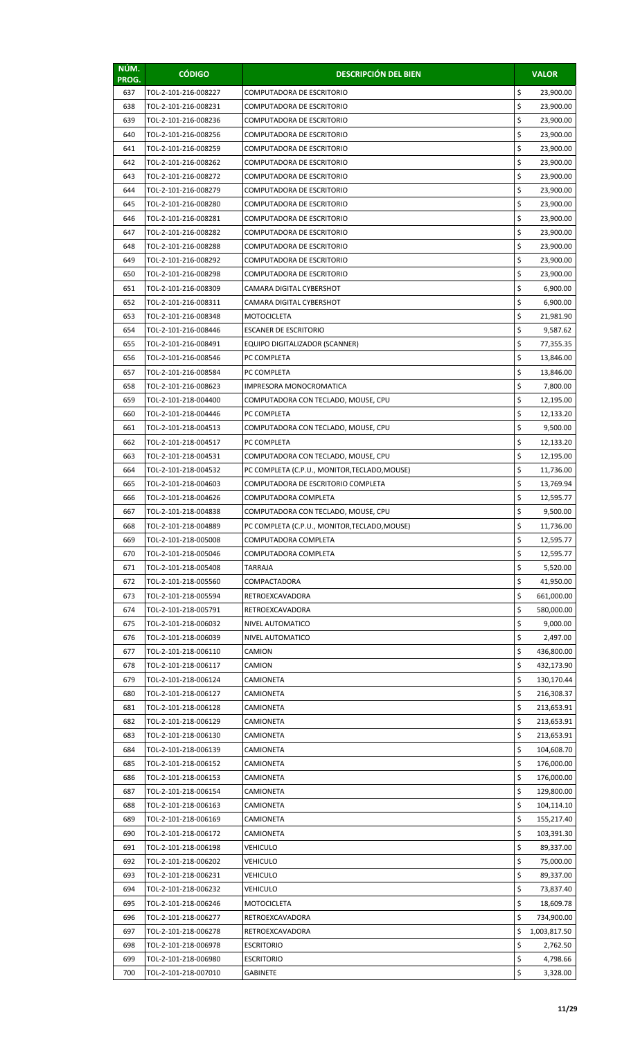| NÚM.<br>PROG. | <b>CÓDIGO</b>                                | <b>DESCRIPCIÓN DEL BIEN</b>                        |          | <b>VALOR</b>           |
|---------------|----------------------------------------------|----------------------------------------------------|----------|------------------------|
| 637           | TOL-2-101-216-008227                         | COMPUTADORA DE ESCRITORIO                          | \$       | 23,900.00              |
| 638           | TOL-2-101-216-008231                         | COMPUTADORA DE ESCRITORIO                          | \$       | 23,900.00              |
| 639           | TOL-2-101-216-008236                         | COMPUTADORA DE ESCRITORIO                          | \$       | 23,900.00              |
| 640           | TOL-2-101-216-008256                         | COMPUTADORA DE ESCRITORIO                          | \$       | 23,900.00              |
| 641           | TOL-2-101-216-008259                         | COMPUTADORA DE ESCRITORIO                          | \$       | 23,900.00              |
| 642           | TOL-2-101-216-008262                         | COMPUTADORA DE ESCRITORIO                          | \$       | 23,900.00              |
| 643           | TOL-2-101-216-008272                         | COMPUTADORA DE ESCRITORIO                          | \$       | 23,900.00              |
| 644           | TOL-2-101-216-008279                         | COMPUTADORA DE ESCRITORIO                          | \$       | 23,900.00              |
| 645           | TOL-2-101-216-008280                         | COMPUTADORA DE ESCRITORIO                          | \$       | 23,900.00              |
| 646           | TOL-2-101-216-008281                         | COMPUTADORA DE ESCRITORIO                          | \$       | 23,900.00              |
| 647           | TOL-2-101-216-008282                         | COMPUTADORA DE ESCRITORIO                          | \$       | 23,900.00              |
| 648           | TOL-2-101-216-008288                         | COMPUTADORA DE ESCRITORIO                          | \$       | 23,900.00              |
| 649           | TOL-2-101-216-008292                         | COMPUTADORA DE ESCRITORIO                          | \$       | 23,900.00              |
| 650           | TOL-2-101-216-008298                         | <b>COMPUTADORA DE ESCRITORIO</b>                   | \$       | 23,900.00              |
| 651           | TOL-2-101-216-008309                         | CAMARA DIGITAL CYBERSHOT                           | \$       | 6,900.00               |
| 652           | TOL-2-101-216-008311                         | CAMARA DIGITAL CYBERSHOT                           | \$       | 6,900.00               |
| 653           | TOL-2-101-216-008348                         | <b>MOTOCICLETA</b>                                 | \$       | 21,981.90              |
| 654           | TOL-2-101-216-008446                         | <b>ESCANER DE ESCRITORIO</b>                       | \$       | 9,587.62               |
| 655           | TOL-2-101-216-008491                         | EQUIPO DIGITALIZADOR (SCANNER)                     | \$       | 77,355.35              |
| 656           | TOL-2-101-216-008546                         | PC COMPLETA                                        | \$       | 13,846.00              |
| 657           | TOL-2-101-216-008584                         | PC COMPLETA                                        | \$       | 13,846.00              |
| 658           | TOL-2-101-216-008623                         | IMPRESORA MONOCROMATICA                            | \$<br>\$ | 7,800.00               |
| 659<br>660    | TOL-2-101-218-004400<br>TOL-2-101-218-004446 | COMPUTADORA CON TECLADO, MOUSE, CPU<br>PC COMPLETA | \$       | 12,195.00              |
| 661           | TOL-2-101-218-004513                         | COMPUTADORA CON TECLADO, MOUSE, CPU                | \$       | 12,133.20<br>9,500.00  |
| 662           | TOL-2-101-218-004517                         | PC COMPLETA                                        | \$       | 12,133.20              |
| 663           | TOL-2-101-218-004531                         | COMPUTADORA CON TECLADO, MOUSE, CPU                | \$       | 12,195.00              |
| 664           | TOL-2-101-218-004532                         | PC COMPLETA (C.P.U., MONITOR, TECLADO, MOUSE)      | \$       | 11,736.00              |
| 665           | TOL-2-101-218-004603                         | COMPUTADORA DE ESCRITORIO COMPLETA                 | \$       | 13,769.94              |
| 666           | TOL-2-101-218-004626                         | COMPUTADORA COMPLETA                               | \$       | 12,595.77              |
| 667           | TOL-2-101-218-004838                         | COMPUTADORA CON TECLADO, MOUSE, CPU                | \$       | 9,500.00               |
| 668           | TOL-2-101-218-004889                         | PC COMPLETA (C.P.U., MONITOR, TECLADO, MOUSE)      | Ş        | 11,736.00              |
| 669           | TOL-2-101-218-005008                         | COMPUTADORA COMPLETA                               | \$       | 12,595.77              |
| 670           | TOL-2-101-218-005046                         | COMPUTADORA COMPLETA                               | \$       | 12,595.77              |
| 671           | TOL-2-101-218-005408                         | TARRAJA                                            | \$       | 5,520.00               |
| 672           | TOL-2-101-218-005560                         | COMPACTADORA                                       | \$       | 41,950.00              |
| 673           | TOL-2-101-218-005594                         | RETROEXCAVADORA                                    | \$       | 661,000.00             |
| 674           | TOL-2-101-218-005791                         | RETROEXCAVADORA                                    | \$       | 580,000.00             |
| 675           | TOL-2-101-218-006032                         | NIVEL AUTOMATICO                                   | \$       | 9,000.00               |
| 676           | TOL-2-101-218-006039                         | NIVEL AUTOMATICO                                   | \$       | 2,497.00               |
| 677           | TOL-2-101-218-006110                         | CAMION                                             | \$       | 436,800.00             |
| 678           | TOL-2-101-218-006117                         | CAMION                                             | \$       | 432,173.90             |
| 679           | TOL-2-101-218-006124                         | CAMIONETA                                          | \$       | 130,170.44             |
| 680           | TOL-2-101-218-006127                         | CAMIONETA                                          | \$       | 216,308.37             |
| 681           | TOL-2-101-218-006128                         | CAMIONETA                                          | \$       | 213,653.91             |
| 682           | TOL-2-101-218-006129                         | CAMIONETA                                          | \$       | 213,653.91             |
| 683           | TOL-2-101-218-006130                         | CAMIONETA                                          | \$       | 213,653.91             |
| 684           | TOL-2-101-218-006139                         | CAMIONETA                                          | \$       | 104,608.70             |
| 685           | TOL-2-101-218-006152                         | CAMIONETA                                          | \$       | 176,000.00             |
| 686           | TOL-2-101-218-006153                         | CAMIONETA                                          | \$       | 176,000.00             |
| 687           | TOL-2-101-218-006154                         | CAMIONETA                                          | \$       | 129,800.00             |
| 688           | TOL-2-101-218-006163                         | CAMIONETA                                          | \$       | 104,114.10             |
| 689           | TOL-2-101-218-006169                         | CAMIONETA                                          | \$       | 155,217.40             |
| 690           | TOL-2-101-218-006172                         | CAMIONETA                                          | \$<br>\$ | 103,391.30             |
| 691<br>692    | TOL-2-101-218-006198<br>TOL-2-101-218-006202 | <b>VEHICULO</b><br><b>VEHICULO</b>                 | \$       | 89,337.00<br>75,000.00 |
| 693           | TOL-2-101-218-006231                         | <b>VEHICULO</b>                                    | \$       | 89,337.00              |
| 694           | TOL-2-101-218-006232                         | <b>VEHICULO</b>                                    | \$       | 73,837.40              |
| 695           | TOL-2-101-218-006246                         | <b>MOTOCICLETA</b>                                 | \$       | 18,609.78              |
| 696           | TOL-2-101-218-006277                         | RETROEXCAVADORA                                    | \$       | 734,900.00             |
| 697           | TOL-2-101-218-006278                         | RETROEXCAVADORA                                    | \$       | 1,003,817.50           |
| 698           | TOL-2-101-218-006978                         | <b>ESCRITORIO</b>                                  | \$       | 2,762.50               |
| 699           | TOL-2-101-218-006980                         | <b>ESCRITORIO</b>                                  | \$       | 4,798.66               |
| 700           | TOL-2-101-218-007010                         | <b>GABINETE</b>                                    | \$       | 3,328.00               |
|               |                                              |                                                    |          |                        |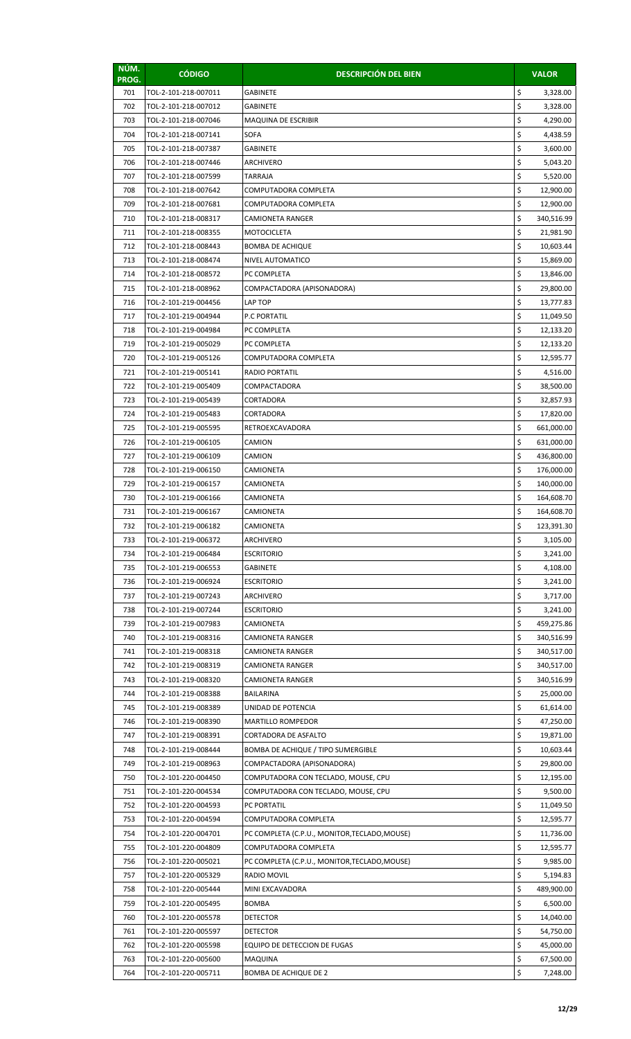| NÚM.<br>PROG. | <b>CÓDIGO</b>                                | <b>DESCRIPCIÓN DEL BIEN</b>                        |          | <b>VALOR</b>             |
|---------------|----------------------------------------------|----------------------------------------------------|----------|--------------------------|
| 701           | TOL-2-101-218-007011                         | <b>GABINETE</b>                                    | \$       | 3,328.00                 |
| 702           | TOL-2-101-218-007012                         | <b>GABINETE</b>                                    | \$       | 3,328.00                 |
| 703           | TOL-2-101-218-007046                         | MAQUINA DE ESCRIBIR                                | \$       | 4,290.00                 |
| 704           | TOL-2-101-218-007141                         | SOFA                                               | \$       | 4,438.59                 |
| 705           | TOL-2-101-218-007387                         | GABINETE                                           | \$       | 3,600.00                 |
| 706           | TOL-2-101-218-007446                         | ARCHIVERO                                          | \$       | 5,043.20                 |
| 707           | TOL-2-101-218-007599                         | <b>TARRAJA</b>                                     | \$       | 5,520.00                 |
| 708           | TOL-2-101-218-007642                         | COMPUTADORA COMPLETA                               | \$       | 12,900.00                |
| 709           | TOL-2-101-218-007681                         | COMPUTADORA COMPLETA                               | \$       | 12,900.00                |
| 710           | TOL-2-101-218-008317                         | CAMIONETA RANGER                                   | \$       | 340,516.99               |
| 711           | TOL-2-101-218-008355                         | MOTOCICLETA                                        | \$       | 21,981.90                |
| 712           | TOL-2-101-218-008443                         | <b>BOMBA DE ACHIQUE</b>                            | \$       | 10,603.44                |
| 713           | TOL-2-101-218-008474                         | NIVEL AUTOMATICO                                   | \$       | 15,869.00                |
| 714           | TOL-2-101-218-008572                         | PC COMPLETA                                        | \$       | 13,846.00                |
| 715           | TOL-2-101-218-008962                         | COMPACTADORA (APISONADORA)                         | \$       | 29,800.00                |
| 716           | TOL-2-101-219-004456                         | LAP TOP                                            | \$       | 13,777.83                |
| 717           | TOL-2-101-219-004944                         | <b>P.C PORTATIL</b>                                | \$       | 11,049.50                |
| 718           | TOL-2-101-219-004984                         | PC COMPLETA                                        | \$       | 12,133.20                |
| 719           | TOL-2-101-219-005029                         | PC COMPLETA                                        | \$       | 12,133.20                |
| 720           | TOL-2-101-219-005126                         | COMPUTADORA COMPLETA                               | \$       | 12,595.77                |
| 721           | TOL-2-101-219-005141                         | <b>RADIO PORTATIL</b>                              | \$       | 4,516.00                 |
| 722           | TOL-2-101-219-005409                         | COMPACTADORA                                       | \$       | 38,500.00                |
| 723           | TOL-2-101-219-005439                         | CORTADORA                                          | \$       | 32,857.93                |
| 724           | TOL-2-101-219-005483                         | CORTADORA                                          | \$       | 17,820.00                |
| 725           | TOL-2-101-219-005595                         | RETROEXCAVADORA                                    | \$       | 661,000.00               |
| 726           | TOL-2-101-219-006105                         | CAMION                                             | \$       | 631,000.00               |
| 727           | TOL-2-101-219-006109                         | CAMION                                             | \$       | 436,800.00               |
| 728           | TOL-2-101-219-006150                         | CAMIONETA                                          | \$       | 176,000.00               |
| 729           | TOL-2-101-219-006157                         | CAMIONETA                                          | \$       | 140,000.00               |
| 730           | TOL-2-101-219-006166                         | CAMIONETA                                          | \$       | 164,608.70               |
| 731           | TOL-2-101-219-006167                         | CAMIONETA                                          | \$       | 164,608.70               |
| 732           | TOL-2-101-219-006182                         | CAMIONETA                                          | Ş        | 123,391.30               |
| 733           | TOL-2-101-219-006372                         | <b>ARCHIVERO</b>                                   | \$       | 3,105.00                 |
| 734           | TOL-2-101-219-006484                         | <b>ESCRITORIO</b>                                  | \$       | 3,241.00                 |
| 735           | TOL-2-101-219-006553                         | <b>GABINETE</b>                                    | \$       | 4,108.00                 |
| 736           | TOL-2-101-219-006924                         | <b>ESCRITORIO</b>                                  | \$       | 3,241.00                 |
| 737           | TOL-2-101-219-007243                         | ARCHIVERO                                          | \$       | 3,717.00                 |
| 738           | TOL-2-101-219-007244                         | <b>ESCRITORIO</b>                                  | \$       | 3,241.00                 |
| 739           | TOL-2-101-219-007983                         | CAMIONETA                                          | \$<br>\$ | 459,275.86               |
| 740           | TOL-2-101-219-008316                         | <b>CAMIONETA RANGER</b><br><b>CAMIONETA RANGER</b> | \$       | 340,516.99               |
| 741<br>742    | TOL-2-101-219-008318                         |                                                    | \$       | 340,517.00               |
| 743           | TOL-2-101-219-008319<br>TOL-2-101-219-008320 | CAMIONETA RANGER<br><b>CAMIONETA RANGER</b>        | \$       | 340,517.00<br>340,516.99 |
| 744           | TOL-2-101-219-008388                         | <b>BAILARINA</b>                                   | \$       | 25,000.00                |
| 745           | TOL-2-101-219-008389                         | UNIDAD DE POTENCIA                                 | \$       | 61,614.00                |
| 746           | TOL-2-101-219-008390                         | MARTILLO ROMPEDOR                                  | \$       | 47,250.00                |
| 747           | TOL-2-101-219-008391                         | CORTADORA DE ASFALTO                               | \$       | 19,871.00                |
| 748           | TOL-2-101-219-008444                         | BOMBA DE ACHIQUE / TIPO SUMERGIBLE                 | \$       | 10,603.44                |
| 749           | TOL-2-101-219-008963                         | COMPACTADORA (APISONADORA)                         | \$       | 29,800.00                |
| 750           | TOL-2-101-220-004450                         | COMPUTADORA CON TECLADO, MOUSE, CPU                | \$       | 12,195.00                |
| 751           | TOL-2-101-220-004534                         | COMPUTADORA CON TECLADO, MOUSE, CPU                | \$       | 9,500.00                 |
| 752           | TOL-2-101-220-004593                         | PC PORTATIL                                        | \$       | 11,049.50                |
| 753           | TOL-2-101-220-004594                         | COMPUTADORA COMPLETA                               | \$       | 12,595.77                |
| 754           | TOL-2-101-220-004701                         | PC COMPLETA (C.P.U., MONITOR, TECLADO, MOUSE)      | \$       | 11,736.00                |
| 755           | TOL-2-101-220-004809                         | COMPUTADORA COMPLETA                               | \$       | 12,595.77                |
| 756           | TOL-2-101-220-005021                         | PC COMPLETA (C.P.U., MONITOR, TECLADO, MOUSE)      | \$       | 9,985.00                 |
| 757           | TOL-2-101-220-005329                         | <b>RADIO MOVIL</b>                                 | \$       | 5,194.83                 |
| 758           | TOL-2-101-220-005444                         | MINI EXCAVADORA                                    | \$       | 489,900.00               |
| 759           | TOL-2-101-220-005495                         | <b>BOMBA</b>                                       | \$       | 6,500.00                 |
| 760           | TOL-2-101-220-005578                         | <b>DETECTOR</b>                                    | \$       | 14,040.00                |
| 761           | TOL-2-101-220-005597                         | <b>DETECTOR</b>                                    | \$       | 54,750.00                |
| 762           | TOL-2-101-220-005598                         | EQUIPO DE DETECCION DE FUGAS                       | \$       | 45,000.00                |
| 763           | TOL-2-101-220-005600                         | <b>MAQUINA</b>                                     | \$       | 67,500.00                |
| 764           | TOL-2-101-220-005711                         | <b>BOMBA DE ACHIQUE DE 2</b>                       | \$       | 7,248.00                 |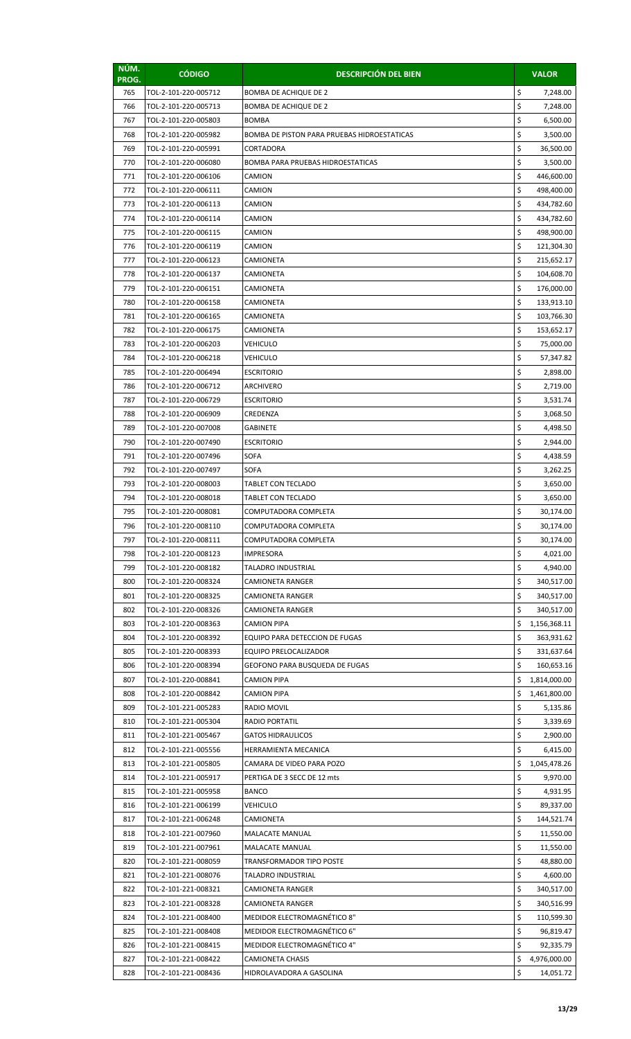| NÚM.<br>PROG. | <b>CÓDIGO</b>        | <b>DESCRIPCIÓN DEL BIEN</b>                 |    | <b>VALOR</b> |
|---------------|----------------------|---------------------------------------------|----|--------------|
| 765           | TOL-2-101-220-005712 | <b>BOMBA DE ACHIQUE DE 2</b>                | \$ | 7,248.00     |
| 766           | TOL-2-101-220-005713 | <b>BOMBA DE ACHIQUE DE 2</b>                | \$ | 7,248.00     |
| 767           | TOL-2-101-220-005803 | <b>BOMBA</b>                                | \$ | 6,500.00     |
| 768           | TOL-2-101-220-005982 | BOMBA DE PISTON PARA PRUEBAS HIDROESTATICAS | \$ | 3,500.00     |
| 769           | TOL-2-101-220-005991 | CORTADORA                                   | \$ | 36,500.00    |
| 770           | TOL-2-101-220-006080 | BOMBA PARA PRUEBAS HIDROESTATICAS           | \$ | 3,500.00     |
| 771           | TOL-2-101-220-006106 | CAMION                                      | \$ | 446,600.00   |
| 772           | TOL-2-101-220-006111 | CAMION                                      | \$ | 498,400.00   |
| 773           | TOL-2-101-220-006113 | CAMION                                      | \$ | 434,782.60   |
| 774           | TOL-2-101-220-006114 | CAMION                                      | \$ | 434,782.60   |
| 775           | TOL-2-101-220-006115 | CAMION                                      | \$ | 498,900.00   |
| 776           | TOL-2-101-220-006119 | CAMION                                      | \$ | 121,304.30   |
| 777           | TOL-2-101-220-006123 | CAMIONETA                                   | \$ | 215,652.17   |
| 778           | TOL-2-101-220-006137 | CAMIONETA                                   | \$ | 104,608.70   |
| 779           | TOL-2-101-220-006151 | <b>CAMIONETA</b>                            | \$ | 176,000.00   |
| 780           | TOL-2-101-220-006158 | CAMIONETA                                   | \$ | 133,913.10   |
| 781           | TOL-2-101-220-006165 | CAMIONETA                                   | \$ | 103,766.30   |
| 782           | TOL-2-101-220-006175 | CAMIONETA                                   | \$ | 153,652.17   |
| 783           | TOL-2-101-220-006203 | <b>VEHICULO</b>                             | \$ | 75,000.00    |
| 784           | TOL-2-101-220-006218 | VEHICULO                                    | \$ | 57,347.82    |
| 785           | TOL-2-101-220-006494 | <b>ESCRITORIO</b>                           | \$ | 2,898.00     |
| 786           | TOL-2-101-220-006712 | ARCHIVERO                                   | \$ | 2,719.00     |
| 787           | TOL-2-101-220-006729 | <b>ESCRITORIO</b>                           | \$ | 3,531.74     |
| 788           | TOL-2-101-220-006909 | CREDENZA                                    | \$ | 3,068.50     |
| 789           | TOL-2-101-220-007008 | GABINETE                                    | \$ | 4,498.50     |
| 790           | TOL-2-101-220-007490 | <b>ESCRITORIO</b>                           | \$ | 2,944.00     |
| 791           | TOL-2-101-220-007496 | <b>SOFA</b>                                 | \$ | 4,438.59     |
| 792           | TOL-2-101-220-007497 | SOFA                                        | \$ | 3,262.25     |
| 793           | TOL-2-101-220-008003 | <b>TABLET CON TECLADO</b>                   | \$ | 3,650.00     |
| 794           | TOL-2-101-220-008018 | <b>TABLET CON TECLADO</b>                   | \$ | 3,650.00     |
| 795           | TOL-2-101-220-008081 | COMPUTADORA COMPLETA                        | \$ | 30,174.00    |
| 796           | TOL-2-101-220-008110 | COMPUTADORA COMPLETA                        | Ş  | 30,174.00    |
| 797           | TOL-2-101-220-008111 | COMPUTADORA COMPLETA                        | \$ | 30,174.00    |
| 798           | TOL-2-101-220-008123 | IMPRESORA                                   | \$ | 4,021.00     |
| 799           | TOL-2-101-220-008182 | <b>TALADRO INDUSTRIAL</b>                   | \$ | 4,940.00     |
| 800           | TOL-2-101-220-008324 | CAMIONETA RANGER                            | \$ | 340,517.00   |
| 801           | TOL-2-101-220-008325 | CAMIONETA RANGER                            | \$ | 340,517.00   |
| 802           | TOL-2-101-220-008326 | CAMIONETA RANGER                            | \$ | 340,517.00   |
| 803           | TOL-2-101-220-008363 | <b>CAMION PIPA</b>                          | \$ | 1,156,368.11 |
| 804           | TOL-2-101-220-008392 | EQUIPO PARA DETECCION DE FUGAS              | \$ | 363,931.62   |
| 805           | TOL-2-101-220-008393 | <b>EQUIPO PRELOCALIZADOR</b>                | \$ | 331,637.64   |
| 806           | TOL-2-101-220-008394 | GEOFONO PARA BUSQUEDA DE FUGAS              | \$ | 160,653.16   |
| 807           | TOL-2-101-220-008841 | CAMION PIPA                                 | \$ | 1,814,000.00 |
| 808           | TOL-2-101-220-008842 | CAMION PIPA                                 | \$ | 1,461,800.00 |
| 809           | TOL-2-101-221-005283 | RADIO MOVIL                                 | \$ | 5,135.86     |
| 810           | TOL-2-101-221-005304 | RADIO PORTATIL                              | \$ | 3,339.69     |
| 811           | TOL-2-101-221-005467 | <b>GATOS HIDRAULICOS</b>                    | \$ | 2,900.00     |
| 812           | TOL-2-101-221-005556 | HERRAMIENTA MECANICA                        | \$ | 6,415.00     |
| 813           | TOL-2-101-221-005805 | CAMARA DE VIDEO PARA POZO                   | \$ | 1,045,478.26 |
| 814           | TOL-2-101-221-005917 | PERTIGA DE 3 SECC DE 12 mts                 | \$ | 9,970.00     |
| 815           | TOL-2-101-221-005958 | <b>BANCO</b>                                | \$ | 4,931.95     |
| 816           | TOL-2-101-221-006199 | VEHICULO                                    | \$ | 89,337.00    |
| 817           | TOL-2-101-221-006248 | CAMIONETA                                   | \$ | 144,521.74   |
| 818           | TOL-2-101-221-007960 | MALACATE MANUAL                             | \$ | 11,550.00    |
| 819           | TOL-2-101-221-007961 | MALACATE MANUAL                             | \$ | 11,550.00    |
| 820           | TOL-2-101-221-008059 | TRANSFORMADOR TIPO POSTE                    | \$ | 48,880.00    |
| 821           | TOL-2-101-221-008076 | TALADRO INDUSTRIAL                          | \$ | 4,600.00     |
| 822           | TOL-2-101-221-008321 | CAMIONETA RANGER                            | \$ | 340,517.00   |
| 823           | TOL-2-101-221-008328 | <b>CAMIONETA RANGER</b>                     | \$ | 340,516.99   |
| 824           | TOL-2-101-221-008400 | MEDIDOR ELECTROMAGNÉTICO 8"                 | \$ | 110,599.30   |
| 825           | TOL-2-101-221-008408 | MEDIDOR ELECTROMAGNÉTICO 6"                 | \$ | 96,819.47    |
| 826           | TOL-2-101-221-008415 | MEDIDOR ELECTROMAGNÉTICO 4"                 | \$ | 92,335.79    |
| 827           | TOL-2-101-221-008422 | <b>CAMIONETA CHASIS</b>                     | \$ | 4,976,000.00 |
| 828           | TOL-2-101-221-008436 | HIDROLAVADORA A GASOLINA                    | \$ | 14,051.72    |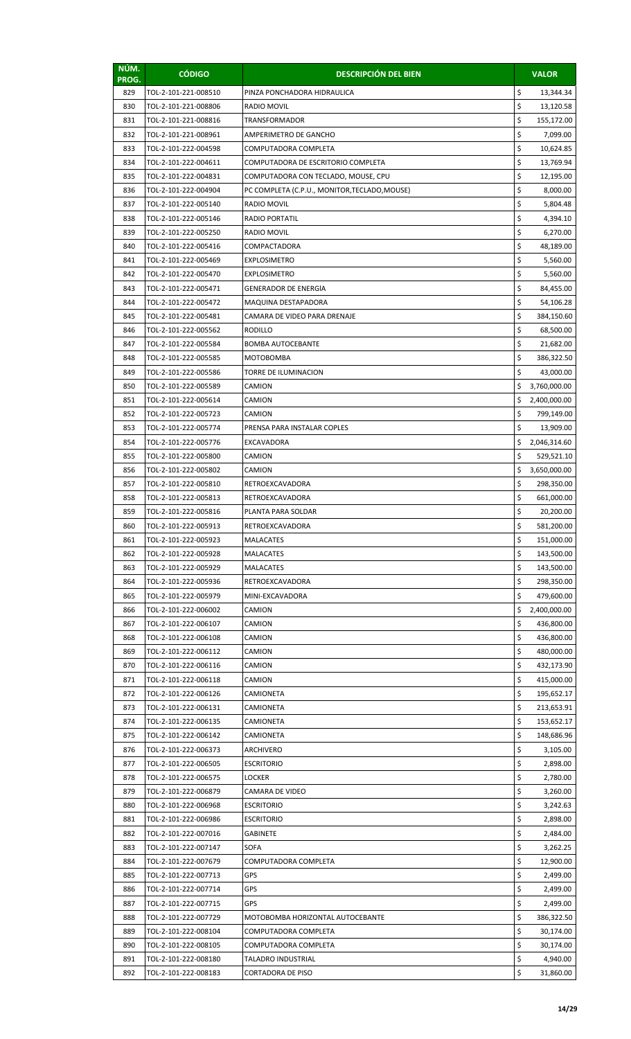| NÚM.<br>PROG. | <b>CÓDIGO</b>                                | <b>DESCRIPCIÓN DEL BIEN</b>                   |          | <b>VALOR</b>             |
|---------------|----------------------------------------------|-----------------------------------------------|----------|--------------------------|
| 829           | TOL-2-101-221-008510                         | PINZA PONCHADORA HIDRAULICA                   | \$       | 13,344.34                |
| 830           | TOL-2-101-221-008806                         | RADIO MOVIL                                   | \$       | 13,120.58                |
| 831           | TOL-2-101-221-008816                         | <b>TRANSFORMADOR</b>                          | \$       | 155,172.00               |
| 832           | TOL-2-101-221-008961                         | AMPERIMETRO DE GANCHO                         | \$       | 7,099.00                 |
| 833           | TOL-2-101-222-004598                         | COMPUTADORA COMPLETA                          | \$       | 10,624.85                |
| 834           | TOL-2-101-222-004611                         | COMPUTADORA DE ESCRITORIO COMPLETA            | \$       | 13,769.94                |
| 835           | TOL-2-101-222-004831                         | COMPUTADORA CON TECLADO, MOUSE, CPU           | \$       | 12,195.00                |
| 836           | TOL-2-101-222-004904                         | PC COMPLETA (C.P.U., MONITOR, TECLADO, MOUSE) | \$       | 8,000.00                 |
| 837           | TOL-2-101-222-005140                         | RADIO MOVIL                                   | \$       | 5,804.48                 |
| 838           | TOL-2-101-222-005146                         | <b>RADIO PORTATIL</b>                         | \$       | 4,394.10                 |
| 839           | TOL-2-101-222-005250                         | RADIO MOVIL                                   | \$       | 6,270.00                 |
| 840           | TOL-2-101-222-005416                         | COMPACTADORA                                  | \$<br>\$ | 48,189.00                |
| 841           | TOL-2-101-222-005469                         | <b>EXPLOSIMETRO</b>                           | \$       | 5,560.00                 |
| 842<br>843    | TOL-2-101-222-005470<br>TOL-2-101-222-005471 | <b>EXPLOSIMETRO</b><br>GENERADOR DE ENERGIA   | \$       | 5,560.00<br>84,455.00    |
| 844           | TOL-2-101-222-005472                         | MAQUINA DESTAPADORA                           | \$       | 54,106.28                |
| 845           | TOL-2-101-222-005481                         | CAMARA DE VIDEO PARA DRENAJE                  | \$       | 384,150.60               |
| 846           | TOL-2-101-222-005562                         | <b>RODILLO</b>                                | \$       | 68,500.00                |
| 847           | TOL-2-101-222-005584                         | <b>BOMBA AUTOCEBANTE</b>                      | \$       | 21,682.00                |
| 848           | TOL-2-101-222-005585                         | MOTOBOMBA                                     | \$       | 386,322.50               |
| 849           | TOL-2-101-222-005586                         | TORRE DE ILUMINACION                          | \$       | 43,000.00                |
| 850           | TOL-2-101-222-005589                         | CAMION                                        | Ś        | 3,760,000.00             |
| 851           | TOL-2-101-222-005614                         | CAMION                                        | \$       | 2,400,000.00             |
| 852           | TOL-2-101-222-005723                         | CAMION                                        | \$       | 799,149.00               |
| 853           | TOL-2-101-222-005774                         | PRENSA PARA INSTALAR COPLES                   | \$       | 13,909.00                |
| 854           | TOL-2-101-222-005776                         | EXCAVADORA                                    | \$       | 2,046,314.60             |
| 855           | TOL-2-101-222-005800                         | CAMION                                        | \$       | 529,521.10               |
| 856           | TOL-2-101-222-005802                         | CAMION                                        | \$       | 3,650,000.00             |
| 857           | TOL-2-101-222-005810                         | RETROEXCAVADORA                               | \$       | 298,350.00               |
| 858           | TOL-2-101-222-005813                         | RETROEXCAVADORA                               | \$       | 661,000.00               |
| 859           | TOL-2-101-222-005816                         | PLANTA PARA SOLDAR                            | \$       | 20,200.00                |
| 860           | TOL-2-101-222-005913                         | RETROEXCAVADORA                               | \$       | 581,200.00               |
| 861<br>862    | TOL-2-101-222-005923<br>TOL-2-101-222-005928 | <b>MALACATES</b><br><b>MALACATES</b>          | \$<br>\$ | 151,000.00<br>143,500.00 |
| 863           | TOL-2-101-222-005929                         | <b>MALACATES</b>                              | \$       | 143,500.00               |
| 864           | TOL-2-101-222-005936                         | RETROEXCAVADORA                               | \$       | 298,350.00               |
| 865           | TOL-2-101-222-005979                         | MINI-EXCAVADORA                               | \$       | 479,600.00               |
| 866           | TOL-2-101-222-006002                         | CAMION                                        | \$       | 2,400,000.00             |
| 867           | TOL-2-101-222-006107                         | CAMION                                        | \$       | 436,800.00               |
| 868           | TOL-2-101-222-006108                         | CAMION                                        | \$       | 436,800.00               |
| 869           | TOL-2-101-222-006112                         | CAMION                                        | \$       | 480,000.00               |
| 870           | TOL-2-101-222-006116                         | CAMION                                        | \$       | 432,173.90               |
| 871           | TOL-2-101-222-006118                         | CAMION                                        | \$       | 415,000.00               |
| 872           | TOL-2-101-222-006126                         | CAMIONETA                                     | \$       | 195,652.17               |
| 873           | TOL-2-101-222-006131                         | CAMIONETA                                     | \$       | 213,653.91               |
| 874           | TOL-2-101-222-006135                         | CAMIONETA                                     | \$       | 153,652.17               |
| 875           | TOL-2-101-222-006142                         | CAMIONETA                                     | \$       | 148,686.96               |
| 876           | TOL-2-101-222-006373                         | ARCHIVERO                                     | \$       | 3,105.00                 |
| 877           | TOL-2-101-222-006505                         | <b>ESCRITORIO</b>                             | \$       | 2,898.00                 |
| 878           | TOL-2-101-222-006575                         | <b>LOCKER</b>                                 | \$       | 2,780.00                 |
| 879           | TOL-2-101-222-006879                         | CAMARA DE VIDEO                               | \$<br>\$ | 3,260.00                 |
| 880<br>881    | TOL-2-101-222-006968<br>TOL-2-101-222-006986 | <b>ESCRITORIO</b><br><b>ESCRITORIO</b>        | \$       | 3,242.63<br>2,898.00     |
| 882           | TOL-2-101-222-007016                         | <b>GABINETE</b>                               | \$       | 2,484.00                 |
| 883           | TOL-2-101-222-007147                         | SOFA                                          | \$       | 3,262.25                 |
| 884           | TOL-2-101-222-007679                         | COMPUTADORA COMPLETA                          | \$       | 12,900.00                |
| 885           | TOL-2-101-222-007713                         | <b>GPS</b>                                    | \$       | 2,499.00                 |
| 886           | TOL-2-101-222-007714                         | GPS                                           | \$       | 2,499.00                 |
| 887           | TOL-2-101-222-007715                         | GPS                                           | \$       | 2,499.00                 |
| 888           | TOL-2-101-222-007729                         | MOTOBOMBA HORIZONTAL AUTOCEBANTE              | \$       | 386,322.50               |
| 889           | TOL-2-101-222-008104                         | COMPUTADORA COMPLETA                          | \$       | 30,174.00                |
| 890           | TOL-2-101-222-008105                         | COMPUTADORA COMPLETA                          | \$       | 30,174.00                |
| 891           | TOL-2-101-222-008180                         | TALADRO INDUSTRIAL                            | \$       | 4,940.00                 |
| 892           | TOL-2-101-222-008183                         | CORTADORA DE PISO                             | \$       | 31,860.00                |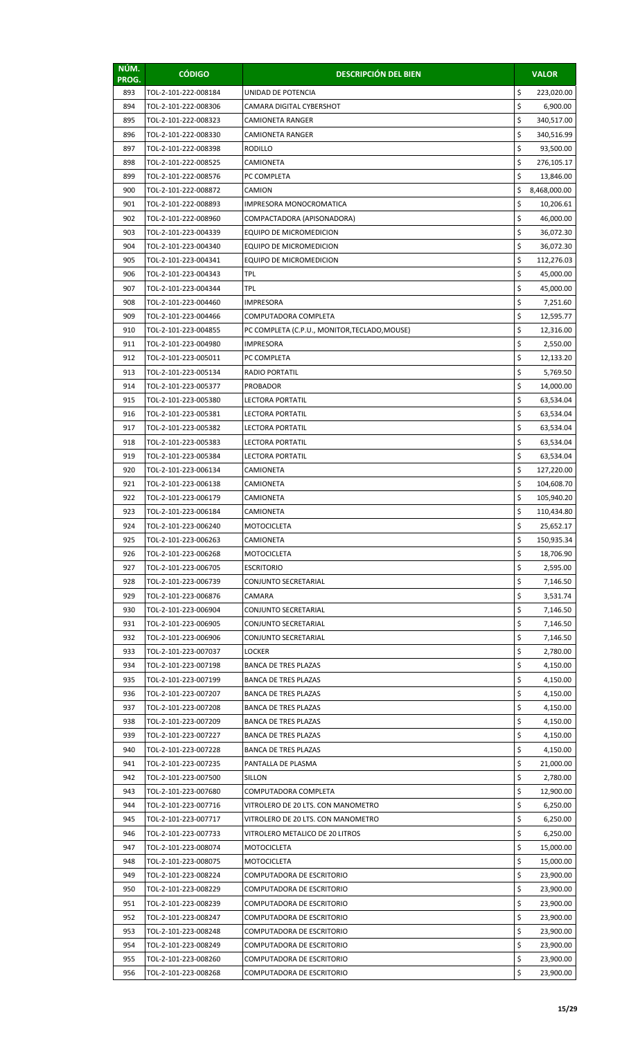| NÚM.<br>PROG. | <b>CÓDIGO</b>                                | <b>DESCRIPCIÓN DEL BIEN</b>                                |          | <b>VALOR</b>             |
|---------------|----------------------------------------------|------------------------------------------------------------|----------|--------------------------|
| 893           | TOL-2-101-222-008184                         | UNIDAD DE POTENCIA                                         | \$       | 223,020.00               |
| 894           | TOL-2-101-222-008306                         | CAMARA DIGITAL CYBERSHOT                                   | \$       | 6,900.00                 |
| 895           | TOL-2-101-222-008323                         | CAMIONETA RANGER                                           | \$       | 340,517.00               |
| 896           | TOL-2-101-222-008330                         | CAMIONETA RANGER                                           | \$       | 340,516.99               |
| 897           | TOL-2-101-222-008398                         | RODILLO                                                    | \$       | 93,500.00                |
| 898           | TOL-2-101-222-008525                         | CAMIONETA                                                  | \$       | 276,105.17               |
| 899           | TOL-2-101-222-008576                         | PC COMPLETA                                                | \$       | 13,846.00                |
| 900           | TOL-2-101-222-008872                         | CAMION                                                     | \$       | 8,468,000.00             |
| 901           | TOL-2-101-222-008893                         | IMPRESORA MONOCROMATICA                                    | \$       | 10,206.61                |
| 902           | TOL-2-101-222-008960                         | COMPACTADORA (APISONADORA)                                 | \$       | 46,000.00                |
| 903           | TOL-2-101-223-004339                         | EQUIPO DE MICROMEDICION                                    | \$<br>\$ | 36,072.30                |
| 904<br>905    | TOL-2-101-223-004340<br>TOL-2-101-223-004341 | EQUIPO DE MICROMEDICION<br>EQUIPO DE MICROMEDICION         | \$       | 36,072.30<br>112,276.03  |
| 906           | TOL-2-101-223-004343                         | TPL                                                        | \$       | 45,000.00                |
| 907           | TOL-2-101-223-004344                         | <b>TPL</b>                                                 | \$       | 45,000.00                |
| 908           | TOL-2-101-223-004460                         | IMPRESORA                                                  | \$       | 7,251.60                 |
| 909           | TOL-2-101-223-004466                         | COMPUTADORA COMPLETA                                       | \$       | 12,595.77                |
| 910           | TOL-2-101-223-004855                         | PC COMPLETA (C.P.U., MONITOR,TECLADO,MOUSE)                | \$       | 12,316.00                |
| 911           | TOL-2-101-223-004980                         | IMPRESORA                                                  | \$       | 2,550.00                 |
| 912           | TOL-2-101-223-005011                         | PC COMPLETA                                                | \$       | 12,133.20                |
| 913           | TOL-2-101-223-005134                         | RADIO PORTATIL                                             | \$       | 5,769.50                 |
| 914           | TOL-2-101-223-005377                         | <b>PROBADOR</b>                                            | \$       | 14,000.00                |
| 915           | TOL-2-101-223-005380                         | LECTORA PORTATIL                                           | \$       | 63,534.04                |
| 916           | TOL-2-101-223-005381                         | LECTORA PORTATIL                                           | \$       | 63,534.04                |
| 917           | TOL-2-101-223-005382                         | LECTORA PORTATIL                                           | \$       | 63,534.04                |
| 918           | TOL-2-101-223-005383                         | LECTORA PORTATIL                                           | \$       | 63,534.04                |
| 919           | TOL-2-101-223-005384                         | <b>LECTORA PORTATIL</b>                                    | \$       | 63,534.04                |
| 920           | TOL-2-101-223-006134                         | CAMIONETA                                                  | \$       | 127,220.00               |
| 921           | TOL-2-101-223-006138                         | CAMIONETA                                                  | \$       | 104,608.70               |
| 922<br>923    | TOL-2-101-223-006179<br>TOL-2-101-223-006184 | CAMIONETA                                                  | \$<br>\$ | 105,940.20<br>110,434.80 |
| 924           | TOL-2-101-223-006240                         | CAMIONETA<br>MOTOCICLETA                                   | \$       | 25,652.17                |
| 925           | TOL-2-101-223-006263                         | CAMIONETA                                                  | \$       | 150,935.34               |
| 926           | TOL-2-101-223-006268                         | <b>MOTOCICLETA</b>                                         | \$       | 18,706.90                |
| 927           | TOL-2-101-223-006705                         | <b>ESCRITORIO</b>                                          | \$       | 2,595.00                 |
| 928           | TOL-2-101-223-006739                         | CONJUNTO SECRETARIAL                                       | \$       | 7,146.50                 |
| 929           | TOL-2-101-223-006876                         | CAMARA                                                     | \$       | 3,531.74                 |
| 930           | TOL-2-101-223-006904                         | CONJUNTO SECRETARIAL                                       | \$       | 7,146.50                 |
| 931           | TOL-2-101-223-006905                         | CONJUNTO SECRETARIAL                                       | \$       | 7,146.50                 |
| 932           | TOL-2-101-223-006906                         | CONJUNTO SECRETARIAL                                       | \$       | 7,146.50                 |
| 933           | TOL-2-101-223-007037                         | LOCKER                                                     | \$       | 2,780.00                 |
| 934           | TOL-2-101-223-007198                         | <b>BANCA DE TRES PLAZAS</b>                                | \$       | 4,150.00                 |
| 935           | TOL-2-101-223-007199                         | <b>BANCA DE TRES PLAZAS</b>                                | \$       | 4,150.00                 |
| 936           | TOL-2-101-223-007207                         | <b>BANCA DE TRES PLAZAS</b>                                | \$       | 4,150.00                 |
| 937           | TOL-2-101-223-007208                         | <b>BANCA DE TRES PLAZAS</b>                                | \$       | 4,150.00                 |
| 938           | TOL-2-101-223-007209                         | <b>BANCA DE TRES PLAZAS</b>                                | \$<br>\$ | 4,150.00                 |
| 939<br>940    | TOL-2-101-223-007227<br>TOL-2-101-223-007228 | <b>BANCA DE TRES PLAZAS</b><br><b>BANCA DE TRES PLAZAS</b> | \$       | 4,150.00<br>4,150.00     |
| 941           | TOL-2-101-223-007235                         | PANTALLA DE PLASMA                                         | \$       | 21,000.00                |
| 942           | TOL-2-101-223-007500                         | SILLON                                                     | \$       | 2,780.00                 |
| 943           | TOL-2-101-223-007680                         | COMPUTADORA COMPLETA                                       | \$       | 12,900.00                |
| 944           | TOL-2-101-223-007716                         | VITROLERO DE 20 LTS. CON MANOMETRO                         | \$       | 6,250.00                 |
| 945           | TOL-2-101-223-007717                         | VITROLERO DE 20 LTS. CON MANOMETRO                         | \$       | 6,250.00                 |
| 946           | TOL-2-101-223-007733                         | VITROLERO METALICO DE 20 LITROS                            | \$       | 6,250.00                 |
| 947           | TOL-2-101-223-008074                         | MOTOCICLETA                                                | \$       | 15,000.00                |
| 948           | TOL-2-101-223-008075                         | <b>MOTOCICLETA</b>                                         | \$       | 15,000.00                |
| 949           | TOL-2-101-223-008224                         | COMPUTADORA DE ESCRITORIO                                  | \$       | 23,900.00                |
| 950           | TOL-2-101-223-008229                         | COMPUTADORA DE ESCRITORIO                                  | \$       | 23,900.00                |
| 951           | TOL-2-101-223-008239                         | COMPUTADORA DE ESCRITORIO                                  | \$       | 23,900.00                |
| 952           | TOL-2-101-223-008247                         | COMPUTADORA DE ESCRITORIO                                  | \$       | 23,900.00                |
| 953           | TOL-2-101-223-008248                         | COMPUTADORA DE ESCRITORIO                                  | \$       | 23,900.00                |
| 954           | TOL-2-101-223-008249                         | COMPUTADORA DE ESCRITORIO                                  | \$       | 23,900.00                |
| 955           | TOL-2-101-223-008260                         | COMPUTADORA DE ESCRITORIO                                  | \$       | 23,900.00                |
| 956           | TOL-2-101-223-008268                         | COMPUTADORA DE ESCRITORIO                                  | \$       | 23,900.00                |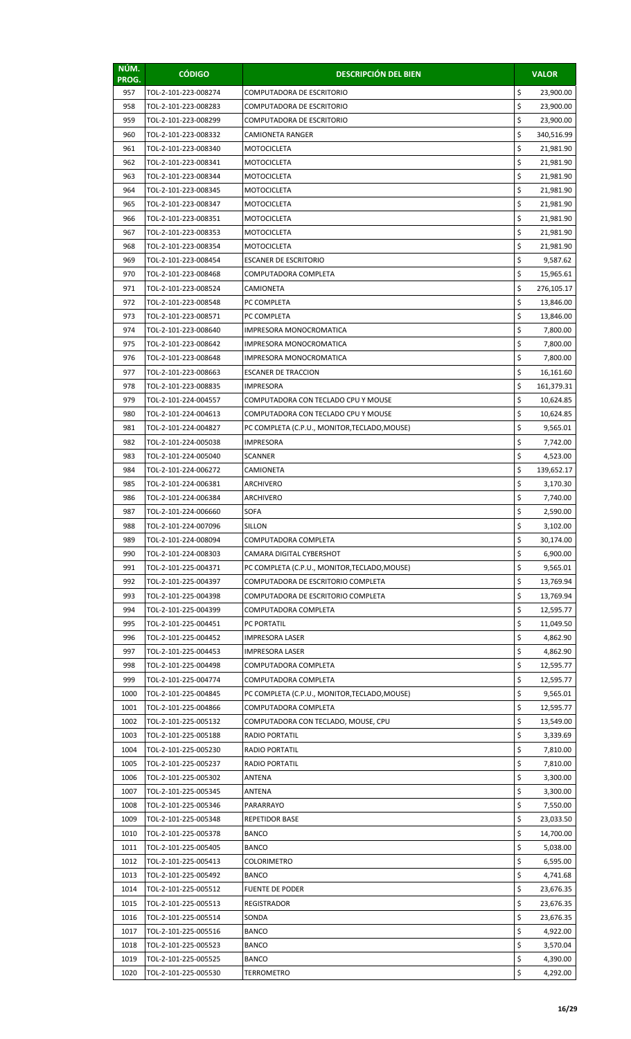| NÚM.<br>PROG. | <b>CÓDIGO</b>                                | <b>DESCRIPCIÓN DEL BIEN</b>                      |          | <b>VALOR</b>            |
|---------------|----------------------------------------------|--------------------------------------------------|----------|-------------------------|
| 957           | TOL-2-101-223-008274                         | COMPUTADORA DE ESCRITORIO                        | \$       | 23,900.00               |
| 958           | TOL-2-101-223-008283                         | COMPUTADORA DE ESCRITORIO                        | \$       | 23,900.00               |
| 959           | TOL-2-101-223-008299                         | COMPUTADORA DE ESCRITORIO                        | \$       | 23,900.00               |
| 960           | TOL-2-101-223-008332                         | CAMIONETA RANGER                                 | \$       | 340,516.99              |
| 961           | TOL-2-101-223-008340                         | MOTOCICLETA                                      | \$       | 21,981.90               |
| 962           | TOL-2-101-223-008341                         | <b>MOTOCICLETA</b>                               | \$       | 21,981.90               |
| 963           | TOL-2-101-223-008344                         | <b>MOTOCICLETA</b>                               | \$       | 21,981.90               |
| 964           | TOL-2-101-223-008345                         | <b>MOTOCICLETA</b>                               | \$       | 21,981.90               |
| 965           | TOL-2-101-223-008347                         | MOTOCICLETA                                      | \$       | 21,981.90               |
| 966           | TOL-2-101-223-008351                         | MOTOCICLETA                                      | \$       | 21,981.90               |
| 967           | TOL-2-101-223-008353                         | MOTOCICLETA                                      | \$       | 21,981.90               |
| 968           | TOL-2-101-223-008354                         | MOTOCICLETA                                      | \$<br>\$ | 21,981.90               |
| 969           | TOL-2-101-223-008454                         | ESCANER DE ESCRITORIO                            | \$       | 9,587.62                |
| 970<br>971    | TOL-2-101-223-008468<br>TOL-2-101-223-008524 | COMPUTADORA COMPLETA<br>CAMIONETA                | \$       | 15,965.61<br>276,105.17 |
| 972           | TOL-2-101-223-008548                         | PC COMPLETA                                      | \$       | 13,846.00               |
| 973           | TOL-2-101-223-008571                         | PC COMPLETA                                      | \$       | 13,846.00               |
| 974           | TOL-2-101-223-008640                         | IMPRESORA MONOCROMATICA                          | \$       | 7,800.00                |
| 975           | TOL-2-101-223-008642                         | IMPRESORA MONOCROMATICA                          | \$       | 7,800.00                |
| 976           | TOL-2-101-223-008648                         | IMPRESORA MONOCROMATICA                          | \$       | 7,800.00                |
| 977           | TOL-2-101-223-008663                         | <b>ESCANER DE TRACCION</b>                       | \$       | 16,161.60               |
| 978           | TOL-2-101-223-008835                         | <b>IMPRESORA</b>                                 | \$       | 161,379.31              |
| 979           | TOL-2-101-224-004557                         | COMPUTADORA CON TECLADO CPU Y MOUSE              | \$       | 10,624.85               |
| 980           | TOL-2-101-224-004613                         | COMPUTADORA CON TECLADO CPU Y MOUSE              | \$       | 10,624.85               |
| 981           | TOL-2-101-224-004827                         | PC COMPLETA (C.P.U., MONITOR, TECLADO, MOUSE)    | \$       | 9,565.01                |
| 982           | TOL-2-101-224-005038                         | IMPRESORA                                        | \$       | 7,742.00                |
| 983           | TOL-2-101-224-005040                         | SCANNER                                          | \$       | 4,523.00                |
| 984           | TOL-2-101-224-006272                         | CAMIONETA                                        | \$       | 139,652.17              |
| 985           | TOL-2-101-224-006381                         | ARCHIVERO                                        | \$       | 3,170.30                |
| 986           | TOL-2-101-224-006384                         | ARCHIVERO                                        | \$       | 7,740.00                |
| 987           | TOL-2-101-224-006660                         | <b>SOFA</b>                                      | \$       | 2,590.00                |
| 988           | TOL-2-101-224-007096                         | SILLON                                           | Ş        | 3,102.00                |
| 989           | TOL-2-101-224-008094                         | COMPUTADORA COMPLETA<br>CAMARA DIGITAL CYBERSHOT | \$<br>\$ | 30,174.00               |
| 990<br>991    | TOL-2-101-224-008303<br>TOL-2-101-225-004371 | PC COMPLETA (C.P.U., MONITOR, TECLADO, MOUSE)    | \$       | 6,900.00<br>9,565.01    |
| 992           | TOL-2-101-225-004397                         | COMPUTADORA DE ESCRITORIO COMPLETA               | \$       | 13,769.94               |
| 993           | TOL-2-101-225-004398                         | COMPUTADORA DE ESCRITORIO COMPLETA               | \$       | 13,769.94               |
| 994           | TOL-2-101-225-004399                         | COMPUTADORA COMPLETA                             | \$       | 12,595.77               |
| 995           | TOL-2-101-225-004451                         | PC PORTATIL                                      | \$       | 11,049.50               |
| 996           | TOL-2-101-225-004452                         | <b>IMPRESORA LASER</b>                           | \$       | 4,862.90                |
| 997           | TOL-2-101-225-004453                         | <b>IMPRESORA LASER</b>                           | \$       | 4,862.90                |
| 998           | TOL-2-101-225-004498                         | COMPUTADORA COMPLETA                             | \$       | 12,595.77               |
| 999           | TOL-2-101-225-004774                         | COMPUTADORA COMPLETA                             | \$       | 12,595.77               |
| 1000          | TOL-2-101-225-004845                         | PC COMPLETA (C.P.U., MONITOR, TECLADO, MOUSE)    | \$       | 9,565.01                |
| 1001          | TOL-2-101-225-004866                         | COMPUTADORA COMPLETA                             | \$       | 12,595.77               |
| 1002          | TOL-2-101-225-005132                         | COMPUTADORA CON TECLADO, MOUSE, CPU              | \$       | 13,549.00               |
| 1003          | TOL-2-101-225-005188                         | RADIO PORTATIL                                   | \$       | 3,339.69                |
| 1004          | TOL-2-101-225-005230                         | <b>RADIO PORTATIL</b>                            | \$       | 7,810.00                |
| 1005          | TOL-2-101-225-005237                         | <b>RADIO PORTATIL</b>                            | \$       | 7,810.00                |
| 1006          | TOL-2-101-225-005302                         | ANTENA                                           | \$       | 3,300.00                |
| 1007          | TOL-2-101-225-005345                         | ANTENA                                           | \$       | 3,300.00                |
| 1008          | TOL-2-101-225-005346                         | PARARRAYO                                        | \$       | 7,550.00                |
| 1009<br>1010  | TOL-2-101-225-005348<br>TOL-2-101-225-005378 | <b>REPETIDOR BASE</b><br><b>BANCO</b>            | \$<br>\$ | 23,033.50<br>14,700.00  |
| 1011          | TOL-2-101-225-005405                         | <b>BANCO</b>                                     | \$       | 5,038.00                |
| 1012          | TOL-2-101-225-005413                         | COLORIMETRO                                      | \$       | 6,595.00                |
| 1013          | TOL-2-101-225-005492                         | <b>BANCO</b>                                     | \$       | 4,741.68                |
| 1014          | TOL-2-101-225-005512                         | <b>FUENTE DE PODER</b>                           | \$       | 23,676.35               |
| 1015          | TOL-2-101-225-005513                         | <b>REGISTRADOR</b>                               | \$       | 23,676.35               |
| 1016          | TOL-2-101-225-005514                         | SONDA                                            | \$       | 23,676.35               |
| 1017          | TOL-2-101-225-005516                         | <b>BANCO</b>                                     | \$       | 4,922.00                |
| 1018          | TOL-2-101-225-005523                         | <b>BANCO</b>                                     | \$       | 3,570.04                |
| 1019          | TOL-2-101-225-005525                         | <b>BANCO</b>                                     | \$       | 4,390.00                |
| 1020          | TOL-2-101-225-005530                         | TERROMETRO                                       | \$       | 4,292.00                |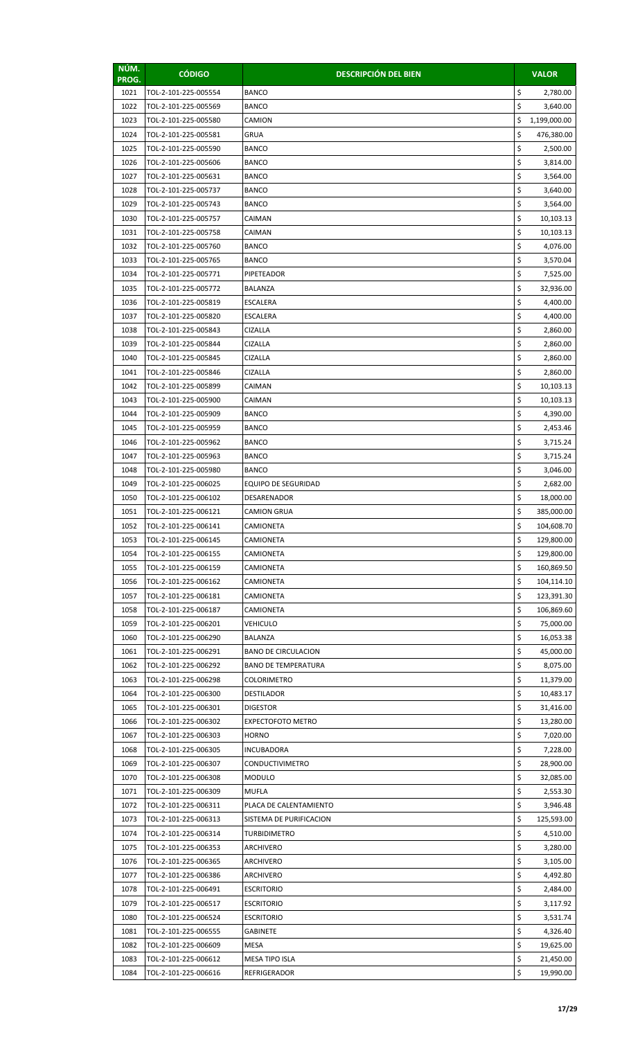| \$<br>1021<br>TOL-2-101-225-005554<br><b>BANCO</b><br>2,780.00<br>\$<br>1022<br>TOL-2-101-225-005569<br><b>BANCO</b><br>3,640.00<br>\$<br>1023<br>TOL-2-101-225-005580<br>CAMION<br>1,199,000.00<br>\$<br>1024<br>TOL-2-101-225-005581<br><b>GRUA</b><br>476,380.00<br>\$<br>1025<br>TOL-2-101-225-005590<br><b>BANCO</b><br>2,500.00<br>\$<br>1026<br>TOL-2-101-225-005606<br><b>BANCO</b><br>3,814.00<br>\$<br>1027<br>TOL-2-101-225-005631<br><b>BANCO</b><br>3,564.00<br>\$<br>1028<br>TOL-2-101-225-005737<br><b>BANCO</b><br>3,640.00<br>\$<br>1029<br>TOL-2-101-225-005743<br><b>BANCO</b><br>3,564.00<br>\$<br>1030<br>TOL-2-101-225-005757<br>CAIMAN<br>10,103.13<br>\$<br>1031<br>TOL-2-101-225-005758<br>CAIMAN<br>10,103.13<br>\$<br>1032<br>TOL-2-101-225-005760<br><b>BANCO</b><br>4,076.00<br>\$<br>1033<br>TOL-2-101-225-005765<br><b>BANCO</b><br>3,570.04<br>\$<br>1034<br>TOL-2-101-225-005771<br>PIPETEADOR<br>7,525.00<br>\$<br>1035<br>32,936.00<br>TOL-2-101-225-005772<br>BALANZA<br>\$<br>1036<br>TOL-2-101-225-005819<br><b>ESCALERA</b><br>4,400.00<br>\$<br>1037<br>4,400.00<br>TOL-2-101-225-005820<br><b>ESCALERA</b><br>\$<br>1038<br><b>CIZALLA</b><br>TOL-2-101-225-005843<br>2,860.00<br>\$<br>1039<br>TOL-2-101-225-005844<br>CIZALLA<br>2,860.00<br>\$<br>1040<br>TOL-2-101-225-005845<br>CIZALLA<br>2,860.00<br>\$<br>1041<br>TOL-2-101-225-005846<br><b>CIZALLA</b><br>2,860.00<br>\$<br>1042<br>TOL-2-101-225-005899<br>CAIMAN<br>10,103.13<br>\$<br>1043<br>TOL-2-101-225-005900<br>10,103.13<br>CAIMAN<br>\$<br>1044<br>TOL-2-101-225-005909<br><b>BANCO</b><br>4,390.00<br>\$<br>1045<br>TOL-2-101-225-005959<br><b>BANCO</b><br>2,453.46<br>\$<br>1046<br>TOL-2-101-225-005962<br><b>BANCO</b><br>3,715.24<br>\$<br>1047<br>TOL-2-101-225-005963<br><b>BANCO</b><br>3,715.24<br>\$<br>1048<br>TOL-2-101-225-005980<br><b>BANCO</b><br>3,046.00<br>\$<br>1049<br>TOL-2-101-225-006025<br><b>EQUIPO DE SEGURIDAD</b><br>2,682.00<br>\$<br>1050<br>TOL-2-101-225-006102<br>18,000.00<br><b>DESARENADOR</b><br>\$<br>1051<br>385,000.00<br>TOL-2-101-225-006121<br><b>CAMION GRUA</b><br>1052<br>TOL-2-101-225-006141<br>CAMIONETA<br>\$<br>104,608.70<br>\$<br>1053<br>TOL-2-101-225-006145<br>CAMIONETA<br>129,800.00<br>\$<br>1054<br>TOL-2-101-225-006155<br>CAMIONETA<br>129,800.00<br>\$<br>1055<br>TOL-2-101-225-006159<br>CAMIONETA<br>160,869.50<br>\$<br>1056<br>TOL-2-101-225-006162<br>CAMIONETA<br>104,114.10<br>\$<br>1057<br>TOL-2-101-225-006181<br>CAMIONETA<br>123,391.30<br>\$<br>1058<br>TOL-2-101-225-006187<br>CAMIONETA<br>106,869.60<br>\$<br>1059<br>TOL-2-101-225-006201<br><b>VEHICULO</b><br>75,000.00<br>\$<br>1060<br>TOL-2-101-225-006290<br>BALANZA<br>16,053.38<br>\$<br>1061<br>TOL-2-101-225-006291<br><b>BANO DE CIRCULACION</b><br>45,000.00<br>\$<br>1062<br>TOL-2-101-225-006292<br><b>BANO DE TEMPERATURA</b><br>8,075.00<br>\$<br>1063<br>TOL-2-101-225-006298<br><b>COLORIMETRO</b><br>11,379.00<br>\$<br>1064<br>TOL-2-101-225-006300<br><b>DESTILADOR</b><br>10,483.17<br>\$<br>1065<br>TOL-2-101-225-006301<br><b>DIGESTOR</b><br>31,416.00<br>\$<br>1066<br>TOL-2-101-225-006302<br>13,280.00<br><b>EXPECTOFOTO METRO</b><br>\$<br>1067<br>TOL-2-101-225-006303<br><b>HORNO</b><br>7,020.00<br>\$<br>1068<br>TOL-2-101-225-006305<br><b>INCUBADORA</b><br>7,228.00<br>\$<br>1069<br>TOL-2-101-225-006307<br><b>CONDUCTIVIMETRO</b><br>28,900.00<br>\$<br>1070<br>TOL-2-101-225-006308<br><b>MODULO</b><br>32,085.00<br>\$<br>1071<br>TOL-2-101-225-006309<br>MUFLA<br>2,553.30<br>\$<br>1072<br>TOL-2-101-225-006311<br>PLACA DE CALENTAMIENTO<br>3,946.48<br>\$<br>1073<br>TOL-2-101-225-006313<br>SISTEMA DE PURIFICACION<br>125,593.00<br>\$<br>1074<br>TOL-2-101-225-006314<br><b>TURBIDIMETRO</b><br>4,510.00<br>\$<br>1075<br>TOL-2-101-225-006353<br>3,280.00<br>ARCHIVERO<br>\$<br>1076<br>TOL-2-101-225-006365<br>ARCHIVERO<br>3,105.00<br>\$<br>1077<br>TOL-2-101-225-006386<br>ARCHIVERO<br>4,492.80<br>\$<br>1078<br>TOL-2-101-225-006491<br><b>ESCRITORIO</b><br>2,484.00<br>\$<br>1079<br>TOL-2-101-225-006517<br><b>ESCRITORIO</b><br>3,117.92<br>\$<br>1080<br>TOL-2-101-225-006524<br><b>ESCRITORIO</b><br>3,531.74<br>\$<br>1081<br>TOL-2-101-225-006555<br><b>GABINETE</b><br>4,326.40<br>\$<br>1082<br>TOL-2-101-225-006609<br>MESA<br>19,625.00<br>\$<br>1083<br>TOL-2-101-225-006612<br><b>MESA TIPO ISLA</b><br>21,450.00<br>\$<br>1084<br>TOL-2-101-225-006616<br>REFRIGERADOR<br>19,990.00 | NÚM.<br>PROG. | <b>CÓDIGO</b> | <b>DESCRIPCIÓN DEL BIEN</b> | <b>VALOR</b> |
|----------------------------------------------------------------------------------------------------------------------------------------------------------------------------------------------------------------------------------------------------------------------------------------------------------------------------------------------------------------------------------------------------------------------------------------------------------------------------------------------------------------------------------------------------------------------------------------------------------------------------------------------------------------------------------------------------------------------------------------------------------------------------------------------------------------------------------------------------------------------------------------------------------------------------------------------------------------------------------------------------------------------------------------------------------------------------------------------------------------------------------------------------------------------------------------------------------------------------------------------------------------------------------------------------------------------------------------------------------------------------------------------------------------------------------------------------------------------------------------------------------------------------------------------------------------------------------------------------------------------------------------------------------------------------------------------------------------------------------------------------------------------------------------------------------------------------------------------------------------------------------------------------------------------------------------------------------------------------------------------------------------------------------------------------------------------------------------------------------------------------------------------------------------------------------------------------------------------------------------------------------------------------------------------------------------------------------------------------------------------------------------------------------------------------------------------------------------------------------------------------------------------------------------------------------------------------------------------------------------------------------------------------------------------------------------------------------------------------------------------------------------------------------------------------------------------------------------------------------------------------------------------------------------------------------------------------------------------------------------------------------------------------------------------------------------------------------------------------------------------------------------------------------------------------------------------------------------------------------------------------------------------------------------------------------------------------------------------------------------------------------------------------------------------------------------------------------------------------------------------------------------------------------------------------------------------------------------------------------------------------------------------------------------------------------------------------------------------------------------------------------------------------------------------------------------------------------------------------------------------------------------------------------------------------------------------------------------------------------------------------------------------------------------------------------------------------------------------------------------------------------------------------------------------------------------------------------------------------------------------------------------------------------------------------------------------------------------------------------------------------------------------------------------------------------------------------------------------------------------------------------|---------------|---------------|-----------------------------|--------------|
|                                                                                                                                                                                                                                                                                                                                                                                                                                                                                                                                                                                                                                                                                                                                                                                                                                                                                                                                                                                                                                                                                                                                                                                                                                                                                                                                                                                                                                                                                                                                                                                                                                                                                                                                                                                                                                                                                                                                                                                                                                                                                                                                                                                                                                                                                                                                                                                                                                                                                                                                                                                                                                                                                                                                                                                                                                                                                                                                                                                                                                                                                                                                                                                                                                                                                                                                                                                                                                                                                                                                                                                                                                                                                                                                                                                                                                                                                                                                                                                                                                                                                                                                                                                                                                                                                                                                                                                                                                                                                                          |               |               |                             |              |
|                                                                                                                                                                                                                                                                                                                                                                                                                                                                                                                                                                                                                                                                                                                                                                                                                                                                                                                                                                                                                                                                                                                                                                                                                                                                                                                                                                                                                                                                                                                                                                                                                                                                                                                                                                                                                                                                                                                                                                                                                                                                                                                                                                                                                                                                                                                                                                                                                                                                                                                                                                                                                                                                                                                                                                                                                                                                                                                                                                                                                                                                                                                                                                                                                                                                                                                                                                                                                                                                                                                                                                                                                                                                                                                                                                                                                                                                                                                                                                                                                                                                                                                                                                                                                                                                                                                                                                                                                                                                                                          |               |               |                             |              |
|                                                                                                                                                                                                                                                                                                                                                                                                                                                                                                                                                                                                                                                                                                                                                                                                                                                                                                                                                                                                                                                                                                                                                                                                                                                                                                                                                                                                                                                                                                                                                                                                                                                                                                                                                                                                                                                                                                                                                                                                                                                                                                                                                                                                                                                                                                                                                                                                                                                                                                                                                                                                                                                                                                                                                                                                                                                                                                                                                                                                                                                                                                                                                                                                                                                                                                                                                                                                                                                                                                                                                                                                                                                                                                                                                                                                                                                                                                                                                                                                                                                                                                                                                                                                                                                                                                                                                                                                                                                                                                          |               |               |                             |              |
|                                                                                                                                                                                                                                                                                                                                                                                                                                                                                                                                                                                                                                                                                                                                                                                                                                                                                                                                                                                                                                                                                                                                                                                                                                                                                                                                                                                                                                                                                                                                                                                                                                                                                                                                                                                                                                                                                                                                                                                                                                                                                                                                                                                                                                                                                                                                                                                                                                                                                                                                                                                                                                                                                                                                                                                                                                                                                                                                                                                                                                                                                                                                                                                                                                                                                                                                                                                                                                                                                                                                                                                                                                                                                                                                                                                                                                                                                                                                                                                                                                                                                                                                                                                                                                                                                                                                                                                                                                                                                                          |               |               |                             |              |
|                                                                                                                                                                                                                                                                                                                                                                                                                                                                                                                                                                                                                                                                                                                                                                                                                                                                                                                                                                                                                                                                                                                                                                                                                                                                                                                                                                                                                                                                                                                                                                                                                                                                                                                                                                                                                                                                                                                                                                                                                                                                                                                                                                                                                                                                                                                                                                                                                                                                                                                                                                                                                                                                                                                                                                                                                                                                                                                                                                                                                                                                                                                                                                                                                                                                                                                                                                                                                                                                                                                                                                                                                                                                                                                                                                                                                                                                                                                                                                                                                                                                                                                                                                                                                                                                                                                                                                                                                                                                                                          |               |               |                             |              |
|                                                                                                                                                                                                                                                                                                                                                                                                                                                                                                                                                                                                                                                                                                                                                                                                                                                                                                                                                                                                                                                                                                                                                                                                                                                                                                                                                                                                                                                                                                                                                                                                                                                                                                                                                                                                                                                                                                                                                                                                                                                                                                                                                                                                                                                                                                                                                                                                                                                                                                                                                                                                                                                                                                                                                                                                                                                                                                                                                                                                                                                                                                                                                                                                                                                                                                                                                                                                                                                                                                                                                                                                                                                                                                                                                                                                                                                                                                                                                                                                                                                                                                                                                                                                                                                                                                                                                                                                                                                                                                          |               |               |                             |              |
|                                                                                                                                                                                                                                                                                                                                                                                                                                                                                                                                                                                                                                                                                                                                                                                                                                                                                                                                                                                                                                                                                                                                                                                                                                                                                                                                                                                                                                                                                                                                                                                                                                                                                                                                                                                                                                                                                                                                                                                                                                                                                                                                                                                                                                                                                                                                                                                                                                                                                                                                                                                                                                                                                                                                                                                                                                                                                                                                                                                                                                                                                                                                                                                                                                                                                                                                                                                                                                                                                                                                                                                                                                                                                                                                                                                                                                                                                                                                                                                                                                                                                                                                                                                                                                                                                                                                                                                                                                                                                                          |               |               |                             |              |
|                                                                                                                                                                                                                                                                                                                                                                                                                                                                                                                                                                                                                                                                                                                                                                                                                                                                                                                                                                                                                                                                                                                                                                                                                                                                                                                                                                                                                                                                                                                                                                                                                                                                                                                                                                                                                                                                                                                                                                                                                                                                                                                                                                                                                                                                                                                                                                                                                                                                                                                                                                                                                                                                                                                                                                                                                                                                                                                                                                                                                                                                                                                                                                                                                                                                                                                                                                                                                                                                                                                                                                                                                                                                                                                                                                                                                                                                                                                                                                                                                                                                                                                                                                                                                                                                                                                                                                                                                                                                                                          |               |               |                             |              |
|                                                                                                                                                                                                                                                                                                                                                                                                                                                                                                                                                                                                                                                                                                                                                                                                                                                                                                                                                                                                                                                                                                                                                                                                                                                                                                                                                                                                                                                                                                                                                                                                                                                                                                                                                                                                                                                                                                                                                                                                                                                                                                                                                                                                                                                                                                                                                                                                                                                                                                                                                                                                                                                                                                                                                                                                                                                                                                                                                                                                                                                                                                                                                                                                                                                                                                                                                                                                                                                                                                                                                                                                                                                                                                                                                                                                                                                                                                                                                                                                                                                                                                                                                                                                                                                                                                                                                                                                                                                                                                          |               |               |                             |              |
|                                                                                                                                                                                                                                                                                                                                                                                                                                                                                                                                                                                                                                                                                                                                                                                                                                                                                                                                                                                                                                                                                                                                                                                                                                                                                                                                                                                                                                                                                                                                                                                                                                                                                                                                                                                                                                                                                                                                                                                                                                                                                                                                                                                                                                                                                                                                                                                                                                                                                                                                                                                                                                                                                                                                                                                                                                                                                                                                                                                                                                                                                                                                                                                                                                                                                                                                                                                                                                                                                                                                                                                                                                                                                                                                                                                                                                                                                                                                                                                                                                                                                                                                                                                                                                                                                                                                                                                                                                                                                                          |               |               |                             |              |
|                                                                                                                                                                                                                                                                                                                                                                                                                                                                                                                                                                                                                                                                                                                                                                                                                                                                                                                                                                                                                                                                                                                                                                                                                                                                                                                                                                                                                                                                                                                                                                                                                                                                                                                                                                                                                                                                                                                                                                                                                                                                                                                                                                                                                                                                                                                                                                                                                                                                                                                                                                                                                                                                                                                                                                                                                                                                                                                                                                                                                                                                                                                                                                                                                                                                                                                                                                                                                                                                                                                                                                                                                                                                                                                                                                                                                                                                                                                                                                                                                                                                                                                                                                                                                                                                                                                                                                                                                                                                                                          |               |               |                             |              |
|                                                                                                                                                                                                                                                                                                                                                                                                                                                                                                                                                                                                                                                                                                                                                                                                                                                                                                                                                                                                                                                                                                                                                                                                                                                                                                                                                                                                                                                                                                                                                                                                                                                                                                                                                                                                                                                                                                                                                                                                                                                                                                                                                                                                                                                                                                                                                                                                                                                                                                                                                                                                                                                                                                                                                                                                                                                                                                                                                                                                                                                                                                                                                                                                                                                                                                                                                                                                                                                                                                                                                                                                                                                                                                                                                                                                                                                                                                                                                                                                                                                                                                                                                                                                                                                                                                                                                                                                                                                                                                          |               |               |                             |              |
|                                                                                                                                                                                                                                                                                                                                                                                                                                                                                                                                                                                                                                                                                                                                                                                                                                                                                                                                                                                                                                                                                                                                                                                                                                                                                                                                                                                                                                                                                                                                                                                                                                                                                                                                                                                                                                                                                                                                                                                                                                                                                                                                                                                                                                                                                                                                                                                                                                                                                                                                                                                                                                                                                                                                                                                                                                                                                                                                                                                                                                                                                                                                                                                                                                                                                                                                                                                                                                                                                                                                                                                                                                                                                                                                                                                                                                                                                                                                                                                                                                                                                                                                                                                                                                                                                                                                                                                                                                                                                                          |               |               |                             |              |
|                                                                                                                                                                                                                                                                                                                                                                                                                                                                                                                                                                                                                                                                                                                                                                                                                                                                                                                                                                                                                                                                                                                                                                                                                                                                                                                                                                                                                                                                                                                                                                                                                                                                                                                                                                                                                                                                                                                                                                                                                                                                                                                                                                                                                                                                                                                                                                                                                                                                                                                                                                                                                                                                                                                                                                                                                                                                                                                                                                                                                                                                                                                                                                                                                                                                                                                                                                                                                                                                                                                                                                                                                                                                                                                                                                                                                                                                                                                                                                                                                                                                                                                                                                                                                                                                                                                                                                                                                                                                                                          |               |               |                             |              |
|                                                                                                                                                                                                                                                                                                                                                                                                                                                                                                                                                                                                                                                                                                                                                                                                                                                                                                                                                                                                                                                                                                                                                                                                                                                                                                                                                                                                                                                                                                                                                                                                                                                                                                                                                                                                                                                                                                                                                                                                                                                                                                                                                                                                                                                                                                                                                                                                                                                                                                                                                                                                                                                                                                                                                                                                                                                                                                                                                                                                                                                                                                                                                                                                                                                                                                                                                                                                                                                                                                                                                                                                                                                                                                                                                                                                                                                                                                                                                                                                                                                                                                                                                                                                                                                                                                                                                                                                                                                                                                          |               |               |                             |              |
|                                                                                                                                                                                                                                                                                                                                                                                                                                                                                                                                                                                                                                                                                                                                                                                                                                                                                                                                                                                                                                                                                                                                                                                                                                                                                                                                                                                                                                                                                                                                                                                                                                                                                                                                                                                                                                                                                                                                                                                                                                                                                                                                                                                                                                                                                                                                                                                                                                                                                                                                                                                                                                                                                                                                                                                                                                                                                                                                                                                                                                                                                                                                                                                                                                                                                                                                                                                                                                                                                                                                                                                                                                                                                                                                                                                                                                                                                                                                                                                                                                                                                                                                                                                                                                                                                                                                                                                                                                                                                                          |               |               |                             |              |
|                                                                                                                                                                                                                                                                                                                                                                                                                                                                                                                                                                                                                                                                                                                                                                                                                                                                                                                                                                                                                                                                                                                                                                                                                                                                                                                                                                                                                                                                                                                                                                                                                                                                                                                                                                                                                                                                                                                                                                                                                                                                                                                                                                                                                                                                                                                                                                                                                                                                                                                                                                                                                                                                                                                                                                                                                                                                                                                                                                                                                                                                                                                                                                                                                                                                                                                                                                                                                                                                                                                                                                                                                                                                                                                                                                                                                                                                                                                                                                                                                                                                                                                                                                                                                                                                                                                                                                                                                                                                                                          |               |               |                             |              |
|                                                                                                                                                                                                                                                                                                                                                                                                                                                                                                                                                                                                                                                                                                                                                                                                                                                                                                                                                                                                                                                                                                                                                                                                                                                                                                                                                                                                                                                                                                                                                                                                                                                                                                                                                                                                                                                                                                                                                                                                                                                                                                                                                                                                                                                                                                                                                                                                                                                                                                                                                                                                                                                                                                                                                                                                                                                                                                                                                                                                                                                                                                                                                                                                                                                                                                                                                                                                                                                                                                                                                                                                                                                                                                                                                                                                                                                                                                                                                                                                                                                                                                                                                                                                                                                                                                                                                                                                                                                                                                          |               |               |                             |              |
|                                                                                                                                                                                                                                                                                                                                                                                                                                                                                                                                                                                                                                                                                                                                                                                                                                                                                                                                                                                                                                                                                                                                                                                                                                                                                                                                                                                                                                                                                                                                                                                                                                                                                                                                                                                                                                                                                                                                                                                                                                                                                                                                                                                                                                                                                                                                                                                                                                                                                                                                                                                                                                                                                                                                                                                                                                                                                                                                                                                                                                                                                                                                                                                                                                                                                                                                                                                                                                                                                                                                                                                                                                                                                                                                                                                                                                                                                                                                                                                                                                                                                                                                                                                                                                                                                                                                                                                                                                                                                                          |               |               |                             |              |
|                                                                                                                                                                                                                                                                                                                                                                                                                                                                                                                                                                                                                                                                                                                                                                                                                                                                                                                                                                                                                                                                                                                                                                                                                                                                                                                                                                                                                                                                                                                                                                                                                                                                                                                                                                                                                                                                                                                                                                                                                                                                                                                                                                                                                                                                                                                                                                                                                                                                                                                                                                                                                                                                                                                                                                                                                                                                                                                                                                                                                                                                                                                                                                                                                                                                                                                                                                                                                                                                                                                                                                                                                                                                                                                                                                                                                                                                                                                                                                                                                                                                                                                                                                                                                                                                                                                                                                                                                                                                                                          |               |               |                             |              |
|                                                                                                                                                                                                                                                                                                                                                                                                                                                                                                                                                                                                                                                                                                                                                                                                                                                                                                                                                                                                                                                                                                                                                                                                                                                                                                                                                                                                                                                                                                                                                                                                                                                                                                                                                                                                                                                                                                                                                                                                                                                                                                                                                                                                                                                                                                                                                                                                                                                                                                                                                                                                                                                                                                                                                                                                                                                                                                                                                                                                                                                                                                                                                                                                                                                                                                                                                                                                                                                                                                                                                                                                                                                                                                                                                                                                                                                                                                                                                                                                                                                                                                                                                                                                                                                                                                                                                                                                                                                                                                          |               |               |                             |              |
|                                                                                                                                                                                                                                                                                                                                                                                                                                                                                                                                                                                                                                                                                                                                                                                                                                                                                                                                                                                                                                                                                                                                                                                                                                                                                                                                                                                                                                                                                                                                                                                                                                                                                                                                                                                                                                                                                                                                                                                                                                                                                                                                                                                                                                                                                                                                                                                                                                                                                                                                                                                                                                                                                                                                                                                                                                                                                                                                                                                                                                                                                                                                                                                                                                                                                                                                                                                                                                                                                                                                                                                                                                                                                                                                                                                                                                                                                                                                                                                                                                                                                                                                                                                                                                                                                                                                                                                                                                                                                                          |               |               |                             |              |
|                                                                                                                                                                                                                                                                                                                                                                                                                                                                                                                                                                                                                                                                                                                                                                                                                                                                                                                                                                                                                                                                                                                                                                                                                                                                                                                                                                                                                                                                                                                                                                                                                                                                                                                                                                                                                                                                                                                                                                                                                                                                                                                                                                                                                                                                                                                                                                                                                                                                                                                                                                                                                                                                                                                                                                                                                                                                                                                                                                                                                                                                                                                                                                                                                                                                                                                                                                                                                                                                                                                                                                                                                                                                                                                                                                                                                                                                                                                                                                                                                                                                                                                                                                                                                                                                                                                                                                                                                                                                                                          |               |               |                             |              |
|                                                                                                                                                                                                                                                                                                                                                                                                                                                                                                                                                                                                                                                                                                                                                                                                                                                                                                                                                                                                                                                                                                                                                                                                                                                                                                                                                                                                                                                                                                                                                                                                                                                                                                                                                                                                                                                                                                                                                                                                                                                                                                                                                                                                                                                                                                                                                                                                                                                                                                                                                                                                                                                                                                                                                                                                                                                                                                                                                                                                                                                                                                                                                                                                                                                                                                                                                                                                                                                                                                                                                                                                                                                                                                                                                                                                                                                                                                                                                                                                                                                                                                                                                                                                                                                                                                                                                                                                                                                                                                          |               |               |                             |              |
|                                                                                                                                                                                                                                                                                                                                                                                                                                                                                                                                                                                                                                                                                                                                                                                                                                                                                                                                                                                                                                                                                                                                                                                                                                                                                                                                                                                                                                                                                                                                                                                                                                                                                                                                                                                                                                                                                                                                                                                                                                                                                                                                                                                                                                                                                                                                                                                                                                                                                                                                                                                                                                                                                                                                                                                                                                                                                                                                                                                                                                                                                                                                                                                                                                                                                                                                                                                                                                                                                                                                                                                                                                                                                                                                                                                                                                                                                                                                                                                                                                                                                                                                                                                                                                                                                                                                                                                                                                                                                                          |               |               |                             |              |
|                                                                                                                                                                                                                                                                                                                                                                                                                                                                                                                                                                                                                                                                                                                                                                                                                                                                                                                                                                                                                                                                                                                                                                                                                                                                                                                                                                                                                                                                                                                                                                                                                                                                                                                                                                                                                                                                                                                                                                                                                                                                                                                                                                                                                                                                                                                                                                                                                                                                                                                                                                                                                                                                                                                                                                                                                                                                                                                                                                                                                                                                                                                                                                                                                                                                                                                                                                                                                                                                                                                                                                                                                                                                                                                                                                                                                                                                                                                                                                                                                                                                                                                                                                                                                                                                                                                                                                                                                                                                                                          |               |               |                             |              |
|                                                                                                                                                                                                                                                                                                                                                                                                                                                                                                                                                                                                                                                                                                                                                                                                                                                                                                                                                                                                                                                                                                                                                                                                                                                                                                                                                                                                                                                                                                                                                                                                                                                                                                                                                                                                                                                                                                                                                                                                                                                                                                                                                                                                                                                                                                                                                                                                                                                                                                                                                                                                                                                                                                                                                                                                                                                                                                                                                                                                                                                                                                                                                                                                                                                                                                                                                                                                                                                                                                                                                                                                                                                                                                                                                                                                                                                                                                                                                                                                                                                                                                                                                                                                                                                                                                                                                                                                                                                                                                          |               |               |                             |              |
|                                                                                                                                                                                                                                                                                                                                                                                                                                                                                                                                                                                                                                                                                                                                                                                                                                                                                                                                                                                                                                                                                                                                                                                                                                                                                                                                                                                                                                                                                                                                                                                                                                                                                                                                                                                                                                                                                                                                                                                                                                                                                                                                                                                                                                                                                                                                                                                                                                                                                                                                                                                                                                                                                                                                                                                                                                                                                                                                                                                                                                                                                                                                                                                                                                                                                                                                                                                                                                                                                                                                                                                                                                                                                                                                                                                                                                                                                                                                                                                                                                                                                                                                                                                                                                                                                                                                                                                                                                                                                                          |               |               |                             |              |
|                                                                                                                                                                                                                                                                                                                                                                                                                                                                                                                                                                                                                                                                                                                                                                                                                                                                                                                                                                                                                                                                                                                                                                                                                                                                                                                                                                                                                                                                                                                                                                                                                                                                                                                                                                                                                                                                                                                                                                                                                                                                                                                                                                                                                                                                                                                                                                                                                                                                                                                                                                                                                                                                                                                                                                                                                                                                                                                                                                                                                                                                                                                                                                                                                                                                                                                                                                                                                                                                                                                                                                                                                                                                                                                                                                                                                                                                                                                                                                                                                                                                                                                                                                                                                                                                                                                                                                                                                                                                                                          |               |               |                             |              |
|                                                                                                                                                                                                                                                                                                                                                                                                                                                                                                                                                                                                                                                                                                                                                                                                                                                                                                                                                                                                                                                                                                                                                                                                                                                                                                                                                                                                                                                                                                                                                                                                                                                                                                                                                                                                                                                                                                                                                                                                                                                                                                                                                                                                                                                                                                                                                                                                                                                                                                                                                                                                                                                                                                                                                                                                                                                                                                                                                                                                                                                                                                                                                                                                                                                                                                                                                                                                                                                                                                                                                                                                                                                                                                                                                                                                                                                                                                                                                                                                                                                                                                                                                                                                                                                                                                                                                                                                                                                                                                          |               |               |                             |              |
|                                                                                                                                                                                                                                                                                                                                                                                                                                                                                                                                                                                                                                                                                                                                                                                                                                                                                                                                                                                                                                                                                                                                                                                                                                                                                                                                                                                                                                                                                                                                                                                                                                                                                                                                                                                                                                                                                                                                                                                                                                                                                                                                                                                                                                                                                                                                                                                                                                                                                                                                                                                                                                                                                                                                                                                                                                                                                                                                                                                                                                                                                                                                                                                                                                                                                                                                                                                                                                                                                                                                                                                                                                                                                                                                                                                                                                                                                                                                                                                                                                                                                                                                                                                                                                                                                                                                                                                                                                                                                                          |               |               |                             |              |
|                                                                                                                                                                                                                                                                                                                                                                                                                                                                                                                                                                                                                                                                                                                                                                                                                                                                                                                                                                                                                                                                                                                                                                                                                                                                                                                                                                                                                                                                                                                                                                                                                                                                                                                                                                                                                                                                                                                                                                                                                                                                                                                                                                                                                                                                                                                                                                                                                                                                                                                                                                                                                                                                                                                                                                                                                                                                                                                                                                                                                                                                                                                                                                                                                                                                                                                                                                                                                                                                                                                                                                                                                                                                                                                                                                                                                                                                                                                                                                                                                                                                                                                                                                                                                                                                                                                                                                                                                                                                                                          |               |               |                             |              |
|                                                                                                                                                                                                                                                                                                                                                                                                                                                                                                                                                                                                                                                                                                                                                                                                                                                                                                                                                                                                                                                                                                                                                                                                                                                                                                                                                                                                                                                                                                                                                                                                                                                                                                                                                                                                                                                                                                                                                                                                                                                                                                                                                                                                                                                                                                                                                                                                                                                                                                                                                                                                                                                                                                                                                                                                                                                                                                                                                                                                                                                                                                                                                                                                                                                                                                                                                                                                                                                                                                                                                                                                                                                                                                                                                                                                                                                                                                                                                                                                                                                                                                                                                                                                                                                                                                                                                                                                                                                                                                          |               |               |                             |              |
|                                                                                                                                                                                                                                                                                                                                                                                                                                                                                                                                                                                                                                                                                                                                                                                                                                                                                                                                                                                                                                                                                                                                                                                                                                                                                                                                                                                                                                                                                                                                                                                                                                                                                                                                                                                                                                                                                                                                                                                                                                                                                                                                                                                                                                                                                                                                                                                                                                                                                                                                                                                                                                                                                                                                                                                                                                                                                                                                                                                                                                                                                                                                                                                                                                                                                                                                                                                                                                                                                                                                                                                                                                                                                                                                                                                                                                                                                                                                                                                                                                                                                                                                                                                                                                                                                                                                                                                                                                                                                                          |               |               |                             |              |
|                                                                                                                                                                                                                                                                                                                                                                                                                                                                                                                                                                                                                                                                                                                                                                                                                                                                                                                                                                                                                                                                                                                                                                                                                                                                                                                                                                                                                                                                                                                                                                                                                                                                                                                                                                                                                                                                                                                                                                                                                                                                                                                                                                                                                                                                                                                                                                                                                                                                                                                                                                                                                                                                                                                                                                                                                                                                                                                                                                                                                                                                                                                                                                                                                                                                                                                                                                                                                                                                                                                                                                                                                                                                                                                                                                                                                                                                                                                                                                                                                                                                                                                                                                                                                                                                                                                                                                                                                                                                                                          |               |               |                             |              |
|                                                                                                                                                                                                                                                                                                                                                                                                                                                                                                                                                                                                                                                                                                                                                                                                                                                                                                                                                                                                                                                                                                                                                                                                                                                                                                                                                                                                                                                                                                                                                                                                                                                                                                                                                                                                                                                                                                                                                                                                                                                                                                                                                                                                                                                                                                                                                                                                                                                                                                                                                                                                                                                                                                                                                                                                                                                                                                                                                                                                                                                                                                                                                                                                                                                                                                                                                                                                                                                                                                                                                                                                                                                                                                                                                                                                                                                                                                                                                                                                                                                                                                                                                                                                                                                                                                                                                                                                                                                                                                          |               |               |                             |              |
|                                                                                                                                                                                                                                                                                                                                                                                                                                                                                                                                                                                                                                                                                                                                                                                                                                                                                                                                                                                                                                                                                                                                                                                                                                                                                                                                                                                                                                                                                                                                                                                                                                                                                                                                                                                                                                                                                                                                                                                                                                                                                                                                                                                                                                                                                                                                                                                                                                                                                                                                                                                                                                                                                                                                                                                                                                                                                                                                                                                                                                                                                                                                                                                                                                                                                                                                                                                                                                                                                                                                                                                                                                                                                                                                                                                                                                                                                                                                                                                                                                                                                                                                                                                                                                                                                                                                                                                                                                                                                                          |               |               |                             |              |
|                                                                                                                                                                                                                                                                                                                                                                                                                                                                                                                                                                                                                                                                                                                                                                                                                                                                                                                                                                                                                                                                                                                                                                                                                                                                                                                                                                                                                                                                                                                                                                                                                                                                                                                                                                                                                                                                                                                                                                                                                                                                                                                                                                                                                                                                                                                                                                                                                                                                                                                                                                                                                                                                                                                                                                                                                                                                                                                                                                                                                                                                                                                                                                                                                                                                                                                                                                                                                                                                                                                                                                                                                                                                                                                                                                                                                                                                                                                                                                                                                                                                                                                                                                                                                                                                                                                                                                                                                                                                                                          |               |               |                             |              |
|                                                                                                                                                                                                                                                                                                                                                                                                                                                                                                                                                                                                                                                                                                                                                                                                                                                                                                                                                                                                                                                                                                                                                                                                                                                                                                                                                                                                                                                                                                                                                                                                                                                                                                                                                                                                                                                                                                                                                                                                                                                                                                                                                                                                                                                                                                                                                                                                                                                                                                                                                                                                                                                                                                                                                                                                                                                                                                                                                                                                                                                                                                                                                                                                                                                                                                                                                                                                                                                                                                                                                                                                                                                                                                                                                                                                                                                                                                                                                                                                                                                                                                                                                                                                                                                                                                                                                                                                                                                                                                          |               |               |                             |              |
|                                                                                                                                                                                                                                                                                                                                                                                                                                                                                                                                                                                                                                                                                                                                                                                                                                                                                                                                                                                                                                                                                                                                                                                                                                                                                                                                                                                                                                                                                                                                                                                                                                                                                                                                                                                                                                                                                                                                                                                                                                                                                                                                                                                                                                                                                                                                                                                                                                                                                                                                                                                                                                                                                                                                                                                                                                                                                                                                                                                                                                                                                                                                                                                                                                                                                                                                                                                                                                                                                                                                                                                                                                                                                                                                                                                                                                                                                                                                                                                                                                                                                                                                                                                                                                                                                                                                                                                                                                                                                                          |               |               |                             |              |
|                                                                                                                                                                                                                                                                                                                                                                                                                                                                                                                                                                                                                                                                                                                                                                                                                                                                                                                                                                                                                                                                                                                                                                                                                                                                                                                                                                                                                                                                                                                                                                                                                                                                                                                                                                                                                                                                                                                                                                                                                                                                                                                                                                                                                                                                                                                                                                                                                                                                                                                                                                                                                                                                                                                                                                                                                                                                                                                                                                                                                                                                                                                                                                                                                                                                                                                                                                                                                                                                                                                                                                                                                                                                                                                                                                                                                                                                                                                                                                                                                                                                                                                                                                                                                                                                                                                                                                                                                                                                                                          |               |               |                             |              |
|                                                                                                                                                                                                                                                                                                                                                                                                                                                                                                                                                                                                                                                                                                                                                                                                                                                                                                                                                                                                                                                                                                                                                                                                                                                                                                                                                                                                                                                                                                                                                                                                                                                                                                                                                                                                                                                                                                                                                                                                                                                                                                                                                                                                                                                                                                                                                                                                                                                                                                                                                                                                                                                                                                                                                                                                                                                                                                                                                                                                                                                                                                                                                                                                                                                                                                                                                                                                                                                                                                                                                                                                                                                                                                                                                                                                                                                                                                                                                                                                                                                                                                                                                                                                                                                                                                                                                                                                                                                                                                          |               |               |                             |              |
|                                                                                                                                                                                                                                                                                                                                                                                                                                                                                                                                                                                                                                                                                                                                                                                                                                                                                                                                                                                                                                                                                                                                                                                                                                                                                                                                                                                                                                                                                                                                                                                                                                                                                                                                                                                                                                                                                                                                                                                                                                                                                                                                                                                                                                                                                                                                                                                                                                                                                                                                                                                                                                                                                                                                                                                                                                                                                                                                                                                                                                                                                                                                                                                                                                                                                                                                                                                                                                                                                                                                                                                                                                                                                                                                                                                                                                                                                                                                                                                                                                                                                                                                                                                                                                                                                                                                                                                                                                                                                                          |               |               |                             |              |
|                                                                                                                                                                                                                                                                                                                                                                                                                                                                                                                                                                                                                                                                                                                                                                                                                                                                                                                                                                                                                                                                                                                                                                                                                                                                                                                                                                                                                                                                                                                                                                                                                                                                                                                                                                                                                                                                                                                                                                                                                                                                                                                                                                                                                                                                                                                                                                                                                                                                                                                                                                                                                                                                                                                                                                                                                                                                                                                                                                                                                                                                                                                                                                                                                                                                                                                                                                                                                                                                                                                                                                                                                                                                                                                                                                                                                                                                                                                                                                                                                                                                                                                                                                                                                                                                                                                                                                                                                                                                                                          |               |               |                             |              |
|                                                                                                                                                                                                                                                                                                                                                                                                                                                                                                                                                                                                                                                                                                                                                                                                                                                                                                                                                                                                                                                                                                                                                                                                                                                                                                                                                                                                                                                                                                                                                                                                                                                                                                                                                                                                                                                                                                                                                                                                                                                                                                                                                                                                                                                                                                                                                                                                                                                                                                                                                                                                                                                                                                                                                                                                                                                                                                                                                                                                                                                                                                                                                                                                                                                                                                                                                                                                                                                                                                                                                                                                                                                                                                                                                                                                                                                                                                                                                                                                                                                                                                                                                                                                                                                                                                                                                                                                                                                                                                          |               |               |                             |              |
|                                                                                                                                                                                                                                                                                                                                                                                                                                                                                                                                                                                                                                                                                                                                                                                                                                                                                                                                                                                                                                                                                                                                                                                                                                                                                                                                                                                                                                                                                                                                                                                                                                                                                                                                                                                                                                                                                                                                                                                                                                                                                                                                                                                                                                                                                                                                                                                                                                                                                                                                                                                                                                                                                                                                                                                                                                                                                                                                                                                                                                                                                                                                                                                                                                                                                                                                                                                                                                                                                                                                                                                                                                                                                                                                                                                                                                                                                                                                                                                                                                                                                                                                                                                                                                                                                                                                                                                                                                                                                                          |               |               |                             |              |
|                                                                                                                                                                                                                                                                                                                                                                                                                                                                                                                                                                                                                                                                                                                                                                                                                                                                                                                                                                                                                                                                                                                                                                                                                                                                                                                                                                                                                                                                                                                                                                                                                                                                                                                                                                                                                                                                                                                                                                                                                                                                                                                                                                                                                                                                                                                                                                                                                                                                                                                                                                                                                                                                                                                                                                                                                                                                                                                                                                                                                                                                                                                                                                                                                                                                                                                                                                                                                                                                                                                                                                                                                                                                                                                                                                                                                                                                                                                                                                                                                                                                                                                                                                                                                                                                                                                                                                                                                                                                                                          |               |               |                             |              |
|                                                                                                                                                                                                                                                                                                                                                                                                                                                                                                                                                                                                                                                                                                                                                                                                                                                                                                                                                                                                                                                                                                                                                                                                                                                                                                                                                                                                                                                                                                                                                                                                                                                                                                                                                                                                                                                                                                                                                                                                                                                                                                                                                                                                                                                                                                                                                                                                                                                                                                                                                                                                                                                                                                                                                                                                                                                                                                                                                                                                                                                                                                                                                                                                                                                                                                                                                                                                                                                                                                                                                                                                                                                                                                                                                                                                                                                                                                                                                                                                                                                                                                                                                                                                                                                                                                                                                                                                                                                                                                          |               |               |                             |              |
|                                                                                                                                                                                                                                                                                                                                                                                                                                                                                                                                                                                                                                                                                                                                                                                                                                                                                                                                                                                                                                                                                                                                                                                                                                                                                                                                                                                                                                                                                                                                                                                                                                                                                                                                                                                                                                                                                                                                                                                                                                                                                                                                                                                                                                                                                                                                                                                                                                                                                                                                                                                                                                                                                                                                                                                                                                                                                                                                                                                                                                                                                                                                                                                                                                                                                                                                                                                                                                                                                                                                                                                                                                                                                                                                                                                                                                                                                                                                                                                                                                                                                                                                                                                                                                                                                                                                                                                                                                                                                                          |               |               |                             |              |
|                                                                                                                                                                                                                                                                                                                                                                                                                                                                                                                                                                                                                                                                                                                                                                                                                                                                                                                                                                                                                                                                                                                                                                                                                                                                                                                                                                                                                                                                                                                                                                                                                                                                                                                                                                                                                                                                                                                                                                                                                                                                                                                                                                                                                                                                                                                                                                                                                                                                                                                                                                                                                                                                                                                                                                                                                                                                                                                                                                                                                                                                                                                                                                                                                                                                                                                                                                                                                                                                                                                                                                                                                                                                                                                                                                                                                                                                                                                                                                                                                                                                                                                                                                                                                                                                                                                                                                                                                                                                                                          |               |               |                             |              |
|                                                                                                                                                                                                                                                                                                                                                                                                                                                                                                                                                                                                                                                                                                                                                                                                                                                                                                                                                                                                                                                                                                                                                                                                                                                                                                                                                                                                                                                                                                                                                                                                                                                                                                                                                                                                                                                                                                                                                                                                                                                                                                                                                                                                                                                                                                                                                                                                                                                                                                                                                                                                                                                                                                                                                                                                                                                                                                                                                                                                                                                                                                                                                                                                                                                                                                                                                                                                                                                                                                                                                                                                                                                                                                                                                                                                                                                                                                                                                                                                                                                                                                                                                                                                                                                                                                                                                                                                                                                                                                          |               |               |                             |              |
|                                                                                                                                                                                                                                                                                                                                                                                                                                                                                                                                                                                                                                                                                                                                                                                                                                                                                                                                                                                                                                                                                                                                                                                                                                                                                                                                                                                                                                                                                                                                                                                                                                                                                                                                                                                                                                                                                                                                                                                                                                                                                                                                                                                                                                                                                                                                                                                                                                                                                                                                                                                                                                                                                                                                                                                                                                                                                                                                                                                                                                                                                                                                                                                                                                                                                                                                                                                                                                                                                                                                                                                                                                                                                                                                                                                                                                                                                                                                                                                                                                                                                                                                                                                                                                                                                                                                                                                                                                                                                                          |               |               |                             |              |
|                                                                                                                                                                                                                                                                                                                                                                                                                                                                                                                                                                                                                                                                                                                                                                                                                                                                                                                                                                                                                                                                                                                                                                                                                                                                                                                                                                                                                                                                                                                                                                                                                                                                                                                                                                                                                                                                                                                                                                                                                                                                                                                                                                                                                                                                                                                                                                                                                                                                                                                                                                                                                                                                                                                                                                                                                                                                                                                                                                                                                                                                                                                                                                                                                                                                                                                                                                                                                                                                                                                                                                                                                                                                                                                                                                                                                                                                                                                                                                                                                                                                                                                                                                                                                                                                                                                                                                                                                                                                                                          |               |               |                             |              |
|                                                                                                                                                                                                                                                                                                                                                                                                                                                                                                                                                                                                                                                                                                                                                                                                                                                                                                                                                                                                                                                                                                                                                                                                                                                                                                                                                                                                                                                                                                                                                                                                                                                                                                                                                                                                                                                                                                                                                                                                                                                                                                                                                                                                                                                                                                                                                                                                                                                                                                                                                                                                                                                                                                                                                                                                                                                                                                                                                                                                                                                                                                                                                                                                                                                                                                                                                                                                                                                                                                                                                                                                                                                                                                                                                                                                                                                                                                                                                                                                                                                                                                                                                                                                                                                                                                                                                                                                                                                                                                          |               |               |                             |              |
|                                                                                                                                                                                                                                                                                                                                                                                                                                                                                                                                                                                                                                                                                                                                                                                                                                                                                                                                                                                                                                                                                                                                                                                                                                                                                                                                                                                                                                                                                                                                                                                                                                                                                                                                                                                                                                                                                                                                                                                                                                                                                                                                                                                                                                                                                                                                                                                                                                                                                                                                                                                                                                                                                                                                                                                                                                                                                                                                                                                                                                                                                                                                                                                                                                                                                                                                                                                                                                                                                                                                                                                                                                                                                                                                                                                                                                                                                                                                                                                                                                                                                                                                                                                                                                                                                                                                                                                                                                                                                                          |               |               |                             |              |
|                                                                                                                                                                                                                                                                                                                                                                                                                                                                                                                                                                                                                                                                                                                                                                                                                                                                                                                                                                                                                                                                                                                                                                                                                                                                                                                                                                                                                                                                                                                                                                                                                                                                                                                                                                                                                                                                                                                                                                                                                                                                                                                                                                                                                                                                                                                                                                                                                                                                                                                                                                                                                                                                                                                                                                                                                                                                                                                                                                                                                                                                                                                                                                                                                                                                                                                                                                                                                                                                                                                                                                                                                                                                                                                                                                                                                                                                                                                                                                                                                                                                                                                                                                                                                                                                                                                                                                                                                                                                                                          |               |               |                             |              |
|                                                                                                                                                                                                                                                                                                                                                                                                                                                                                                                                                                                                                                                                                                                                                                                                                                                                                                                                                                                                                                                                                                                                                                                                                                                                                                                                                                                                                                                                                                                                                                                                                                                                                                                                                                                                                                                                                                                                                                                                                                                                                                                                                                                                                                                                                                                                                                                                                                                                                                                                                                                                                                                                                                                                                                                                                                                                                                                                                                                                                                                                                                                                                                                                                                                                                                                                                                                                                                                                                                                                                                                                                                                                                                                                                                                                                                                                                                                                                                                                                                                                                                                                                                                                                                                                                                                                                                                                                                                                                                          |               |               |                             |              |
|                                                                                                                                                                                                                                                                                                                                                                                                                                                                                                                                                                                                                                                                                                                                                                                                                                                                                                                                                                                                                                                                                                                                                                                                                                                                                                                                                                                                                                                                                                                                                                                                                                                                                                                                                                                                                                                                                                                                                                                                                                                                                                                                                                                                                                                                                                                                                                                                                                                                                                                                                                                                                                                                                                                                                                                                                                                                                                                                                                                                                                                                                                                                                                                                                                                                                                                                                                                                                                                                                                                                                                                                                                                                                                                                                                                                                                                                                                                                                                                                                                                                                                                                                                                                                                                                                                                                                                                                                                                                                                          |               |               |                             |              |
|                                                                                                                                                                                                                                                                                                                                                                                                                                                                                                                                                                                                                                                                                                                                                                                                                                                                                                                                                                                                                                                                                                                                                                                                                                                                                                                                                                                                                                                                                                                                                                                                                                                                                                                                                                                                                                                                                                                                                                                                                                                                                                                                                                                                                                                                                                                                                                                                                                                                                                                                                                                                                                                                                                                                                                                                                                                                                                                                                                                                                                                                                                                                                                                                                                                                                                                                                                                                                                                                                                                                                                                                                                                                                                                                                                                                                                                                                                                                                                                                                                                                                                                                                                                                                                                                                                                                                                                                                                                                                                          |               |               |                             |              |
|                                                                                                                                                                                                                                                                                                                                                                                                                                                                                                                                                                                                                                                                                                                                                                                                                                                                                                                                                                                                                                                                                                                                                                                                                                                                                                                                                                                                                                                                                                                                                                                                                                                                                                                                                                                                                                                                                                                                                                                                                                                                                                                                                                                                                                                                                                                                                                                                                                                                                                                                                                                                                                                                                                                                                                                                                                                                                                                                                                                                                                                                                                                                                                                                                                                                                                                                                                                                                                                                                                                                                                                                                                                                                                                                                                                                                                                                                                                                                                                                                                                                                                                                                                                                                                                                                                                                                                                                                                                                                                          |               |               |                             |              |
|                                                                                                                                                                                                                                                                                                                                                                                                                                                                                                                                                                                                                                                                                                                                                                                                                                                                                                                                                                                                                                                                                                                                                                                                                                                                                                                                                                                                                                                                                                                                                                                                                                                                                                                                                                                                                                                                                                                                                                                                                                                                                                                                                                                                                                                                                                                                                                                                                                                                                                                                                                                                                                                                                                                                                                                                                                                                                                                                                                                                                                                                                                                                                                                                                                                                                                                                                                                                                                                                                                                                                                                                                                                                                                                                                                                                                                                                                                                                                                                                                                                                                                                                                                                                                                                                                                                                                                                                                                                                                                          |               |               |                             |              |
|                                                                                                                                                                                                                                                                                                                                                                                                                                                                                                                                                                                                                                                                                                                                                                                                                                                                                                                                                                                                                                                                                                                                                                                                                                                                                                                                                                                                                                                                                                                                                                                                                                                                                                                                                                                                                                                                                                                                                                                                                                                                                                                                                                                                                                                                                                                                                                                                                                                                                                                                                                                                                                                                                                                                                                                                                                                                                                                                                                                                                                                                                                                                                                                                                                                                                                                                                                                                                                                                                                                                                                                                                                                                                                                                                                                                                                                                                                                                                                                                                                                                                                                                                                                                                                                                                                                                                                                                                                                                                                          |               |               |                             |              |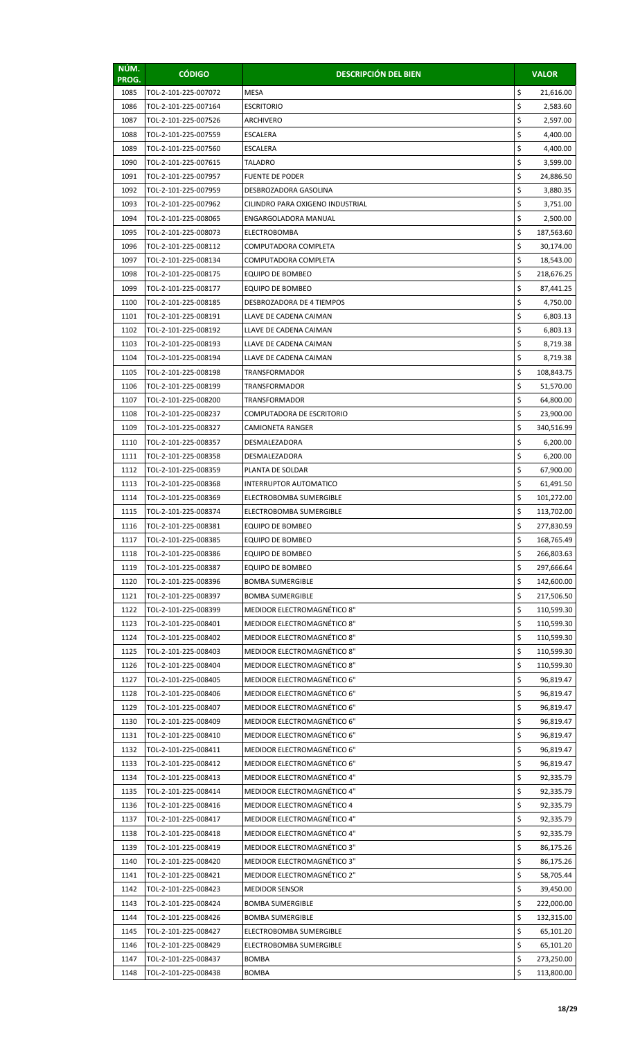| NÚM.<br>PROG. | <b>CÓDIGO</b>                                | <b>DESCRIPCIÓN DEL BIEN</b>                                |          | <b>VALOR</b>             |
|---------------|----------------------------------------------|------------------------------------------------------------|----------|--------------------------|
| 1085          | TOL-2-101-225-007072                         | <b>MESA</b>                                                | \$       | 21,616.00                |
| 1086          | TOL-2-101-225-007164                         | <b>ESCRITORIO</b>                                          | \$       | 2,583.60                 |
| 1087          | TOL-2-101-225-007526                         | ARCHIVERO                                                  | \$       | 2,597.00                 |
| 1088          | TOL-2-101-225-007559                         | <b>ESCALERA</b>                                            | \$       | 4,400.00                 |
| 1089          | TOL-2-101-225-007560                         | ESCALERA                                                   | \$       | 4,400.00                 |
| 1090          | TOL-2-101-225-007615                         | <b>TALADRO</b>                                             | \$       | 3,599.00                 |
| 1091          | TOL-2-101-225-007957                         | <b>FUENTE DE PODER</b>                                     | \$       | 24,886.50                |
| 1092          | TOL-2-101-225-007959                         | DESBROZADORA GASOLINA                                      | \$       | 3,880.35                 |
| 1093          | TOL-2-101-225-007962                         | CILINDRO PARA OXIGENO INDUSTRIAL                           | \$       | 3,751.00                 |
| 1094          | TOL-2-101-225-008065                         | ENGARGOLADORA MANUAL                                       | \$       | 2,500.00                 |
| 1095          | TOL-2-101-225-008073                         | <b>ELECTROBOMBA</b>                                        | \$       | 187,563.60               |
| 1096          | TOL-2-101-225-008112                         | COMPUTADORA COMPLETA                                       | \$<br>\$ | 30,174.00                |
| 1097<br>1098  | TOL-2-101-225-008134<br>TOL-2-101-225-008175 | COMPUTADORA COMPLETA<br>EQUIPO DE BOMBEO                   | \$       | 18,543.00<br>218,676.25  |
| 1099          | TOL-2-101-225-008177                         | EQUIPO DE BOMBEO                                           | \$       | 87,441.25                |
| 1100          | TOL-2-101-225-008185                         | DESBROZADORA DE 4 TIEMPOS                                  | \$       | 4,750.00                 |
| 1101          | TOL-2-101-225-008191                         | LLAVE DE CADENA CAIMAN                                     | \$       | 6,803.13                 |
| 1102          | TOL-2-101-225-008192                         | LLAVE DE CADENA CAIMAN                                     | \$       | 6,803.13                 |
| 1103          | TOL-2-101-225-008193                         | LLAVE DE CADENA CAIMAN                                     | \$       | 8,719.38                 |
| 1104          | TOL-2-101-225-008194                         | LLAVE DE CADENA CAIMAN                                     | \$       | 8,719.38                 |
| 1105          | TOL-2-101-225-008198                         | TRANSFORMADOR                                              | \$       | 108,843.75               |
| 1106          | TOL-2-101-225-008199                         | TRANSFORMADOR                                              | \$       | 51,570.00                |
| 1107          | TOL-2-101-225-008200                         | TRANSFORMADOR                                              | \$       | 64,800.00                |
| 1108          | TOL-2-101-225-008237                         | COMPUTADORA DE ESCRITORIO                                  | \$       | 23,900.00                |
| 1109          | TOL-2-101-225-008327                         | CAMIONETA RANGER                                           | \$       | 340,516.99               |
| 1110          | TOL-2-101-225-008357                         | DESMALEZADORA                                              | \$       | 6,200.00                 |
| 1111          | TOL-2-101-225-008358                         | DESMALEZADORA                                              | \$       | 6,200.00                 |
| 1112          | TOL-2-101-225-008359                         | PLANTA DE SOLDAR                                           | \$       | 67,900.00                |
| 1113          | TOL-2-101-225-008368                         | INTERRUPTOR AUTOMATICO                                     | \$       | 61,491.50                |
| 1114<br>1115  | TOL-2-101-225-008369<br>TOL-2-101-225-008374 | ELECTROBOMBA SUMERGIBLE                                    | \$<br>\$ | 101,272.00               |
| 1116          | TOL-2-101-225-008381                         | ELECTROBOMBA SUMERGIBLE<br>EQUIPO DE BOMBEO                |          | 113,702.00<br>277,830.59 |
| 1117          | TOL-2-101-225-008385                         | EQUIPO DE BOMBEO                                           | Ş<br>\$  | 168,765.49               |
| 1118          | TOL-2-101-225-008386                         | EQUIPO DE BOMBEO                                           | \$       | 266,803.63               |
| 1119          | TOL-2-101-225-008387                         | EQUIPO DE BOMBEO                                           | \$       | 297,666.64               |
| 1120          | TOL-2-101-225-008396                         | <b>BOMBA SUMERGIBLE</b>                                    | \$       | 142,600.00               |
| 1121          | TOL-2-101-225-008397                         | <b>BOMBA SUMERGIBLE</b>                                    | \$       | 217,506.50               |
| 1122          | TOL-2-101-225-008399                         | MEDIDOR ELECTROMAGNÉTICO 8"                                | \$       | 110,599.30               |
| 1123          | TOL-2-101-225-008401                         | MEDIDOR ELECTROMAGNÉTICO 8"                                | \$       | 110,599.30               |
| 1124          | TOL-2-101-225-008402                         | MEDIDOR ELECTROMAGNÉTICO 8"                                | \$       | 110,599.30               |
| 1125          | TOL-2-101-225-008403                         | MEDIDOR ELECTROMAGNÉTICO 8"                                | \$       | 110,599.30               |
| 1126          | TOL-2-101-225-008404                         | MEDIDOR ELECTROMAGNÉTICO 8"                                | \$       | 110,599.30               |
| 1127          | TOL-2-101-225-008405                         | MEDIDOR ELECTROMAGNÉTICO 6"                                | \$       | 96,819.47                |
| 1128          | TOL-2-101-225-008406                         | MEDIDOR ELECTROMAGNÉTICO 6"                                | \$       | 96,819.47                |
| 1129          | TOL-2-101-225-008407                         | MEDIDOR ELECTROMAGNÉTICO 6"                                | \$       | 96,819.47                |
| 1130          | TOL-2-101-225-008409                         | MEDIDOR ELECTROMAGNÉTICO 6"                                | \$<br>\$ | 96,819.47                |
| 1131<br>1132  | TOL-2-101-225-008410<br>TOL-2-101-225-008411 | MEDIDOR ELECTROMAGNÉTICO 6"<br>MEDIDOR ELECTROMAGNÉTICO 6" | \$       | 96,819.47<br>96,819.47   |
| 1133          | TOL-2-101-225-008412                         | MEDIDOR ELECTROMAGNÉTICO 6"                                | \$       | 96,819.47                |
| 1134          | TOL-2-101-225-008413                         | MEDIDOR ELECTROMAGNÉTICO 4"                                | \$       | 92,335.79                |
| 1135          | TOL-2-101-225-008414                         | MEDIDOR ELECTROMAGNÉTICO 4"                                | \$       | 92,335.79                |
| 1136          | TOL-2-101-225-008416                         | MEDIDOR ELECTROMAGNÉTICO 4                                 | \$       | 92,335.79                |
| 1137          | TOL-2-101-225-008417                         | MEDIDOR ELECTROMAGNÉTICO 4"                                | \$       | 92,335.79                |
| 1138          | TOL-2-101-225-008418                         | MEDIDOR ELECTROMAGNÉTICO 4"                                | \$       | 92,335.79                |
| 1139          | TOL-2-101-225-008419                         | MEDIDOR ELECTROMAGNÉTICO 3"                                | \$       | 86,175.26                |
| 1140          | TOL-2-101-225-008420                         | MEDIDOR ELECTROMAGNÉTICO 3"                                | \$       | 86,175.26                |
| 1141          | TOL-2-101-225-008421                         | MEDIDOR ELECTROMAGNÉTICO 2"                                | \$       | 58,705.44                |
| 1142          | TOL-2-101-225-008423                         | <b>MEDIDOR SENSOR</b>                                      | \$       | 39,450.00                |
| 1143          | TOL-2-101-225-008424                         | <b>BOMBA SUMERGIBLE</b>                                    | \$       | 222,000.00               |
| 1144          | TOL-2-101-225-008426                         | <b>BOMBA SUMERGIBLE</b>                                    | \$       | 132,315.00               |
| 1145          | TOL-2-101-225-008427                         | ELECTROBOMBA SUMERGIBLE                                    | \$       | 65,101.20                |
| 1146          | TOL-2-101-225-008429                         | ELECTROBOMBA SUMERGIBLE                                    | \$       | 65,101.20                |
| 1147          | TOL-2-101-225-008437                         | <b>BOMBA</b>                                               | \$<br>\$ | 273,250.00               |
| 1148          | TOL-2-101-225-008438                         | <b>BOMBA</b>                                               |          | 113,800.00               |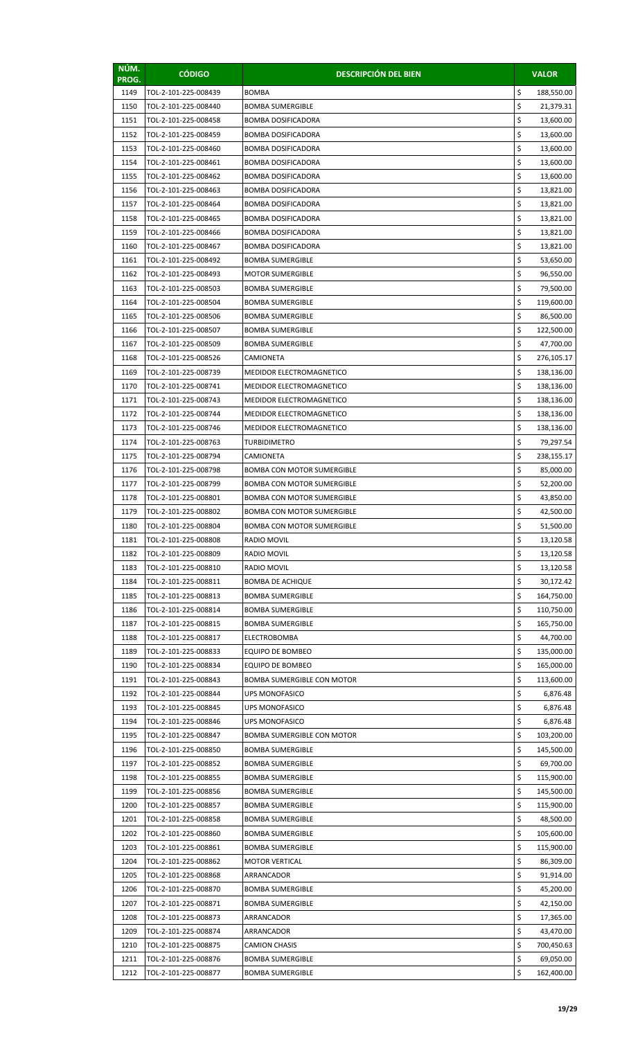| \$<br>1149<br>TOL-2-101-225-008439<br><b>BOMBA</b><br>188,550.00<br>\$<br>1150<br>TOL-2-101-225-008440<br><b>BOMBA SUMERGIBLE</b><br>21,379.31<br>\$<br>1151<br>TOL-2-101-225-008458<br><b>BOMBA DOSIFICADORA</b><br>13,600.00<br>\$<br>1152<br>TOL-2-101-225-008459<br><b>BOMBA DOSIFICADORA</b><br>13,600.00<br>\$<br>1153<br>TOL-2-101-225-008460<br><b>BOMBA DOSIFICADORA</b><br>13,600.00<br>\$<br>1154<br><b>BOMBA DOSIFICADORA</b><br>13,600.00<br>TOL-2-101-225-008461<br>\$<br>1155<br>TOL-2-101-225-008462<br>13,600.00<br><b>BOMBA DOSIFICADORA</b><br>\$<br>1156<br>TOL-2-101-225-008463<br><b>BOMBA DOSIFICADORA</b><br>13,821.00<br>\$<br>1157<br>TOL-2-101-225-008464<br><b>BOMBA DOSIFICADORA</b><br>13,821.00<br>\$<br>1158<br>TOL-2-101-225-008465<br><b>BOMBA DOSIFICADORA</b><br>13,821.00<br>\$<br>1159<br>TOL-2-101-225-008466<br><b>BOMBA DOSIFICADORA</b><br>13,821.00<br>\$<br>1160<br>TOL-2-101-225-008467<br><b>BOMBA DOSIFICADORA</b><br>13,821.00<br>\$<br>1161<br>TOL-2-101-225-008492<br><b>BOMBA SUMERGIBLE</b><br>53,650.00<br>\$<br>1162<br>96,550.00<br>TOL-2-101-225-008493<br><b>MOTOR SUMERGIBLE</b><br>\$<br>1163<br>TOL-2-101-225-008503<br><b>BOMBA SUMERGIBLE</b><br>79,500.00<br>\$<br>1164<br>TOL-2-101-225-008504<br><b>BOMBA SUMERGIBLE</b><br>119,600.00<br>\$<br>1165<br>TOL-2-101-225-008506<br><b>BOMBA SUMERGIBLE</b><br>86,500.00<br>\$<br>1166<br>TOL-2-101-225-008507<br><b>BOMBA SUMERGIBLE</b><br>122,500.00<br>\$<br>1167<br>TOL-2-101-225-008509<br><b>BOMBA SUMERGIBLE</b><br>47,700.00<br>\$<br>1168<br>TOL-2-101-225-008526<br>CAMIONETA<br>276,105.17<br>\$<br>1169<br>TOL-2-101-225-008739<br>MEDIDOR ELECTROMAGNETICO<br>138,136.00<br>\$<br>1170<br>TOL-2-101-225-008741<br>MEDIDOR ELECTROMAGNETICO<br>138,136.00<br>\$<br>1171<br>TOL-2-101-225-008743<br><b>MEDIDOR ELECTROMAGNETICO</b><br>138,136.00<br>\$<br>1172<br>TOL-2-101-225-008744<br><b>MEDIDOR ELECTROMAGNETICO</b><br>138,136.00<br>\$<br>1173<br>TOL-2-101-225-008746<br>MEDIDOR ELECTROMAGNETICO<br>138,136.00<br>\$<br>1174<br>79,297.54<br>TOL-2-101-225-008763<br><b>TURBIDIMETRO</b><br>\$<br>1175<br>TOL-2-101-225-008794<br>CAMIONETA<br>238,155.17<br>\$<br>1176<br>TOL-2-101-225-008798<br><b>BOMBA CON MOTOR SUMERGIBLE</b><br>85,000.00<br>\$<br>1177<br>TOL-2-101-225-008799<br><b>BOMBA CON MOTOR SUMERGIBLE</b><br>52,200.00<br>\$<br>1178<br>TOL-2-101-225-008801<br>43,850.00<br><b>BOMBA CON MOTOR SUMERGIBLE</b><br>\$<br>1179<br>TOL-2-101-225-008802<br><b>BOMBA CON MOTOR SUMERGIBLE</b><br>42,500.00<br>\$<br>1180<br>TOL-2-101-225-008804<br>BOMBA CON MOTOR SUMERGIBLE<br>51,500.00<br>\$<br>1181<br>TOL-2-101-225-008808<br>RADIO MOVIL<br>13,120.58<br>\$<br>1182<br>13,120.58<br>TOL-2-101-225-008809<br><b>RADIO MOVIL</b><br>\$<br>1183<br>TOL-2-101-225-008810<br><b>RADIO MOVIL</b><br>13,120.58<br>\$<br>1184<br>TOL-2-101-225-008811<br><b>BOMBA DE ACHIQUE</b><br>30,172.42<br>\$<br>1185<br>TOL-2-101-225-008813<br><b>BOMBA SUMERGIBLE</b><br>164,750.00<br>\$<br>1186<br>TOL-2-101-225-008814<br><b>BOMBA SUMERGIBLE</b><br>110,750.00<br>\$<br>1187<br>TOL-2-101-225-008815<br><b>BOMBA SUMERGIBLE</b><br>165,750.00<br>\$<br>1188<br>TOL-2-101-225-008817<br>ELECTROBOMBA<br>44,700.00<br>\$<br>1189<br>TOL-2-101-225-008833<br>EQUIPO DE BOMBEO<br>135,000.00<br>\$<br>1190<br>TOL-2-101-225-008834<br>EQUIPO DE BOMBEO<br>165,000.00<br>\$<br>1191<br>TOL-2-101-225-008843<br><b>BOMBA SUMERGIBLE CON MOTOR</b><br>113,600.00<br>\$<br>1192<br>TOL-2-101-225-008844<br>UPS MONOFASICO<br>6,876.48<br>\$<br>1193<br>TOL-2-101-225-008845<br><b>UPS MONOFASICO</b><br>6,876.48<br>\$<br>1194<br>TOL-2-101-225-008846<br><b>UPS MONOFASICO</b><br>6,876.48<br>\$<br>1195<br>TOL-2-101-225-008847<br><b>BOMBA SUMERGIBLE CON MOTOR</b><br>103,200.00<br>\$<br>1196<br>TOL-2-101-225-008850<br><b>BOMBA SUMERGIBLE</b><br>145,500.00<br>\$<br>1197<br>TOL-2-101-225-008852<br><b>BOMBA SUMERGIBLE</b><br>69,700.00<br>\$<br>1198<br>TOL-2-101-225-008855<br><b>BOMBA SUMERGIBLE</b><br>115,900.00<br>\$<br>1199<br>TOL-2-101-225-008856<br><b>BOMBA SUMERGIBLE</b><br>145,500.00<br>\$<br>1200<br>TOL-2-101-225-008857<br>115,900.00<br><b>BOMBA SUMERGIBLE</b><br>\$<br>1201<br>TOL-2-101-225-008858<br><b>BOMBA SUMERGIBLE</b><br>48,500.00<br>\$<br>1202<br>105,600.00<br>TOL-2-101-225-008860<br><b>BOMBA SUMERGIBLE</b><br>\$<br>1203<br>TOL-2-101-225-008861<br><b>BOMBA SUMERGIBLE</b><br>115,900.00<br>\$<br>1204<br>TOL-2-101-225-008862<br><b>MOTOR VERTICAL</b><br>86,309.00<br>\$<br>1205<br>TOL-2-101-225-008868<br>ARRANCADOR<br>91,914.00<br>\$<br>1206<br>45,200.00<br>TOL-2-101-225-008870<br><b>BOMBA SUMERGIBLE</b><br>\$<br>1207<br>TOL-2-101-225-008871<br><b>BOMBA SUMERGIBLE</b><br>42,150.00<br>\$<br>1208<br>TOL-2-101-225-008873<br>ARRANCADOR<br>17,365.00<br>\$<br>1209<br>TOL-2-101-225-008874<br>ARRANCADOR<br>43,470.00<br>\$<br>1210<br>TOL-2-101-225-008875<br><b>CAMION CHASIS</b><br>700,450.63<br>\$<br>1211<br>TOL-2-101-225-008876<br><b>BOMBA SUMERGIBLE</b><br>69,050.00<br>\$<br>1212<br>TOL-2-101-225-008877<br><b>BOMBA SUMERGIBLE</b><br>162,400.00 | NÚM.<br>PROG. | <b>CÓDIGO</b> | <b>DESCRIPCIÓN DEL BIEN</b> | <b>VALOR</b> |
|-----------------------------------------------------------------------------------------------------------------------------------------------------------------------------------------------------------------------------------------------------------------------------------------------------------------------------------------------------------------------------------------------------------------------------------------------------------------------------------------------------------------------------------------------------------------------------------------------------------------------------------------------------------------------------------------------------------------------------------------------------------------------------------------------------------------------------------------------------------------------------------------------------------------------------------------------------------------------------------------------------------------------------------------------------------------------------------------------------------------------------------------------------------------------------------------------------------------------------------------------------------------------------------------------------------------------------------------------------------------------------------------------------------------------------------------------------------------------------------------------------------------------------------------------------------------------------------------------------------------------------------------------------------------------------------------------------------------------------------------------------------------------------------------------------------------------------------------------------------------------------------------------------------------------------------------------------------------------------------------------------------------------------------------------------------------------------------------------------------------------------------------------------------------------------------------------------------------------------------------------------------------------------------------------------------------------------------------------------------------------------------------------------------------------------------------------------------------------------------------------------------------------------------------------------------------------------------------------------------------------------------------------------------------------------------------------------------------------------------------------------------------------------------------------------------------------------------------------------------------------------------------------------------------------------------------------------------------------------------------------------------------------------------------------------------------------------------------------------------------------------------------------------------------------------------------------------------------------------------------------------------------------------------------------------------------------------------------------------------------------------------------------------------------------------------------------------------------------------------------------------------------------------------------------------------------------------------------------------------------------------------------------------------------------------------------------------------------------------------------------------------------------------------------------------------------------------------------------------------------------------------------------------------------------------------------------------------------------------------------------------------------------------------------------------------------------------------------------------------------------------------------------------------------------------------------------------------------------------------------------------------------------------------------------------------------------------------------------------------------------------------------------------------------------------------------------------------------------------------------------------------------------------------------------------------------------------------------------------------------------------------------------------------------------------------------------------------------------------------------------------------------------------------------------------------------------------------------------------------------------------------------------------------------------------------------------------------------------------------------------------------------------------------------------------------------------------------------------------------------------------------------------------------------------|---------------|---------------|-----------------------------|--------------|
|                                                                                                                                                                                                                                                                                                                                                                                                                                                                                                                                                                                                                                                                                                                                                                                                                                                                                                                                                                                                                                                                                                                                                                                                                                                                                                                                                                                                                                                                                                                                                                                                                                                                                                                                                                                                                                                                                                                                                                                                                                                                                                                                                                                                                                                                                                                                                                                                                                                                                                                                                                                                                                                                                                                                                                                                                                                                                                                                                                                                                                                                                                                                                                                                                                                                                                                                                                                                                                                                                                                                                                                                                                                                                                                                                                                                                                                                                                                                                                                                                                                                                                                                                                                                                                                                                                                                                                                                                                                                                                                                                                                                                                                                                                                                                                                                                                                                                                                                                                                                                                                                                                                                                                       |               |               |                             |              |
|                                                                                                                                                                                                                                                                                                                                                                                                                                                                                                                                                                                                                                                                                                                                                                                                                                                                                                                                                                                                                                                                                                                                                                                                                                                                                                                                                                                                                                                                                                                                                                                                                                                                                                                                                                                                                                                                                                                                                                                                                                                                                                                                                                                                                                                                                                                                                                                                                                                                                                                                                                                                                                                                                                                                                                                                                                                                                                                                                                                                                                                                                                                                                                                                                                                                                                                                                                                                                                                                                                                                                                                                                                                                                                                                                                                                                                                                                                                                                                                                                                                                                                                                                                                                                                                                                                                                                                                                                                                                                                                                                                                                                                                                                                                                                                                                                                                                                                                                                                                                                                                                                                                                                                       |               |               |                             |              |
|                                                                                                                                                                                                                                                                                                                                                                                                                                                                                                                                                                                                                                                                                                                                                                                                                                                                                                                                                                                                                                                                                                                                                                                                                                                                                                                                                                                                                                                                                                                                                                                                                                                                                                                                                                                                                                                                                                                                                                                                                                                                                                                                                                                                                                                                                                                                                                                                                                                                                                                                                                                                                                                                                                                                                                                                                                                                                                                                                                                                                                                                                                                                                                                                                                                                                                                                                                                                                                                                                                                                                                                                                                                                                                                                                                                                                                                                                                                                                                                                                                                                                                                                                                                                                                                                                                                                                                                                                                                                                                                                                                                                                                                                                                                                                                                                                                                                                                                                                                                                                                                                                                                                                                       |               |               |                             |              |
|                                                                                                                                                                                                                                                                                                                                                                                                                                                                                                                                                                                                                                                                                                                                                                                                                                                                                                                                                                                                                                                                                                                                                                                                                                                                                                                                                                                                                                                                                                                                                                                                                                                                                                                                                                                                                                                                                                                                                                                                                                                                                                                                                                                                                                                                                                                                                                                                                                                                                                                                                                                                                                                                                                                                                                                                                                                                                                                                                                                                                                                                                                                                                                                                                                                                                                                                                                                                                                                                                                                                                                                                                                                                                                                                                                                                                                                                                                                                                                                                                                                                                                                                                                                                                                                                                                                                                                                                                                                                                                                                                                                                                                                                                                                                                                                                                                                                                                                                                                                                                                                                                                                                                                       |               |               |                             |              |
|                                                                                                                                                                                                                                                                                                                                                                                                                                                                                                                                                                                                                                                                                                                                                                                                                                                                                                                                                                                                                                                                                                                                                                                                                                                                                                                                                                                                                                                                                                                                                                                                                                                                                                                                                                                                                                                                                                                                                                                                                                                                                                                                                                                                                                                                                                                                                                                                                                                                                                                                                                                                                                                                                                                                                                                                                                                                                                                                                                                                                                                                                                                                                                                                                                                                                                                                                                                                                                                                                                                                                                                                                                                                                                                                                                                                                                                                                                                                                                                                                                                                                                                                                                                                                                                                                                                                                                                                                                                                                                                                                                                                                                                                                                                                                                                                                                                                                                                                                                                                                                                                                                                                                                       |               |               |                             |              |
|                                                                                                                                                                                                                                                                                                                                                                                                                                                                                                                                                                                                                                                                                                                                                                                                                                                                                                                                                                                                                                                                                                                                                                                                                                                                                                                                                                                                                                                                                                                                                                                                                                                                                                                                                                                                                                                                                                                                                                                                                                                                                                                                                                                                                                                                                                                                                                                                                                                                                                                                                                                                                                                                                                                                                                                                                                                                                                                                                                                                                                                                                                                                                                                                                                                                                                                                                                                                                                                                                                                                                                                                                                                                                                                                                                                                                                                                                                                                                                                                                                                                                                                                                                                                                                                                                                                                                                                                                                                                                                                                                                                                                                                                                                                                                                                                                                                                                                                                                                                                                                                                                                                                                                       |               |               |                             |              |
|                                                                                                                                                                                                                                                                                                                                                                                                                                                                                                                                                                                                                                                                                                                                                                                                                                                                                                                                                                                                                                                                                                                                                                                                                                                                                                                                                                                                                                                                                                                                                                                                                                                                                                                                                                                                                                                                                                                                                                                                                                                                                                                                                                                                                                                                                                                                                                                                                                                                                                                                                                                                                                                                                                                                                                                                                                                                                                                                                                                                                                                                                                                                                                                                                                                                                                                                                                                                                                                                                                                                                                                                                                                                                                                                                                                                                                                                                                                                                                                                                                                                                                                                                                                                                                                                                                                                                                                                                                                                                                                                                                                                                                                                                                                                                                                                                                                                                                                                                                                                                                                                                                                                                                       |               |               |                             |              |
|                                                                                                                                                                                                                                                                                                                                                                                                                                                                                                                                                                                                                                                                                                                                                                                                                                                                                                                                                                                                                                                                                                                                                                                                                                                                                                                                                                                                                                                                                                                                                                                                                                                                                                                                                                                                                                                                                                                                                                                                                                                                                                                                                                                                                                                                                                                                                                                                                                                                                                                                                                                                                                                                                                                                                                                                                                                                                                                                                                                                                                                                                                                                                                                                                                                                                                                                                                                                                                                                                                                                                                                                                                                                                                                                                                                                                                                                                                                                                                                                                                                                                                                                                                                                                                                                                                                                                                                                                                                                                                                                                                                                                                                                                                                                                                                                                                                                                                                                                                                                                                                                                                                                                                       |               |               |                             |              |
|                                                                                                                                                                                                                                                                                                                                                                                                                                                                                                                                                                                                                                                                                                                                                                                                                                                                                                                                                                                                                                                                                                                                                                                                                                                                                                                                                                                                                                                                                                                                                                                                                                                                                                                                                                                                                                                                                                                                                                                                                                                                                                                                                                                                                                                                                                                                                                                                                                                                                                                                                                                                                                                                                                                                                                                                                                                                                                                                                                                                                                                                                                                                                                                                                                                                                                                                                                                                                                                                                                                                                                                                                                                                                                                                                                                                                                                                                                                                                                                                                                                                                                                                                                                                                                                                                                                                                                                                                                                                                                                                                                                                                                                                                                                                                                                                                                                                                                                                                                                                                                                                                                                                                                       |               |               |                             |              |
|                                                                                                                                                                                                                                                                                                                                                                                                                                                                                                                                                                                                                                                                                                                                                                                                                                                                                                                                                                                                                                                                                                                                                                                                                                                                                                                                                                                                                                                                                                                                                                                                                                                                                                                                                                                                                                                                                                                                                                                                                                                                                                                                                                                                                                                                                                                                                                                                                                                                                                                                                                                                                                                                                                                                                                                                                                                                                                                                                                                                                                                                                                                                                                                                                                                                                                                                                                                                                                                                                                                                                                                                                                                                                                                                                                                                                                                                                                                                                                                                                                                                                                                                                                                                                                                                                                                                                                                                                                                                                                                                                                                                                                                                                                                                                                                                                                                                                                                                                                                                                                                                                                                                                                       |               |               |                             |              |
|                                                                                                                                                                                                                                                                                                                                                                                                                                                                                                                                                                                                                                                                                                                                                                                                                                                                                                                                                                                                                                                                                                                                                                                                                                                                                                                                                                                                                                                                                                                                                                                                                                                                                                                                                                                                                                                                                                                                                                                                                                                                                                                                                                                                                                                                                                                                                                                                                                                                                                                                                                                                                                                                                                                                                                                                                                                                                                                                                                                                                                                                                                                                                                                                                                                                                                                                                                                                                                                                                                                                                                                                                                                                                                                                                                                                                                                                                                                                                                                                                                                                                                                                                                                                                                                                                                                                                                                                                                                                                                                                                                                                                                                                                                                                                                                                                                                                                                                                                                                                                                                                                                                                                                       |               |               |                             |              |
|                                                                                                                                                                                                                                                                                                                                                                                                                                                                                                                                                                                                                                                                                                                                                                                                                                                                                                                                                                                                                                                                                                                                                                                                                                                                                                                                                                                                                                                                                                                                                                                                                                                                                                                                                                                                                                                                                                                                                                                                                                                                                                                                                                                                                                                                                                                                                                                                                                                                                                                                                                                                                                                                                                                                                                                                                                                                                                                                                                                                                                                                                                                                                                                                                                                                                                                                                                                                                                                                                                                                                                                                                                                                                                                                                                                                                                                                                                                                                                                                                                                                                                                                                                                                                                                                                                                                                                                                                                                                                                                                                                                                                                                                                                                                                                                                                                                                                                                                                                                                                                                                                                                                                                       |               |               |                             |              |
|                                                                                                                                                                                                                                                                                                                                                                                                                                                                                                                                                                                                                                                                                                                                                                                                                                                                                                                                                                                                                                                                                                                                                                                                                                                                                                                                                                                                                                                                                                                                                                                                                                                                                                                                                                                                                                                                                                                                                                                                                                                                                                                                                                                                                                                                                                                                                                                                                                                                                                                                                                                                                                                                                                                                                                                                                                                                                                                                                                                                                                                                                                                                                                                                                                                                                                                                                                                                                                                                                                                                                                                                                                                                                                                                                                                                                                                                                                                                                                                                                                                                                                                                                                                                                                                                                                                                                                                                                                                                                                                                                                                                                                                                                                                                                                                                                                                                                                                                                                                                                                                                                                                                                                       |               |               |                             |              |
|                                                                                                                                                                                                                                                                                                                                                                                                                                                                                                                                                                                                                                                                                                                                                                                                                                                                                                                                                                                                                                                                                                                                                                                                                                                                                                                                                                                                                                                                                                                                                                                                                                                                                                                                                                                                                                                                                                                                                                                                                                                                                                                                                                                                                                                                                                                                                                                                                                                                                                                                                                                                                                                                                                                                                                                                                                                                                                                                                                                                                                                                                                                                                                                                                                                                                                                                                                                                                                                                                                                                                                                                                                                                                                                                                                                                                                                                                                                                                                                                                                                                                                                                                                                                                                                                                                                                                                                                                                                                                                                                                                                                                                                                                                                                                                                                                                                                                                                                                                                                                                                                                                                                                                       |               |               |                             |              |
|                                                                                                                                                                                                                                                                                                                                                                                                                                                                                                                                                                                                                                                                                                                                                                                                                                                                                                                                                                                                                                                                                                                                                                                                                                                                                                                                                                                                                                                                                                                                                                                                                                                                                                                                                                                                                                                                                                                                                                                                                                                                                                                                                                                                                                                                                                                                                                                                                                                                                                                                                                                                                                                                                                                                                                                                                                                                                                                                                                                                                                                                                                                                                                                                                                                                                                                                                                                                                                                                                                                                                                                                                                                                                                                                                                                                                                                                                                                                                                                                                                                                                                                                                                                                                                                                                                                                                                                                                                                                                                                                                                                                                                                                                                                                                                                                                                                                                                                                                                                                                                                                                                                                                                       |               |               |                             |              |
|                                                                                                                                                                                                                                                                                                                                                                                                                                                                                                                                                                                                                                                                                                                                                                                                                                                                                                                                                                                                                                                                                                                                                                                                                                                                                                                                                                                                                                                                                                                                                                                                                                                                                                                                                                                                                                                                                                                                                                                                                                                                                                                                                                                                                                                                                                                                                                                                                                                                                                                                                                                                                                                                                                                                                                                                                                                                                                                                                                                                                                                                                                                                                                                                                                                                                                                                                                                                                                                                                                                                                                                                                                                                                                                                                                                                                                                                                                                                                                                                                                                                                                                                                                                                                                                                                                                                                                                                                                                                                                                                                                                                                                                                                                                                                                                                                                                                                                                                                                                                                                                                                                                                                                       |               |               |                             |              |
|                                                                                                                                                                                                                                                                                                                                                                                                                                                                                                                                                                                                                                                                                                                                                                                                                                                                                                                                                                                                                                                                                                                                                                                                                                                                                                                                                                                                                                                                                                                                                                                                                                                                                                                                                                                                                                                                                                                                                                                                                                                                                                                                                                                                                                                                                                                                                                                                                                                                                                                                                                                                                                                                                                                                                                                                                                                                                                                                                                                                                                                                                                                                                                                                                                                                                                                                                                                                                                                                                                                                                                                                                                                                                                                                                                                                                                                                                                                                                                                                                                                                                                                                                                                                                                                                                                                                                                                                                                                                                                                                                                                                                                                                                                                                                                                                                                                                                                                                                                                                                                                                                                                                                                       |               |               |                             |              |
|                                                                                                                                                                                                                                                                                                                                                                                                                                                                                                                                                                                                                                                                                                                                                                                                                                                                                                                                                                                                                                                                                                                                                                                                                                                                                                                                                                                                                                                                                                                                                                                                                                                                                                                                                                                                                                                                                                                                                                                                                                                                                                                                                                                                                                                                                                                                                                                                                                                                                                                                                                                                                                                                                                                                                                                                                                                                                                                                                                                                                                                                                                                                                                                                                                                                                                                                                                                                                                                                                                                                                                                                                                                                                                                                                                                                                                                                                                                                                                                                                                                                                                                                                                                                                                                                                                                                                                                                                                                                                                                                                                                                                                                                                                                                                                                                                                                                                                                                                                                                                                                                                                                                                                       |               |               |                             |              |
|                                                                                                                                                                                                                                                                                                                                                                                                                                                                                                                                                                                                                                                                                                                                                                                                                                                                                                                                                                                                                                                                                                                                                                                                                                                                                                                                                                                                                                                                                                                                                                                                                                                                                                                                                                                                                                                                                                                                                                                                                                                                                                                                                                                                                                                                                                                                                                                                                                                                                                                                                                                                                                                                                                                                                                                                                                                                                                                                                                                                                                                                                                                                                                                                                                                                                                                                                                                                                                                                                                                                                                                                                                                                                                                                                                                                                                                                                                                                                                                                                                                                                                                                                                                                                                                                                                                                                                                                                                                                                                                                                                                                                                                                                                                                                                                                                                                                                                                                                                                                                                                                                                                                                                       |               |               |                             |              |
|                                                                                                                                                                                                                                                                                                                                                                                                                                                                                                                                                                                                                                                                                                                                                                                                                                                                                                                                                                                                                                                                                                                                                                                                                                                                                                                                                                                                                                                                                                                                                                                                                                                                                                                                                                                                                                                                                                                                                                                                                                                                                                                                                                                                                                                                                                                                                                                                                                                                                                                                                                                                                                                                                                                                                                                                                                                                                                                                                                                                                                                                                                                                                                                                                                                                                                                                                                                                                                                                                                                                                                                                                                                                                                                                                                                                                                                                                                                                                                                                                                                                                                                                                                                                                                                                                                                                                                                                                                                                                                                                                                                                                                                                                                                                                                                                                                                                                                                                                                                                                                                                                                                                                                       |               |               |                             |              |
|                                                                                                                                                                                                                                                                                                                                                                                                                                                                                                                                                                                                                                                                                                                                                                                                                                                                                                                                                                                                                                                                                                                                                                                                                                                                                                                                                                                                                                                                                                                                                                                                                                                                                                                                                                                                                                                                                                                                                                                                                                                                                                                                                                                                                                                                                                                                                                                                                                                                                                                                                                                                                                                                                                                                                                                                                                                                                                                                                                                                                                                                                                                                                                                                                                                                                                                                                                                                                                                                                                                                                                                                                                                                                                                                                                                                                                                                                                                                                                                                                                                                                                                                                                                                                                                                                                                                                                                                                                                                                                                                                                                                                                                                                                                                                                                                                                                                                                                                                                                                                                                                                                                                                                       |               |               |                             |              |
|                                                                                                                                                                                                                                                                                                                                                                                                                                                                                                                                                                                                                                                                                                                                                                                                                                                                                                                                                                                                                                                                                                                                                                                                                                                                                                                                                                                                                                                                                                                                                                                                                                                                                                                                                                                                                                                                                                                                                                                                                                                                                                                                                                                                                                                                                                                                                                                                                                                                                                                                                                                                                                                                                                                                                                                                                                                                                                                                                                                                                                                                                                                                                                                                                                                                                                                                                                                                                                                                                                                                                                                                                                                                                                                                                                                                                                                                                                                                                                                                                                                                                                                                                                                                                                                                                                                                                                                                                                                                                                                                                                                                                                                                                                                                                                                                                                                                                                                                                                                                                                                                                                                                                                       |               |               |                             |              |
|                                                                                                                                                                                                                                                                                                                                                                                                                                                                                                                                                                                                                                                                                                                                                                                                                                                                                                                                                                                                                                                                                                                                                                                                                                                                                                                                                                                                                                                                                                                                                                                                                                                                                                                                                                                                                                                                                                                                                                                                                                                                                                                                                                                                                                                                                                                                                                                                                                                                                                                                                                                                                                                                                                                                                                                                                                                                                                                                                                                                                                                                                                                                                                                                                                                                                                                                                                                                                                                                                                                                                                                                                                                                                                                                                                                                                                                                                                                                                                                                                                                                                                                                                                                                                                                                                                                                                                                                                                                                                                                                                                                                                                                                                                                                                                                                                                                                                                                                                                                                                                                                                                                                                                       |               |               |                             |              |
|                                                                                                                                                                                                                                                                                                                                                                                                                                                                                                                                                                                                                                                                                                                                                                                                                                                                                                                                                                                                                                                                                                                                                                                                                                                                                                                                                                                                                                                                                                                                                                                                                                                                                                                                                                                                                                                                                                                                                                                                                                                                                                                                                                                                                                                                                                                                                                                                                                                                                                                                                                                                                                                                                                                                                                                                                                                                                                                                                                                                                                                                                                                                                                                                                                                                                                                                                                                                                                                                                                                                                                                                                                                                                                                                                                                                                                                                                                                                                                                                                                                                                                                                                                                                                                                                                                                                                                                                                                                                                                                                                                                                                                                                                                                                                                                                                                                                                                                                                                                                                                                                                                                                                                       |               |               |                             |              |
|                                                                                                                                                                                                                                                                                                                                                                                                                                                                                                                                                                                                                                                                                                                                                                                                                                                                                                                                                                                                                                                                                                                                                                                                                                                                                                                                                                                                                                                                                                                                                                                                                                                                                                                                                                                                                                                                                                                                                                                                                                                                                                                                                                                                                                                                                                                                                                                                                                                                                                                                                                                                                                                                                                                                                                                                                                                                                                                                                                                                                                                                                                                                                                                                                                                                                                                                                                                                                                                                                                                                                                                                                                                                                                                                                                                                                                                                                                                                                                                                                                                                                                                                                                                                                                                                                                                                                                                                                                                                                                                                                                                                                                                                                                                                                                                                                                                                                                                                                                                                                                                                                                                                                                       |               |               |                             |              |
|                                                                                                                                                                                                                                                                                                                                                                                                                                                                                                                                                                                                                                                                                                                                                                                                                                                                                                                                                                                                                                                                                                                                                                                                                                                                                                                                                                                                                                                                                                                                                                                                                                                                                                                                                                                                                                                                                                                                                                                                                                                                                                                                                                                                                                                                                                                                                                                                                                                                                                                                                                                                                                                                                                                                                                                                                                                                                                                                                                                                                                                                                                                                                                                                                                                                                                                                                                                                                                                                                                                                                                                                                                                                                                                                                                                                                                                                                                                                                                                                                                                                                                                                                                                                                                                                                                                                                                                                                                                                                                                                                                                                                                                                                                                                                                                                                                                                                                                                                                                                                                                                                                                                                                       |               |               |                             |              |
|                                                                                                                                                                                                                                                                                                                                                                                                                                                                                                                                                                                                                                                                                                                                                                                                                                                                                                                                                                                                                                                                                                                                                                                                                                                                                                                                                                                                                                                                                                                                                                                                                                                                                                                                                                                                                                                                                                                                                                                                                                                                                                                                                                                                                                                                                                                                                                                                                                                                                                                                                                                                                                                                                                                                                                                                                                                                                                                                                                                                                                                                                                                                                                                                                                                                                                                                                                                                                                                                                                                                                                                                                                                                                                                                                                                                                                                                                                                                                                                                                                                                                                                                                                                                                                                                                                                                                                                                                                                                                                                                                                                                                                                                                                                                                                                                                                                                                                                                                                                                                                                                                                                                                                       |               |               |                             |              |
|                                                                                                                                                                                                                                                                                                                                                                                                                                                                                                                                                                                                                                                                                                                                                                                                                                                                                                                                                                                                                                                                                                                                                                                                                                                                                                                                                                                                                                                                                                                                                                                                                                                                                                                                                                                                                                                                                                                                                                                                                                                                                                                                                                                                                                                                                                                                                                                                                                                                                                                                                                                                                                                                                                                                                                                                                                                                                                                                                                                                                                                                                                                                                                                                                                                                                                                                                                                                                                                                                                                                                                                                                                                                                                                                                                                                                                                                                                                                                                                                                                                                                                                                                                                                                                                                                                                                                                                                                                                                                                                                                                                                                                                                                                                                                                                                                                                                                                                                                                                                                                                                                                                                                                       |               |               |                             |              |
|                                                                                                                                                                                                                                                                                                                                                                                                                                                                                                                                                                                                                                                                                                                                                                                                                                                                                                                                                                                                                                                                                                                                                                                                                                                                                                                                                                                                                                                                                                                                                                                                                                                                                                                                                                                                                                                                                                                                                                                                                                                                                                                                                                                                                                                                                                                                                                                                                                                                                                                                                                                                                                                                                                                                                                                                                                                                                                                                                                                                                                                                                                                                                                                                                                                                                                                                                                                                                                                                                                                                                                                                                                                                                                                                                                                                                                                                                                                                                                                                                                                                                                                                                                                                                                                                                                                                                                                                                                                                                                                                                                                                                                                                                                                                                                                                                                                                                                                                                                                                                                                                                                                                                                       |               |               |                             |              |
|                                                                                                                                                                                                                                                                                                                                                                                                                                                                                                                                                                                                                                                                                                                                                                                                                                                                                                                                                                                                                                                                                                                                                                                                                                                                                                                                                                                                                                                                                                                                                                                                                                                                                                                                                                                                                                                                                                                                                                                                                                                                                                                                                                                                                                                                                                                                                                                                                                                                                                                                                                                                                                                                                                                                                                                                                                                                                                                                                                                                                                                                                                                                                                                                                                                                                                                                                                                                                                                                                                                                                                                                                                                                                                                                                                                                                                                                                                                                                                                                                                                                                                                                                                                                                                                                                                                                                                                                                                                                                                                                                                                                                                                                                                                                                                                                                                                                                                                                                                                                                                                                                                                                                                       |               |               |                             |              |
|                                                                                                                                                                                                                                                                                                                                                                                                                                                                                                                                                                                                                                                                                                                                                                                                                                                                                                                                                                                                                                                                                                                                                                                                                                                                                                                                                                                                                                                                                                                                                                                                                                                                                                                                                                                                                                                                                                                                                                                                                                                                                                                                                                                                                                                                                                                                                                                                                                                                                                                                                                                                                                                                                                                                                                                                                                                                                                                                                                                                                                                                                                                                                                                                                                                                                                                                                                                                                                                                                                                                                                                                                                                                                                                                                                                                                                                                                                                                                                                                                                                                                                                                                                                                                                                                                                                                                                                                                                                                                                                                                                                                                                                                                                                                                                                                                                                                                                                                                                                                                                                                                                                                                                       |               |               |                             |              |
|                                                                                                                                                                                                                                                                                                                                                                                                                                                                                                                                                                                                                                                                                                                                                                                                                                                                                                                                                                                                                                                                                                                                                                                                                                                                                                                                                                                                                                                                                                                                                                                                                                                                                                                                                                                                                                                                                                                                                                                                                                                                                                                                                                                                                                                                                                                                                                                                                                                                                                                                                                                                                                                                                                                                                                                                                                                                                                                                                                                                                                                                                                                                                                                                                                                                                                                                                                                                                                                                                                                                                                                                                                                                                                                                                                                                                                                                                                                                                                                                                                                                                                                                                                                                                                                                                                                                                                                                                                                                                                                                                                                                                                                                                                                                                                                                                                                                                                                                                                                                                                                                                                                                                                       |               |               |                             |              |
|                                                                                                                                                                                                                                                                                                                                                                                                                                                                                                                                                                                                                                                                                                                                                                                                                                                                                                                                                                                                                                                                                                                                                                                                                                                                                                                                                                                                                                                                                                                                                                                                                                                                                                                                                                                                                                                                                                                                                                                                                                                                                                                                                                                                                                                                                                                                                                                                                                                                                                                                                                                                                                                                                                                                                                                                                                                                                                                                                                                                                                                                                                                                                                                                                                                                                                                                                                                                                                                                                                                                                                                                                                                                                                                                                                                                                                                                                                                                                                                                                                                                                                                                                                                                                                                                                                                                                                                                                                                                                                                                                                                                                                                                                                                                                                                                                                                                                                                                                                                                                                                                                                                                                                       |               |               |                             |              |
|                                                                                                                                                                                                                                                                                                                                                                                                                                                                                                                                                                                                                                                                                                                                                                                                                                                                                                                                                                                                                                                                                                                                                                                                                                                                                                                                                                                                                                                                                                                                                                                                                                                                                                                                                                                                                                                                                                                                                                                                                                                                                                                                                                                                                                                                                                                                                                                                                                                                                                                                                                                                                                                                                                                                                                                                                                                                                                                                                                                                                                                                                                                                                                                                                                                                                                                                                                                                                                                                                                                                                                                                                                                                                                                                                                                                                                                                                                                                                                                                                                                                                                                                                                                                                                                                                                                                                                                                                                                                                                                                                                                                                                                                                                                                                                                                                                                                                                                                                                                                                                                                                                                                                                       |               |               |                             |              |
|                                                                                                                                                                                                                                                                                                                                                                                                                                                                                                                                                                                                                                                                                                                                                                                                                                                                                                                                                                                                                                                                                                                                                                                                                                                                                                                                                                                                                                                                                                                                                                                                                                                                                                                                                                                                                                                                                                                                                                                                                                                                                                                                                                                                                                                                                                                                                                                                                                                                                                                                                                                                                                                                                                                                                                                                                                                                                                                                                                                                                                                                                                                                                                                                                                                                                                                                                                                                                                                                                                                                                                                                                                                                                                                                                                                                                                                                                                                                                                                                                                                                                                                                                                                                                                                                                                                                                                                                                                                                                                                                                                                                                                                                                                                                                                                                                                                                                                                                                                                                                                                                                                                                                                       |               |               |                             |              |
|                                                                                                                                                                                                                                                                                                                                                                                                                                                                                                                                                                                                                                                                                                                                                                                                                                                                                                                                                                                                                                                                                                                                                                                                                                                                                                                                                                                                                                                                                                                                                                                                                                                                                                                                                                                                                                                                                                                                                                                                                                                                                                                                                                                                                                                                                                                                                                                                                                                                                                                                                                                                                                                                                                                                                                                                                                                                                                                                                                                                                                                                                                                                                                                                                                                                                                                                                                                                                                                                                                                                                                                                                                                                                                                                                                                                                                                                                                                                                                                                                                                                                                                                                                                                                                                                                                                                                                                                                                                                                                                                                                                                                                                                                                                                                                                                                                                                                                                                                                                                                                                                                                                                                                       |               |               |                             |              |
|                                                                                                                                                                                                                                                                                                                                                                                                                                                                                                                                                                                                                                                                                                                                                                                                                                                                                                                                                                                                                                                                                                                                                                                                                                                                                                                                                                                                                                                                                                                                                                                                                                                                                                                                                                                                                                                                                                                                                                                                                                                                                                                                                                                                                                                                                                                                                                                                                                                                                                                                                                                                                                                                                                                                                                                                                                                                                                                                                                                                                                                                                                                                                                                                                                                                                                                                                                                                                                                                                                                                                                                                                                                                                                                                                                                                                                                                                                                                                                                                                                                                                                                                                                                                                                                                                                                                                                                                                                                                                                                                                                                                                                                                                                                                                                                                                                                                                                                                                                                                                                                                                                                                                                       |               |               |                             |              |
|                                                                                                                                                                                                                                                                                                                                                                                                                                                                                                                                                                                                                                                                                                                                                                                                                                                                                                                                                                                                                                                                                                                                                                                                                                                                                                                                                                                                                                                                                                                                                                                                                                                                                                                                                                                                                                                                                                                                                                                                                                                                                                                                                                                                                                                                                                                                                                                                                                                                                                                                                                                                                                                                                                                                                                                                                                                                                                                                                                                                                                                                                                                                                                                                                                                                                                                                                                                                                                                                                                                                                                                                                                                                                                                                                                                                                                                                                                                                                                                                                                                                                                                                                                                                                                                                                                                                                                                                                                                                                                                                                                                                                                                                                                                                                                                                                                                                                                                                                                                                                                                                                                                                                                       |               |               |                             |              |
|                                                                                                                                                                                                                                                                                                                                                                                                                                                                                                                                                                                                                                                                                                                                                                                                                                                                                                                                                                                                                                                                                                                                                                                                                                                                                                                                                                                                                                                                                                                                                                                                                                                                                                                                                                                                                                                                                                                                                                                                                                                                                                                                                                                                                                                                                                                                                                                                                                                                                                                                                                                                                                                                                                                                                                                                                                                                                                                                                                                                                                                                                                                                                                                                                                                                                                                                                                                                                                                                                                                                                                                                                                                                                                                                                                                                                                                                                                                                                                                                                                                                                                                                                                                                                                                                                                                                                                                                                                                                                                                                                                                                                                                                                                                                                                                                                                                                                                                                                                                                                                                                                                                                                                       |               |               |                             |              |
|                                                                                                                                                                                                                                                                                                                                                                                                                                                                                                                                                                                                                                                                                                                                                                                                                                                                                                                                                                                                                                                                                                                                                                                                                                                                                                                                                                                                                                                                                                                                                                                                                                                                                                                                                                                                                                                                                                                                                                                                                                                                                                                                                                                                                                                                                                                                                                                                                                                                                                                                                                                                                                                                                                                                                                                                                                                                                                                                                                                                                                                                                                                                                                                                                                                                                                                                                                                                                                                                                                                                                                                                                                                                                                                                                                                                                                                                                                                                                                                                                                                                                                                                                                                                                                                                                                                                                                                                                                                                                                                                                                                                                                                                                                                                                                                                                                                                                                                                                                                                                                                                                                                                                                       |               |               |                             |              |
|                                                                                                                                                                                                                                                                                                                                                                                                                                                                                                                                                                                                                                                                                                                                                                                                                                                                                                                                                                                                                                                                                                                                                                                                                                                                                                                                                                                                                                                                                                                                                                                                                                                                                                                                                                                                                                                                                                                                                                                                                                                                                                                                                                                                                                                                                                                                                                                                                                                                                                                                                                                                                                                                                                                                                                                                                                                                                                                                                                                                                                                                                                                                                                                                                                                                                                                                                                                                                                                                                                                                                                                                                                                                                                                                                                                                                                                                                                                                                                                                                                                                                                                                                                                                                                                                                                                                                                                                                                                                                                                                                                                                                                                                                                                                                                                                                                                                                                                                                                                                                                                                                                                                                                       |               |               |                             |              |
|                                                                                                                                                                                                                                                                                                                                                                                                                                                                                                                                                                                                                                                                                                                                                                                                                                                                                                                                                                                                                                                                                                                                                                                                                                                                                                                                                                                                                                                                                                                                                                                                                                                                                                                                                                                                                                                                                                                                                                                                                                                                                                                                                                                                                                                                                                                                                                                                                                                                                                                                                                                                                                                                                                                                                                                                                                                                                                                                                                                                                                                                                                                                                                                                                                                                                                                                                                                                                                                                                                                                                                                                                                                                                                                                                                                                                                                                                                                                                                                                                                                                                                                                                                                                                                                                                                                                                                                                                                                                                                                                                                                                                                                                                                                                                                                                                                                                                                                                                                                                                                                                                                                                                                       |               |               |                             |              |
|                                                                                                                                                                                                                                                                                                                                                                                                                                                                                                                                                                                                                                                                                                                                                                                                                                                                                                                                                                                                                                                                                                                                                                                                                                                                                                                                                                                                                                                                                                                                                                                                                                                                                                                                                                                                                                                                                                                                                                                                                                                                                                                                                                                                                                                                                                                                                                                                                                                                                                                                                                                                                                                                                                                                                                                                                                                                                                                                                                                                                                                                                                                                                                                                                                                                                                                                                                                                                                                                                                                                                                                                                                                                                                                                                                                                                                                                                                                                                                                                                                                                                                                                                                                                                                                                                                                                                                                                                                                                                                                                                                                                                                                                                                                                                                                                                                                                                                                                                                                                                                                                                                                                                                       |               |               |                             |              |
|                                                                                                                                                                                                                                                                                                                                                                                                                                                                                                                                                                                                                                                                                                                                                                                                                                                                                                                                                                                                                                                                                                                                                                                                                                                                                                                                                                                                                                                                                                                                                                                                                                                                                                                                                                                                                                                                                                                                                                                                                                                                                                                                                                                                                                                                                                                                                                                                                                                                                                                                                                                                                                                                                                                                                                                                                                                                                                                                                                                                                                                                                                                                                                                                                                                                                                                                                                                                                                                                                                                                                                                                                                                                                                                                                                                                                                                                                                                                                                                                                                                                                                                                                                                                                                                                                                                                                                                                                                                                                                                                                                                                                                                                                                                                                                                                                                                                                                                                                                                                                                                                                                                                                                       |               |               |                             |              |
|                                                                                                                                                                                                                                                                                                                                                                                                                                                                                                                                                                                                                                                                                                                                                                                                                                                                                                                                                                                                                                                                                                                                                                                                                                                                                                                                                                                                                                                                                                                                                                                                                                                                                                                                                                                                                                                                                                                                                                                                                                                                                                                                                                                                                                                                                                                                                                                                                                                                                                                                                                                                                                                                                                                                                                                                                                                                                                                                                                                                                                                                                                                                                                                                                                                                                                                                                                                                                                                                                                                                                                                                                                                                                                                                                                                                                                                                                                                                                                                                                                                                                                                                                                                                                                                                                                                                                                                                                                                                                                                                                                                                                                                                                                                                                                                                                                                                                                                                                                                                                                                                                                                                                                       |               |               |                             |              |
|                                                                                                                                                                                                                                                                                                                                                                                                                                                                                                                                                                                                                                                                                                                                                                                                                                                                                                                                                                                                                                                                                                                                                                                                                                                                                                                                                                                                                                                                                                                                                                                                                                                                                                                                                                                                                                                                                                                                                                                                                                                                                                                                                                                                                                                                                                                                                                                                                                                                                                                                                                                                                                                                                                                                                                                                                                                                                                                                                                                                                                                                                                                                                                                                                                                                                                                                                                                                                                                                                                                                                                                                                                                                                                                                                                                                                                                                                                                                                                                                                                                                                                                                                                                                                                                                                                                                                                                                                                                                                                                                                                                                                                                                                                                                                                                                                                                                                                                                                                                                                                                                                                                                                                       |               |               |                             |              |
|                                                                                                                                                                                                                                                                                                                                                                                                                                                                                                                                                                                                                                                                                                                                                                                                                                                                                                                                                                                                                                                                                                                                                                                                                                                                                                                                                                                                                                                                                                                                                                                                                                                                                                                                                                                                                                                                                                                                                                                                                                                                                                                                                                                                                                                                                                                                                                                                                                                                                                                                                                                                                                                                                                                                                                                                                                                                                                                                                                                                                                                                                                                                                                                                                                                                                                                                                                                                                                                                                                                                                                                                                                                                                                                                                                                                                                                                                                                                                                                                                                                                                                                                                                                                                                                                                                                                                                                                                                                                                                                                                                                                                                                                                                                                                                                                                                                                                                                                                                                                                                                                                                                                                                       |               |               |                             |              |
|                                                                                                                                                                                                                                                                                                                                                                                                                                                                                                                                                                                                                                                                                                                                                                                                                                                                                                                                                                                                                                                                                                                                                                                                                                                                                                                                                                                                                                                                                                                                                                                                                                                                                                                                                                                                                                                                                                                                                                                                                                                                                                                                                                                                                                                                                                                                                                                                                                                                                                                                                                                                                                                                                                                                                                                                                                                                                                                                                                                                                                                                                                                                                                                                                                                                                                                                                                                                                                                                                                                                                                                                                                                                                                                                                                                                                                                                                                                                                                                                                                                                                                                                                                                                                                                                                                                                                                                                                                                                                                                                                                                                                                                                                                                                                                                                                                                                                                                                                                                                                                                                                                                                                                       |               |               |                             |              |
|                                                                                                                                                                                                                                                                                                                                                                                                                                                                                                                                                                                                                                                                                                                                                                                                                                                                                                                                                                                                                                                                                                                                                                                                                                                                                                                                                                                                                                                                                                                                                                                                                                                                                                                                                                                                                                                                                                                                                                                                                                                                                                                                                                                                                                                                                                                                                                                                                                                                                                                                                                                                                                                                                                                                                                                                                                                                                                                                                                                                                                                                                                                                                                                                                                                                                                                                                                                                                                                                                                                                                                                                                                                                                                                                                                                                                                                                                                                                                                                                                                                                                                                                                                                                                                                                                                                                                                                                                                                                                                                                                                                                                                                                                                                                                                                                                                                                                                                                                                                                                                                                                                                                                                       |               |               |                             |              |
|                                                                                                                                                                                                                                                                                                                                                                                                                                                                                                                                                                                                                                                                                                                                                                                                                                                                                                                                                                                                                                                                                                                                                                                                                                                                                                                                                                                                                                                                                                                                                                                                                                                                                                                                                                                                                                                                                                                                                                                                                                                                                                                                                                                                                                                                                                                                                                                                                                                                                                                                                                                                                                                                                                                                                                                                                                                                                                                                                                                                                                                                                                                                                                                                                                                                                                                                                                                                                                                                                                                                                                                                                                                                                                                                                                                                                                                                                                                                                                                                                                                                                                                                                                                                                                                                                                                                                                                                                                                                                                                                                                                                                                                                                                                                                                                                                                                                                                                                                                                                                                                                                                                                                                       |               |               |                             |              |
|                                                                                                                                                                                                                                                                                                                                                                                                                                                                                                                                                                                                                                                                                                                                                                                                                                                                                                                                                                                                                                                                                                                                                                                                                                                                                                                                                                                                                                                                                                                                                                                                                                                                                                                                                                                                                                                                                                                                                                                                                                                                                                                                                                                                                                                                                                                                                                                                                                                                                                                                                                                                                                                                                                                                                                                                                                                                                                                                                                                                                                                                                                                                                                                                                                                                                                                                                                                                                                                                                                                                                                                                                                                                                                                                                                                                                                                                                                                                                                                                                                                                                                                                                                                                                                                                                                                                                                                                                                                                                                                                                                                                                                                                                                                                                                                                                                                                                                                                                                                                                                                                                                                                                                       |               |               |                             |              |
|                                                                                                                                                                                                                                                                                                                                                                                                                                                                                                                                                                                                                                                                                                                                                                                                                                                                                                                                                                                                                                                                                                                                                                                                                                                                                                                                                                                                                                                                                                                                                                                                                                                                                                                                                                                                                                                                                                                                                                                                                                                                                                                                                                                                                                                                                                                                                                                                                                                                                                                                                                                                                                                                                                                                                                                                                                                                                                                                                                                                                                                                                                                                                                                                                                                                                                                                                                                                                                                                                                                                                                                                                                                                                                                                                                                                                                                                                                                                                                                                                                                                                                                                                                                                                                                                                                                                                                                                                                                                                                                                                                                                                                                                                                                                                                                                                                                                                                                                                                                                                                                                                                                                                                       |               |               |                             |              |
|                                                                                                                                                                                                                                                                                                                                                                                                                                                                                                                                                                                                                                                                                                                                                                                                                                                                                                                                                                                                                                                                                                                                                                                                                                                                                                                                                                                                                                                                                                                                                                                                                                                                                                                                                                                                                                                                                                                                                                                                                                                                                                                                                                                                                                                                                                                                                                                                                                                                                                                                                                                                                                                                                                                                                                                                                                                                                                                                                                                                                                                                                                                                                                                                                                                                                                                                                                                                                                                                                                                                                                                                                                                                                                                                                                                                                                                                                                                                                                                                                                                                                                                                                                                                                                                                                                                                                                                                                                                                                                                                                                                                                                                                                                                                                                                                                                                                                                                                                                                                                                                                                                                                                                       |               |               |                             |              |
|                                                                                                                                                                                                                                                                                                                                                                                                                                                                                                                                                                                                                                                                                                                                                                                                                                                                                                                                                                                                                                                                                                                                                                                                                                                                                                                                                                                                                                                                                                                                                                                                                                                                                                                                                                                                                                                                                                                                                                                                                                                                                                                                                                                                                                                                                                                                                                                                                                                                                                                                                                                                                                                                                                                                                                                                                                                                                                                                                                                                                                                                                                                                                                                                                                                                                                                                                                                                                                                                                                                                                                                                                                                                                                                                                                                                                                                                                                                                                                                                                                                                                                                                                                                                                                                                                                                                                                                                                                                                                                                                                                                                                                                                                                                                                                                                                                                                                                                                                                                                                                                                                                                                                                       |               |               |                             |              |
|                                                                                                                                                                                                                                                                                                                                                                                                                                                                                                                                                                                                                                                                                                                                                                                                                                                                                                                                                                                                                                                                                                                                                                                                                                                                                                                                                                                                                                                                                                                                                                                                                                                                                                                                                                                                                                                                                                                                                                                                                                                                                                                                                                                                                                                                                                                                                                                                                                                                                                                                                                                                                                                                                                                                                                                                                                                                                                                                                                                                                                                                                                                                                                                                                                                                                                                                                                                                                                                                                                                                                                                                                                                                                                                                                                                                                                                                                                                                                                                                                                                                                                                                                                                                                                                                                                                                                                                                                                                                                                                                                                                                                                                                                                                                                                                                                                                                                                                                                                                                                                                                                                                                                                       |               |               |                             |              |
|                                                                                                                                                                                                                                                                                                                                                                                                                                                                                                                                                                                                                                                                                                                                                                                                                                                                                                                                                                                                                                                                                                                                                                                                                                                                                                                                                                                                                                                                                                                                                                                                                                                                                                                                                                                                                                                                                                                                                                                                                                                                                                                                                                                                                                                                                                                                                                                                                                                                                                                                                                                                                                                                                                                                                                                                                                                                                                                                                                                                                                                                                                                                                                                                                                                                                                                                                                                                                                                                                                                                                                                                                                                                                                                                                                                                                                                                                                                                                                                                                                                                                                                                                                                                                                                                                                                                                                                                                                                                                                                                                                                                                                                                                                                                                                                                                                                                                                                                                                                                                                                                                                                                                                       |               |               |                             |              |
|                                                                                                                                                                                                                                                                                                                                                                                                                                                                                                                                                                                                                                                                                                                                                                                                                                                                                                                                                                                                                                                                                                                                                                                                                                                                                                                                                                                                                                                                                                                                                                                                                                                                                                                                                                                                                                                                                                                                                                                                                                                                                                                                                                                                                                                                                                                                                                                                                                                                                                                                                                                                                                                                                                                                                                                                                                                                                                                                                                                                                                                                                                                                                                                                                                                                                                                                                                                                                                                                                                                                                                                                                                                                                                                                                                                                                                                                                                                                                                                                                                                                                                                                                                                                                                                                                                                                                                                                                                                                                                                                                                                                                                                                                                                                                                                                                                                                                                                                                                                                                                                                                                                                                                       |               |               |                             |              |
|                                                                                                                                                                                                                                                                                                                                                                                                                                                                                                                                                                                                                                                                                                                                                                                                                                                                                                                                                                                                                                                                                                                                                                                                                                                                                                                                                                                                                                                                                                                                                                                                                                                                                                                                                                                                                                                                                                                                                                                                                                                                                                                                                                                                                                                                                                                                                                                                                                                                                                                                                                                                                                                                                                                                                                                                                                                                                                                                                                                                                                                                                                                                                                                                                                                                                                                                                                                                                                                                                                                                                                                                                                                                                                                                                                                                                                                                                                                                                                                                                                                                                                                                                                                                                                                                                                                                                                                                                                                                                                                                                                                                                                                                                                                                                                                                                                                                                                                                                                                                                                                                                                                                                                       |               |               |                             |              |
|                                                                                                                                                                                                                                                                                                                                                                                                                                                                                                                                                                                                                                                                                                                                                                                                                                                                                                                                                                                                                                                                                                                                                                                                                                                                                                                                                                                                                                                                                                                                                                                                                                                                                                                                                                                                                                                                                                                                                                                                                                                                                                                                                                                                                                                                                                                                                                                                                                                                                                                                                                                                                                                                                                                                                                                                                                                                                                                                                                                                                                                                                                                                                                                                                                                                                                                                                                                                                                                                                                                                                                                                                                                                                                                                                                                                                                                                                                                                                                                                                                                                                                                                                                                                                                                                                                                                                                                                                                                                                                                                                                                                                                                                                                                                                                                                                                                                                                                                                                                                                                                                                                                                                                       |               |               |                             |              |
|                                                                                                                                                                                                                                                                                                                                                                                                                                                                                                                                                                                                                                                                                                                                                                                                                                                                                                                                                                                                                                                                                                                                                                                                                                                                                                                                                                                                                                                                                                                                                                                                                                                                                                                                                                                                                                                                                                                                                                                                                                                                                                                                                                                                                                                                                                                                                                                                                                                                                                                                                                                                                                                                                                                                                                                                                                                                                                                                                                                                                                                                                                                                                                                                                                                                                                                                                                                                                                                                                                                                                                                                                                                                                                                                                                                                                                                                                                                                                                                                                                                                                                                                                                                                                                                                                                                                                                                                                                                                                                                                                                                                                                                                                                                                                                                                                                                                                                                                                                                                                                                                                                                                                                       |               |               |                             |              |
|                                                                                                                                                                                                                                                                                                                                                                                                                                                                                                                                                                                                                                                                                                                                                                                                                                                                                                                                                                                                                                                                                                                                                                                                                                                                                                                                                                                                                                                                                                                                                                                                                                                                                                                                                                                                                                                                                                                                                                                                                                                                                                                                                                                                                                                                                                                                                                                                                                                                                                                                                                                                                                                                                                                                                                                                                                                                                                                                                                                                                                                                                                                                                                                                                                                                                                                                                                                                                                                                                                                                                                                                                                                                                                                                                                                                                                                                                                                                                                                                                                                                                                                                                                                                                                                                                                                                                                                                                                                                                                                                                                                                                                                                                                                                                                                                                                                                                                                                                                                                                                                                                                                                                                       |               |               |                             |              |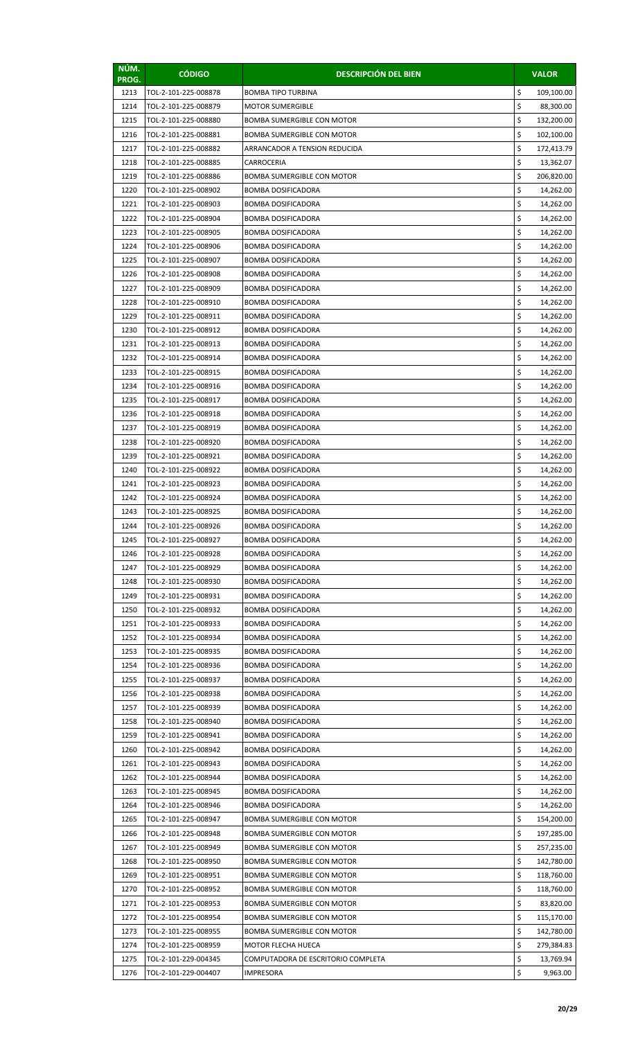| NÚM.<br>PROG. | <b>CÓDIGO</b>                                | <b>DESCRIPCIÓN DEL BIEN</b>                            |          | <b>VALOR</b>           |
|---------------|----------------------------------------------|--------------------------------------------------------|----------|------------------------|
| 1213          | TOL-2-101-225-008878                         | <b>BOMBA TIPO TURBINA</b>                              | \$       | 109,100.00             |
| 1214          | TOL-2-101-225-008879                         | <b>MOTOR SUMERGIBLE</b>                                | \$       | 88,300.00              |
| 1215          | TOL-2-101-225-008880                         | <b>BOMBA SUMERGIBLE CON MOTOR</b>                      | \$       | 132,200.00             |
| 1216          | TOL-2-101-225-008881                         | <b>BOMBA SUMERGIBLE CON MOTOR</b>                      | \$       | 102,100.00             |
| 1217          | TOL-2-101-225-008882                         | ARRANCADOR A TENSION REDUCIDA                          | \$       | 172,413.79             |
| 1218          | TOL-2-101-225-008885                         | CARROCERIA                                             | \$       | 13,362.07              |
| 1219          | TOL-2-101-225-008886                         | <b>BOMBA SUMERGIBLE CON MOTOR</b>                      | \$       | 206,820.00             |
| 1220          | TOL-2-101-225-008902                         | <b>BOMBA DOSIFICADORA</b>                              | \$       | 14,262.00              |
| 1221          | TOL-2-101-225-008903                         | <b>BOMBA DOSIFICADORA</b>                              | \$       | 14,262.00              |
| 1222          | TOL-2-101-225-008904                         | <b>BOMBA DOSIFICADORA</b>                              | \$       | 14,262.00              |
| 1223          | TOL-2-101-225-008905                         | <b>BOMBA DOSIFICADORA</b>                              | \$       | 14,262.00              |
| 1224          | TOL-2-101-225-008906                         | <b>BOMBA DOSIFICADORA</b>                              | \$       | 14,262.00              |
| 1225          | TOL-2-101-225-008907                         | <b>BOMBA DOSIFICADORA</b>                              | \$       | 14,262.00              |
| 1226          | TOL-2-101-225-008908                         | <b>BOMBA DOSIFICADORA</b>                              | \$       | 14,262.00              |
| 1227          | TOL-2-101-225-008909                         | <b>BOMBA DOSIFICADORA</b>                              | \$       | 14,262.00              |
| 1228          | TOL-2-101-225-008910                         | <b>BOMBA DOSIFICADORA</b>                              | \$       | 14,262.00              |
| 1229          | TOL-2-101-225-008911                         | <b>BOMBA DOSIFICADORA</b>                              | \$<br>\$ | 14,262.00              |
| 1230<br>1231  | TOL-2-101-225-008912<br>TOL-2-101-225-008913 | <b>BOMBA DOSIFICADORA</b>                              | \$       | 14,262.00              |
| 1232          | TOL-2-101-225-008914                         | <b>BOMBA DOSIFICADORA</b><br><b>BOMBA DOSIFICADORA</b> | \$       | 14,262.00              |
| 1233          | TOL-2-101-225-008915                         | <b>BOMBA DOSIFICADORA</b>                              | \$       | 14,262.00<br>14,262.00 |
| 1234          | TOL-2-101-225-008916                         | <b>BOMBA DOSIFICADORA</b>                              | \$       | 14,262.00              |
| 1235          | TOL-2-101-225-008917                         | <b>BOMBA DOSIFICADORA</b>                              | \$       | 14,262.00              |
| 1236          | TOL-2-101-225-008918                         | <b>BOMBA DOSIFICADORA</b>                              | \$       | 14,262.00              |
| 1237          | TOL-2-101-225-008919                         | <b>BOMBA DOSIFICADORA</b>                              | \$       | 14,262.00              |
| 1238          | TOL-2-101-225-008920                         | <b>BOMBA DOSIFICADORA</b>                              | \$       | 14,262.00              |
| 1239          | TOL-2-101-225-008921                         | <b>BOMBA DOSIFICADORA</b>                              | \$       | 14,262.00              |
| 1240          | TOL-2-101-225-008922                         | <b>BOMBA DOSIFICADORA</b>                              | \$       | 14,262.00              |
| 1241          | TOL-2-101-225-008923                         | <b>BOMBA DOSIFICADORA</b>                              | \$       | 14,262.00              |
| 1242          | TOL-2-101-225-008924                         | <b>BOMBA DOSIFICADORA</b>                              | \$       | 14,262.00              |
| 1243          | TOL-2-101-225-008925                         | BOMBA DOSIFICADORA                                     | \$       | 14,262.00              |
| 1244          | TOL-2-101-225-008926                         | BOMBA DOSIFICADORA                                     | \$       | 14,262.00              |
| 1245          | TOL-2-101-225-008927                         | <b>BOMBA DOSIFICADORA</b>                              | \$       | 14,262.00              |
| 1246          | TOL-2-101-225-008928                         | <b>BOMBA DOSIFICADORA</b>                              | \$       | 14,262.00              |
| 1247          | TOL-2-101-225-008929                         | <b>BOMBA DOSIFICADORA</b>                              | \$       | 14,262.00              |
| 1248          | TOL-2-101-225-008930                         | <b>BOMBA DOSIFICADORA</b>                              | \$       | 14,262.00              |
| 1249          | TOL-2-101-225-008931                         | <b>BOMBA DOSIFICADORA</b>                              | \$       | 14,262.00              |
| 1250          | TOL-2-101-225-008932                         | <b>BOMBA DOSIFICADORA</b>                              | \$       | 14,262.00              |
| 1251          | TOL-2-101-225-008933                         | <b>BOMBA DOSIFICADORA</b>                              | \$       | 14,262.00              |
| 1252          | TOL-2-101-225-008934                         | <b>BOMBA DOSIFICADORA</b>                              | \$       | 14,262.00              |
| 1253          | TOL-2-101-225-008935                         | <b>BOMBA DOSIFICADORA</b>                              | \$       | 14,262.00              |
| 1254          | TOL-2-101-225-008936                         | <b>BOMBA DOSIFICADORA</b>                              | \$       | 14,262.00              |
| 1255          | TOL-2-101-225-008937                         | <b>BOMBA DOSIFICADORA</b>                              | \$       | 14,262.00              |
| 1256          | TOL-2-101-225-008938                         | <b>BOMBA DOSIFICADORA</b>                              | \$       | 14,262.00              |
| 1257          | TOL-2-101-225-008939                         | <b>BOMBA DOSIFICADORA</b>                              | \$       | 14,262.00              |
| 1258          | TOL-2-101-225-008940                         | <b>BOMBA DOSIFICADORA</b>                              | \$<br>\$ | 14,262.00              |
| 1259          | TOL-2-101-225-008941                         | <b>BOMBA DOSIFICADORA</b>                              | \$       | 14,262.00              |
| 1260<br>1261  | TOL-2-101-225-008942<br>TOL-2-101-225-008943 | <b>BOMBA DOSIFICADORA</b><br>BOMBA DOSIFICADORA        | \$       | 14,262.00<br>14,262.00 |
| 1262          | TOL-2-101-225-008944                         | <b>BOMBA DOSIFICADORA</b>                              | \$       | 14,262.00              |
| 1263          | TOL-2-101-225-008945                         | <b>BOMBA DOSIFICADORA</b>                              | \$       | 14,262.00              |
| 1264          | TOL-2-101-225-008946                         | <b>BOMBA DOSIFICADORA</b>                              | \$       | 14,262.00              |
| 1265          | TOL-2-101-225-008947                         | <b>BOMBA SUMERGIBLE CON MOTOR</b>                      | \$       | 154,200.00             |
| 1266          | TOL-2-101-225-008948                         | <b>BOMBA SUMERGIBLE CON MOTOR</b>                      | \$       | 197,285.00             |
| 1267          | TOL-2-101-225-008949                         | <b>BOMBA SUMERGIBLE CON MOTOR</b>                      | \$       | 257,235.00             |
| 1268          | TOL-2-101-225-008950                         | BOMBA SUMERGIBLE CON MOTOR                             | \$       | 142,780.00             |
| 1269          | TOL-2-101-225-008951                         | <b>BOMBA SUMERGIBLE CON MOTOR</b>                      | \$       | 118,760.00             |
| 1270          | TOL-2-101-225-008952                         | <b>BOMBA SUMERGIBLE CON MOTOR</b>                      | \$       | 118,760.00             |
| 1271          | TOL-2-101-225-008953                         | <b>BOMBA SUMERGIBLE CON MOTOR</b>                      | \$       | 83,820.00              |
| 1272          | TOL-2-101-225-008954                         | <b>BOMBA SUMERGIBLE CON MOTOR</b>                      | \$       | 115,170.00             |
| 1273          | TOL-2-101-225-008955                         | BOMBA SUMERGIBLE CON MOTOR                             | \$       | 142,780.00             |
| 1274          | TOL-2-101-225-008959                         | <b>MOTOR FLECHA HUECA</b>                              | \$       | 279,384.83             |
| 1275          | TOL-2-101-229-004345                         | COMPUTADORA DE ESCRITORIO COMPLETA                     | \$       | 13,769.94              |
| 1276          | TOL-2-101-229-004407                         | IMPRESORA                                              | \$       | 9,963.00               |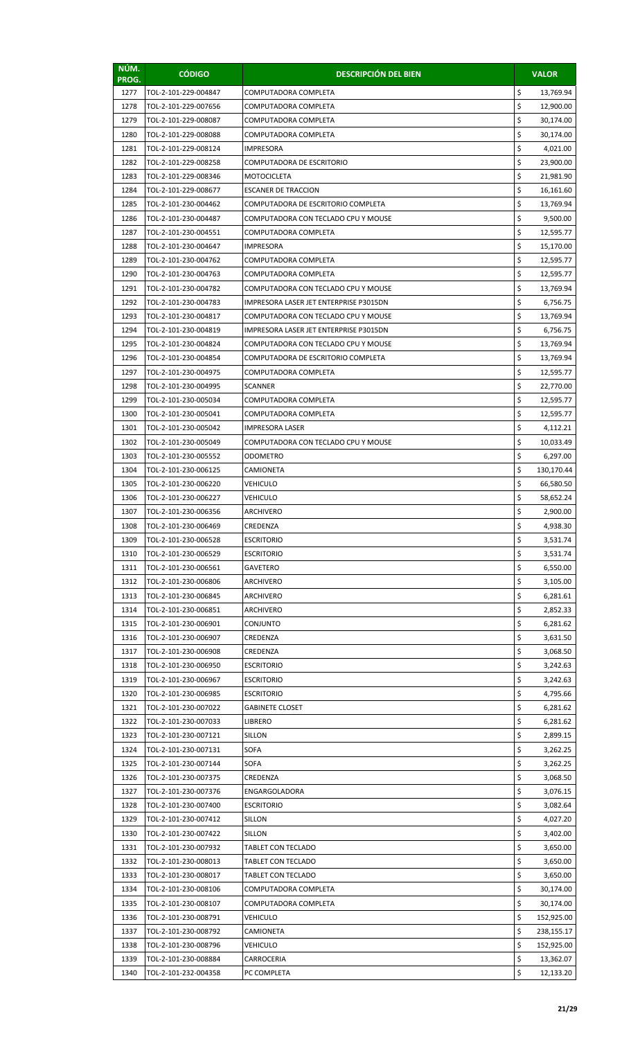| NÚM.<br>PROG. | <b>CÓDIGO</b>                                | <b>DESCRIPCIÓN DEL BIEN</b>                                 |          | <b>VALOR</b>            |
|---------------|----------------------------------------------|-------------------------------------------------------------|----------|-------------------------|
| 1277          | TOL-2-101-229-004847                         | COMPUTADORA COMPLETA                                        | \$       | 13,769.94               |
| 1278          | TOL-2-101-229-007656                         | COMPUTADORA COMPLETA                                        | \$       | 12,900.00               |
| 1279          | TOL-2-101-229-008087                         | COMPUTADORA COMPLETA                                        | \$       | 30,174.00               |
| 1280          | TOL-2-101-229-008088                         | COMPUTADORA COMPLETA                                        | \$       | 30,174.00               |
| 1281          | TOL-2-101-229-008124                         | IMPRESORA                                                   | \$       | 4,021.00                |
| 1282          | TOL-2-101-229-008258                         | COMPUTADORA DE ESCRITORIO                                   | \$       | 23,900.00               |
| 1283          | TOL-2-101-229-008346                         | <b>MOTOCICLETA</b>                                          | \$       | 21,981.90               |
| 1284          | TOL-2-101-229-008677                         | <b>ESCANER DE TRACCION</b>                                  | \$       | 16,161.60               |
| 1285          | TOL-2-101-230-004462                         | COMPUTADORA DE ESCRITORIO COMPLETA                          | \$       | 13,769.94               |
| 1286          | TOL-2-101-230-004487                         | COMPUTADORA CON TECLADO CPU Y MOUSE                         | \$       | 9,500.00                |
| 1287          | TOL-2-101-230-004551                         | COMPUTADORA COMPLETA                                        | \$       | 12,595.77               |
| 1288          | TOL-2-101-230-004647                         | <b>IMPRESORA</b>                                            | \$       | 15,170.00               |
| 1289          | TOL-2-101-230-004762                         | COMPUTADORA COMPLETA                                        | \$       | 12,595.77               |
| 1290<br>1291  | TOL-2-101-230-004763                         | COMPUTADORA COMPLETA<br>COMPUTADORA CON TECLADO CPU Y MOUSE | \$<br>\$ | 12,595.77<br>13,769.94  |
| 1292          | TOL-2-101-230-004782<br>TOL-2-101-230-004783 | IMPRESORA LASER JET ENTERPRISE P3015DN                      | \$       | 6,756.75                |
| 1293          | TOL-2-101-230-004817                         | COMPUTADORA CON TECLADO CPU Y MOUSE                         | \$       | 13,769.94               |
| 1294          | TOL-2-101-230-004819                         | IMPRESORA LASER JET ENTERPRISE P3015DN                      | \$       | 6,756.75                |
| 1295          | TOL-2-101-230-004824                         | COMPUTADORA CON TECLADO CPU Y MOUSE                         | \$       | 13,769.94               |
| 1296          | TOL-2-101-230-004854                         | COMPUTADORA DE ESCRITORIO COMPLETA                          | \$       | 13,769.94               |
| 1297          | TOL-2-101-230-004975                         | COMPUTADORA COMPLETA                                        | \$       | 12,595.77               |
| 1298          | TOL-2-101-230-004995                         | <b>SCANNER</b>                                              | \$       | 22,770.00               |
| 1299          | TOL-2-101-230-005034                         | COMPUTADORA COMPLETA                                        | \$       | 12,595.77               |
| 1300          | TOL-2-101-230-005041                         | COMPUTADORA COMPLETA                                        | \$       | 12,595.77               |
| 1301          | TOL-2-101-230-005042                         | <b>IMPRESORA LASER</b>                                      | \$       | 4,112.21                |
| 1302          | TOL-2-101-230-005049                         | COMPUTADORA CON TECLADO CPU Y MOUSE                         | \$       | 10,033.49               |
| 1303          | TOL-2-101-230-005552                         | ODOMETRO                                                    | \$       | 6,297.00                |
| 1304          | TOL-2-101-230-006125                         | CAMIONETA                                                   | \$       | 130,170.44              |
| 1305          | TOL-2-101-230-006220                         | VEHICULO                                                    | \$       | 66,580.50               |
| 1306          | TOL-2-101-230-006227                         | <b>VEHICULO</b>                                             | \$       | 58,652.24               |
| 1307          | TOL-2-101-230-006356                         | ARCHIVERO                                                   | \$       | 2,900.00                |
| 1308          | TOL-2-101-230-006469                         | CREDENZA                                                    | Ş        | 4,938.30                |
| 1309          | TOL-2-101-230-006528                         | <b>ESCRITORIO</b>                                           | \$       | 3,531.74                |
| 1310          | TOL-2-101-230-006529                         | <b>ESCRITORIO</b>                                           | \$       | 3,531.74                |
| 1311          | TOL-2-101-230-006561                         | <b>GAVETERO</b>                                             | \$       | 6,550.00                |
| 1312          | TOL-2-101-230-006806                         | ARCHIVERO                                                   | \$       | 3,105.00                |
| 1313          | TOL-2-101-230-006845<br>TOL-2-101-230-006851 | ARCHIVERO                                                   | \$<br>\$ | 6,281.61                |
| 1314<br>1315  | TOL-2-101-230-006901                         | ARCHIVERO<br>CONJUNTO                                       | \$       | 2,852.33<br>6,281.62    |
| 1316          | TOL-2-101-230-006907                         | CREDENZA                                                    | \$       | 3,631.50                |
| 1317          | TOL-2-101-230-006908                         | CREDENZA                                                    | \$       | 3,068.50                |
| 1318          | TOL-2-101-230-006950                         | <b>ESCRITORIO</b>                                           | \$       | 3,242.63                |
| 1319          | TOL-2-101-230-006967                         | <b>ESCRITORIO</b>                                           | \$       | 3,242.63                |
| 1320          | TOL-2-101-230-006985                         | <b>ESCRITORIO</b>                                           | \$       | 4,795.66                |
| 1321          | TOL-2-101-230-007022                         | <b>GABINETE CLOSET</b>                                      | \$       | 6,281.62                |
| 1322          | TOL-2-101-230-007033                         | LIBRERO                                                     | \$       | 6,281.62                |
| 1323          | TOL-2-101-230-007121                         | SILLON                                                      | \$       | 2,899.15                |
| 1324          | TOL-2-101-230-007131                         | <b>SOFA</b>                                                 | \$       | 3,262.25                |
| 1325          | TOL-2-101-230-007144                         | SOFA                                                        | \$       | 3,262.25                |
| 1326          | TOL-2-101-230-007375                         | CREDENZA                                                    | \$       | 3,068.50                |
| 1327          | TOL-2-101-230-007376                         | ENGARGOLADORA                                               | \$       | 3,076.15                |
| 1328          | TOL-2-101-230-007400                         | <b>ESCRITORIO</b>                                           | \$       | 3,082.64                |
| 1329          | TOL-2-101-230-007412                         | SILLON                                                      | \$       | 4,027.20                |
| 1330          | TOL-2-101-230-007422                         | SILLON                                                      | \$       | 3,402.00                |
| 1331          | TOL-2-101-230-007932                         | TABLET CON TECLADO                                          | \$       | 3,650.00                |
| 1332          | TOL-2-101-230-008013                         | <b>TABLET CON TECLADO</b>                                   | \$       | 3,650.00                |
| 1333          | TOL-2-101-230-008017                         | <b>TABLET CON TECLADO</b>                                   | \$       | 3,650.00                |
| 1334          | TOL-2-101-230-008106<br>TOL-2-101-230-008107 | COMPUTADORA COMPLETA                                        | \$<br>\$ | 30,174.00               |
| 1335<br>1336  | TOL-2-101-230-008791                         | COMPUTADORA COMPLETA<br>VEHICULO                            | \$       | 30,174.00<br>152,925.00 |
| 1337          | TOL-2-101-230-008792                         | CAMIONETA                                                   | \$       | 238,155.17              |
| 1338          | TOL-2-101-230-008796                         | <b>VEHICULO</b>                                             | \$       | 152,925.00              |
| 1339          | TOL-2-101-230-008884                         | CARROCERIA                                                  | \$       | 13,362.07               |
| 1340          | TOL-2-101-232-004358                         | PC COMPLETA                                                 | \$       | 12,133.20               |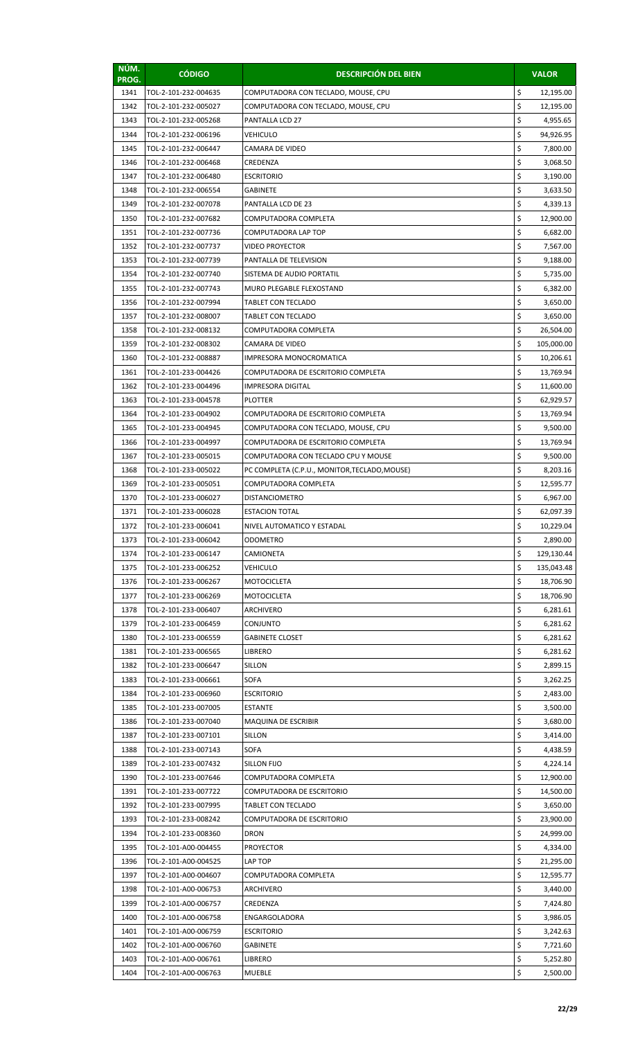| \$<br>1341<br>TOL-2-101-232-004635<br>COMPUTADORA CON TECLADO, MOUSE, CPU<br>12,195.00<br>\$<br>1342<br>12,195.00<br>TOL-2-101-232-005027<br>COMPUTADORA CON TECLADO, MOUSE, CPU<br>\$<br>1343<br>TOL-2-101-232-005268<br>4,955.65<br>PANTALLA LCD 27<br>\$<br>1344<br>TOL-2-101-232-006196<br><b>VEHICULO</b><br>94,926.95<br>\$<br>1345<br>TOL-2-101-232-006447<br>CAMARA DE VIDEO<br>7,800.00<br>\$<br>1346<br>TOL-2-101-232-006468<br>CREDENZA<br>3,068.50<br>\$<br>1347<br>TOL-2-101-232-006480<br><b>ESCRITORIO</b><br>3,190.00<br>\$<br>1348<br>TOL-2-101-232-006554<br><b>GABINETE</b><br>3,633.50<br>\$<br>1349<br>PANTALLA LCD DE 23<br>TOL-2-101-232-007078<br>4,339.13<br>\$<br>1350<br>12,900.00<br>TOL-2-101-232-007682<br>COMPUTADORA COMPLETA<br>\$<br>1351<br>TOL-2-101-232-007736<br>COMPUTADORA LAP TOP<br>6,682.00<br>\$<br>1352<br>TOL-2-101-232-007737<br><b>VIDEO PROYECTOR</b><br>7,567.00<br>\$<br>1353<br>TOL-2-101-232-007739<br>PANTALLA DE TELEVISION<br>9,188.00<br>\$<br>1354<br>TOL-2-101-232-007740<br>5,735.00<br>SISTEMA DE AUDIO PORTATIL<br>\$<br>1355<br>6,382.00<br>TOL-2-101-232-007743<br>MURO PLEGABLE FLEXOSTAND<br>\$<br>1356<br>TOL-2-101-232-007994<br>TABLET CON TECLADO<br>3,650.00<br>\$<br>1357<br>TOL-2-101-232-008007<br>TABLET CON TECLADO<br>3,650.00<br>\$<br>1358<br>TOL-2-101-232-008132<br>COMPUTADORA COMPLETA<br>26,504.00<br>\$<br>1359<br>TOL-2-101-232-008302<br><b>CAMARA DE VIDEO</b><br>105,000.00<br>\$<br>1360<br>TOL-2-101-232-008887<br>IMPRESORA MONOCROMATICA<br>10,206.61<br>\$<br>1361<br>TOL-2-101-233-004426<br>COMPUTADORA DE ESCRITORIO COMPLETA<br>13,769.94<br>\$<br>1362<br>TOL-2-101-233-004496<br><b>IMPRESORA DIGITAL</b><br>11,600.00<br>\$<br>1363<br><b>PLOTTER</b><br>TOL-2-101-233-004578<br>62,929.57<br>\$<br>1364<br>TOL-2-101-233-004902<br>COMPUTADORA DE ESCRITORIO COMPLETA<br>13,769.94<br>\$<br>1365<br>TOL-2-101-233-004945<br>COMPUTADORA CON TECLADO, MOUSE, CPU<br>9,500.00<br>\$<br>1366<br>TOL-2-101-233-004997<br>COMPUTADORA DE ESCRITORIO COMPLETA<br>13,769.94<br>\$<br>1367<br>TOL-2-101-233-005015<br>COMPUTADORA CON TECLADO CPU Y MOUSE<br>9,500.00<br>\$<br>1368<br>TOL-2-101-233-005022<br>PC COMPLETA (C.P.U., MONITOR, TECLADO, MOUSE)<br>8,203.16<br>\$<br>1369<br>12,595.77<br>TOL-2-101-233-005051<br>COMPUTADORA COMPLETA<br>\$<br>1370<br>6,967.00<br>TOL-2-101-233-006027<br><b>DISTANCIOMETRO</b><br>\$<br>1371<br>TOL-2-101-233-006028<br><b>ESTACION TOTAL</b><br>62,097.39<br>1372<br>TOL-2-101-233-006041<br>NIVEL AUTOMATICO Y ESTADAL<br>Ş<br>10,229.04<br>\$<br>TOL-2-101-233-006042<br>2,890.00<br>1373<br>ODOMETRO<br>\$<br>1374<br>TOL-2-101-233-006147<br>129,130.44<br>CAMIONETA<br>\$<br>1375<br><b>VEHICULO</b><br>TOL-2-101-233-006252<br>135,043.48<br>\$<br>1376<br>TOL-2-101-233-006267<br><b>MOTOCICLETA</b><br>18,706.90<br>\$<br>1377<br>TOL-2-101-233-006269<br><b>MOTOCICLETA</b><br>18,706.90<br>\$<br>1378<br>TOL-2-101-233-006407<br>ARCHIVERO<br>6,281.61<br>\$<br>1379<br>TOL-2-101-233-006459<br><b>CONJUNTO</b><br>6,281.62<br>\$<br>1380<br>TOL-2-101-233-006559<br><b>GABINETE CLOSET</b><br>6,281.62<br>\$<br>1381<br>TOL-2-101-233-006565<br><b>LIBRERO</b><br>6,281.62<br>\$<br>1382<br>TOL-2-101-233-006647<br>2,899.15<br>SILLON<br>\$<br>1383<br><b>SOFA</b><br>TOL-2-101-233-006661<br>3,262.25<br>\$<br>1384<br>TOL-2-101-233-006960<br><b>ESCRITORIO</b><br>2,483.00<br>\$<br>1385<br>TOL-2-101-233-007005<br><b>ESTANTE</b><br>3,500.00<br>\$<br>1386<br>TOL-2-101-233-007040<br>MAQUINA DE ESCRIBIR<br>3,680.00<br>\$<br>1387<br>TOL-2-101-233-007101<br><b>SILLON</b><br>3,414.00<br>\$<br>1388<br><b>SOFA</b><br>TOL-2-101-233-007143<br>4,438.59<br>\$<br>1389<br>TOL-2-101-233-007432<br><b>SILLON FIJO</b><br>4,224.14<br>\$<br>1390<br>TOL-2-101-233-007646<br>12,900.00<br>COMPUTADORA COMPLETA<br>\$<br>1391<br>TOL-2-101-233-007722<br>COMPUTADORA DE ESCRITORIO<br>14,500.00<br>\$<br>1392<br>TOL-2-101-233-007995<br>TABLET CON TECLADO<br>3,650.00<br>\$<br>1393<br>TOL-2-101-233-008242<br>COMPUTADORA DE ESCRITORIO<br>23,900.00<br>\$<br>1394<br>TOL-2-101-233-008360<br><b>DRON</b><br>24,999.00<br>\$<br>1395<br>TOL-2-101-A00-004455<br><b>PROYECTOR</b><br>4,334.00<br>\$<br>1396<br>TOL-2-101-A00-004525<br>LAP TOP<br>21,295.00<br>\$<br>1397<br>TOL-2-101-A00-004607<br>COMPUTADORA COMPLETA<br>12,595.77<br>\$<br>1398<br>TOL-2-101-A00-006753<br>ARCHIVERO<br>3,440.00<br>\$<br>1399<br>TOL-2-101-A00-006757<br>CREDENZA<br>7,424.80<br>\$<br>1400<br>TOL-2-101-A00-006758<br>ENGARGOLADORA<br>3,986.05<br>\$<br>1401<br>TOL-2-101-A00-006759<br>3,242.63<br><b>ESCRITORIO</b><br>\$<br>1402<br>TOL-2-101-A00-006760<br><b>GABINETE</b><br>7,721.60<br>\$<br>1403<br>TOL-2-101-A00-006761<br>LIBRERO<br>5,252.80<br>\$<br>1404<br>TOL-2-101-A00-006763<br><b>MUEBLE</b><br>2,500.00 | NÚM.<br>PROG. | <b>CÓDIGO</b> | <b>DESCRIPCIÓN DEL BIEN</b> | <b>VALOR</b> |
|-----------------------------------------------------------------------------------------------------------------------------------------------------------------------------------------------------------------------------------------------------------------------------------------------------------------------------------------------------------------------------------------------------------------------------------------------------------------------------------------------------------------------------------------------------------------------------------------------------------------------------------------------------------------------------------------------------------------------------------------------------------------------------------------------------------------------------------------------------------------------------------------------------------------------------------------------------------------------------------------------------------------------------------------------------------------------------------------------------------------------------------------------------------------------------------------------------------------------------------------------------------------------------------------------------------------------------------------------------------------------------------------------------------------------------------------------------------------------------------------------------------------------------------------------------------------------------------------------------------------------------------------------------------------------------------------------------------------------------------------------------------------------------------------------------------------------------------------------------------------------------------------------------------------------------------------------------------------------------------------------------------------------------------------------------------------------------------------------------------------------------------------------------------------------------------------------------------------------------------------------------------------------------------------------------------------------------------------------------------------------------------------------------------------------------------------------------------------------------------------------------------------------------------------------------------------------------------------------------------------------------------------------------------------------------------------------------------------------------------------------------------------------------------------------------------------------------------------------------------------------------------------------------------------------------------------------------------------------------------------------------------------------------------------------------------------------------------------------------------------------------------------------------------------------------------------------------------------------------------------------------------------------------------------------------------------------------------------------------------------------------------------------------------------------------------------------------------------------------------------------------------------------------------------------------------------------------------------------------------------------------------------------------------------------------------------------------------------------------------------------------------------------------------------------------------------------------------------------------------------------------------------------------------------------------------------------------------------------------------------------------------------------------------------------------------------------------------------------------------------------------------------------------------------------------------------------------------------------------------------------------------------------------------------------------------------------------------------------------------------------------------------------------------------------------------------------------------------------------------------------------------------------------------------------------------------------------------------------------------------------------------------------------------------------------------------------------------------------------------------------------------------------------------------------------------------------------------------------------------------------------------|---------------|---------------|-----------------------------|--------------|
|                                                                                                                                                                                                                                                                                                                                                                                                                                                                                                                                                                                                                                                                                                                                                                                                                                                                                                                                                                                                                                                                                                                                                                                                                                                                                                                                                                                                                                                                                                                                                                                                                                                                                                                                                                                                                                                                                                                                                                                                                                                                                                                                                                                                                                                                                                                                                                                                                                                                                                                                                                                                                                                                                                                                                                                                                                                                                                                                                                                                                                                                                                                                                                                                                                                                                                                                                                                                                                                                                                                                                                                                                                                                                                                                                                                                                                                                                                                                                                                                                                                                                                                                                                                                                                                                                                                                                                                                                                                                                                                                                                                                                                                                                                                                                                                                                                                                                   |               |               |                             |              |
|                                                                                                                                                                                                                                                                                                                                                                                                                                                                                                                                                                                                                                                                                                                                                                                                                                                                                                                                                                                                                                                                                                                                                                                                                                                                                                                                                                                                                                                                                                                                                                                                                                                                                                                                                                                                                                                                                                                                                                                                                                                                                                                                                                                                                                                                                                                                                                                                                                                                                                                                                                                                                                                                                                                                                                                                                                                                                                                                                                                                                                                                                                                                                                                                                                                                                                                                                                                                                                                                                                                                                                                                                                                                                                                                                                                                                                                                                                                                                                                                                                                                                                                                                                                                                                                                                                                                                                                                                                                                                                                                                                                                                                                                                                                                                                                                                                                                                   |               |               |                             |              |
|                                                                                                                                                                                                                                                                                                                                                                                                                                                                                                                                                                                                                                                                                                                                                                                                                                                                                                                                                                                                                                                                                                                                                                                                                                                                                                                                                                                                                                                                                                                                                                                                                                                                                                                                                                                                                                                                                                                                                                                                                                                                                                                                                                                                                                                                                                                                                                                                                                                                                                                                                                                                                                                                                                                                                                                                                                                                                                                                                                                                                                                                                                                                                                                                                                                                                                                                                                                                                                                                                                                                                                                                                                                                                                                                                                                                                                                                                                                                                                                                                                                                                                                                                                                                                                                                                                                                                                                                                                                                                                                                                                                                                                                                                                                                                                                                                                                                                   |               |               |                             |              |
|                                                                                                                                                                                                                                                                                                                                                                                                                                                                                                                                                                                                                                                                                                                                                                                                                                                                                                                                                                                                                                                                                                                                                                                                                                                                                                                                                                                                                                                                                                                                                                                                                                                                                                                                                                                                                                                                                                                                                                                                                                                                                                                                                                                                                                                                                                                                                                                                                                                                                                                                                                                                                                                                                                                                                                                                                                                                                                                                                                                                                                                                                                                                                                                                                                                                                                                                                                                                                                                                                                                                                                                                                                                                                                                                                                                                                                                                                                                                                                                                                                                                                                                                                                                                                                                                                                                                                                                                                                                                                                                                                                                                                                                                                                                                                                                                                                                                                   |               |               |                             |              |
|                                                                                                                                                                                                                                                                                                                                                                                                                                                                                                                                                                                                                                                                                                                                                                                                                                                                                                                                                                                                                                                                                                                                                                                                                                                                                                                                                                                                                                                                                                                                                                                                                                                                                                                                                                                                                                                                                                                                                                                                                                                                                                                                                                                                                                                                                                                                                                                                                                                                                                                                                                                                                                                                                                                                                                                                                                                                                                                                                                                                                                                                                                                                                                                                                                                                                                                                                                                                                                                                                                                                                                                                                                                                                                                                                                                                                                                                                                                                                                                                                                                                                                                                                                                                                                                                                                                                                                                                                                                                                                                                                                                                                                                                                                                                                                                                                                                                                   |               |               |                             |              |
|                                                                                                                                                                                                                                                                                                                                                                                                                                                                                                                                                                                                                                                                                                                                                                                                                                                                                                                                                                                                                                                                                                                                                                                                                                                                                                                                                                                                                                                                                                                                                                                                                                                                                                                                                                                                                                                                                                                                                                                                                                                                                                                                                                                                                                                                                                                                                                                                                                                                                                                                                                                                                                                                                                                                                                                                                                                                                                                                                                                                                                                                                                                                                                                                                                                                                                                                                                                                                                                                                                                                                                                                                                                                                                                                                                                                                                                                                                                                                                                                                                                                                                                                                                                                                                                                                                                                                                                                                                                                                                                                                                                                                                                                                                                                                                                                                                                                                   |               |               |                             |              |
|                                                                                                                                                                                                                                                                                                                                                                                                                                                                                                                                                                                                                                                                                                                                                                                                                                                                                                                                                                                                                                                                                                                                                                                                                                                                                                                                                                                                                                                                                                                                                                                                                                                                                                                                                                                                                                                                                                                                                                                                                                                                                                                                                                                                                                                                                                                                                                                                                                                                                                                                                                                                                                                                                                                                                                                                                                                                                                                                                                                                                                                                                                                                                                                                                                                                                                                                                                                                                                                                                                                                                                                                                                                                                                                                                                                                                                                                                                                                                                                                                                                                                                                                                                                                                                                                                                                                                                                                                                                                                                                                                                                                                                                                                                                                                                                                                                                                                   |               |               |                             |              |
|                                                                                                                                                                                                                                                                                                                                                                                                                                                                                                                                                                                                                                                                                                                                                                                                                                                                                                                                                                                                                                                                                                                                                                                                                                                                                                                                                                                                                                                                                                                                                                                                                                                                                                                                                                                                                                                                                                                                                                                                                                                                                                                                                                                                                                                                                                                                                                                                                                                                                                                                                                                                                                                                                                                                                                                                                                                                                                                                                                                                                                                                                                                                                                                                                                                                                                                                                                                                                                                                                                                                                                                                                                                                                                                                                                                                                                                                                                                                                                                                                                                                                                                                                                                                                                                                                                                                                                                                                                                                                                                                                                                                                                                                                                                                                                                                                                                                                   |               |               |                             |              |
|                                                                                                                                                                                                                                                                                                                                                                                                                                                                                                                                                                                                                                                                                                                                                                                                                                                                                                                                                                                                                                                                                                                                                                                                                                                                                                                                                                                                                                                                                                                                                                                                                                                                                                                                                                                                                                                                                                                                                                                                                                                                                                                                                                                                                                                                                                                                                                                                                                                                                                                                                                                                                                                                                                                                                                                                                                                                                                                                                                                                                                                                                                                                                                                                                                                                                                                                                                                                                                                                                                                                                                                                                                                                                                                                                                                                                                                                                                                                                                                                                                                                                                                                                                                                                                                                                                                                                                                                                                                                                                                                                                                                                                                                                                                                                                                                                                                                                   |               |               |                             |              |
|                                                                                                                                                                                                                                                                                                                                                                                                                                                                                                                                                                                                                                                                                                                                                                                                                                                                                                                                                                                                                                                                                                                                                                                                                                                                                                                                                                                                                                                                                                                                                                                                                                                                                                                                                                                                                                                                                                                                                                                                                                                                                                                                                                                                                                                                                                                                                                                                                                                                                                                                                                                                                                                                                                                                                                                                                                                                                                                                                                                                                                                                                                                                                                                                                                                                                                                                                                                                                                                                                                                                                                                                                                                                                                                                                                                                                                                                                                                                                                                                                                                                                                                                                                                                                                                                                                                                                                                                                                                                                                                                                                                                                                                                                                                                                                                                                                                                                   |               |               |                             |              |
|                                                                                                                                                                                                                                                                                                                                                                                                                                                                                                                                                                                                                                                                                                                                                                                                                                                                                                                                                                                                                                                                                                                                                                                                                                                                                                                                                                                                                                                                                                                                                                                                                                                                                                                                                                                                                                                                                                                                                                                                                                                                                                                                                                                                                                                                                                                                                                                                                                                                                                                                                                                                                                                                                                                                                                                                                                                                                                                                                                                                                                                                                                                                                                                                                                                                                                                                                                                                                                                                                                                                                                                                                                                                                                                                                                                                                                                                                                                                                                                                                                                                                                                                                                                                                                                                                                                                                                                                                                                                                                                                                                                                                                                                                                                                                                                                                                                                                   |               |               |                             |              |
|                                                                                                                                                                                                                                                                                                                                                                                                                                                                                                                                                                                                                                                                                                                                                                                                                                                                                                                                                                                                                                                                                                                                                                                                                                                                                                                                                                                                                                                                                                                                                                                                                                                                                                                                                                                                                                                                                                                                                                                                                                                                                                                                                                                                                                                                                                                                                                                                                                                                                                                                                                                                                                                                                                                                                                                                                                                                                                                                                                                                                                                                                                                                                                                                                                                                                                                                                                                                                                                                                                                                                                                                                                                                                                                                                                                                                                                                                                                                                                                                                                                                                                                                                                                                                                                                                                                                                                                                                                                                                                                                                                                                                                                                                                                                                                                                                                                                                   |               |               |                             |              |
|                                                                                                                                                                                                                                                                                                                                                                                                                                                                                                                                                                                                                                                                                                                                                                                                                                                                                                                                                                                                                                                                                                                                                                                                                                                                                                                                                                                                                                                                                                                                                                                                                                                                                                                                                                                                                                                                                                                                                                                                                                                                                                                                                                                                                                                                                                                                                                                                                                                                                                                                                                                                                                                                                                                                                                                                                                                                                                                                                                                                                                                                                                                                                                                                                                                                                                                                                                                                                                                                                                                                                                                                                                                                                                                                                                                                                                                                                                                                                                                                                                                                                                                                                                                                                                                                                                                                                                                                                                                                                                                                                                                                                                                                                                                                                                                                                                                                                   |               |               |                             |              |
|                                                                                                                                                                                                                                                                                                                                                                                                                                                                                                                                                                                                                                                                                                                                                                                                                                                                                                                                                                                                                                                                                                                                                                                                                                                                                                                                                                                                                                                                                                                                                                                                                                                                                                                                                                                                                                                                                                                                                                                                                                                                                                                                                                                                                                                                                                                                                                                                                                                                                                                                                                                                                                                                                                                                                                                                                                                                                                                                                                                                                                                                                                                                                                                                                                                                                                                                                                                                                                                                                                                                                                                                                                                                                                                                                                                                                                                                                                                                                                                                                                                                                                                                                                                                                                                                                                                                                                                                                                                                                                                                                                                                                                                                                                                                                                                                                                                                                   |               |               |                             |              |
|                                                                                                                                                                                                                                                                                                                                                                                                                                                                                                                                                                                                                                                                                                                                                                                                                                                                                                                                                                                                                                                                                                                                                                                                                                                                                                                                                                                                                                                                                                                                                                                                                                                                                                                                                                                                                                                                                                                                                                                                                                                                                                                                                                                                                                                                                                                                                                                                                                                                                                                                                                                                                                                                                                                                                                                                                                                                                                                                                                                                                                                                                                                                                                                                                                                                                                                                                                                                                                                                                                                                                                                                                                                                                                                                                                                                                                                                                                                                                                                                                                                                                                                                                                                                                                                                                                                                                                                                                                                                                                                                                                                                                                                                                                                                                                                                                                                                                   |               |               |                             |              |
|                                                                                                                                                                                                                                                                                                                                                                                                                                                                                                                                                                                                                                                                                                                                                                                                                                                                                                                                                                                                                                                                                                                                                                                                                                                                                                                                                                                                                                                                                                                                                                                                                                                                                                                                                                                                                                                                                                                                                                                                                                                                                                                                                                                                                                                                                                                                                                                                                                                                                                                                                                                                                                                                                                                                                                                                                                                                                                                                                                                                                                                                                                                                                                                                                                                                                                                                                                                                                                                                                                                                                                                                                                                                                                                                                                                                                                                                                                                                                                                                                                                                                                                                                                                                                                                                                                                                                                                                                                                                                                                                                                                                                                                                                                                                                                                                                                                                                   |               |               |                             |              |
|                                                                                                                                                                                                                                                                                                                                                                                                                                                                                                                                                                                                                                                                                                                                                                                                                                                                                                                                                                                                                                                                                                                                                                                                                                                                                                                                                                                                                                                                                                                                                                                                                                                                                                                                                                                                                                                                                                                                                                                                                                                                                                                                                                                                                                                                                                                                                                                                                                                                                                                                                                                                                                                                                                                                                                                                                                                                                                                                                                                                                                                                                                                                                                                                                                                                                                                                                                                                                                                                                                                                                                                                                                                                                                                                                                                                                                                                                                                                                                                                                                                                                                                                                                                                                                                                                                                                                                                                                                                                                                                                                                                                                                                                                                                                                                                                                                                                                   |               |               |                             |              |
|                                                                                                                                                                                                                                                                                                                                                                                                                                                                                                                                                                                                                                                                                                                                                                                                                                                                                                                                                                                                                                                                                                                                                                                                                                                                                                                                                                                                                                                                                                                                                                                                                                                                                                                                                                                                                                                                                                                                                                                                                                                                                                                                                                                                                                                                                                                                                                                                                                                                                                                                                                                                                                                                                                                                                                                                                                                                                                                                                                                                                                                                                                                                                                                                                                                                                                                                                                                                                                                                                                                                                                                                                                                                                                                                                                                                                                                                                                                                                                                                                                                                                                                                                                                                                                                                                                                                                                                                                                                                                                                                                                                                                                                                                                                                                                                                                                                                                   |               |               |                             |              |
|                                                                                                                                                                                                                                                                                                                                                                                                                                                                                                                                                                                                                                                                                                                                                                                                                                                                                                                                                                                                                                                                                                                                                                                                                                                                                                                                                                                                                                                                                                                                                                                                                                                                                                                                                                                                                                                                                                                                                                                                                                                                                                                                                                                                                                                                                                                                                                                                                                                                                                                                                                                                                                                                                                                                                                                                                                                                                                                                                                                                                                                                                                                                                                                                                                                                                                                                                                                                                                                                                                                                                                                                                                                                                                                                                                                                                                                                                                                                                                                                                                                                                                                                                                                                                                                                                                                                                                                                                                                                                                                                                                                                                                                                                                                                                                                                                                                                                   |               |               |                             |              |
|                                                                                                                                                                                                                                                                                                                                                                                                                                                                                                                                                                                                                                                                                                                                                                                                                                                                                                                                                                                                                                                                                                                                                                                                                                                                                                                                                                                                                                                                                                                                                                                                                                                                                                                                                                                                                                                                                                                                                                                                                                                                                                                                                                                                                                                                                                                                                                                                                                                                                                                                                                                                                                                                                                                                                                                                                                                                                                                                                                                                                                                                                                                                                                                                                                                                                                                                                                                                                                                                                                                                                                                                                                                                                                                                                                                                                                                                                                                                                                                                                                                                                                                                                                                                                                                                                                                                                                                                                                                                                                                                                                                                                                                                                                                                                                                                                                                                                   |               |               |                             |              |
|                                                                                                                                                                                                                                                                                                                                                                                                                                                                                                                                                                                                                                                                                                                                                                                                                                                                                                                                                                                                                                                                                                                                                                                                                                                                                                                                                                                                                                                                                                                                                                                                                                                                                                                                                                                                                                                                                                                                                                                                                                                                                                                                                                                                                                                                                                                                                                                                                                                                                                                                                                                                                                                                                                                                                                                                                                                                                                                                                                                                                                                                                                                                                                                                                                                                                                                                                                                                                                                                                                                                                                                                                                                                                                                                                                                                                                                                                                                                                                                                                                                                                                                                                                                                                                                                                                                                                                                                                                                                                                                                                                                                                                                                                                                                                                                                                                                                                   |               |               |                             |              |
|                                                                                                                                                                                                                                                                                                                                                                                                                                                                                                                                                                                                                                                                                                                                                                                                                                                                                                                                                                                                                                                                                                                                                                                                                                                                                                                                                                                                                                                                                                                                                                                                                                                                                                                                                                                                                                                                                                                                                                                                                                                                                                                                                                                                                                                                                                                                                                                                                                                                                                                                                                                                                                                                                                                                                                                                                                                                                                                                                                                                                                                                                                                                                                                                                                                                                                                                                                                                                                                                                                                                                                                                                                                                                                                                                                                                                                                                                                                                                                                                                                                                                                                                                                                                                                                                                                                                                                                                                                                                                                                                                                                                                                                                                                                                                                                                                                                                                   |               |               |                             |              |
|                                                                                                                                                                                                                                                                                                                                                                                                                                                                                                                                                                                                                                                                                                                                                                                                                                                                                                                                                                                                                                                                                                                                                                                                                                                                                                                                                                                                                                                                                                                                                                                                                                                                                                                                                                                                                                                                                                                                                                                                                                                                                                                                                                                                                                                                                                                                                                                                                                                                                                                                                                                                                                                                                                                                                                                                                                                                                                                                                                                                                                                                                                                                                                                                                                                                                                                                                                                                                                                                                                                                                                                                                                                                                                                                                                                                                                                                                                                                                                                                                                                                                                                                                                                                                                                                                                                                                                                                                                                                                                                                                                                                                                                                                                                                                                                                                                                                                   |               |               |                             |              |
|                                                                                                                                                                                                                                                                                                                                                                                                                                                                                                                                                                                                                                                                                                                                                                                                                                                                                                                                                                                                                                                                                                                                                                                                                                                                                                                                                                                                                                                                                                                                                                                                                                                                                                                                                                                                                                                                                                                                                                                                                                                                                                                                                                                                                                                                                                                                                                                                                                                                                                                                                                                                                                                                                                                                                                                                                                                                                                                                                                                                                                                                                                                                                                                                                                                                                                                                                                                                                                                                                                                                                                                                                                                                                                                                                                                                                                                                                                                                                                                                                                                                                                                                                                                                                                                                                                                                                                                                                                                                                                                                                                                                                                                                                                                                                                                                                                                                                   |               |               |                             |              |
|                                                                                                                                                                                                                                                                                                                                                                                                                                                                                                                                                                                                                                                                                                                                                                                                                                                                                                                                                                                                                                                                                                                                                                                                                                                                                                                                                                                                                                                                                                                                                                                                                                                                                                                                                                                                                                                                                                                                                                                                                                                                                                                                                                                                                                                                                                                                                                                                                                                                                                                                                                                                                                                                                                                                                                                                                                                                                                                                                                                                                                                                                                                                                                                                                                                                                                                                                                                                                                                                                                                                                                                                                                                                                                                                                                                                                                                                                                                                                                                                                                                                                                                                                                                                                                                                                                                                                                                                                                                                                                                                                                                                                                                                                                                                                                                                                                                                                   |               |               |                             |              |
|                                                                                                                                                                                                                                                                                                                                                                                                                                                                                                                                                                                                                                                                                                                                                                                                                                                                                                                                                                                                                                                                                                                                                                                                                                                                                                                                                                                                                                                                                                                                                                                                                                                                                                                                                                                                                                                                                                                                                                                                                                                                                                                                                                                                                                                                                                                                                                                                                                                                                                                                                                                                                                                                                                                                                                                                                                                                                                                                                                                                                                                                                                                                                                                                                                                                                                                                                                                                                                                                                                                                                                                                                                                                                                                                                                                                                                                                                                                                                                                                                                                                                                                                                                                                                                                                                                                                                                                                                                                                                                                                                                                                                                                                                                                                                                                                                                                                                   |               |               |                             |              |
|                                                                                                                                                                                                                                                                                                                                                                                                                                                                                                                                                                                                                                                                                                                                                                                                                                                                                                                                                                                                                                                                                                                                                                                                                                                                                                                                                                                                                                                                                                                                                                                                                                                                                                                                                                                                                                                                                                                                                                                                                                                                                                                                                                                                                                                                                                                                                                                                                                                                                                                                                                                                                                                                                                                                                                                                                                                                                                                                                                                                                                                                                                                                                                                                                                                                                                                                                                                                                                                                                                                                                                                                                                                                                                                                                                                                                                                                                                                                                                                                                                                                                                                                                                                                                                                                                                                                                                                                                                                                                                                                                                                                                                                                                                                                                                                                                                                                                   |               |               |                             |              |
|                                                                                                                                                                                                                                                                                                                                                                                                                                                                                                                                                                                                                                                                                                                                                                                                                                                                                                                                                                                                                                                                                                                                                                                                                                                                                                                                                                                                                                                                                                                                                                                                                                                                                                                                                                                                                                                                                                                                                                                                                                                                                                                                                                                                                                                                                                                                                                                                                                                                                                                                                                                                                                                                                                                                                                                                                                                                                                                                                                                                                                                                                                                                                                                                                                                                                                                                                                                                                                                                                                                                                                                                                                                                                                                                                                                                                                                                                                                                                                                                                                                                                                                                                                                                                                                                                                                                                                                                                                                                                                                                                                                                                                                                                                                                                                                                                                                                                   |               |               |                             |              |
|                                                                                                                                                                                                                                                                                                                                                                                                                                                                                                                                                                                                                                                                                                                                                                                                                                                                                                                                                                                                                                                                                                                                                                                                                                                                                                                                                                                                                                                                                                                                                                                                                                                                                                                                                                                                                                                                                                                                                                                                                                                                                                                                                                                                                                                                                                                                                                                                                                                                                                                                                                                                                                                                                                                                                                                                                                                                                                                                                                                                                                                                                                                                                                                                                                                                                                                                                                                                                                                                                                                                                                                                                                                                                                                                                                                                                                                                                                                                                                                                                                                                                                                                                                                                                                                                                                                                                                                                                                                                                                                                                                                                                                                                                                                                                                                                                                                                                   |               |               |                             |              |
|                                                                                                                                                                                                                                                                                                                                                                                                                                                                                                                                                                                                                                                                                                                                                                                                                                                                                                                                                                                                                                                                                                                                                                                                                                                                                                                                                                                                                                                                                                                                                                                                                                                                                                                                                                                                                                                                                                                                                                                                                                                                                                                                                                                                                                                                                                                                                                                                                                                                                                                                                                                                                                                                                                                                                                                                                                                                                                                                                                                                                                                                                                                                                                                                                                                                                                                                                                                                                                                                                                                                                                                                                                                                                                                                                                                                                                                                                                                                                                                                                                                                                                                                                                                                                                                                                                                                                                                                                                                                                                                                                                                                                                                                                                                                                                                                                                                                                   |               |               |                             |              |
|                                                                                                                                                                                                                                                                                                                                                                                                                                                                                                                                                                                                                                                                                                                                                                                                                                                                                                                                                                                                                                                                                                                                                                                                                                                                                                                                                                                                                                                                                                                                                                                                                                                                                                                                                                                                                                                                                                                                                                                                                                                                                                                                                                                                                                                                                                                                                                                                                                                                                                                                                                                                                                                                                                                                                                                                                                                                                                                                                                                                                                                                                                                                                                                                                                                                                                                                                                                                                                                                                                                                                                                                                                                                                                                                                                                                                                                                                                                                                                                                                                                                                                                                                                                                                                                                                                                                                                                                                                                                                                                                                                                                                                                                                                                                                                                                                                                                                   |               |               |                             |              |
|                                                                                                                                                                                                                                                                                                                                                                                                                                                                                                                                                                                                                                                                                                                                                                                                                                                                                                                                                                                                                                                                                                                                                                                                                                                                                                                                                                                                                                                                                                                                                                                                                                                                                                                                                                                                                                                                                                                                                                                                                                                                                                                                                                                                                                                                                                                                                                                                                                                                                                                                                                                                                                                                                                                                                                                                                                                                                                                                                                                                                                                                                                                                                                                                                                                                                                                                                                                                                                                                                                                                                                                                                                                                                                                                                                                                                                                                                                                                                                                                                                                                                                                                                                                                                                                                                                                                                                                                                                                                                                                                                                                                                                                                                                                                                                                                                                                                                   |               |               |                             |              |
|                                                                                                                                                                                                                                                                                                                                                                                                                                                                                                                                                                                                                                                                                                                                                                                                                                                                                                                                                                                                                                                                                                                                                                                                                                                                                                                                                                                                                                                                                                                                                                                                                                                                                                                                                                                                                                                                                                                                                                                                                                                                                                                                                                                                                                                                                                                                                                                                                                                                                                                                                                                                                                                                                                                                                                                                                                                                                                                                                                                                                                                                                                                                                                                                                                                                                                                                                                                                                                                                                                                                                                                                                                                                                                                                                                                                                                                                                                                                                                                                                                                                                                                                                                                                                                                                                                                                                                                                                                                                                                                                                                                                                                                                                                                                                                                                                                                                                   |               |               |                             |              |
|                                                                                                                                                                                                                                                                                                                                                                                                                                                                                                                                                                                                                                                                                                                                                                                                                                                                                                                                                                                                                                                                                                                                                                                                                                                                                                                                                                                                                                                                                                                                                                                                                                                                                                                                                                                                                                                                                                                                                                                                                                                                                                                                                                                                                                                                                                                                                                                                                                                                                                                                                                                                                                                                                                                                                                                                                                                                                                                                                                                                                                                                                                                                                                                                                                                                                                                                                                                                                                                                                                                                                                                                                                                                                                                                                                                                                                                                                                                                                                                                                                                                                                                                                                                                                                                                                                                                                                                                                                                                                                                                                                                                                                                                                                                                                                                                                                                                                   |               |               |                             |              |
|                                                                                                                                                                                                                                                                                                                                                                                                                                                                                                                                                                                                                                                                                                                                                                                                                                                                                                                                                                                                                                                                                                                                                                                                                                                                                                                                                                                                                                                                                                                                                                                                                                                                                                                                                                                                                                                                                                                                                                                                                                                                                                                                                                                                                                                                                                                                                                                                                                                                                                                                                                                                                                                                                                                                                                                                                                                                                                                                                                                                                                                                                                                                                                                                                                                                                                                                                                                                                                                                                                                                                                                                                                                                                                                                                                                                                                                                                                                                                                                                                                                                                                                                                                                                                                                                                                                                                                                                                                                                                                                                                                                                                                                                                                                                                                                                                                                                                   |               |               |                             |              |
|                                                                                                                                                                                                                                                                                                                                                                                                                                                                                                                                                                                                                                                                                                                                                                                                                                                                                                                                                                                                                                                                                                                                                                                                                                                                                                                                                                                                                                                                                                                                                                                                                                                                                                                                                                                                                                                                                                                                                                                                                                                                                                                                                                                                                                                                                                                                                                                                                                                                                                                                                                                                                                                                                                                                                                                                                                                                                                                                                                                                                                                                                                                                                                                                                                                                                                                                                                                                                                                                                                                                                                                                                                                                                                                                                                                                                                                                                                                                                                                                                                                                                                                                                                                                                                                                                                                                                                                                                                                                                                                                                                                                                                                                                                                                                                                                                                                                                   |               |               |                             |              |
|                                                                                                                                                                                                                                                                                                                                                                                                                                                                                                                                                                                                                                                                                                                                                                                                                                                                                                                                                                                                                                                                                                                                                                                                                                                                                                                                                                                                                                                                                                                                                                                                                                                                                                                                                                                                                                                                                                                                                                                                                                                                                                                                                                                                                                                                                                                                                                                                                                                                                                                                                                                                                                                                                                                                                                                                                                                                                                                                                                                                                                                                                                                                                                                                                                                                                                                                                                                                                                                                                                                                                                                                                                                                                                                                                                                                                                                                                                                                                                                                                                                                                                                                                                                                                                                                                                                                                                                                                                                                                                                                                                                                                                                                                                                                                                                                                                                                                   |               |               |                             |              |
|                                                                                                                                                                                                                                                                                                                                                                                                                                                                                                                                                                                                                                                                                                                                                                                                                                                                                                                                                                                                                                                                                                                                                                                                                                                                                                                                                                                                                                                                                                                                                                                                                                                                                                                                                                                                                                                                                                                                                                                                                                                                                                                                                                                                                                                                                                                                                                                                                                                                                                                                                                                                                                                                                                                                                                                                                                                                                                                                                                                                                                                                                                                                                                                                                                                                                                                                                                                                                                                                                                                                                                                                                                                                                                                                                                                                                                                                                                                                                                                                                                                                                                                                                                                                                                                                                                                                                                                                                                                                                                                                                                                                                                                                                                                                                                                                                                                                                   |               |               |                             |              |
|                                                                                                                                                                                                                                                                                                                                                                                                                                                                                                                                                                                                                                                                                                                                                                                                                                                                                                                                                                                                                                                                                                                                                                                                                                                                                                                                                                                                                                                                                                                                                                                                                                                                                                                                                                                                                                                                                                                                                                                                                                                                                                                                                                                                                                                                                                                                                                                                                                                                                                                                                                                                                                                                                                                                                                                                                                                                                                                                                                                                                                                                                                                                                                                                                                                                                                                                                                                                                                                                                                                                                                                                                                                                                                                                                                                                                                                                                                                                                                                                                                                                                                                                                                                                                                                                                                                                                                                                                                                                                                                                                                                                                                                                                                                                                                                                                                                                                   |               |               |                             |              |
|                                                                                                                                                                                                                                                                                                                                                                                                                                                                                                                                                                                                                                                                                                                                                                                                                                                                                                                                                                                                                                                                                                                                                                                                                                                                                                                                                                                                                                                                                                                                                                                                                                                                                                                                                                                                                                                                                                                                                                                                                                                                                                                                                                                                                                                                                                                                                                                                                                                                                                                                                                                                                                                                                                                                                                                                                                                                                                                                                                                                                                                                                                                                                                                                                                                                                                                                                                                                                                                                                                                                                                                                                                                                                                                                                                                                                                                                                                                                                                                                                                                                                                                                                                                                                                                                                                                                                                                                                                                                                                                                                                                                                                                                                                                                                                                                                                                                                   |               |               |                             |              |
|                                                                                                                                                                                                                                                                                                                                                                                                                                                                                                                                                                                                                                                                                                                                                                                                                                                                                                                                                                                                                                                                                                                                                                                                                                                                                                                                                                                                                                                                                                                                                                                                                                                                                                                                                                                                                                                                                                                                                                                                                                                                                                                                                                                                                                                                                                                                                                                                                                                                                                                                                                                                                                                                                                                                                                                                                                                                                                                                                                                                                                                                                                                                                                                                                                                                                                                                                                                                                                                                                                                                                                                                                                                                                                                                                                                                                                                                                                                                                                                                                                                                                                                                                                                                                                                                                                                                                                                                                                                                                                                                                                                                                                                                                                                                                                                                                                                                                   |               |               |                             |              |
|                                                                                                                                                                                                                                                                                                                                                                                                                                                                                                                                                                                                                                                                                                                                                                                                                                                                                                                                                                                                                                                                                                                                                                                                                                                                                                                                                                                                                                                                                                                                                                                                                                                                                                                                                                                                                                                                                                                                                                                                                                                                                                                                                                                                                                                                                                                                                                                                                                                                                                                                                                                                                                                                                                                                                                                                                                                                                                                                                                                                                                                                                                                                                                                                                                                                                                                                                                                                                                                                                                                                                                                                                                                                                                                                                                                                                                                                                                                                                                                                                                                                                                                                                                                                                                                                                                                                                                                                                                                                                                                                                                                                                                                                                                                                                                                                                                                                                   |               |               |                             |              |
|                                                                                                                                                                                                                                                                                                                                                                                                                                                                                                                                                                                                                                                                                                                                                                                                                                                                                                                                                                                                                                                                                                                                                                                                                                                                                                                                                                                                                                                                                                                                                                                                                                                                                                                                                                                                                                                                                                                                                                                                                                                                                                                                                                                                                                                                                                                                                                                                                                                                                                                                                                                                                                                                                                                                                                                                                                                                                                                                                                                                                                                                                                                                                                                                                                                                                                                                                                                                                                                                                                                                                                                                                                                                                                                                                                                                                                                                                                                                                                                                                                                                                                                                                                                                                                                                                                                                                                                                                                                                                                                                                                                                                                                                                                                                                                                                                                                                                   |               |               |                             |              |
|                                                                                                                                                                                                                                                                                                                                                                                                                                                                                                                                                                                                                                                                                                                                                                                                                                                                                                                                                                                                                                                                                                                                                                                                                                                                                                                                                                                                                                                                                                                                                                                                                                                                                                                                                                                                                                                                                                                                                                                                                                                                                                                                                                                                                                                                                                                                                                                                                                                                                                                                                                                                                                                                                                                                                                                                                                                                                                                                                                                                                                                                                                                                                                                                                                                                                                                                                                                                                                                                                                                                                                                                                                                                                                                                                                                                                                                                                                                                                                                                                                                                                                                                                                                                                                                                                                                                                                                                                                                                                                                                                                                                                                                                                                                                                                                                                                                                                   |               |               |                             |              |
|                                                                                                                                                                                                                                                                                                                                                                                                                                                                                                                                                                                                                                                                                                                                                                                                                                                                                                                                                                                                                                                                                                                                                                                                                                                                                                                                                                                                                                                                                                                                                                                                                                                                                                                                                                                                                                                                                                                                                                                                                                                                                                                                                                                                                                                                                                                                                                                                                                                                                                                                                                                                                                                                                                                                                                                                                                                                                                                                                                                                                                                                                                                                                                                                                                                                                                                                                                                                                                                                                                                                                                                                                                                                                                                                                                                                                                                                                                                                                                                                                                                                                                                                                                                                                                                                                                                                                                                                                                                                                                                                                                                                                                                                                                                                                                                                                                                                                   |               |               |                             |              |
|                                                                                                                                                                                                                                                                                                                                                                                                                                                                                                                                                                                                                                                                                                                                                                                                                                                                                                                                                                                                                                                                                                                                                                                                                                                                                                                                                                                                                                                                                                                                                                                                                                                                                                                                                                                                                                                                                                                                                                                                                                                                                                                                                                                                                                                                                                                                                                                                                                                                                                                                                                                                                                                                                                                                                                                                                                                                                                                                                                                                                                                                                                                                                                                                                                                                                                                                                                                                                                                                                                                                                                                                                                                                                                                                                                                                                                                                                                                                                                                                                                                                                                                                                                                                                                                                                                                                                                                                                                                                                                                                                                                                                                                                                                                                                                                                                                                                                   |               |               |                             |              |
|                                                                                                                                                                                                                                                                                                                                                                                                                                                                                                                                                                                                                                                                                                                                                                                                                                                                                                                                                                                                                                                                                                                                                                                                                                                                                                                                                                                                                                                                                                                                                                                                                                                                                                                                                                                                                                                                                                                                                                                                                                                                                                                                                                                                                                                                                                                                                                                                                                                                                                                                                                                                                                                                                                                                                                                                                                                                                                                                                                                                                                                                                                                                                                                                                                                                                                                                                                                                                                                                                                                                                                                                                                                                                                                                                                                                                                                                                                                                                                                                                                                                                                                                                                                                                                                                                                                                                                                                                                                                                                                                                                                                                                                                                                                                                                                                                                                                                   |               |               |                             |              |
|                                                                                                                                                                                                                                                                                                                                                                                                                                                                                                                                                                                                                                                                                                                                                                                                                                                                                                                                                                                                                                                                                                                                                                                                                                                                                                                                                                                                                                                                                                                                                                                                                                                                                                                                                                                                                                                                                                                                                                                                                                                                                                                                                                                                                                                                                                                                                                                                                                                                                                                                                                                                                                                                                                                                                                                                                                                                                                                                                                                                                                                                                                                                                                                                                                                                                                                                                                                                                                                                                                                                                                                                                                                                                                                                                                                                                                                                                                                                                                                                                                                                                                                                                                                                                                                                                                                                                                                                                                                                                                                                                                                                                                                                                                                                                                                                                                                                                   |               |               |                             |              |
|                                                                                                                                                                                                                                                                                                                                                                                                                                                                                                                                                                                                                                                                                                                                                                                                                                                                                                                                                                                                                                                                                                                                                                                                                                                                                                                                                                                                                                                                                                                                                                                                                                                                                                                                                                                                                                                                                                                                                                                                                                                                                                                                                                                                                                                                                                                                                                                                                                                                                                                                                                                                                                                                                                                                                                                                                                                                                                                                                                                                                                                                                                                                                                                                                                                                                                                                                                                                                                                                                                                                                                                                                                                                                                                                                                                                                                                                                                                                                                                                                                                                                                                                                                                                                                                                                                                                                                                                                                                                                                                                                                                                                                                                                                                                                                                                                                                                                   |               |               |                             |              |
|                                                                                                                                                                                                                                                                                                                                                                                                                                                                                                                                                                                                                                                                                                                                                                                                                                                                                                                                                                                                                                                                                                                                                                                                                                                                                                                                                                                                                                                                                                                                                                                                                                                                                                                                                                                                                                                                                                                                                                                                                                                                                                                                                                                                                                                                                                                                                                                                                                                                                                                                                                                                                                                                                                                                                                                                                                                                                                                                                                                                                                                                                                                                                                                                                                                                                                                                                                                                                                                                                                                                                                                                                                                                                                                                                                                                                                                                                                                                                                                                                                                                                                                                                                                                                                                                                                                                                                                                                                                                                                                                                                                                                                                                                                                                                                                                                                                                                   |               |               |                             |              |
|                                                                                                                                                                                                                                                                                                                                                                                                                                                                                                                                                                                                                                                                                                                                                                                                                                                                                                                                                                                                                                                                                                                                                                                                                                                                                                                                                                                                                                                                                                                                                                                                                                                                                                                                                                                                                                                                                                                                                                                                                                                                                                                                                                                                                                                                                                                                                                                                                                                                                                                                                                                                                                                                                                                                                                                                                                                                                                                                                                                                                                                                                                                                                                                                                                                                                                                                                                                                                                                                                                                                                                                                                                                                                                                                                                                                                                                                                                                                                                                                                                                                                                                                                                                                                                                                                                                                                                                                                                                                                                                                                                                                                                                                                                                                                                                                                                                                                   |               |               |                             |              |
|                                                                                                                                                                                                                                                                                                                                                                                                                                                                                                                                                                                                                                                                                                                                                                                                                                                                                                                                                                                                                                                                                                                                                                                                                                                                                                                                                                                                                                                                                                                                                                                                                                                                                                                                                                                                                                                                                                                                                                                                                                                                                                                                                                                                                                                                                                                                                                                                                                                                                                                                                                                                                                                                                                                                                                                                                                                                                                                                                                                                                                                                                                                                                                                                                                                                                                                                                                                                                                                                                                                                                                                                                                                                                                                                                                                                                                                                                                                                                                                                                                                                                                                                                                                                                                                                                                                                                                                                                                                                                                                                                                                                                                                                                                                                                                                                                                                                                   |               |               |                             |              |
|                                                                                                                                                                                                                                                                                                                                                                                                                                                                                                                                                                                                                                                                                                                                                                                                                                                                                                                                                                                                                                                                                                                                                                                                                                                                                                                                                                                                                                                                                                                                                                                                                                                                                                                                                                                                                                                                                                                                                                                                                                                                                                                                                                                                                                                                                                                                                                                                                                                                                                                                                                                                                                                                                                                                                                                                                                                                                                                                                                                                                                                                                                                                                                                                                                                                                                                                                                                                                                                                                                                                                                                                                                                                                                                                                                                                                                                                                                                                                                                                                                                                                                                                                                                                                                                                                                                                                                                                                                                                                                                                                                                                                                                                                                                                                                                                                                                                                   |               |               |                             |              |
|                                                                                                                                                                                                                                                                                                                                                                                                                                                                                                                                                                                                                                                                                                                                                                                                                                                                                                                                                                                                                                                                                                                                                                                                                                                                                                                                                                                                                                                                                                                                                                                                                                                                                                                                                                                                                                                                                                                                                                                                                                                                                                                                                                                                                                                                                                                                                                                                                                                                                                                                                                                                                                                                                                                                                                                                                                                                                                                                                                                                                                                                                                                                                                                                                                                                                                                                                                                                                                                                                                                                                                                                                                                                                                                                                                                                                                                                                                                                                                                                                                                                                                                                                                                                                                                                                                                                                                                                                                                                                                                                                                                                                                                                                                                                                                                                                                                                                   |               |               |                             |              |
|                                                                                                                                                                                                                                                                                                                                                                                                                                                                                                                                                                                                                                                                                                                                                                                                                                                                                                                                                                                                                                                                                                                                                                                                                                                                                                                                                                                                                                                                                                                                                                                                                                                                                                                                                                                                                                                                                                                                                                                                                                                                                                                                                                                                                                                                                                                                                                                                                                                                                                                                                                                                                                                                                                                                                                                                                                                                                                                                                                                                                                                                                                                                                                                                                                                                                                                                                                                                                                                                                                                                                                                                                                                                                                                                                                                                                                                                                                                                                                                                                                                                                                                                                                                                                                                                                                                                                                                                                                                                                                                                                                                                                                                                                                                                                                                                                                                                                   |               |               |                             |              |
|                                                                                                                                                                                                                                                                                                                                                                                                                                                                                                                                                                                                                                                                                                                                                                                                                                                                                                                                                                                                                                                                                                                                                                                                                                                                                                                                                                                                                                                                                                                                                                                                                                                                                                                                                                                                                                                                                                                                                                                                                                                                                                                                                                                                                                                                                                                                                                                                                                                                                                                                                                                                                                                                                                                                                                                                                                                                                                                                                                                                                                                                                                                                                                                                                                                                                                                                                                                                                                                                                                                                                                                                                                                                                                                                                                                                                                                                                                                                                                                                                                                                                                                                                                                                                                                                                                                                                                                                                                                                                                                                                                                                                                                                                                                                                                                                                                                                                   |               |               |                             |              |
|                                                                                                                                                                                                                                                                                                                                                                                                                                                                                                                                                                                                                                                                                                                                                                                                                                                                                                                                                                                                                                                                                                                                                                                                                                                                                                                                                                                                                                                                                                                                                                                                                                                                                                                                                                                                                                                                                                                                                                                                                                                                                                                                                                                                                                                                                                                                                                                                                                                                                                                                                                                                                                                                                                                                                                                                                                                                                                                                                                                                                                                                                                                                                                                                                                                                                                                                                                                                                                                                                                                                                                                                                                                                                                                                                                                                                                                                                                                                                                                                                                                                                                                                                                                                                                                                                                                                                                                                                                                                                                                                                                                                                                                                                                                                                                                                                                                                                   |               |               |                             |              |
|                                                                                                                                                                                                                                                                                                                                                                                                                                                                                                                                                                                                                                                                                                                                                                                                                                                                                                                                                                                                                                                                                                                                                                                                                                                                                                                                                                                                                                                                                                                                                                                                                                                                                                                                                                                                                                                                                                                                                                                                                                                                                                                                                                                                                                                                                                                                                                                                                                                                                                                                                                                                                                                                                                                                                                                                                                                                                                                                                                                                                                                                                                                                                                                                                                                                                                                                                                                                                                                                                                                                                                                                                                                                                                                                                                                                                                                                                                                                                                                                                                                                                                                                                                                                                                                                                                                                                                                                                                                                                                                                                                                                                                                                                                                                                                                                                                                                                   |               |               |                             |              |
|                                                                                                                                                                                                                                                                                                                                                                                                                                                                                                                                                                                                                                                                                                                                                                                                                                                                                                                                                                                                                                                                                                                                                                                                                                                                                                                                                                                                                                                                                                                                                                                                                                                                                                                                                                                                                                                                                                                                                                                                                                                                                                                                                                                                                                                                                                                                                                                                                                                                                                                                                                                                                                                                                                                                                                                                                                                                                                                                                                                                                                                                                                                                                                                                                                                                                                                                                                                                                                                                                                                                                                                                                                                                                                                                                                                                                                                                                                                                                                                                                                                                                                                                                                                                                                                                                                                                                                                                                                                                                                                                                                                                                                                                                                                                                                                                                                                                                   |               |               |                             |              |
|                                                                                                                                                                                                                                                                                                                                                                                                                                                                                                                                                                                                                                                                                                                                                                                                                                                                                                                                                                                                                                                                                                                                                                                                                                                                                                                                                                                                                                                                                                                                                                                                                                                                                                                                                                                                                                                                                                                                                                                                                                                                                                                                                                                                                                                                                                                                                                                                                                                                                                                                                                                                                                                                                                                                                                                                                                                                                                                                                                                                                                                                                                                                                                                                                                                                                                                                                                                                                                                                                                                                                                                                                                                                                                                                                                                                                                                                                                                                                                                                                                                                                                                                                                                                                                                                                                                                                                                                                                                                                                                                                                                                                                                                                                                                                                                                                                                                                   |               |               |                             |              |
|                                                                                                                                                                                                                                                                                                                                                                                                                                                                                                                                                                                                                                                                                                                                                                                                                                                                                                                                                                                                                                                                                                                                                                                                                                                                                                                                                                                                                                                                                                                                                                                                                                                                                                                                                                                                                                                                                                                                                                                                                                                                                                                                                                                                                                                                                                                                                                                                                                                                                                                                                                                                                                                                                                                                                                                                                                                                                                                                                                                                                                                                                                                                                                                                                                                                                                                                                                                                                                                                                                                                                                                                                                                                                                                                                                                                                                                                                                                                                                                                                                                                                                                                                                                                                                                                                                                                                                                                                                                                                                                                                                                                                                                                                                                                                                                                                                                                                   |               |               |                             |              |
|                                                                                                                                                                                                                                                                                                                                                                                                                                                                                                                                                                                                                                                                                                                                                                                                                                                                                                                                                                                                                                                                                                                                                                                                                                                                                                                                                                                                                                                                                                                                                                                                                                                                                                                                                                                                                                                                                                                                                                                                                                                                                                                                                                                                                                                                                                                                                                                                                                                                                                                                                                                                                                                                                                                                                                                                                                                                                                                                                                                                                                                                                                                                                                                                                                                                                                                                                                                                                                                                                                                                                                                                                                                                                                                                                                                                                                                                                                                                                                                                                                                                                                                                                                                                                                                                                                                                                                                                                                                                                                                                                                                                                                                                                                                                                                                                                                                                                   |               |               |                             |              |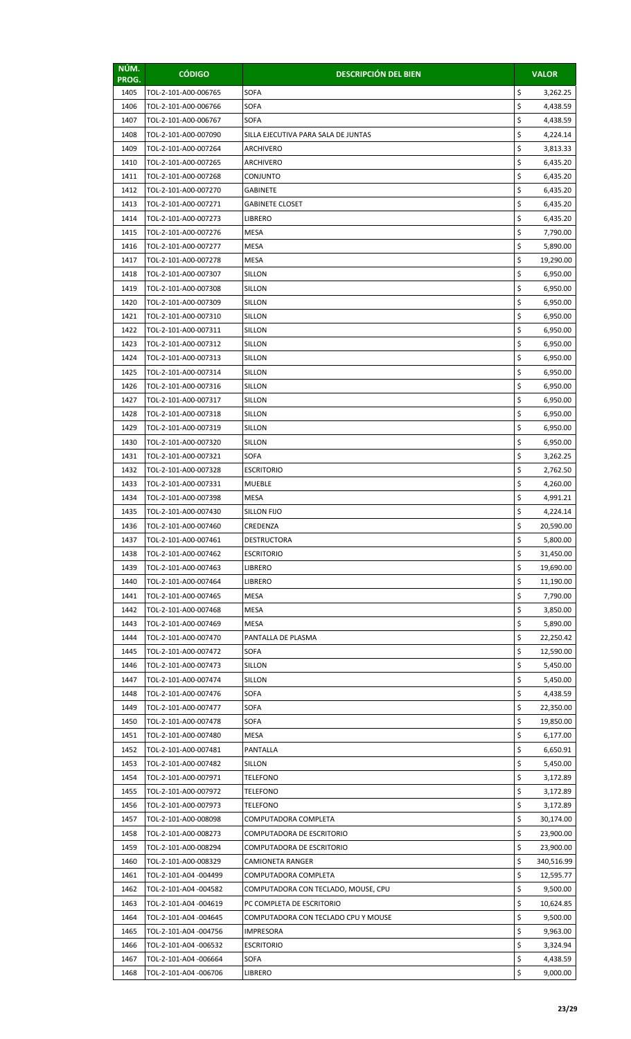| NÚM.<br>PROG. | <b>CÓDIGO</b>                                  | <b>DESCRIPCIÓN DEL BIEN</b>                                      |          | <b>VALOR</b>          |
|---------------|------------------------------------------------|------------------------------------------------------------------|----------|-----------------------|
| 1405          | TOL-2-101-A00-006765                           | <b>SOFA</b>                                                      | \$       | 3,262.25              |
| 1406          | TOL-2-101-A00-006766                           | <b>SOFA</b>                                                      | \$       | 4,438.59              |
| 1407          | TOL-2-101-A00-006767                           | <b>SOFA</b>                                                      | \$       | 4,438.59              |
| 1408          | TOL-2-101-A00-007090                           | SILLA EJECUTIVA PARA SALA DE JUNTAS                              | \$       | 4,224.14              |
| 1409          | TOL-2-101-A00-007264                           | ARCHIVERO                                                        | \$       | 3,813.33              |
| 1410          | TOL-2-101-A00-007265                           | ARCHIVERO                                                        | \$       | 6,435.20              |
| 1411          | TOL-2-101-A00-007268                           | CONJUNTO                                                         | \$       | 6,435.20              |
| 1412          | TOL-2-101-A00-007270                           | <b>GABINETE</b>                                                  | \$       | 6,435.20              |
| 1413          | TOL-2-101-A00-007271                           | <b>GABINETE CLOSET</b>                                           | \$       | 6,435.20              |
| 1414          | TOL-2-101-A00-007273                           | LIBRERO                                                          | \$       | 6,435.20              |
| 1415          | TOL-2-101-A00-007276                           | <b>MESA</b>                                                      | \$       | 7,790.00              |
| 1416          | TOL-2-101-A00-007277                           | <b>MESA</b>                                                      | \$       | 5,890.00              |
| 1417          | TOL-2-101-A00-007278                           | MESA                                                             | \$       | 19,290.00             |
| 1418          | TOL-2-101-A00-007307                           | <b>SILLON</b>                                                    | \$       | 6,950.00              |
| 1419          | TOL-2-101-A00-007308                           | <b>SILLON</b>                                                    | \$       | 6,950.00              |
| 1420          | TOL-2-101-A00-007309                           | <b>SILLON</b>                                                    | \$       | 6,950.00              |
| 1421          | TOL-2-101-A00-007310                           | SILLON                                                           | \$       | 6,950.00              |
| 1422          | TOL-2-101-A00-007311                           | <b>SILLON</b>                                                    | \$       | 6,950.00              |
| 1423          | TOL-2-101-A00-007312                           | <b>SILLON</b>                                                    | \$       | 6,950.00              |
| 1424          | TOL-2-101-A00-007313                           | <b>SILLON</b>                                                    | \$       | 6,950.00              |
| 1425          | TOL-2-101-A00-007314                           | SILLON                                                           | \$       | 6,950.00              |
| 1426          | TOL-2-101-A00-007316                           | <b>SILLON</b>                                                    | \$<br>\$ | 6,950.00              |
| 1427          | TOL-2-101-A00-007317                           | <b>SILLON</b>                                                    | \$       | 6,950.00              |
| 1428<br>1429  | TOL-2-101-A00-007318<br>TOL-2-101-A00-007319   | <b>SILLON</b><br>SILLON                                          | \$       | 6,950.00              |
| 1430          | TOL-2-101-A00-007320                           | <b>SILLON</b>                                                    | \$       | 6,950.00<br>6,950.00  |
| 1431          | TOL-2-101-A00-007321                           | <b>SOFA</b>                                                      | \$       | 3,262.25              |
| 1432          | TOL-2-101-A00-007328                           | <b>ESCRITORIO</b>                                                | \$       | 2,762.50              |
| 1433          | TOL-2-101-A00-007331                           | <b>MUEBLE</b>                                                    | \$       | 4,260.00              |
| 1434          | TOL-2-101-A00-007398                           | <b>MESA</b>                                                      | \$       | 4,991.21              |
| 1435          | TOL-2-101-A00-007430                           | <b>SILLON FIJO</b>                                               | \$       | 4,224.14              |
| 1436          | TOL-2-101-A00-007460                           | CREDENZA                                                         | \$       | 20,590.00             |
| 1437          | TOL-2-101-A00-007461                           | <b>DESTRUCTORA</b>                                               | \$       | 5,800.00              |
| 1438          | TOL-2-101-A00-007462                           | <b>ESCRITORIO</b>                                                | \$       | 31,450.00             |
| 1439          | TOL-2-101-A00-007463                           | <b>LIBRERO</b>                                                   | \$       | 19,690.00             |
| 1440          | TOL-2-101-A00-007464                           | LIBRERO                                                          | \$       | 11,190.00             |
| 1441          | TOL-2-101-A00-007465                           | <b>MESA</b>                                                      | \$       | 7,790.00              |
| 1442          | TOL-2-101-A00-007468                           | <b>MESA</b>                                                      | \$       | 3,850.00              |
| 1443          | TOL-2-101-A00-007469                           | MESA                                                             | \$       | 5,890.00              |
| 1444          | TOL-2-101-A00-007470                           | PANTALLA DE PLASMA                                               | \$       | 22,250.42             |
| 1445          | TOL-2-101-A00-007472                           | <b>SOFA</b>                                                      | \$       | 12,590.00             |
| 1446          | TOL-2-101-A00-007473                           | <b>SILLON</b>                                                    | \$       | 5,450.00              |
| 1447          | TOL-2-101-A00-007474                           | SILLON                                                           | \$       | 5,450.00              |
| 1448          | TOL-2-101-A00-007476                           | SOFA                                                             | \$       | 4,438.59              |
| 1449          | TOL-2-101-A00-007477                           | <b>SOFA</b>                                                      | \$       | 22,350.00             |
| 1450          | TOL-2-101-A00-007478                           | <b>SOFA</b>                                                      | \$       | 19,850.00             |
| 1451          | TOL-2-101-A00-007480                           | MESA                                                             | \$       | 6,177.00              |
| 1452          | TOL-2-101-A00-007481                           | PANTALLA                                                         | \$       | 6,650.91              |
| 1453          | TOL-2-101-A00-007482                           | <b>SILLON</b>                                                    | \$       | 5,450.00              |
| 1454          | TOL-2-101-A00-007971                           | <b>TELEFONO</b>                                                  | \$       | 3,172.89              |
| 1455          | TOL-2-101-A00-007972                           | <b>TELEFONO</b>                                                  | \$       | 3,172.89              |
| 1456          | TOL-2-101-A00-007973                           | TELEFONO                                                         | \$       | 3,172.89              |
| 1457          | TOL-2-101-A00-008098                           | COMPUTADORA COMPLETA                                             | \$       | 30,174.00             |
| 1458          | TOL-2-101-A00-008273                           | COMPUTADORA DE ESCRITORIO                                        | \$       | 23,900.00             |
| 1459          | TOL-2-101-A00-008294                           | COMPUTADORA DE ESCRITORIO                                        | \$       | 23,900.00             |
| 1460          | TOL-2-101-A00-008329                           | CAMIONETA RANGER                                                 | \$       | 340,516.99            |
| 1461          | TOL-2-101-A04 -004499                          | COMPUTADORA COMPLETA                                             | \$       | 12,595.77             |
| 1462          | TOL-2-101-A04 -004582                          | COMPUTADORA CON TECLADO, MOUSE, CPU                              | \$       | 9,500.00              |
| 1463<br>1464  | TOL-2-101-A04 -004619<br>TOL-2-101-A04 -004645 | PC COMPLETA DE ESCRITORIO<br>COMPUTADORA CON TECLADO CPU Y MOUSE | \$<br>\$ | 10,624.85<br>9,500.00 |
| 1465          | TOL-2-101-A04 -004756                          | <b>IMPRESORA</b>                                                 | \$       | 9,963.00              |
| 1466          | TOL-2-101-A04 -006532                          | <b>ESCRITORIO</b>                                                | \$       | 3,324.94              |
| 1467          | TOL-2-101-A04 -006664                          | SOFA                                                             | \$       | 4,438.59              |
| 1468          | TOL-2-101-A04 -006706                          | LIBRERO                                                          | \$       | 9,000.00              |
|               |                                                |                                                                  |          |                       |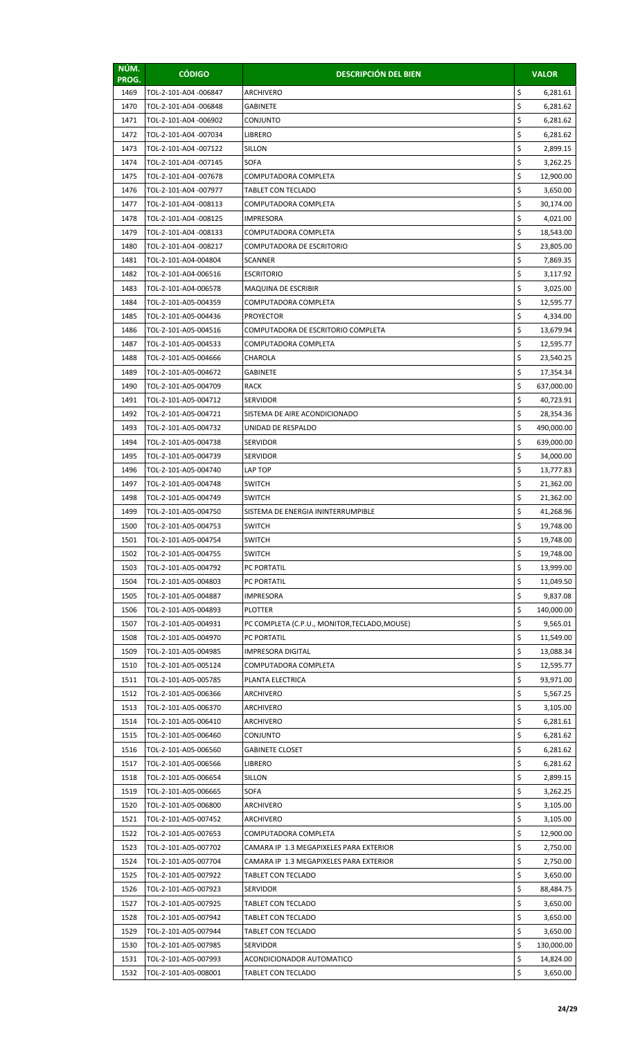| NÚM.<br>PROG. | <b>CÓDIGO</b>                                 | <b>DESCRIPCIÓN DEL BIEN</b>                   |          | <b>VALOR</b>           |
|---------------|-----------------------------------------------|-----------------------------------------------|----------|------------------------|
| 1469          | TOL-2-101-A04 -006847                         | ARCHIVERO                                     | \$       | 6,281.61               |
| 1470          | TOL-2-101-A04 -006848                         | GABINETE                                      | \$       | 6,281.62               |
| 1471          | TOL-2-101-A04 -006902                         | CONJUNTO                                      | \$       | 6,281.62               |
| 1472          | TOL-2-101-A04 -007034                         | <b>LIBRERO</b>                                | \$       | 6,281.62               |
| 1473          | TOL-2-101-A04 -007122                         | <b>SILLON</b>                                 | \$       | 2,899.15               |
| 1474          | TOL-2-101-A04 -007145                         | <b>SOFA</b>                                   | \$       | 3,262.25               |
| 1475          | TOL-2-101-A04 -007678                         | COMPUTADORA COMPLETA                          | \$       | 12,900.00              |
| 1476          | TOL-2-101-A04-007977                          | <b>TABLET CON TECLADO</b>                     | \$       | 3,650.00               |
| 1477          | TOL-2-101-A04 -008113                         | COMPUTADORA COMPLETA                          | \$       | 30,174.00              |
| 1478          | TOL-2-101-A04 -008125                         | IMPRESORA                                     | \$       | 4,021.00               |
| 1479<br>1480  | TOL-2-101-A04 -008133                         | COMPUTADORA COMPLETA                          | \$<br>\$ | 18,543.00              |
| 1481          | TOL-2-101-A04 -008217<br>TOL-2-101-A04-004804 | COMPUTADORA DE ESCRITORIO<br>SCANNER          | \$       | 23,805.00<br>7,869.35  |
| 1482          | TOL-2-101-A04-006516                          | <b>ESCRITORIO</b>                             | \$       | 3,117.92               |
| 1483          | TOL-2-101-A04-006578                          | MAQUINA DE ESCRIBIR                           | \$       | 3,025.00               |
| 1484          | TOL-2-101-A05-004359                          | COMPUTADORA COMPLETA                          | \$       | 12,595.77              |
| 1485          | TOL-2-101-A05-004436                          | <b>PROYECTOR</b>                              | \$       | 4,334.00               |
| 1486          | TOL-2-101-A05-004516                          | COMPUTADORA DE ESCRITORIO COMPLETA            | \$       | 13,679.94              |
| 1487          | TOL-2-101-A05-004533                          | COMPUTADORA COMPLETA                          | \$       | 12,595.77              |
| 1488          | TOL-2-101-A05-004666                          | CHAROLA                                       | \$       | 23,540.25              |
| 1489          | TOL-2-101-A05-004672                          | GABINETE                                      | \$       | 17,354.34              |
| 1490          | TOL-2-101-A05-004709                          | <b>RACK</b>                                   | \$       | 637,000.00             |
| 1491          | TOL-2-101-A05-004712                          | <b>SERVIDOR</b>                               | \$       | 40,723.91              |
| 1492          | TOL-2-101-A05-004721                          | SISTEMA DE AIRE ACONDICIONADO                 | \$       | 28,354.36              |
| 1493          | TOL-2-101-A05-004732                          | UNIDAD DE RESPALDO                            | \$       | 490,000.00             |
| 1494          | TOL-2-101-A05-004738                          | SERVIDOR                                      | \$       | 639,000.00             |
| 1495          | TOL-2-101-A05-004739                          | <b>SERVIDOR</b>                               | \$       | 34,000.00              |
| 1496          | TOL-2-101-A05-004740                          | LAP TOP                                       | \$       | 13,777.83              |
| 1497          | TOL-2-101-A05-004748                          | <b>SWITCH</b>                                 | \$       | 21,362.00              |
| 1498<br>1499  | TOL-2-101-A05-004749                          | <b>SWITCH</b>                                 | \$<br>\$ | 21,362.00              |
| 1500          | TOL-2-101-A05-004750<br>TOL-2-101-A05-004753  | SISTEMA DE ENERGIA ININTERRUMPIBLE<br>SWITCH  | \$       | 41,268.96<br>19,748.00 |
| 1501          | TOL-2-101-A05-004754                          | SWITCH                                        | \$       | 19,748.00              |
| 1502          | TOL-2-101-A05-004755                          | <b>SWITCH</b>                                 | \$       | 19,748.00              |
| 1503          | TOL-2-101-A05-004792                          | PC PORTATIL                                   | \$       | 13,999.00              |
| 1504          | TOL-2-101-A05-004803                          | PC PORTATIL                                   | \$       | 11,049.50              |
| 1505          | TOL-2-101-A05-004887                          | IMPRESORA                                     | \$       | 9,837.08               |
| 1506          | TOL-2-101-A05-004893                          | <b>PLOTTER</b>                                | \$       | 140,000.00             |
| 1507          | TOL-2-101-A05-004931                          | PC COMPLETA (C.P.U., MONITOR, TECLADO, MOUSE) | \$       | 9,565.01               |
| 1508          | TOL-2-101-A05-004970                          | PC PORTATIL                                   | \$       | 11,549.00              |
| 1509          | TOL-2-101-A05-004985                          | IMPRESORA DIGITAL                             | \$       | 13,088.34              |
| 1510          | TOL-2-101-A05-005124                          | COMPUTADORA COMPLETA                          | \$       | 12,595.77              |
| 1511          | TOL-2-101-A05-005785                          | PLANTA ELECTRICA                              | \$       | 93,971.00              |
| 1512          | TOL-2-101-A05-006366                          | ARCHIVERO                                     | \$       | 5,567.25               |
| 1513          | TOL-2-101-A05-006370                          | ARCHIVERO                                     | \$       | 3,105.00               |
| 1514          | TOL-2-101-A05-006410                          | ARCHIVERO                                     | \$<br>\$ | 6,281.61               |
| 1515<br>1516  | TOL-2-101-A05-006460<br>TOL-2-101-A05-006560  | CONJUNTO<br><b>GABINETE CLOSET</b>            | \$       | 6,281.62<br>6,281.62   |
| 1517          | TOL-2-101-A05-006566                          | LIBRERO                                       | \$       | 6,281.62               |
| 1518          | TOL-2-101-A05-006654                          | SILLON                                        | \$       | 2,899.15               |
| 1519          | TOL-2-101-A05-006665                          | SOFA                                          | \$       | 3,262.25               |
| 1520          | TOL-2-101-A05-006800                          | ARCHIVERO                                     | \$       | 3,105.00               |
| 1521          | TOL-2-101-A05-007452                          | ARCHIVERO                                     | \$       | 3,105.00               |
| 1522          | TOL-2-101-A05-007653                          | COMPUTADORA COMPLETA                          | \$       | 12,900.00              |
| 1523          | TOL-2-101-A05-007702                          | CAMARA IP 1.3 MEGAPIXELES PARA EXTERIOR       | \$       | 2,750.00               |
| 1524          | TOL-2-101-A05-007704                          | CAMARA IP 1.3 MEGAPIXELES PARA EXTERIOR       | \$       | 2,750.00               |
| 1525          | TOL-2-101-A05-007922                          | TABLET CON TECLADO                            | \$       | 3,650.00               |
| 1526          | TOL-2-101-A05-007923                          | <b>SERVIDOR</b>                               | \$       | 88,484.75              |
| 1527          | TOL-2-101-A05-007925                          | TABLET CON TECLADO                            | \$       | 3,650.00               |
| 1528          | TOL-2-101-A05-007942                          | TABLET CON TECLADO                            | \$       | 3,650.00               |
| 1529          | TOL-2-101-A05-007944                          | TABLET CON TECLADO                            | \$       | 3,650.00               |
| 1530          | TOL-2-101-A05-007985                          | <b>SERVIDOR</b>                               | \$       | 130,000.00             |
| 1531          | TOL-2-101-A05-007993                          | ACONDICIONADOR AUTOMATICO                     | \$       | 14,824.00              |
| 1532          | TOL-2-101-A05-008001                          | TABLET CON TECLADO                            | \$       | 3,650.00               |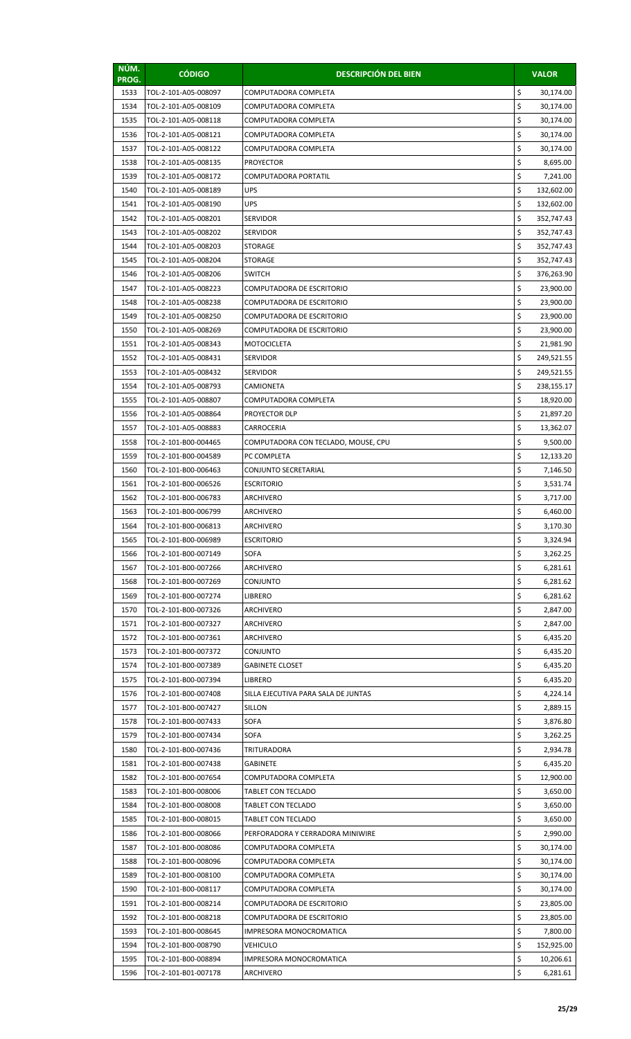| NÚM.<br>PROG. | <b>CÓDIGO</b>                                | <b>DESCRIPCIÓN DEL BIEN</b>         |          | <b>VALOR</b>             |
|---------------|----------------------------------------------|-------------------------------------|----------|--------------------------|
| 1533          | TOL-2-101-A05-008097                         | COMPUTADORA COMPLETA                | \$       | 30,174.00                |
| 1534          | TOL-2-101-A05-008109                         | COMPUTADORA COMPLETA                | \$       | 30,174.00                |
| 1535          | TOL-2-101-A05-008118                         | COMPUTADORA COMPLETA                | \$       | 30,174.00                |
| 1536          | TOL-2-101-A05-008121                         | COMPUTADORA COMPLETA                | \$       | 30,174.00                |
| 1537          | TOL-2-101-A05-008122                         | COMPUTADORA COMPLETA                | \$       | 30,174.00                |
| 1538          | TOL-2-101-A05-008135                         | <b>PROYECTOR</b>                    | \$       | 8,695.00                 |
| 1539          | TOL-2-101-A05-008172                         | COMPUTADORA PORTATIL                | \$       | 7,241.00                 |
| 1540          | TOL-2-101-A05-008189                         | <b>UPS</b>                          | \$       | 132,602.00               |
| 1541          | TOL-2-101-A05-008190                         | UPS                                 | \$       | 132,602.00               |
| 1542          | TOL-2-101-A05-008201                         | SERVIDOR                            | \$       | 352,747.43               |
| 1543          | TOL-2-101-A05-008202                         | SERVIDOR                            | \$<br>\$ | 352,747.43               |
| 1544<br>1545  | TOL-2-101-A05-008203<br>TOL-2-101-A05-008204 | STORAGE<br>STORAGE                  | \$       | 352,747.43<br>352,747.43 |
| 1546          | TOL-2-101-A05-008206                         | <b>SWITCH</b>                       | \$       | 376,263.90               |
| 1547          | TOL-2-101-A05-008223                         | COMPUTADORA DE ESCRITORIO           | \$       | 23,900.00                |
| 1548          | TOL-2-101-A05-008238                         | COMPUTADORA DE ESCRITORIO           | \$       | 23,900.00                |
| 1549          | TOL-2-101-A05-008250                         | COMPUTADORA DE ESCRITORIO           | \$       | 23,900.00                |
| 1550          | TOL-2-101-A05-008269                         | COMPUTADORA DE ESCRITORIO           | \$       | 23,900.00                |
| 1551          | TOL-2-101-A05-008343                         | MOTOCICLETA                         | \$       | 21,981.90                |
| 1552          | TOL-2-101-A05-008431                         | <b>SERVIDOR</b>                     | \$       | 249,521.55               |
| 1553          | TOL-2-101-A05-008432                         | SERVIDOR                            | \$       | 249,521.55               |
| 1554          | TOL-2-101-A05-008793                         | CAMIONETA                           | \$       | 238,155.17               |
| 1555          | TOL-2-101-A05-008807                         | COMPUTADORA COMPLETA                | \$       | 18,920.00                |
| 1556          | TOL-2-101-A05-008864                         | PROYECTOR DLP                       | \$       | 21,897.20                |
| 1557          | TOL-2-101-A05-008883                         | CARROCERIA                          | \$       | 13,362.07                |
| 1558          | TOL-2-101-B00-004465                         | COMPUTADORA CON TECLADO, MOUSE, CPU | \$       | 9,500.00                 |
| 1559          | TOL-2-101-B00-004589                         | PC COMPLETA                         | \$       | 12,133.20                |
| 1560          | TOL-2-101-B00-006463                         | CONJUNTO SECRETARIAL                | \$       | 7,146.50                 |
| 1561          | TOL-2-101-B00-006526                         | <b>ESCRITORIO</b>                   | \$       | 3,531.74                 |
| 1562          | TOL-2-101-B00-006783                         | ARCHIVERO                           | \$<br>\$ | 3,717.00                 |
| 1563<br>1564  | TOL-2-101-B00-006799<br>TOL-2-101-B00-006813 | ARCHIVERO<br>ARCHIVERO              | \$       | 6,460.00<br>3,170.30     |
| 1565          | TOL-2-101-B00-006989                         | <b>ESCRITORIO</b>                   | \$       | 3,324.94                 |
| 1566          | TOL-2-101-B00-007149                         | <b>SOFA</b>                         | \$       | 3,262.25                 |
| 1567          | TOL-2-101-B00-007266                         | ARCHIVERO                           | \$       | 6,281.61                 |
| 1568          | TOL-2-101-B00-007269                         | CONJUNTO                            | \$       | 6,281.62                 |
| 1569          | TOL-2-101-B00-007274                         | LIBRERO                             | \$       | 6,281.62                 |
| 1570          | TOL-2-101-B00-007326                         | ARCHIVERO                           | \$       | 2,847.00                 |
| 1571          | TOL-2-101-B00-007327                         | ARCHIVERO                           | \$       | 2,847.00                 |
| 1572          | TOL-2-101-B00-007361                         | ARCHIVERO                           | \$       | 6,435.20                 |
| 1573          | TOL-2-101-B00-007372                         | CONJUNTO                            | \$       | 6,435.20                 |
| 1574          | TOL-2-101-B00-007389                         | <b>GABINETE CLOSET</b>              | \$       | 6,435.20                 |
| 1575          | TOL-2-101-B00-007394                         | LIBRERO                             | \$       | 6,435.20                 |
| 1576          | TOL-2-101-B00-007408                         | SILLA EJECUTIVA PARA SALA DE JUNTAS | \$       | 4,224.14                 |
| 1577          | TOL-2-101-B00-007427                         | <b>SILLON</b>                       | \$       | 2,889.15                 |
| 1578          | TOL-2-101-B00-007433                         | <b>SOFA</b>                         | \$<br>\$ | 3,876.80                 |
| 1579<br>1580  | TOL-2-101-B00-007434<br>TOL-2-101-B00-007436 | SOFA<br>TRITURADORA                 | \$       | 3,262.25<br>2,934.78     |
| 1581          | TOL-2-101-B00-007438                         | <b>GABINETE</b>                     | \$       | 6,435.20                 |
| 1582          | TOL-2-101-B00-007654                         | COMPUTADORA COMPLETA                | \$       | 12,900.00                |
| 1583          | TOL-2-101-B00-008006                         | TABLET CON TECLADO                  | \$       | 3,650.00                 |
| 1584          | TOL-2-101-B00-008008                         | TABLET CON TECLADO                  | \$       | 3,650.00                 |
| 1585          | TOL-2-101-B00-008015                         | TABLET CON TECLADO                  | \$       | 3,650.00                 |
| 1586          | TOL-2-101-B00-008066                         | PERFORADORA Y CERRADORA MINIWIRE    | \$       | 2,990.00                 |
| 1587          | TOL-2-101-B00-008086                         | COMPUTADORA COMPLETA                | \$       | 30,174.00                |
| 1588          | TOL-2-101-B00-008096                         | COMPUTADORA COMPLETA                | \$       | 30,174.00                |
| 1589          | TOL-2-101-B00-008100                         | COMPUTADORA COMPLETA                | \$       | 30,174.00                |
| 1590          | TOL-2-101-B00-008117                         | COMPUTADORA COMPLETA                | \$       | 30,174.00                |
| 1591          | TOL-2-101-B00-008214                         | COMPUTADORA DE ESCRITORIO           | \$       | 23,805.00                |
| 1592          | TOL-2-101-B00-008218                         | COMPUTADORA DE ESCRITORIO           | \$       | 23,805.00                |
| 1593          | TOL-2-101-B00-008645                         | IMPRESORA MONOCROMATICA             | \$       | 7,800.00                 |
| 1594          | TOL-2-101-B00-008790                         | <b>VEHICULO</b>                     | \$       | 152,925.00               |
| 1595          | TOL-2-101-B00-008894                         | IMPRESORA MONOCROMATICA             | \$       | 10,206.61                |
| 1596          | TOL-2-101-B01-007178                         | ARCHIVERO                           | \$       | 6,281.61                 |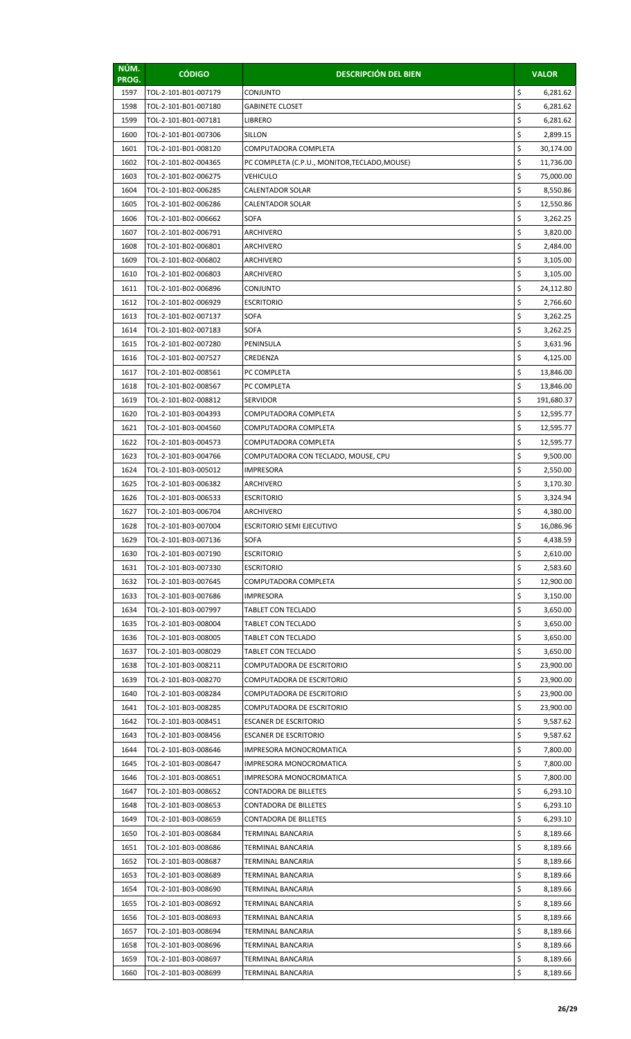| NÚM.<br>PROG. | <b>CÓDIGO</b>        | <b>DESCRIPCIÓN DEL BIEN</b>                   | <b>VALOR</b>     |
|---------------|----------------------|-----------------------------------------------|------------------|
| 1597          | TOL-2-101-B01-007179 | CONJUNTO                                      | \$<br>6,281.62   |
| 1598          | TOL-2-101-B01-007180 | GABINETE CLOSET                               | \$<br>6,281.62   |
| 1599          | TOL-2-101-B01-007181 | LIBRERO                                       | \$<br>6,281.62   |
| 1600          | TOL-2-101-B01-007306 | <b>SILLON</b>                                 | \$<br>2,899.15   |
| 1601          | TOL-2-101-B01-008120 | COMPUTADORA COMPLETA                          | \$<br>30,174.00  |
| 1602          | TOL-2-101-B02-004365 | PC COMPLETA (C.P.U., MONITOR, TECLADO, MOUSE) | \$<br>11,736.00  |
| 1603          | TOL-2-101-B02-006275 | VEHICULO                                      | \$<br>75,000.00  |
| 1604          | TOL-2-101-B02-006285 | <b>CALENTADOR SOLAR</b>                       | \$<br>8,550.86   |
| 1605          | TOL-2-101-B02-006286 | CALENTADOR SOLAR                              | \$<br>12,550.86  |
| 1606          | TOL-2-101-B02-006662 | SOFA                                          | \$<br>3,262.25   |
| 1607          | TOL-2-101-B02-006791 | ARCHIVERO                                     | \$<br>3,820.00   |
| 1608          | TOL-2-101-B02-006801 | ARCHIVERO                                     | \$<br>2,484.00   |
| 1609          | TOL-2-101-B02-006802 | ARCHIVERO                                     | \$<br>3,105.00   |
| 1610          | TOL-2-101-B02-006803 | ARCHIVERO                                     | \$<br>3,105.00   |
| 1611          | TOL-2-101-B02-006896 | CONJUNTO                                      | \$<br>24,112.80  |
| 1612          | TOL-2-101-B02-006929 | <b>ESCRITORIO</b>                             | \$<br>2,766.60   |
| 1613          | TOL-2-101-B02-007137 | SOFA                                          | \$<br>3,262.25   |
| 1614          | TOL-2-101-B02-007183 | SOFA                                          | \$<br>3,262.25   |
| 1615          | TOL-2-101-B02-007280 | PENINSULA                                     | \$<br>3,631.96   |
| 1616          | TOL-2-101-B02-007527 | CREDENZA                                      | \$<br>4,125.00   |
| 1617          | TOL-2-101-B02-008561 | PC COMPLETA                                   | \$<br>13,846.00  |
| 1618          | TOL-2-101-B02-008567 | PC COMPLETA                                   | \$<br>13,846.00  |
| 1619          | TOL-2-101-B02-008812 | <b>SERVIDOR</b>                               | \$<br>191,680.37 |
| 1620          | TOL-2-101-B03-004393 | COMPUTADORA COMPLETA                          | \$<br>12,595.77  |
| 1621          | TOL-2-101-B03-004560 | COMPUTADORA COMPLETA                          | \$<br>12,595.77  |
| 1622          | TOL-2-101-B03-004573 | COMPUTADORA COMPLETA                          | \$<br>12,595.77  |
| 1623          | TOL-2-101-B03-004766 | COMPUTADORA CON TECLADO, MOUSE, CPU           | \$<br>9,500.00   |
| 1624          | TOL-2-101-B03-005012 | IMPRESORA                                     | \$<br>2,550.00   |
| 1625          | TOL-2-101-B03-006382 | ARCHIVERO                                     | \$<br>3,170.30   |
| 1626          | TOL-2-101-B03-006533 | <b>ESCRITORIO</b>                             | \$<br>3,324.94   |
| 1627          | TOL-2-101-B03-006704 | ARCHIVERO                                     | \$<br>4,380.00   |
| 1628          | TOL-2-101-B03-007004 | ESCRITORIO SEMI EJECUTIVO                     | \$<br>16,086.96  |
| 1629          | TOL-2-101-B03-007136 | SOFA                                          | \$<br>4,438.59   |
| 1630          | TOL-2-101-B03-007190 | <b>ESCRITORIO</b>                             | \$<br>2,610.00   |
| 1631          | TOL-2-101-B03-007330 | <b>ESCRITORIO</b>                             | \$<br>2,583.60   |
| 1632          | TOL-2-101-B03-007645 | COMPUTADORA COMPLETA                          | \$<br>12,900.00  |
| 1633          | TOL-2-101-B03-007686 | IMPRESORA                                     | \$<br>3,150.00   |
| 1634          | TOL-2-101-B03-007997 | <b>TABLET CON TECLADO</b>                     | \$<br>3,650.00   |
| 1635          | TOL-2-101-B03-008004 | TABLET CON TECLADO                            | \$<br>3,650.00   |
| 1636          | TOL-2-101-B03-008005 | TABLET CON TECLADO                            | \$<br>3,650.00   |
| 1637          | TOL-2-101-B03-008029 | <b>TABLET CON TECLADO</b>                     | \$<br>3,650.00   |
| 1638          | TOL-2-101-B03-008211 | COMPUTADORA DE ESCRITORIO                     | \$<br>23,900.00  |
| 1639          | TOL-2-101-B03-008270 | COMPUTADORA DE ESCRITORIO                     | \$<br>23,900.00  |
| 1640          | TOL-2-101-B03-008284 | COMPUTADORA DE ESCRITORIO                     | \$<br>23,900.00  |
| 1641          | TOL-2-101-B03-008285 | COMPUTADORA DE ESCRITORIO                     | \$<br>23,900.00  |
| 1642          | TOL-2-101-B03-008451 | <b>ESCANER DE ESCRITORIO</b>                  | \$<br>9,587.62   |
| 1643          | TOL-2-101-B03-008456 | <b>ESCANER DE ESCRITORIO</b>                  | \$<br>9,587.62   |
| 1644          | TOL-2-101-B03-008646 | IMPRESORA MONOCROMATICA                       | \$<br>7,800.00   |
| 1645          | TOL-2-101-B03-008647 | IMPRESORA MONOCROMATICA                       | \$<br>7,800.00   |
| 1646          | TOL-2-101-B03-008651 | IMPRESORA MONOCROMATICA                       | \$<br>7,800.00   |
| 1647          | TOL-2-101-B03-008652 | CONTADORA DE BILLETES                         | \$<br>6,293.10   |
| 1648          | TOL-2-101-B03-008653 | CONTADORA DE BILLETES                         | \$<br>6,293.10   |
| 1649          | TOL-2-101-B03-008659 | CONTADORA DE BILLETES                         | \$<br>6,293.10   |
| 1650          | TOL-2-101-B03-008684 | TERMINAL BANCARIA                             | \$<br>8,189.66   |
| 1651          | TOL-2-101-B03-008686 | TERMINAL BANCARIA                             | \$<br>8,189.66   |
| 1652          | TOL-2-101-B03-008687 | <b>TERMINAL BANCARIA</b>                      | \$<br>8,189.66   |
| 1653          | TOL-2-101-B03-008689 | TERMINAL BANCARIA                             | \$<br>8,189.66   |
| 1654          | TOL-2-101-B03-008690 | <b>TERMINAL BANCARIA</b>                      | \$<br>8,189.66   |
| 1655          | TOL-2-101-B03-008692 | TERMINAL BANCARIA                             | \$<br>8,189.66   |
| 1656          | TOL-2-101-B03-008693 | TERMINAL BANCARIA                             | \$<br>8,189.66   |
| 1657          | TOL-2-101-B03-008694 | TERMINAL BANCARIA                             | \$<br>8,189.66   |
| 1658          | TOL-2-101-B03-008696 | TERMINAL BANCARIA                             | \$<br>8,189.66   |
| 1659          | TOL-2-101-B03-008697 | TERMINAL BANCARIA                             | \$<br>8,189.66   |
| 1660          | TOL-2-101-B03-008699 | TERMINAL BANCARIA                             | \$<br>8,189.66   |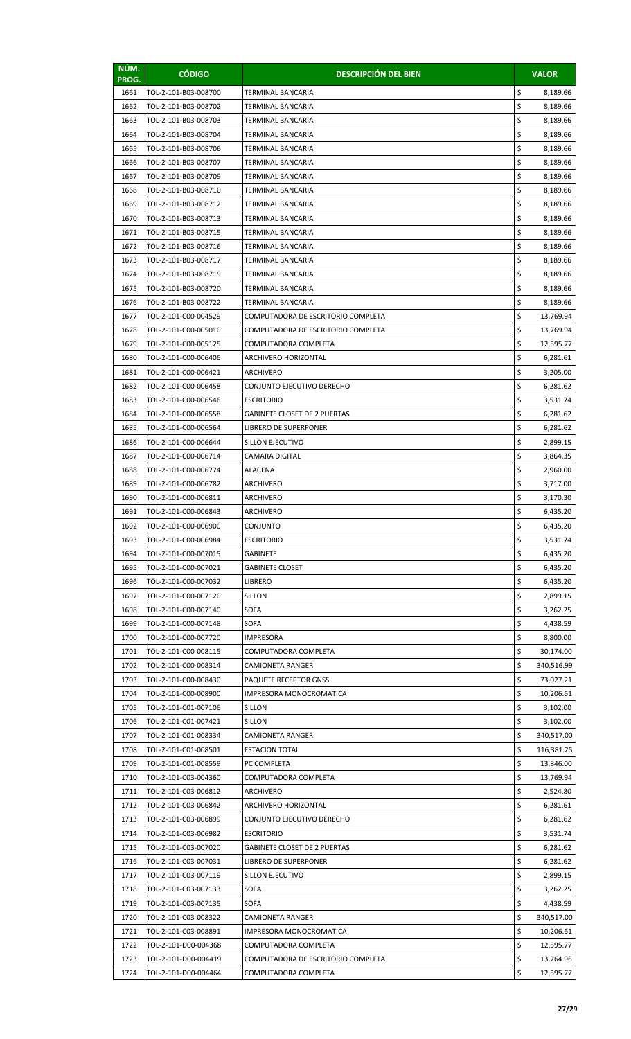| NÚM.<br>PROG. | <b>CÓDIGO</b>        | <b>DESCRIPCIÓN DEL BIEN</b>         |    | <b>VALOR</b> |
|---------------|----------------------|-------------------------------------|----|--------------|
| 1661          | TOL-2-101-B03-008700 | TERMINAL BANCARIA                   | \$ | 8,189.66     |
| 1662          | TOL-2-101-B03-008702 | TERMINAL BANCARIA                   | \$ | 8,189.66     |
| 1663          | TOL-2-101-B03-008703 | TERMINAL BANCARIA                   | \$ | 8,189.66     |
| 1664          | TOL-2-101-B03-008704 | TERMINAL BANCARIA                   | \$ | 8,189.66     |
| 1665          | TOL-2-101-B03-008706 | TERMINAL BANCARIA                   | \$ | 8,189.66     |
| 1666          | TOL-2-101-B03-008707 | TERMINAL BANCARIA                   | \$ | 8,189.66     |
| 1667          | TOL-2-101-B03-008709 | TERMINAL BANCARIA                   | \$ | 8,189.66     |
| 1668          | TOL-2-101-B03-008710 | TERMINAL BANCARIA                   | \$ | 8,189.66     |
| 1669          | TOL-2-101-B03-008712 | TERMINAL BANCARIA                   | \$ | 8,189.66     |
| 1670          | TOL-2-101-B03-008713 | TERMINAL BANCARIA                   | \$ | 8,189.66     |
| 1671          | TOL-2-101-B03-008715 | TERMINAL BANCARIA                   | \$ | 8,189.66     |
| 1672          | TOL-2-101-B03-008716 | TERMINAL BANCARIA                   | \$ | 8,189.66     |
| 1673          | TOL-2-101-B03-008717 | TERMINAL BANCARIA                   | \$ | 8,189.66     |
| 1674          | TOL-2-101-B03-008719 | TERMINAL BANCARIA                   | \$ | 8,189.66     |
| 1675          | TOL-2-101-B03-008720 | TERMINAL BANCARIA                   | \$ | 8,189.66     |
| 1676          | TOL-2-101-B03-008722 | TERMINAL BANCARIA                   | \$ | 8,189.66     |
| 1677          | TOL-2-101-C00-004529 | COMPUTADORA DE ESCRITORIO COMPLETA  | \$ | 13,769.94    |
| 1678          | TOL-2-101-C00-005010 | COMPUTADORA DE ESCRITORIO COMPLETA  | \$ | 13,769.94    |
| 1679          | TOL-2-101-C00-005125 | COMPUTADORA COMPLETA                | \$ | 12,595.77    |
| 1680          | TOL-2-101-C00-006406 | ARCHIVERO HORIZONTAL                | \$ | 6,281.61     |
| 1681          | TOL-2-101-C00-006421 | ARCHIVERO                           | \$ | 3,205.00     |
| 1682          | TOL-2-101-C00-006458 | CONJUNTO EJECUTIVO DERECHO          | \$ | 6,281.62     |
| 1683          | TOL-2-101-C00-006546 | <b>ESCRITORIO</b>                   | \$ | 3,531.74     |
| 1684          | TOL-2-101-C00-006558 | <b>GABINETE CLOSET DE 2 PUERTAS</b> | \$ | 6,281.62     |
| 1685          | TOL-2-101-C00-006564 | LIBRERO DE SUPERPONER               | \$ | 6,281.62     |
| 1686          | TOL-2-101-C00-006644 | SILLON EJECUTIVO                    | \$ | 2,899.15     |
| 1687          | TOL-2-101-C00-006714 | CAMARA DIGITAL                      | \$ | 3,864.35     |
| 1688          | TOL-2-101-C00-006774 | ALACENA                             | \$ | 2,960.00     |
| 1689          | TOL-2-101-C00-006782 | <b>ARCHIVERO</b>                    | \$ | 3,717.00     |
| 1690          | TOL-2-101-C00-006811 | <b>ARCHIVERO</b>                    | \$ | 3,170.30     |
| 1691          | TOL-2-101-C00-006843 | ARCHIVERO                           | \$ | 6,435.20     |
| 1692          | TOL-2-101-C00-006900 | CONJUNTO                            | Ş  | 6,435.20     |
| 1693          | TOL-2-101-C00-006984 | <b>ESCRITORIO</b>                   | \$ | 3,531.74     |
| 1694          | TOL-2-101-C00-007015 | <b>GABINETE</b>                     | \$ | 6,435.20     |
| 1695          | TOL-2-101-C00-007021 | <b>GABINETE CLOSET</b>              | \$ | 6,435.20     |
| 1696          | TOL-2-101-C00-007032 | LIBRERO                             | \$ | 6,435.20     |
| 1697          | TOL-2-101-C00-007120 | <b>SILLON</b>                       | \$ | 2,899.15     |
| 1698          | TOL-2-101-C00-007140 | <b>SOFA</b>                         | \$ | 3,262.25     |
| 1699          | TOL-2-101-C00-007148 | SOFA                                | \$ | 4,438.59     |
| 1700          | TOL-2-101-C00-007720 | IMPRESORA                           | \$ | 8,800.00     |
| 1701          | TOL-2-101-C00-008115 | COMPUTADORA COMPLETA                | \$ | 30,174.00    |
| 1702          | TOL-2-101-C00-008314 | <b>CAMIONETA RANGER</b>             | \$ | 340,516.99   |
| 1703          | TOL-2-101-C00-008430 | PAQUETE RECEPTOR GNSS               | \$ | 73,027.21    |
| 1704          | TOL-2-101-C00-008900 | IMPRESORA MONOCROMATICA             | \$ | 10,206.61    |
| 1705          | TOL-2-101-C01-007106 | SILLON                              | \$ | 3,102.00     |
| 1706          | TOL-2-101-C01-007421 | <b>SILLON</b>                       | \$ | 3,102.00     |
| 1707          | TOL-2-101-C01-008334 | CAMIONETA RANGER                    | \$ | 340,517.00   |
| 1708          | TOL-2-101-C01-008501 | <b>ESTACION TOTAL</b>               | \$ | 116,381.25   |
| 1709          | TOL-2-101-C01-008559 | PC COMPLETA                         | \$ | 13,846.00    |
| 1710          | TOL-2-101-C03-004360 | COMPUTADORA COMPLETA                | \$ | 13,769.94    |
| 1711          | TOL-2-101-C03-006812 | ARCHIVERO                           | \$ | 2,524.80     |
| 1712          | TOL-2-101-C03-006842 | ARCHIVERO HORIZONTAL                | \$ | 6,281.61     |
| 1713          | TOL-2-101-C03-006899 | CONJUNTO EJECUTIVO DERECHO          | \$ | 6,281.62     |
| 1714          | TOL-2-101-C03-006982 | <b>ESCRITORIO</b>                   | \$ | 3,531.74     |
| 1715          | TOL-2-101-C03-007020 | <b>GABINETE CLOSET DE 2 PUERTAS</b> | \$ | 6,281.62     |
| 1716          | TOL-2-101-C03-007031 | LIBRERO DE SUPERPONER               | \$ | 6,281.62     |
| 1717          | TOL-2-101-C03-007119 | SILLON EJECUTIVO                    | \$ | 2,899.15     |
| 1718          | TOL-2-101-C03-007133 | <b>SOFA</b>                         | \$ | 3,262.25     |
| 1719          | TOL-2-101-C03-007135 | SOFA                                | \$ | 4,438.59     |
| 1720          | TOL-2-101-C03-008322 | <b>CAMIONETA RANGER</b>             | \$ | 340,517.00   |
| 1721          | TOL-2-101-C03-008891 | IMPRESORA MONOCROMATICA             | \$ | 10,206.61    |
| 1722          | TOL-2-101-D00-004368 | COMPUTADORA COMPLETA                | \$ | 12,595.77    |
| 1723          | TOL-2-101-D00-004419 | COMPUTADORA DE ESCRITORIO COMPLETA  | \$ | 13,764.96    |
| 1724          | TOL-2-101-D00-004464 | COMPUTADORA COMPLETA                | \$ | 12,595.77    |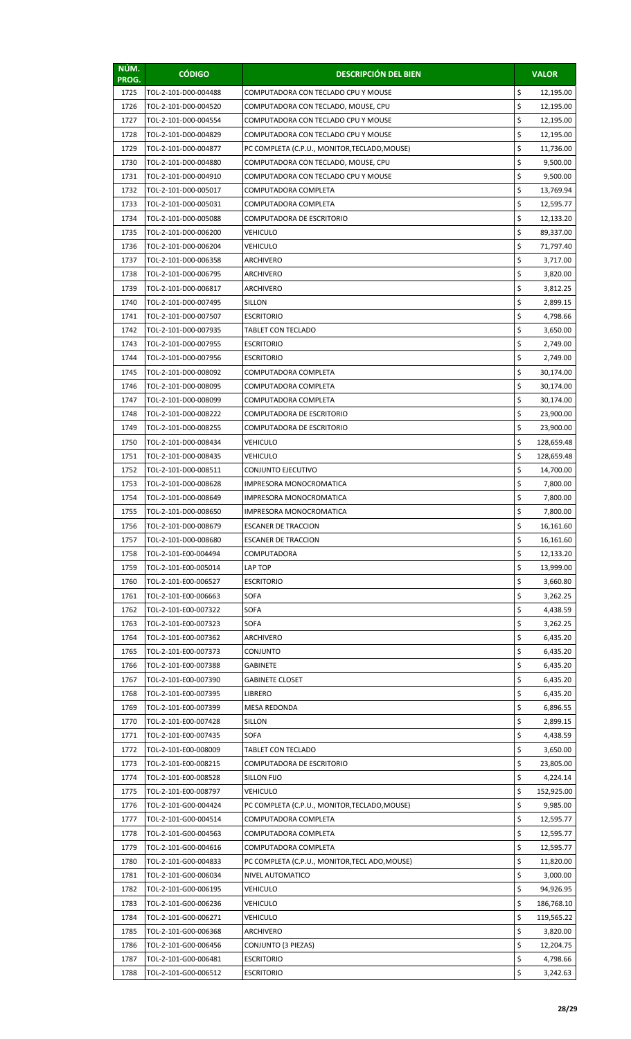| NÚM.<br>PROG. | <b>CÓDIGO</b>        | <b>DESCRIPCIÓN DEL BIEN</b>                    |    | <b>VALOR</b> |
|---------------|----------------------|------------------------------------------------|----|--------------|
| 1725          | TOL-2-101-D00-004488 | COMPUTADORA CON TECLADO CPU Y MOUSE            | \$ | 12,195.00    |
| 1726          | TOL-2-101-D00-004520 | COMPUTADORA CON TECLADO, MOUSE, CPU            | \$ | 12,195.00    |
| 1727          | TOL-2-101-D00-004554 | COMPUTADORA CON TECLADO CPU Y MOUSE            | \$ | 12,195.00    |
| 1728          | TOL-2-101-D00-004829 | COMPUTADORA CON TECLADO CPU Y MOUSE            | \$ | 12,195.00    |
| 1729          | TOL-2-101-D00-004877 | PC COMPLETA (C.P.U., MONITOR, TECLADO, MOUSE)  | \$ | 11,736.00    |
| 1730          | TOL-2-101-D00-004880 | COMPUTADORA CON TECLADO, MOUSE, CPU            | \$ | 9,500.00     |
| 1731          | TOL-2-101-D00-004910 | COMPUTADORA CON TECLADO CPU Y MOUSE            | \$ | 9,500.00     |
| 1732          | TOL-2-101-D00-005017 | COMPUTADORA COMPLETA                           | \$ | 13,769.94    |
| 1733          | TOL-2-101-D00-005031 | COMPUTADORA COMPLETA                           | \$ | 12,595.77    |
| 1734          | TOL-2-101-D00-005088 | COMPUTADORA DE ESCRITORIO                      | \$ | 12,133.20    |
| 1735          | TOL-2-101-D00-006200 | VEHICULO                                       | \$ | 89,337.00    |
| 1736          | TOL-2-101-D00-006204 | VEHICULO                                       | \$ | 71,797.40    |
| 1737          | TOL-2-101-D00-006358 | ARCHIVERO                                      | \$ | 3,717.00     |
| 1738          | TOL-2-101-D00-006795 | <b>ARCHIVERO</b>                               | \$ | 3,820.00     |
| 1739          | TOL-2-101-D00-006817 | ARCHIVERO                                      | \$ | 3,812.25     |
| 1740          | TOL-2-101-D00-007495 | <b>SILLON</b>                                  | \$ | 2,899.15     |
| 1741          | TOL-2-101-D00-007507 | <b>ESCRITORIO</b>                              | \$ | 4,798.66     |
| 1742          | TOL-2-101-D00-007935 | TABLET CON TECLADO                             | \$ | 3,650.00     |
| 1743          | TOL-2-101-D00-007955 | <b>ESCRITORIO</b>                              | \$ | 2,749.00     |
| 1744          | TOL-2-101-D00-007956 | <b>ESCRITORIO</b>                              | \$ | 2,749.00     |
| 1745          | TOL-2-101-D00-008092 | COMPUTADORA COMPLETA                           | \$ | 30,174.00    |
| 1746          | TOL-2-101-D00-008095 | COMPUTADORA COMPLETA                           | \$ | 30,174.00    |
| 1747          | TOL-2-101-D00-008099 | COMPUTADORA COMPLETA                           | \$ | 30,174.00    |
| 1748          | TOL-2-101-D00-008222 | COMPUTADORA DE ESCRITORIO                      | \$ | 23,900.00    |
| 1749          | TOL-2-101-D00-008255 | COMPUTADORA DE ESCRITORIO                      | \$ | 23,900.00    |
| 1750          | TOL-2-101-D00-008434 | <b>VEHICULO</b>                                | \$ | 128,659.48   |
| 1751          | TOL-2-101-D00-008435 | <b>VEHICULO</b>                                | \$ | 128,659.48   |
| 1752          | TOL-2-101-D00-008511 | CONJUNTO EJECUTIVO                             | \$ | 14,700.00    |
| 1753          | TOL-2-101-D00-008628 | <b>IMPRESORA MONOCROMATICA</b>                 | \$ | 7,800.00     |
| 1754          | TOL-2-101-D00-008649 | IMPRESORA MONOCROMATICA                        | \$ | 7,800.00     |
| 1755          | TOL-2-101-D00-008650 | IMPRESORA MONOCROMATICA                        | \$ | 7,800.00     |
| 1756          | TOL-2-101-D00-008679 | <b>ESCANER DE TRACCION</b>                     | Ş  | 16,161.60    |
| 1757          | TOL-2-101-D00-008680 | <b>ESCANER DE TRACCION</b>                     | \$ | 16,161.60    |
| 1758          | TOL-2-101-E00-004494 | COMPUTADORA                                    | \$ | 12,133.20    |
| 1759          | TOL-2-101-E00-005014 | LAP TOP                                        | \$ | 13,999.00    |
| 1760          | TOL-2-101-E00-006527 | <b>ESCRITORIO</b>                              | \$ | 3,660.80     |
| 1761          | TOL-2-101-E00-006663 | SOFA                                           | \$ | 3,262.25     |
| 1762          | TOL-2-101-E00-007322 | <b>SOFA</b>                                    | \$ | 4,438.59     |
| 1763          | TOL-2-101-E00-007323 | <b>SOFA</b>                                    | \$ | 3,262.25     |
| 1764          | TOL-2-101-E00-007362 | ARCHIVERO                                      | \$ | 6,435.20     |
| 1765          | TOL-2-101-E00-007373 | CONJUNTO                                       | \$ | 6,435.20     |
| 1766          | TOL-2-101-E00-007388 | GABINETE                                       | \$ | 6,435.20     |
| 1767          | TOL-2-101-E00-007390 | <b>GABINETE CLOSET</b>                         | \$ | 6,435.20     |
| 1768          | TOL-2-101-E00-007395 | LIBRERO                                        | \$ | 6,435.20     |
| 1769          | TOL-2-101-E00-007399 | <b>MESA REDONDA</b>                            | \$ | 6,896.55     |
| 1770          | TOL-2-101-E00-007428 | <b>SILLON</b>                                  | \$ | 2,899.15     |
| 1771          | TOL-2-101-E00-007435 | <b>SOFA</b>                                    | \$ | 4,438.59     |
| 1772          | TOL-2-101-E00-008009 | <b>TABLET CON TECLADO</b>                      | \$ | 3,650.00     |
| 1773          | TOL-2-101-E00-008215 | COMPUTADORA DE ESCRITORIO                      | \$ | 23,805.00    |
| 1774          | TOL-2-101-E00-008528 | SILLON FIJO                                    | \$ | 4,224.14     |
| 1775          | TOL-2-101-E00-008797 | VEHICULO                                       | \$ | 152,925.00   |
| 1776          | TOL-2-101-G00-004424 | PC COMPLETA (C.P.U., MONITOR, TECLADO, MOUSE)  | \$ | 9,985.00     |
| 1777          | TOL-2-101-G00-004514 | COMPUTADORA COMPLETA                           | \$ | 12,595.77    |
| 1778          | TOL-2-101-G00-004563 | COMPUTADORA COMPLETA                           | \$ | 12,595.77    |
| 1779          | TOL-2-101-G00-004616 | COMPUTADORA COMPLETA                           | \$ | 12,595.77    |
| 1780          | TOL-2-101-G00-004833 | PC COMPLETA (C.P.U., MONITOR, TECL ADO, MOUSE) | \$ | 11,820.00    |
| 1781          | TOL-2-101-G00-006034 | NIVEL AUTOMATICO                               | \$ | 3,000.00     |
| 1782          | TOL-2-101-G00-006195 | VEHICULO                                       | \$ | 94,926.95    |
| 1783          | TOL-2-101-G00-006236 | VEHICULO                                       | \$ | 186,768.10   |
| 1784          | TOL-2-101-G00-006271 | VEHICULO                                       | \$ | 119,565.22   |
| 1785          | TOL-2-101-G00-006368 | <b>ARCHIVERO</b>                               | \$ | 3,820.00     |
| 1786          | TOL-2-101-G00-006456 | CONJUNTO (3 PIEZAS)                            | \$ | 12,204.75    |
| 1787          | TOL-2-101-G00-006481 | <b>ESCRITORIO</b>                              | \$ | 4,798.66     |
| 1788          | TOL-2-101-G00-006512 | <b>ESCRITORIO</b>                              | \$ | 3,242.63     |